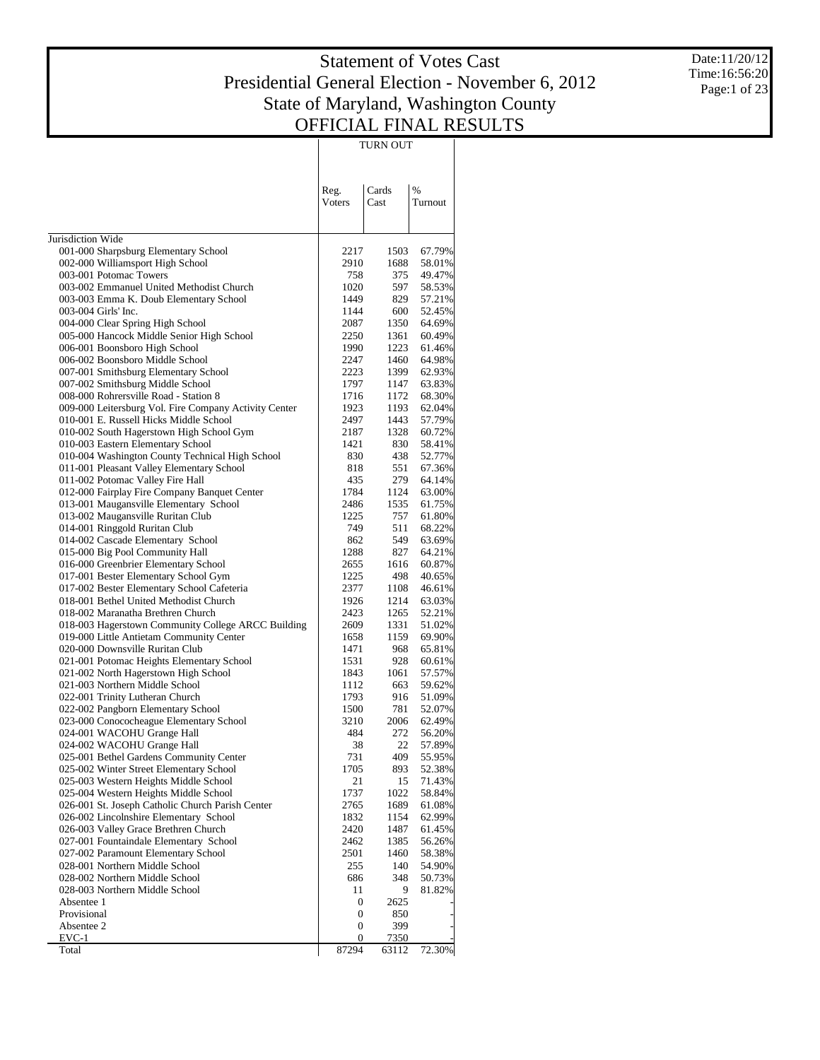$\mathbb{R}$ 

TURN OUT

 $\mathcal{L}$ 

Date:11/20/12 Time:16:56:20 Page:1 of 23

|                                                                               | Reg.<br>Voters   | Cards<br>Cast | $\%$<br>Turnout  |
|-------------------------------------------------------------------------------|------------------|---------------|------------------|
| Jurisdiction Wide                                                             |                  |               |                  |
| 001-000 Sharpsburg Elementary School                                          | 2217             | 1503          | 67.79%           |
| 002-000 Williamsport High School                                              | 2910             | 1688          | 58.01%           |
| 003-001 Potomac Towers                                                        | 758              | 375           | 49.47%           |
| 003-002 Emmanuel United Methodist Church                                      | 1020             | 597           | 58.53%           |
| 003-003 Emma K. Doub Elementary School                                        | 1449             | 829           | 57.21%           |
| 003-004 Girls' Inc.                                                           | 1144             | 600           | 52.45%           |
| 004-000 Clear Spring High School                                              | 2087             | 1350          | 64.69%           |
| 005-000 Hancock Middle Senior High School<br>006-001 Boonsboro High School    | 2250<br>1990     | 1361<br>1223  | 60.49%<br>61.46% |
| 006-002 Boonsboro Middle School                                               | 2247             | 1460          | 64.98%           |
| 007-001 Smithsburg Elementary School                                          | 2223             | 1399          | 62.93%           |
| 007-002 Smithsburg Middle School                                              | 1797             | 1147          | 63.83%           |
| 008-000 Rohrersville Road - Station 8                                         | 1716             | 1172          | 68.30%           |
| 009-000 Leitersburg Vol. Fire Company Activity Center                         | 1923             | 1193          | 62.04%           |
| 010-001 E. Russell Hicks Middle School                                        | 2497             | 1443          | 57.79%           |
| 010-002 South Hagerstown High School Gym                                      | 2187             | 1328          | 60.72%           |
| 010-003 Eastern Elementary School                                             | 1421             | 830           | 58.41%           |
| 010-004 Washington County Technical High School                               | 830              | 438           | 52.77%           |
| 011-001 Pleasant Valley Elementary School                                     | 818              | 551           | 67.36%           |
| 011-002 Potomac Valley Fire Hall                                              | 435              | 279           | 64.14%           |
| 012-000 Fairplay Fire Company Banquet Center                                  | 1784             | 1124          | 63.00%           |
| 013-001 Maugansville Elementary School                                        | 2486             | 1535          | 61.75%           |
| 013-002 Maugansville Ruritan Club<br>014-001 Ringgold Ruritan Club            | 1225<br>749      | 757<br>511    | 61.80%<br>68.22% |
| 014-002 Cascade Elementary School                                             | 862              | 549           | 63.69%           |
| 015-000 Big Pool Community Hall                                               | 1288             | 827           | 64.21%           |
| 016-000 Greenbrier Elementary School                                          | 2655             | 1616          | 60.87%           |
| 017-001 Bester Elementary School Gym                                          | 1225             | 498           | 40.65%           |
| 017-002 Bester Elementary School Cafeteria                                    | 2377             | 1108          | 46.61%           |
| 018-001 Bethel United Methodist Church                                        | 1926             | 1214          | 63.03%           |
| 018-002 Maranatha Brethren Church                                             | 2423             | 1265          | 52.21%           |
| 018-003 Hagerstown Community College ARCC Building                            | 2609             | 1331          | 51.02%           |
| 019-000 Little Antietam Community Center                                      | 1658             | 1159          | 69.90%           |
| 020-000 Downsville Ruritan Club                                               | 1471             | 968           | 65.81%           |
| 021-001 Potomac Heights Elementary School                                     | 1531             | 928           | 60.61%           |
| 021-002 North Hagerstown High School<br>021-003 Northern Middle School        | 1843<br>1112     | 1061<br>663   | 57.57%           |
| 022-001 Trinity Lutheran Church                                               | 1793             | 916           | 59.62%<br>51.09% |
| 022-002 Pangborn Elementary School                                            | 1500             | 781           | 52.07%           |
| 023-000 Conococheague Elementary School                                       | 3210             | 2006          | 62.49%           |
| 024-001 WACOHU Grange Hall                                                    | 484              | 272           | 56.20%           |
| 024-002 WACOHU Grange Hall                                                    | 38               | 22            | 57.89%           |
| 025-001 Bethel Gardens Community Center                                       | 731              | 409.          | 55.95%           |
| 025-002 Winter Street Elementary School                                       | 1705             | 893           | 52.38%           |
| 025-003 Western Heights Middle School                                         | 21               | 15            | 71.43%           |
| 025-004 Western Heights Middle School                                         | 1737             | 1022          | 58.84%           |
| 026-001 St. Joseph Catholic Church Parish Center                              | 2765             | 1689          | 61.08%           |
| 026-002 Lincolnshire Elementary School                                        | 1832             | 1154          | 62.99%           |
| 026-003 Valley Grace Brethren Church                                          | 2420             | 1487          | 61.45%           |
| 027-001 Fountaindale Elementary School<br>027-002 Paramount Elementary School | 2462<br>2501     | 1385<br>1460  | 56.26%<br>58.38% |
| 028-001 Northern Middle School                                                | 255              | 140           | 54.90%           |
| 028-002 Northern Middle School                                                | 686              | 348           | 50.73%           |
| 028-003 Northern Middle School                                                | 11               | 9             | 81.82%           |
| Absentee 1                                                                    | 0                | 2625          |                  |
| Provisional                                                                   | $\boldsymbol{0}$ | 850           |                  |
| Absentee 2                                                                    | $\boldsymbol{0}$ | 399           |                  |
| EVC-1                                                                         | 0                | 7350          |                  |
| Total                                                                         | 87294            | 63112         | 72.30%           |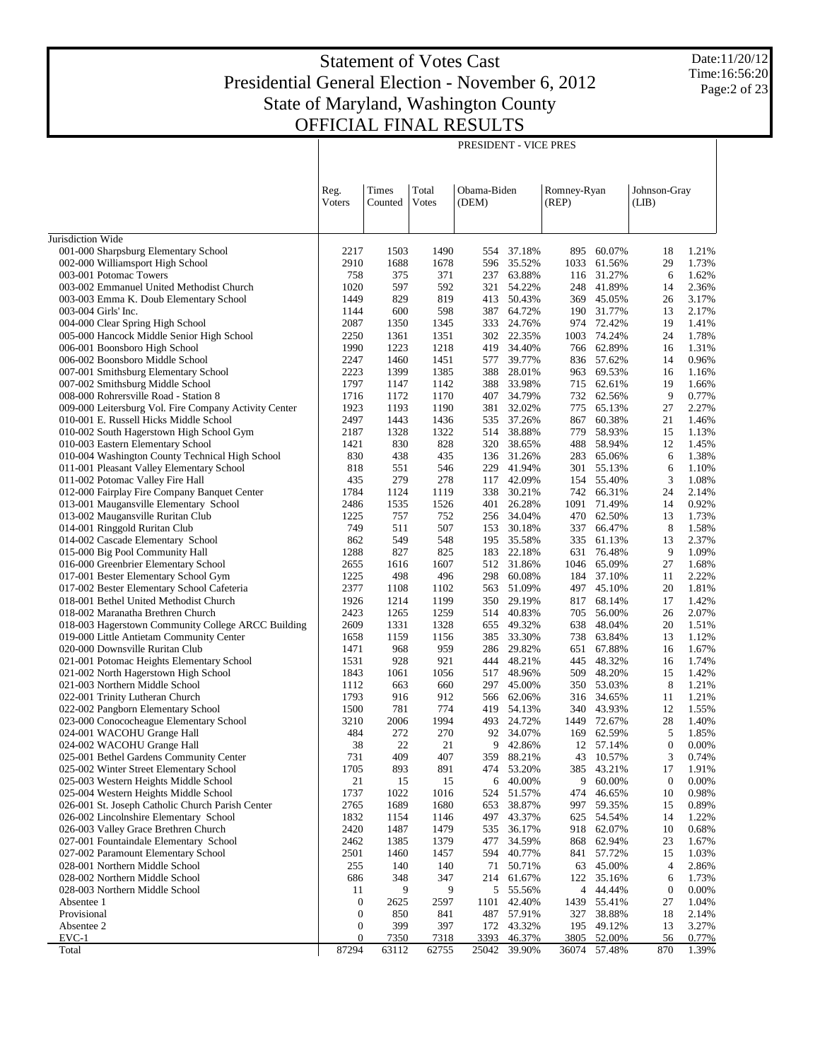PRESIDENT - VICE PRES

Date:11/20/12 Time:16:56:20 Page:2 of 23

|                                                                                      |                  |                  |                | PRESIDENT - VICE PRES |                          |                      |                  |                        |                |
|--------------------------------------------------------------------------------------|------------------|------------------|----------------|-----------------------|--------------------------|----------------------|------------------|------------------------|----------------|
|                                                                                      | Reg.<br>Voters   | Times<br>Counted | Total<br>Votes | Obama-Biden<br>(DEM)  |                          | Romney-Ryan<br>(REP) |                  | Johnson-Gray<br>(LIB)  |                |
|                                                                                      |                  |                  |                |                       |                          |                      |                  |                        |                |
|                                                                                      |                  |                  |                |                       |                          |                      |                  |                        |                |
| Jurisdiction Wide<br>001-000 Sharpsburg Elementary School                            | 2217             | 1503             | 1490           | 554                   | 37.18%                   | 895                  | 60.07%           | 18                     | 1.21%          |
| 002-000 Williamsport High School                                                     | 2910             | 1688             | 1678           | 596                   | 35.52%                   | 1033                 | 61.56%           | 29                     | 1.73%          |
| 003-001 Potomac Towers                                                               | 758              | 375              | 371            | 237                   | 63.88%                   | 116                  | 31.27%           | 6                      | 1.62%          |
| 003-002 Emmanuel United Methodist Church                                             | 1020             | 597              | 592            | 321                   | 54.22%                   | 248                  | 41.89%           | 14                     | 2.36%          |
| 003-003 Emma K. Doub Elementary School                                               | 1449             | 829              | 819            | 413                   | 50.43%                   | 369                  | 45.05%           | 26                     | 3.17%          |
| 003-004 Girls' Inc.                                                                  | 1144             | 600              | 598            | 387                   | 64.72%                   | 190                  | 31.77%           | 13                     | 2.17%          |
| 004-000 Clear Spring High School                                                     | 2087             | 1350             | 1345           | 333                   | 24.76%                   | 974                  | 72.42%           | 19                     | 1.41%          |
| 005-000 Hancock Middle Senior High School<br>006-001 Boonsboro High School           | 2250<br>1990     | 1361<br>1223     | 1351<br>1218   | 419                   | 302 22.35%<br>34.40%     | 1003<br>766          | 74.24%<br>62.89% | 24<br>16               | 1.78%<br>1.31% |
| 006-002 Boonsboro Middle School                                                      | 2247             | 1460             | 1451           | 577                   | 39.77%                   | 836                  | 57.62%           | 14                     | 0.96%          |
| 007-001 Smithsburg Elementary School                                                 | 2223             | 1399             | 1385           | 388                   | 28.01%                   | 963                  | 69.53%           | 16                     | 1.16%          |
| 007-002 Smithsburg Middle School                                                     | 1797             | 1147             | 1142           |                       | 388 33.98%               | 715                  | 62.61%           | 19                     | 1.66%          |
| 008-000 Rohrersville Road - Station 8                                                | 1716             | 1172             | 1170           | 407                   | 34.79%                   | 732                  | 62.56%           | 9                      | 0.77%          |
| 009-000 Leitersburg Vol. Fire Company Activity Center                                | 1923             | 1193             | 1190           | 381                   | 32.02%                   | 775                  | 65.13%           | 27                     | 2.27%          |
| 010-001 E. Russell Hicks Middle School                                               | 2497             | 1443             | 1436           | 535                   | 37.26%                   | 867                  | 60.38%           | 21                     | 1.46%          |
| 010-002 South Hagerstown High School Gym                                             | 2187             | 1328             | 1322           | 514                   | 38.88%                   | 779                  | 58.93%           | 15                     | 1.13%          |
| 010-003 Eastern Elementary School<br>010-004 Washington County Technical High School | 1421<br>830      | 830<br>438       | 828<br>435     | 320                   | 38.65%<br>136 31.26%     | 488<br>283           | 58.94%<br>65.06% | 12<br>6                | 1.45%<br>1.38% |
| 011-001 Pleasant Valley Elementary School                                            | 818              | 551              | 546            | 229                   | 41.94%                   | 301                  | 55.13%           | 6                      | 1.10%          |
| 011-002 Potomac Valley Fire Hall                                                     | 435              | 279              | 278            | 117                   | 42.09%                   | 154                  | 55.40%           | 3                      | 1.08%          |
| 012-000 Fairplay Fire Company Banquet Center                                         | 1784             | 1124             | 1119           | 338                   | 30.21%                   | 742                  | 66.31%           | 24                     | 2.14%          |
| 013-001 Maugansville Elementary School                                               | 2486             | 1535             | 1526           | 401                   | 26.28%                   | 1091                 | 71.49%           | 14                     | 0.92%          |
| 013-002 Maugansville Ruritan Club                                                    | 1225             | 757              | 752            | 256                   | 34.04%                   | 470                  | 62.50%           | 13                     | 1.73%          |
| 014-001 Ringgold Ruritan Club                                                        | 749              | 511              | 507            | 153                   | 30.18%                   | 337                  | 66.47%           | 8                      | 1.58%          |
| 014-002 Cascade Elementary School                                                    | 862              | 549              | 548            | 195                   | 35.58%                   | 335                  | 61.13%           | 13                     | 2.37%          |
| 015-000 Big Pool Community Hall<br>016-000 Greenbrier Elementary School              | 1288<br>2655     | 827<br>1616      | 825<br>1607    |                       | 183 22.18%<br>512 31.86% | 631<br>1046          | 76.48%<br>65.09% | 9<br>27                | 1.09%<br>1.68% |
| 017-001 Bester Elementary School Gym                                                 | 1225             | 498              | 496            | 298                   | 60.08%                   | 184                  | 37.10%           | 11                     | 2.22%          |
| 017-002 Bester Elementary School Cafeteria                                           | 2377             | 1108             | 1102           | 563                   | 51.09%                   | 497                  | 45.10%           | 20                     | 1.81%          |
| 018-001 Bethel United Methodist Church                                               | 1926             | 1214             | 1199           | 350                   | 29.19%                   | 817                  | 68.14%           | 17                     | 1.42%          |
| 018-002 Maranatha Brethren Church                                                    | 2423             | 1265             | 1259           | 514                   | 40.83%                   | 705                  | 56.00%           | 26                     | 2.07%          |
| 018-003 Hagerstown Community College ARCC Building                                   | 2609             | 1331             | 1328           | 655                   | 49.32%                   | 638                  | 48.04%           | 20                     | 1.51%          |
| 019-000 Little Antietam Community Center                                             | 1658             | 1159             | 1156           | 385                   | 33.30%                   | 738                  | 63.84%           | 13                     | 1.12%          |
| 020-000 Downsville Ruritan Club                                                      | 1471             | 968              | 959            | 286                   | 29.82%<br>48.21%         | 651                  | 67.88%<br>48.32% | 16                     | 1.67%          |
| 021-001 Potomac Heights Elementary School<br>021-002 North Hagerstown High School    | 1531<br>1843     | 928<br>1061      | 921<br>1056    | 444<br>517            | 48.96%                   | 445<br>509           | 48.20%           | 16<br>15               | 1.74%<br>1.42% |
| 021-003 Northern Middle School                                                       | 1112             | 663              | 660            | 297                   | 45.00%                   | 350                  | 53.03%           | 8                      | 1.21%          |
| 022-001 Trinity Lutheran Church                                                      | 1793             | 916              | 912            | 566                   | 62.06%                   | 316                  | 34.65%           | 11                     | 1.21%          |
| 022-002 Pangborn Elementary School                                                   | 1500             | 781              | 774            | 419                   | 54.13%                   | 340                  | 43.93%           | 12                     | 1.55%          |
| 023-000 Conococheague Elementary School                                              | 3210             | 2006             | 1994           |                       | 493 24.72%               | 1449                 | 72.67%           | 28                     | 1.40%          |
| 024-001 WACOHU Grange Hall                                                           | 484              | 272              | 270            |                       | 92 34.07%                | 169                  | 62.59%           | 5                      | 1.85%          |
| 024-002 WACOHU Grange Hall                                                           | 38               | 22               | $21\,$         | 9                     | 42.86%                   | 12                   | 57.14%           | 0                      | 0.00%          |
| 025-001 Bethel Gardens Community Center<br>025-002 Winter Street Elementary School   | 731              | 409<br>893       | 407<br>891     | 359<br>474            | 88.21%<br>53.20%         | 43                   | 10.57%<br>43.21% | 3                      | 0.74%<br>1.91% |
| 025-003 Western Heights Middle School                                                | 1705<br>21       | 15               | 15             | 6                     | 40.00%                   | 385<br>9             | 60.00%           | 17<br>$\boldsymbol{0}$ | 0.00%          |
| 025-004 Western Heights Middle School                                                | 1737             | 1022             | 1016           | 524                   | 51.57%                   | 474                  | 46.65%           | 10                     | 0.98%          |
| 026-001 St. Joseph Catholic Church Parish Center                                     | 2765             | 1689             | 1680           | 653                   | 38.87%                   | 997                  | 59.35%           | 15                     | 0.89%          |
| 026-002 Lincolnshire Elementary School                                               | 1832             | 1154             | 1146           | 497                   | 43.37%                   | 625                  | 54.54%           | 14                     | 1.22%          |
| 026-003 Valley Grace Brethren Church                                                 | 2420             | 1487             | 1479           | 535                   | 36.17%                   | 918                  | 62.07%           | 10                     | 0.68%          |
| 027-001 Fountaindale Elementary School                                               | 2462             | 1385             | 1379           | 477                   | 34.59%                   | 868                  | 62.94%           | 23                     | 1.67%          |
| 027-002 Paramount Elementary School                                                  | 2501             | 1460             | 1457           | 594                   | 40.77%                   | 841                  | 57.72%           | 15                     | 1.03%          |
| 028-001 Northern Middle School                                                       | 255              | 140              | 140            | 71                    | 50.71%                   | 63                   | 45.00%           | 4                      | 2.86%          |
| 028-002 Northern Middle School<br>028-003 Northern Middle School                     | 686<br>11        | 348<br>9         | 347<br>9       | 214<br>5              | 61.67%<br>55.56%         | 122<br>4             | 35.16%<br>44.44% | 6<br>$\boldsymbol{0}$  | 1.73%<br>0.00% |
| Absentee 1                                                                           | $\boldsymbol{0}$ | 2625             | 2597           | 1101                  | 42.40%                   | 1439                 | 55.41%           | 27                     | 1.04%          |
| Provisional                                                                          | 0                | 850              | 841            | 487                   | 57.91%                   | 327                  | 38.88%           | 18                     | 2.14%          |
| Absentee 2                                                                           | 0                | 399              | 397            |                       | 172 43.32%               | 195                  | 49.12%           | 13                     | 3.27%          |
| $EVC-1$                                                                              | $\mathbf{0}$     | 7350             | 7318           | 3393                  | 46.37%                   | 3805                 | 52.00%           | 56                     | 0.77%          |
| Total                                                                                | 87294            | 63112            | 62755          |                       | 25042 39.90%             | 36074                | 57.48%           | 870                    | 1.39%          |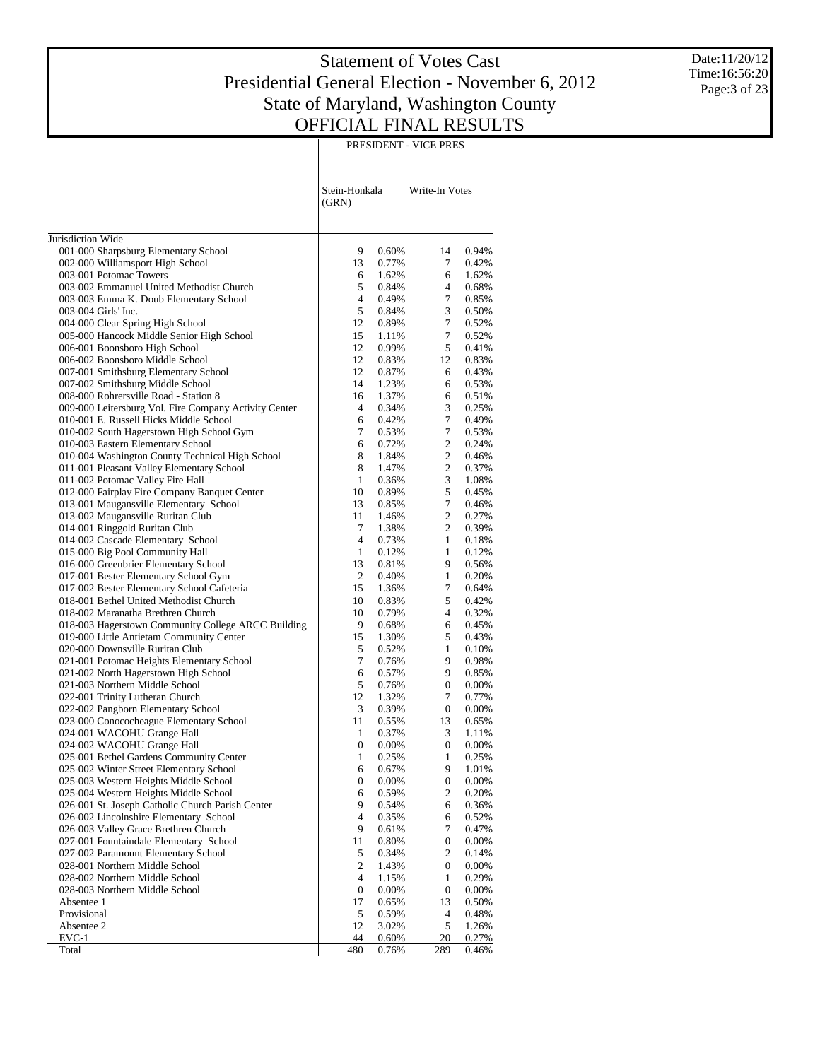Date:11/20/12 Time:16:56:20 Page:3 of 23

|                                                                                           |                        |                | PRESIDENT - VICE PRES |                   |
|-------------------------------------------------------------------------------------------|------------------------|----------------|-----------------------|-------------------|
|                                                                                           | Stein-Honkala<br>(GRN) |                | Write-In Votes        |                   |
| Jurisdiction Wide                                                                         |                        |                |                       |                   |
| 001-000 Sharpsburg Elementary School                                                      | 9                      | 0.60%          | 14                    | 0.94%             |
| 002-000 Williamsport High School                                                          | 13                     | 0.77%          | 7                     | 0.42%             |
| 003-001 Potomac Towers<br>003-002 Emmanuel United Methodist Church                        | 6<br>5                 | 1.62%<br>0.84% | 6<br>4                | 1.62%<br>0.68%    |
| 003-003 Emma K. Doub Elementary School                                                    | $\overline{4}$         | 0.49%          | 7                     | 0.85%             |
| 003-004 Girls' Inc.                                                                       | 5                      | 0.84%          | 3                     | 0.50%             |
| 004-000 Clear Spring High School                                                          | 12                     | 0.89%          | 7                     | 0.52%             |
| 005-000 Hancock Middle Senior High School                                                 | 15                     | 1.11%          | 7                     | 0.52%             |
| 006-001 Boonsboro High School                                                             | 12                     | 0.99%          | 5                     | 0.41%             |
| 006-002 Boonsboro Middle School                                                           | 12                     | 0.83%          | 12                    | 0.83%             |
| 007-001 Smithsburg Elementary School<br>007-002 Smithsburg Middle School                  | 12<br>14               | 0.87%<br>1.23% | 6<br>6                | 0.43%<br>0.53%    |
| 008-000 Rohrersville Road - Station 8                                                     | 16                     | 1.37%          | 6                     | 0.51%             |
| 009-000 Leitersburg Vol. Fire Company Activity Center                                     | 4                      | 0.34%          | 3                     | 0.25%             |
| 010-001 E. Russell Hicks Middle School                                                    | 6                      | 0.42%          | 7                     | 0.49%             |
| 010-002 South Hagerstown High School Gym                                                  | 7                      | 0.53%          | 7                     | 0.53%             |
| 010-003 Eastern Elementary School                                                         | 6                      | 0.72%          | $\overline{c}$        | 0.24%             |
| 010-004 Washington County Technical High School                                           | 8                      | 1.84%          | $\overline{c}$        | 0.46%             |
| 011-001 Pleasant Valley Elementary School<br>011-002 Potomac Valley Fire Hall             | 8<br>1                 | 1.47%<br>0.36% | $\overline{c}$<br>3   | 0.37%             |
| 012-000 Fairplay Fire Company Banquet Center                                              | 10                     | 0.89%          | 5                     | 1.08%<br>0.45%    |
| 013-001 Maugansville Elementary School                                                    | 13                     | 0.85%          | 7                     | 0.46%             |
| 013-002 Maugansville Ruritan Club                                                         | 11                     | 1.46%          | $\overline{c}$        | 0.27%             |
| 014-001 Ringgold Ruritan Club                                                             | 7                      | 1.38%          | $\overline{c}$        | 0.39%             |
| 014-002 Cascade Elementary School                                                         | 4                      | 0.73%          | 1                     | 0.18%             |
| 015-000 Big Pool Community Hall                                                           | $\mathbf{1}$           | 0.12%          | 1                     | 0.12%             |
| 016-000 Greenbrier Elementary School                                                      | 13                     | 0.81%          | 9                     | 0.56%             |
| 017-001 Bester Elementary School Gym<br>017-002 Bester Elementary School Cafeteria        | 2<br>15                | 0.40%          | 1<br>7                | 0.20%<br>0.64%    |
| 018-001 Bethel United Methodist Church                                                    | 10                     | 1.36%<br>0.83% | 5                     | 0.42%             |
| 018-002 Maranatha Brethren Church                                                         | 10                     | 0.79%          | 4                     | 0.32%             |
| 018-003 Hagerstown Community College ARCC Building                                        | 9                      | 0.68%          | 6                     | 0.45%             |
| 019-000 Little Antietam Community Center                                                  | 15                     | 1.30%          | 5                     | 0.43%             |
| 020-000 Downsville Ruritan Club                                                           | 5                      | 0.52%          | 1                     | 0.10%             |
| 021-001 Potomac Heights Elementary School                                                 | 7                      | 0.76%          | 9                     | 0.98%             |
| 021-002 North Hagerstown High School                                                      | 6                      | 0.57%          | 9                     | 0.85%             |
| 021-003 Northern Middle School                                                            | 5<br>12                | 0.76%          | 0                     | 0.00%             |
| 022-001 Trinity Lutheran Church<br>022-002 Pangborn Elementary School                     | 3                      | 1.32%<br>0.39% | 7<br>0                | 0.77%<br>$0.00\%$ |
| 023-000 Conococheague Elementary School                                                   | 11                     | 0.55%          | 13                    | 0.65%             |
| 024-001 WACOHU Grange Hall                                                                | 1                      | 0.37%          | 3                     | 1.11%             |
| 024-002 WACOHU Grange Hall                                                                | 0                      | 0.00%          | 0                     | 0.00%             |
| 025-001 Bethel Gardens Community Center                                                   | 1                      | 0.25%          | 1                     | 0.25%             |
| 025-002 Winter Street Elementary School                                                   | 6                      | 0.67%          | 9                     | 1.01%             |
| 025-003 Western Heights Middle School                                                     | 0                      | 0.00%          | 0                     | 0.00%             |
| 025-004 Western Heights Middle School<br>026-001 St. Joseph Catholic Church Parish Center | 6<br>9                 | 0.59%<br>0.54% | 2<br>6                | 0.20%<br>0.36%    |
| 026-002 Lincolnshire Elementary School                                                    | 4                      | 0.35%          | 6                     | 0.52%             |
| 026-003 Valley Grace Brethren Church                                                      | 9                      | 0.61%          | 7                     | 0.47%             |
| 027-001 Fountaindale Elementary School                                                    | 11                     | 0.80%          | 0                     | 0.00%             |
| 027-002 Paramount Elementary School                                                       | 5                      | 0.34%          | $\mathfrak{2}$        | 0.14%             |
| 028-001 Northern Middle School                                                            | $\mathbf{2}$           | 1.43%          | 0                     | 0.00%             |
| 028-002 Northern Middle School                                                            | 4                      | 1.15%          | 1                     | 0.29%             |
| 028-003 Northern Middle School                                                            | $\boldsymbol{0}$       | 0.00%          | 0                     | $0.00\%$          |
| Absentee 1<br>Provisional                                                                 | 17                     | 0.65%          | 13                    | 0.50%             |
| Absentee 2                                                                                | 5<br>12                | 0.59%<br>3.02% | 4<br>5                | 0.48%<br>1.26%    |
| EVC-1                                                                                     | 44                     | 0.60%          | 20                    | 0.27%             |
| Total                                                                                     | 480                    | 0.76%          | 289                   | $0.46\%$          |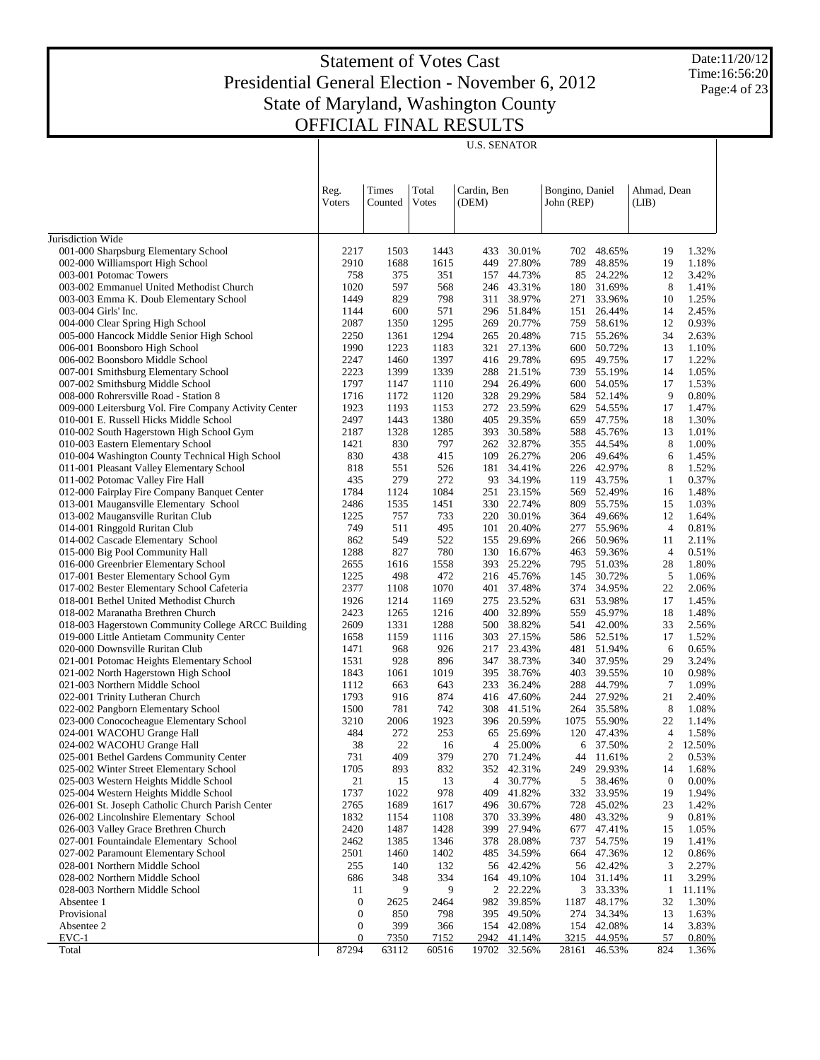U.S. SENATOR

Date:11/20/12 Time:16:56:20 Page:4 of 23

| Total<br>Cardin, Ben<br>Bongino, Daniel<br>Ahmad, Dean<br>Reg.<br>Times<br>Voters<br><b>Votes</b><br>John (REP)<br>Counted<br>(DEM)<br>(LIB)<br>Jurisdiction Wide<br>001-000 Sharpsburg Elementary School<br>2217<br>30.01%<br>702 48.65%<br>1.32%<br>1503<br>1443<br>433<br>19<br>1688<br>002-000 Williamsport High School<br>2910<br>1615<br>27.80%<br>789<br>48.85%<br>19<br>1.18%<br>449<br>003-001 Potomac Towers<br>758<br>375<br>351<br>157 44.73%<br>85 24.22%<br>3.42%<br>12<br>003-002 Emmanuel United Methodist Church<br>1020<br>597<br>568<br>246 43.31%<br>31.69%<br>8<br>180<br>1.41%<br>829<br>798<br>311 38.97%<br>33.96%<br>1.25%<br>003-003 Emma K. Doub Elementary School<br>1449<br>271<br>10<br>003-004 Girls' Inc.<br>1144<br>600<br>571<br>296 51.84%<br>26.44%<br>151<br>14<br>004-000 Clear Spring High School<br>2087<br>1350<br>1295<br>20.77%<br>58.61%<br>12<br>269<br>759<br>005-000 Hancock Middle Senior High School<br>2250<br>1361<br>1294<br>20.48%<br>55.26%<br>34<br>265<br>715<br>1990<br>1223<br>1183<br>321 27.13%<br>50.72%<br>1.10%<br>006-001 Boonsboro High School<br>600<br>13<br>006-002 Boonsboro Middle School<br>2247<br>1460<br>1397<br>416 29.78%<br>49.75%<br>17<br>1.22%<br>695<br>2223<br>1399<br>1339<br>288 21.51%<br>739 55.19%<br>1.05%<br>007-001 Smithsburg Elementary School<br>14<br>007-002 Smithsburg Middle School<br>1797<br>1110<br>26.49%<br>54.05%<br>17<br>1.53%<br>1147<br>294<br>600<br>1716<br>1172<br>1120<br>328 29.29%<br>52.14%<br>9<br>0.80%<br>008-000 Rohrersville Road - Station 8<br>584<br>009-000 Leitersburg Vol. Fire Company Activity Center<br>1923<br>1193<br>1153<br>272 23.59%<br>54.55%<br>629<br>17<br>1.47%<br>2497<br>1443<br>1380<br>405 29.35%<br>47.75%<br>18<br>1.30%<br>010-001 E. Russell Hicks Middle School<br>659<br>010-002 South Hagerstown High School Gym<br>2187<br>1328<br>1285<br>393 30.58%<br>45.76%<br>1.01%<br>588<br>13<br>010-003 Eastern Elementary School<br>830<br>797<br>262 32.87%<br>44.54%<br>8<br>1421<br>355<br>1.00%<br>010-004 Washington County Technical High School<br>830<br>438<br>415<br>109<br>26.27%<br>206 49.64%<br>1.45%<br>6<br>011-001 Pleasant Valley Elementary School<br>551<br>526<br>181 34.41%<br>226 42.97%<br>8<br>1.52%<br>818<br>272<br>011-002 Potomac Valley Fire Hall<br>435<br>279<br>93 34.19%<br>43.75%<br>0.37%<br>119<br>$\mathbf{1}$<br>012-000 Fairplay Fire Company Banquet Center<br>1784<br>1084<br>251 23.15%<br>569 52.49%<br>1124<br>16<br>013-001 Maugansville Elementary School<br>2486<br>1535<br>1451<br>330 22.74%<br>55.75%<br>809<br>15<br>013-002 Maugansville Ruritan Club<br>1225<br>757<br>733<br>220 30.01%<br>364 49.66%<br>12<br>014-001 Ringgold Ruritan Club<br>749<br>511<br>495<br>20.40%<br>55.96%<br>$\overline{4}$<br>101<br>277<br>014-002 Cascade Elementary School<br>862<br>549<br>522<br>155 29.69%<br>266 50.96%<br>11<br>780<br>015-000 Big Pool Community Hall<br>1288<br>827<br>16.67%<br>59.36%<br>$\overline{4}$<br>130<br>463<br>016-000 Greenbrier Elementary School<br>1616<br>1558<br>393 25.22%<br>795 51.03%<br>1.80%<br>2655<br>28<br>017-001 Bester Elementary School Gym<br>1225<br>498<br>472<br>216 45.76%<br>30.72%<br>5<br>1.06%<br>145<br>2377<br>1070<br>401 37.48%<br>374 34.95%<br>22<br>2.06%<br>017-002 Bester Elementary School Cafeteria<br>1108<br>1926<br>1214<br>1169<br>275 23.52%<br>53.98%<br>17<br>1.45%<br>018-001 Bethel United Methodist Church<br>631<br>2423<br>1265<br>1216<br>400 32.89%<br>45.97%<br>18<br>1.48%<br>018-002 Maranatha Brethren Church<br>559<br>018-003 Hagerstown Community College ARCC Building<br>2609<br>1331<br>1288<br>38.82%<br>42.00%<br>500<br>541<br>33<br>2.56%<br>303 27.15%<br>586 52.51%<br>1.52%<br>019-000 Little Antietam Community Center<br>1658<br>1159<br>1116<br>17<br>020-000 Downsville Ruritan Club<br>1471<br>968<br>926<br>23.43%<br>51.94%<br>0.65%<br>217<br>481<br>6<br>021-001 Potomac Heights Elementary School<br>928<br>896<br>347 38.73%<br>37.95%<br>29<br>3.24%<br>1531<br>340<br>021-002 North Hagerstown High School<br>1843<br>1061<br>1019<br>38.76%<br>39.55%<br>0.98%<br>395<br>403<br>10<br>021-003 Northern Middle School<br>36.24%<br>44.79%<br>7<br>1112<br>663<br>643<br>233<br>288<br>1793<br>916<br>874<br>416 47.60%<br>27.92%<br>21<br>022-001 Trinity Lutheran Church<br>244<br>8<br>022-002 Pangborn Elementary School<br>781<br>742<br>308 41.51%<br>264 35.58%<br>1.08%<br>1500<br>023-000 Conococheague Elementary School<br>3210<br>2006<br>1923<br>396 20.59%<br>1075 55.90%<br>22<br>024-001 WACOHU Grange Hall<br>272<br>253<br>65 25.69%<br>120 47.43%<br>1.58%<br>484<br>4<br>38<br>22<br>25.00%<br>6 37.50%<br>2<br>12.50%<br>024-002 WACOHU Grange Hall<br>16<br>$\overline{4}$<br>409<br>379<br>025-001 Bethel Gardens Community Center<br>731<br>270 71.24%<br>0.53%<br>44 11.61%<br>2<br>025-002 Winter Street Elementary School<br>1705<br>893<br>832<br>42.31%<br>29.93%<br>1.68%<br>352<br>249<br>14<br>21<br>13<br>$\overline{4}$<br>30.77%<br>5<br>38.46%<br>$\boldsymbol{0}$<br>0.00%<br>025-003 Western Heights Middle School<br>15<br>1737<br>1022<br>978<br>41.82%<br>025-004 Western Heights Middle School<br>409<br>332<br>33.95%<br>19<br>1.94%<br>1689<br>026-001 St. Joseph Catholic Church Parish Center<br>2765<br>1617<br>496<br>30.67%<br>728<br>45.02%<br>23<br>1.42%<br>1832<br>1154<br>1108<br>33.39%<br>480<br>9<br>0.81%<br>026-002 Lincolnshire Elementary School<br>370<br>43.32%<br>1487<br>026-003 Valley Grace Brethren Church<br>2420<br>1428<br>399<br>27.94%<br>677<br>47.41%<br>15<br>1.05%<br>1385<br>1346<br>027-001 Fountaindale Elementary School<br>2462<br>378<br>28.08%<br>737<br>54.75%<br>19<br>1.41%<br>2501<br>47.36%<br>027-002 Paramount Elementary School<br>1460<br>1402<br>485<br>34.59%<br>664<br>12<br>028-001 Northern Middle School<br>140<br>132<br>3<br>255<br>56 42.42%<br>56<br>42.42%<br>2.27%<br>334<br>104 31.14%<br>3.29%<br>028-002 Northern Middle School<br>686<br>348<br>164<br>49.10%<br>11<br>9<br>2<br>3<br>028-003 Northern Middle School<br>11<br>9<br>22.22%<br>33.33%<br>1<br>982<br>Absentee 1<br>0<br>2625<br>2464<br>39.85%<br>1187<br>48.17%<br>32<br>Provisional<br>850<br>274<br>0<br>798<br>395<br>49.50%<br>34.34%<br>13<br>Absentee 2<br>399<br>154<br>3.83%<br>0<br>366<br>42.08%<br>154 42.08%<br>14<br>$\boldsymbol{0}$<br>7350<br>7152<br>2942<br>3215<br>57<br>EVC-1<br>41.14%<br>44.95%<br>0.80%<br>87294<br>63112<br>60516<br>19702 32.56%<br>28161<br>824<br>1.36%<br>Total<br>46.53% |  |  |  |  |        |
|----------------------------------------------------------------------------------------------------------------------------------------------------------------------------------------------------------------------------------------------------------------------------------------------------------------------------------------------------------------------------------------------------------------------------------------------------------------------------------------------------------------------------------------------------------------------------------------------------------------------------------------------------------------------------------------------------------------------------------------------------------------------------------------------------------------------------------------------------------------------------------------------------------------------------------------------------------------------------------------------------------------------------------------------------------------------------------------------------------------------------------------------------------------------------------------------------------------------------------------------------------------------------------------------------------------------------------------------------------------------------------------------------------------------------------------------------------------------------------------------------------------------------------------------------------------------------------------------------------------------------------------------------------------------------------------------------------------------------------------------------------------------------------------------------------------------------------------------------------------------------------------------------------------------------------------------------------------------------------------------------------------------------------------------------------------------------------------------------------------------------------------------------------------------------------------------------------------------------------------------------------------------------------------------------------------------------------------------------------------------------------------------------------------------------------------------------------------------------------------------------------------------------------------------------------------------------------------------------------------------------------------------------------------------------------------------------------------------------------------------------------------------------------------------------------------------------------------------------------------------------------------------------------------------------------------------------------------------------------------------------------------------------------------------------------------------------------------------------------------------------------------------------------------------------------------------------------------------------------------------------------------------------------------------------------------------------------------------------------------------------------------------------------------------------------------------------------------------------------------------------------------------------------------------------------------------------------------------------------------------------------------------------------------------------------------------------------------------------------------------------------------------------------------------------------------------------------------------------------------------------------------------------------------------------------------------------------------------------------------------------------------------------------------------------------------------------------------------------------------------------------------------------------------------------------------------------------------------------------------------------------------------------------------------------------------------------------------------------------------------------------------------------------------------------------------------------------------------------------------------------------------------------------------------------------------------------------------------------------------------------------------------------------------------------------------------------------------------------------------------------------------------------------------------------------------------------------------------------------------------------------------------------------------------------------------------------------------------------------------------------------------------------------------------------------------------------------------------------------------------------------------------------------------------------------------------------------------------------------------------------------------------------------------------------------------------------------------------------------------------------------------------------------------------------------------------------------------------------------------------------------------------------------------------------------------------------------------------------------------------------------------------------------------------------------------------------------------------------------------------------------------------------------------------------------------------------------------------------------------------------------------------------------------------------------------------------------------------------------------------------------------------------------------------------------------------------------------------------------------------------------------------------------------------------------------------------------------------------------------------------------------------------------------------------------------------------------------------------------------------------------------------------------------------------------------------------------------------------------------------------------------------------------------------------------------------------------------------------------------|--|--|--|--|--------|
|                                                                                                                                                                                                                                                                                                                                                                                                                                                                                                                                                                                                                                                                                                                                                                                                                                                                                                                                                                                                                                                                                                                                                                                                                                                                                                                                                                                                                                                                                                                                                                                                                                                                                                                                                                                                                                                                                                                                                                                                                                                                                                                                                                                                                                                                                                                                                                                                                                                                                                                                                                                                                                                                                                                                                                                                                                                                                                                                                                                                                                                                                                                                                                                                                                                                                                                                                                                                                                                                                                                                                                                                                                                                                                                                                                                                                                                                                                                                                                                                                                                                                                                                                                                                                                                                                                                                                                                                                                                                                                                                                                                                                                                                                                                                                                                                                                                                                                                                                                                                                                                                                                                                                                                                                                                                                                                                                                                                                                                                                                                                                                                                                                                                                                                                                                                                                                                                                                                                                                                                                                                                                                                                                                                                                                                                                                                                                                                                                                                                                                                                                                                                                |  |  |  |  |        |
|                                                                                                                                                                                                                                                                                                                                                                                                                                                                                                                                                                                                                                                                                                                                                                                                                                                                                                                                                                                                                                                                                                                                                                                                                                                                                                                                                                                                                                                                                                                                                                                                                                                                                                                                                                                                                                                                                                                                                                                                                                                                                                                                                                                                                                                                                                                                                                                                                                                                                                                                                                                                                                                                                                                                                                                                                                                                                                                                                                                                                                                                                                                                                                                                                                                                                                                                                                                                                                                                                                                                                                                                                                                                                                                                                                                                                                                                                                                                                                                                                                                                                                                                                                                                                                                                                                                                                                                                                                                                                                                                                                                                                                                                                                                                                                                                                                                                                                                                                                                                                                                                                                                                                                                                                                                                                                                                                                                                                                                                                                                                                                                                                                                                                                                                                                                                                                                                                                                                                                                                                                                                                                                                                                                                                                                                                                                                                                                                                                                                                                                                                                                                                |  |  |  |  |        |
|                                                                                                                                                                                                                                                                                                                                                                                                                                                                                                                                                                                                                                                                                                                                                                                                                                                                                                                                                                                                                                                                                                                                                                                                                                                                                                                                                                                                                                                                                                                                                                                                                                                                                                                                                                                                                                                                                                                                                                                                                                                                                                                                                                                                                                                                                                                                                                                                                                                                                                                                                                                                                                                                                                                                                                                                                                                                                                                                                                                                                                                                                                                                                                                                                                                                                                                                                                                                                                                                                                                                                                                                                                                                                                                                                                                                                                                                                                                                                                                                                                                                                                                                                                                                                                                                                                                                                                                                                                                                                                                                                                                                                                                                                                                                                                                                                                                                                                                                                                                                                                                                                                                                                                                                                                                                                                                                                                                                                                                                                                                                                                                                                                                                                                                                                                                                                                                                                                                                                                                                                                                                                                                                                                                                                                                                                                                                                                                                                                                                                                                                                                                                                |  |  |  |  |        |
|                                                                                                                                                                                                                                                                                                                                                                                                                                                                                                                                                                                                                                                                                                                                                                                                                                                                                                                                                                                                                                                                                                                                                                                                                                                                                                                                                                                                                                                                                                                                                                                                                                                                                                                                                                                                                                                                                                                                                                                                                                                                                                                                                                                                                                                                                                                                                                                                                                                                                                                                                                                                                                                                                                                                                                                                                                                                                                                                                                                                                                                                                                                                                                                                                                                                                                                                                                                                                                                                                                                                                                                                                                                                                                                                                                                                                                                                                                                                                                                                                                                                                                                                                                                                                                                                                                                                                                                                                                                                                                                                                                                                                                                                                                                                                                                                                                                                                                                                                                                                                                                                                                                                                                                                                                                                                                                                                                                                                                                                                                                                                                                                                                                                                                                                                                                                                                                                                                                                                                                                                                                                                                                                                                                                                                                                                                                                                                                                                                                                                                                                                                                                                |  |  |  |  |        |
|                                                                                                                                                                                                                                                                                                                                                                                                                                                                                                                                                                                                                                                                                                                                                                                                                                                                                                                                                                                                                                                                                                                                                                                                                                                                                                                                                                                                                                                                                                                                                                                                                                                                                                                                                                                                                                                                                                                                                                                                                                                                                                                                                                                                                                                                                                                                                                                                                                                                                                                                                                                                                                                                                                                                                                                                                                                                                                                                                                                                                                                                                                                                                                                                                                                                                                                                                                                                                                                                                                                                                                                                                                                                                                                                                                                                                                                                                                                                                                                                                                                                                                                                                                                                                                                                                                                                                                                                                                                                                                                                                                                                                                                                                                                                                                                                                                                                                                                                                                                                                                                                                                                                                                                                                                                                                                                                                                                                                                                                                                                                                                                                                                                                                                                                                                                                                                                                                                                                                                                                                                                                                                                                                                                                                                                                                                                                                                                                                                                                                                                                                                                                                |  |  |  |  |        |
|                                                                                                                                                                                                                                                                                                                                                                                                                                                                                                                                                                                                                                                                                                                                                                                                                                                                                                                                                                                                                                                                                                                                                                                                                                                                                                                                                                                                                                                                                                                                                                                                                                                                                                                                                                                                                                                                                                                                                                                                                                                                                                                                                                                                                                                                                                                                                                                                                                                                                                                                                                                                                                                                                                                                                                                                                                                                                                                                                                                                                                                                                                                                                                                                                                                                                                                                                                                                                                                                                                                                                                                                                                                                                                                                                                                                                                                                                                                                                                                                                                                                                                                                                                                                                                                                                                                                                                                                                                                                                                                                                                                                                                                                                                                                                                                                                                                                                                                                                                                                                                                                                                                                                                                                                                                                                                                                                                                                                                                                                                                                                                                                                                                                                                                                                                                                                                                                                                                                                                                                                                                                                                                                                                                                                                                                                                                                                                                                                                                                                                                                                                                                                |  |  |  |  |        |
|                                                                                                                                                                                                                                                                                                                                                                                                                                                                                                                                                                                                                                                                                                                                                                                                                                                                                                                                                                                                                                                                                                                                                                                                                                                                                                                                                                                                                                                                                                                                                                                                                                                                                                                                                                                                                                                                                                                                                                                                                                                                                                                                                                                                                                                                                                                                                                                                                                                                                                                                                                                                                                                                                                                                                                                                                                                                                                                                                                                                                                                                                                                                                                                                                                                                                                                                                                                                                                                                                                                                                                                                                                                                                                                                                                                                                                                                                                                                                                                                                                                                                                                                                                                                                                                                                                                                                                                                                                                                                                                                                                                                                                                                                                                                                                                                                                                                                                                                                                                                                                                                                                                                                                                                                                                                                                                                                                                                                                                                                                                                                                                                                                                                                                                                                                                                                                                                                                                                                                                                                                                                                                                                                                                                                                                                                                                                                                                                                                                                                                                                                                                                                |  |  |  |  |        |
|                                                                                                                                                                                                                                                                                                                                                                                                                                                                                                                                                                                                                                                                                                                                                                                                                                                                                                                                                                                                                                                                                                                                                                                                                                                                                                                                                                                                                                                                                                                                                                                                                                                                                                                                                                                                                                                                                                                                                                                                                                                                                                                                                                                                                                                                                                                                                                                                                                                                                                                                                                                                                                                                                                                                                                                                                                                                                                                                                                                                                                                                                                                                                                                                                                                                                                                                                                                                                                                                                                                                                                                                                                                                                                                                                                                                                                                                                                                                                                                                                                                                                                                                                                                                                                                                                                                                                                                                                                                                                                                                                                                                                                                                                                                                                                                                                                                                                                                                                                                                                                                                                                                                                                                                                                                                                                                                                                                                                                                                                                                                                                                                                                                                                                                                                                                                                                                                                                                                                                                                                                                                                                                                                                                                                                                                                                                                                                                                                                                                                                                                                                                                                |  |  |  |  | 2.45%  |
|                                                                                                                                                                                                                                                                                                                                                                                                                                                                                                                                                                                                                                                                                                                                                                                                                                                                                                                                                                                                                                                                                                                                                                                                                                                                                                                                                                                                                                                                                                                                                                                                                                                                                                                                                                                                                                                                                                                                                                                                                                                                                                                                                                                                                                                                                                                                                                                                                                                                                                                                                                                                                                                                                                                                                                                                                                                                                                                                                                                                                                                                                                                                                                                                                                                                                                                                                                                                                                                                                                                                                                                                                                                                                                                                                                                                                                                                                                                                                                                                                                                                                                                                                                                                                                                                                                                                                                                                                                                                                                                                                                                                                                                                                                                                                                                                                                                                                                                                                                                                                                                                                                                                                                                                                                                                                                                                                                                                                                                                                                                                                                                                                                                                                                                                                                                                                                                                                                                                                                                                                                                                                                                                                                                                                                                                                                                                                                                                                                                                                                                                                                                                                |  |  |  |  | 0.93%  |
|                                                                                                                                                                                                                                                                                                                                                                                                                                                                                                                                                                                                                                                                                                                                                                                                                                                                                                                                                                                                                                                                                                                                                                                                                                                                                                                                                                                                                                                                                                                                                                                                                                                                                                                                                                                                                                                                                                                                                                                                                                                                                                                                                                                                                                                                                                                                                                                                                                                                                                                                                                                                                                                                                                                                                                                                                                                                                                                                                                                                                                                                                                                                                                                                                                                                                                                                                                                                                                                                                                                                                                                                                                                                                                                                                                                                                                                                                                                                                                                                                                                                                                                                                                                                                                                                                                                                                                                                                                                                                                                                                                                                                                                                                                                                                                                                                                                                                                                                                                                                                                                                                                                                                                                                                                                                                                                                                                                                                                                                                                                                                                                                                                                                                                                                                                                                                                                                                                                                                                                                                                                                                                                                                                                                                                                                                                                                                                                                                                                                                                                                                                                                                |  |  |  |  | 2.63%  |
|                                                                                                                                                                                                                                                                                                                                                                                                                                                                                                                                                                                                                                                                                                                                                                                                                                                                                                                                                                                                                                                                                                                                                                                                                                                                                                                                                                                                                                                                                                                                                                                                                                                                                                                                                                                                                                                                                                                                                                                                                                                                                                                                                                                                                                                                                                                                                                                                                                                                                                                                                                                                                                                                                                                                                                                                                                                                                                                                                                                                                                                                                                                                                                                                                                                                                                                                                                                                                                                                                                                                                                                                                                                                                                                                                                                                                                                                                                                                                                                                                                                                                                                                                                                                                                                                                                                                                                                                                                                                                                                                                                                                                                                                                                                                                                                                                                                                                                                                                                                                                                                                                                                                                                                                                                                                                                                                                                                                                                                                                                                                                                                                                                                                                                                                                                                                                                                                                                                                                                                                                                                                                                                                                                                                                                                                                                                                                                                                                                                                                                                                                                                                                |  |  |  |  |        |
|                                                                                                                                                                                                                                                                                                                                                                                                                                                                                                                                                                                                                                                                                                                                                                                                                                                                                                                                                                                                                                                                                                                                                                                                                                                                                                                                                                                                                                                                                                                                                                                                                                                                                                                                                                                                                                                                                                                                                                                                                                                                                                                                                                                                                                                                                                                                                                                                                                                                                                                                                                                                                                                                                                                                                                                                                                                                                                                                                                                                                                                                                                                                                                                                                                                                                                                                                                                                                                                                                                                                                                                                                                                                                                                                                                                                                                                                                                                                                                                                                                                                                                                                                                                                                                                                                                                                                                                                                                                                                                                                                                                                                                                                                                                                                                                                                                                                                                                                                                                                                                                                                                                                                                                                                                                                                                                                                                                                                                                                                                                                                                                                                                                                                                                                                                                                                                                                                                                                                                                                                                                                                                                                                                                                                                                                                                                                                                                                                                                                                                                                                                                                                |  |  |  |  |        |
|                                                                                                                                                                                                                                                                                                                                                                                                                                                                                                                                                                                                                                                                                                                                                                                                                                                                                                                                                                                                                                                                                                                                                                                                                                                                                                                                                                                                                                                                                                                                                                                                                                                                                                                                                                                                                                                                                                                                                                                                                                                                                                                                                                                                                                                                                                                                                                                                                                                                                                                                                                                                                                                                                                                                                                                                                                                                                                                                                                                                                                                                                                                                                                                                                                                                                                                                                                                                                                                                                                                                                                                                                                                                                                                                                                                                                                                                                                                                                                                                                                                                                                                                                                                                                                                                                                                                                                                                                                                                                                                                                                                                                                                                                                                                                                                                                                                                                                                                                                                                                                                                                                                                                                                                                                                                                                                                                                                                                                                                                                                                                                                                                                                                                                                                                                                                                                                                                                                                                                                                                                                                                                                                                                                                                                                                                                                                                                                                                                                                                                                                                                                                                |  |  |  |  |        |
|                                                                                                                                                                                                                                                                                                                                                                                                                                                                                                                                                                                                                                                                                                                                                                                                                                                                                                                                                                                                                                                                                                                                                                                                                                                                                                                                                                                                                                                                                                                                                                                                                                                                                                                                                                                                                                                                                                                                                                                                                                                                                                                                                                                                                                                                                                                                                                                                                                                                                                                                                                                                                                                                                                                                                                                                                                                                                                                                                                                                                                                                                                                                                                                                                                                                                                                                                                                                                                                                                                                                                                                                                                                                                                                                                                                                                                                                                                                                                                                                                                                                                                                                                                                                                                                                                                                                                                                                                                                                                                                                                                                                                                                                                                                                                                                                                                                                                                                                                                                                                                                                                                                                                                                                                                                                                                                                                                                                                                                                                                                                                                                                                                                                                                                                                                                                                                                                                                                                                                                                                                                                                                                                                                                                                                                                                                                                                                                                                                                                                                                                                                                                                |  |  |  |  |        |
|                                                                                                                                                                                                                                                                                                                                                                                                                                                                                                                                                                                                                                                                                                                                                                                                                                                                                                                                                                                                                                                                                                                                                                                                                                                                                                                                                                                                                                                                                                                                                                                                                                                                                                                                                                                                                                                                                                                                                                                                                                                                                                                                                                                                                                                                                                                                                                                                                                                                                                                                                                                                                                                                                                                                                                                                                                                                                                                                                                                                                                                                                                                                                                                                                                                                                                                                                                                                                                                                                                                                                                                                                                                                                                                                                                                                                                                                                                                                                                                                                                                                                                                                                                                                                                                                                                                                                                                                                                                                                                                                                                                                                                                                                                                                                                                                                                                                                                                                                                                                                                                                                                                                                                                                                                                                                                                                                                                                                                                                                                                                                                                                                                                                                                                                                                                                                                                                                                                                                                                                                                                                                                                                                                                                                                                                                                                                                                                                                                                                                                                                                                                                                |  |  |  |  |        |
|                                                                                                                                                                                                                                                                                                                                                                                                                                                                                                                                                                                                                                                                                                                                                                                                                                                                                                                                                                                                                                                                                                                                                                                                                                                                                                                                                                                                                                                                                                                                                                                                                                                                                                                                                                                                                                                                                                                                                                                                                                                                                                                                                                                                                                                                                                                                                                                                                                                                                                                                                                                                                                                                                                                                                                                                                                                                                                                                                                                                                                                                                                                                                                                                                                                                                                                                                                                                                                                                                                                                                                                                                                                                                                                                                                                                                                                                                                                                                                                                                                                                                                                                                                                                                                                                                                                                                                                                                                                                                                                                                                                                                                                                                                                                                                                                                                                                                                                                                                                                                                                                                                                                                                                                                                                                                                                                                                                                                                                                                                                                                                                                                                                                                                                                                                                                                                                                                                                                                                                                                                                                                                                                                                                                                                                                                                                                                                                                                                                                                                                                                                                                                |  |  |  |  |        |
|                                                                                                                                                                                                                                                                                                                                                                                                                                                                                                                                                                                                                                                                                                                                                                                                                                                                                                                                                                                                                                                                                                                                                                                                                                                                                                                                                                                                                                                                                                                                                                                                                                                                                                                                                                                                                                                                                                                                                                                                                                                                                                                                                                                                                                                                                                                                                                                                                                                                                                                                                                                                                                                                                                                                                                                                                                                                                                                                                                                                                                                                                                                                                                                                                                                                                                                                                                                                                                                                                                                                                                                                                                                                                                                                                                                                                                                                                                                                                                                                                                                                                                                                                                                                                                                                                                                                                                                                                                                                                                                                                                                                                                                                                                                                                                                                                                                                                                                                                                                                                                                                                                                                                                                                                                                                                                                                                                                                                                                                                                                                                                                                                                                                                                                                                                                                                                                                                                                                                                                                                                                                                                                                                                                                                                                                                                                                                                                                                                                                                                                                                                                                                |  |  |  |  |        |
|                                                                                                                                                                                                                                                                                                                                                                                                                                                                                                                                                                                                                                                                                                                                                                                                                                                                                                                                                                                                                                                                                                                                                                                                                                                                                                                                                                                                                                                                                                                                                                                                                                                                                                                                                                                                                                                                                                                                                                                                                                                                                                                                                                                                                                                                                                                                                                                                                                                                                                                                                                                                                                                                                                                                                                                                                                                                                                                                                                                                                                                                                                                                                                                                                                                                                                                                                                                                                                                                                                                                                                                                                                                                                                                                                                                                                                                                                                                                                                                                                                                                                                                                                                                                                                                                                                                                                                                                                                                                                                                                                                                                                                                                                                                                                                                                                                                                                                                                                                                                                                                                                                                                                                                                                                                                                                                                                                                                                                                                                                                                                                                                                                                                                                                                                                                                                                                                                                                                                                                                                                                                                                                                                                                                                                                                                                                                                                                                                                                                                                                                                                                                                |  |  |  |  |        |
|                                                                                                                                                                                                                                                                                                                                                                                                                                                                                                                                                                                                                                                                                                                                                                                                                                                                                                                                                                                                                                                                                                                                                                                                                                                                                                                                                                                                                                                                                                                                                                                                                                                                                                                                                                                                                                                                                                                                                                                                                                                                                                                                                                                                                                                                                                                                                                                                                                                                                                                                                                                                                                                                                                                                                                                                                                                                                                                                                                                                                                                                                                                                                                                                                                                                                                                                                                                                                                                                                                                                                                                                                                                                                                                                                                                                                                                                                                                                                                                                                                                                                                                                                                                                                                                                                                                                                                                                                                                                                                                                                                                                                                                                                                                                                                                                                                                                                                                                                                                                                                                                                                                                                                                                                                                                                                                                                                                                                                                                                                                                                                                                                                                                                                                                                                                                                                                                                                                                                                                                                                                                                                                                                                                                                                                                                                                                                                                                                                                                                                                                                                                                                |  |  |  |  |        |
|                                                                                                                                                                                                                                                                                                                                                                                                                                                                                                                                                                                                                                                                                                                                                                                                                                                                                                                                                                                                                                                                                                                                                                                                                                                                                                                                                                                                                                                                                                                                                                                                                                                                                                                                                                                                                                                                                                                                                                                                                                                                                                                                                                                                                                                                                                                                                                                                                                                                                                                                                                                                                                                                                                                                                                                                                                                                                                                                                                                                                                                                                                                                                                                                                                                                                                                                                                                                                                                                                                                                                                                                                                                                                                                                                                                                                                                                                                                                                                                                                                                                                                                                                                                                                                                                                                                                                                                                                                                                                                                                                                                                                                                                                                                                                                                                                                                                                                                                                                                                                                                                                                                                                                                                                                                                                                                                                                                                                                                                                                                                                                                                                                                                                                                                                                                                                                                                                                                                                                                                                                                                                                                                                                                                                                                                                                                                                                                                                                                                                                                                                                                                                |  |  |  |  |        |
|                                                                                                                                                                                                                                                                                                                                                                                                                                                                                                                                                                                                                                                                                                                                                                                                                                                                                                                                                                                                                                                                                                                                                                                                                                                                                                                                                                                                                                                                                                                                                                                                                                                                                                                                                                                                                                                                                                                                                                                                                                                                                                                                                                                                                                                                                                                                                                                                                                                                                                                                                                                                                                                                                                                                                                                                                                                                                                                                                                                                                                                                                                                                                                                                                                                                                                                                                                                                                                                                                                                                                                                                                                                                                                                                                                                                                                                                                                                                                                                                                                                                                                                                                                                                                                                                                                                                                                                                                                                                                                                                                                                                                                                                                                                                                                                                                                                                                                                                                                                                                                                                                                                                                                                                                                                                                                                                                                                                                                                                                                                                                                                                                                                                                                                                                                                                                                                                                                                                                                                                                                                                                                                                                                                                                                                                                                                                                                                                                                                                                                                                                                                                                |  |  |  |  |        |
|                                                                                                                                                                                                                                                                                                                                                                                                                                                                                                                                                                                                                                                                                                                                                                                                                                                                                                                                                                                                                                                                                                                                                                                                                                                                                                                                                                                                                                                                                                                                                                                                                                                                                                                                                                                                                                                                                                                                                                                                                                                                                                                                                                                                                                                                                                                                                                                                                                                                                                                                                                                                                                                                                                                                                                                                                                                                                                                                                                                                                                                                                                                                                                                                                                                                                                                                                                                                                                                                                                                                                                                                                                                                                                                                                                                                                                                                                                                                                                                                                                                                                                                                                                                                                                                                                                                                                                                                                                                                                                                                                                                                                                                                                                                                                                                                                                                                                                                                                                                                                                                                                                                                                                                                                                                                                                                                                                                                                                                                                                                                                                                                                                                                                                                                                                                                                                                                                                                                                                                                                                                                                                                                                                                                                                                                                                                                                                                                                                                                                                                                                                                                                |  |  |  |  | 1.48%  |
|                                                                                                                                                                                                                                                                                                                                                                                                                                                                                                                                                                                                                                                                                                                                                                                                                                                                                                                                                                                                                                                                                                                                                                                                                                                                                                                                                                                                                                                                                                                                                                                                                                                                                                                                                                                                                                                                                                                                                                                                                                                                                                                                                                                                                                                                                                                                                                                                                                                                                                                                                                                                                                                                                                                                                                                                                                                                                                                                                                                                                                                                                                                                                                                                                                                                                                                                                                                                                                                                                                                                                                                                                                                                                                                                                                                                                                                                                                                                                                                                                                                                                                                                                                                                                                                                                                                                                                                                                                                                                                                                                                                                                                                                                                                                                                                                                                                                                                                                                                                                                                                                                                                                                                                                                                                                                                                                                                                                                                                                                                                                                                                                                                                                                                                                                                                                                                                                                                                                                                                                                                                                                                                                                                                                                                                                                                                                                                                                                                                                                                                                                                                                                |  |  |  |  | 1.03%  |
|                                                                                                                                                                                                                                                                                                                                                                                                                                                                                                                                                                                                                                                                                                                                                                                                                                                                                                                                                                                                                                                                                                                                                                                                                                                                                                                                                                                                                                                                                                                                                                                                                                                                                                                                                                                                                                                                                                                                                                                                                                                                                                                                                                                                                                                                                                                                                                                                                                                                                                                                                                                                                                                                                                                                                                                                                                                                                                                                                                                                                                                                                                                                                                                                                                                                                                                                                                                                                                                                                                                                                                                                                                                                                                                                                                                                                                                                                                                                                                                                                                                                                                                                                                                                                                                                                                                                                                                                                                                                                                                                                                                                                                                                                                                                                                                                                                                                                                                                                                                                                                                                                                                                                                                                                                                                                                                                                                                                                                                                                                                                                                                                                                                                                                                                                                                                                                                                                                                                                                                                                                                                                                                                                                                                                                                                                                                                                                                                                                                                                                                                                                                                                |  |  |  |  | 1.64%  |
|                                                                                                                                                                                                                                                                                                                                                                                                                                                                                                                                                                                                                                                                                                                                                                                                                                                                                                                                                                                                                                                                                                                                                                                                                                                                                                                                                                                                                                                                                                                                                                                                                                                                                                                                                                                                                                                                                                                                                                                                                                                                                                                                                                                                                                                                                                                                                                                                                                                                                                                                                                                                                                                                                                                                                                                                                                                                                                                                                                                                                                                                                                                                                                                                                                                                                                                                                                                                                                                                                                                                                                                                                                                                                                                                                                                                                                                                                                                                                                                                                                                                                                                                                                                                                                                                                                                                                                                                                                                                                                                                                                                                                                                                                                                                                                                                                                                                                                                                                                                                                                                                                                                                                                                                                                                                                                                                                                                                                                                                                                                                                                                                                                                                                                                                                                                                                                                                                                                                                                                                                                                                                                                                                                                                                                                                                                                                                                                                                                                                                                                                                                                                                |  |  |  |  | 0.81%  |
|                                                                                                                                                                                                                                                                                                                                                                                                                                                                                                                                                                                                                                                                                                                                                                                                                                                                                                                                                                                                                                                                                                                                                                                                                                                                                                                                                                                                                                                                                                                                                                                                                                                                                                                                                                                                                                                                                                                                                                                                                                                                                                                                                                                                                                                                                                                                                                                                                                                                                                                                                                                                                                                                                                                                                                                                                                                                                                                                                                                                                                                                                                                                                                                                                                                                                                                                                                                                                                                                                                                                                                                                                                                                                                                                                                                                                                                                                                                                                                                                                                                                                                                                                                                                                                                                                                                                                                                                                                                                                                                                                                                                                                                                                                                                                                                                                                                                                                                                                                                                                                                                                                                                                                                                                                                                                                                                                                                                                                                                                                                                                                                                                                                                                                                                                                                                                                                                                                                                                                                                                                                                                                                                                                                                                                                                                                                                                                                                                                                                                                                                                                                                                |  |  |  |  | 2.11%  |
|                                                                                                                                                                                                                                                                                                                                                                                                                                                                                                                                                                                                                                                                                                                                                                                                                                                                                                                                                                                                                                                                                                                                                                                                                                                                                                                                                                                                                                                                                                                                                                                                                                                                                                                                                                                                                                                                                                                                                                                                                                                                                                                                                                                                                                                                                                                                                                                                                                                                                                                                                                                                                                                                                                                                                                                                                                                                                                                                                                                                                                                                                                                                                                                                                                                                                                                                                                                                                                                                                                                                                                                                                                                                                                                                                                                                                                                                                                                                                                                                                                                                                                                                                                                                                                                                                                                                                                                                                                                                                                                                                                                                                                                                                                                                                                                                                                                                                                                                                                                                                                                                                                                                                                                                                                                                                                                                                                                                                                                                                                                                                                                                                                                                                                                                                                                                                                                                                                                                                                                                                                                                                                                                                                                                                                                                                                                                                                                                                                                                                                                                                                                                                |  |  |  |  | 0.51%  |
|                                                                                                                                                                                                                                                                                                                                                                                                                                                                                                                                                                                                                                                                                                                                                                                                                                                                                                                                                                                                                                                                                                                                                                                                                                                                                                                                                                                                                                                                                                                                                                                                                                                                                                                                                                                                                                                                                                                                                                                                                                                                                                                                                                                                                                                                                                                                                                                                                                                                                                                                                                                                                                                                                                                                                                                                                                                                                                                                                                                                                                                                                                                                                                                                                                                                                                                                                                                                                                                                                                                                                                                                                                                                                                                                                                                                                                                                                                                                                                                                                                                                                                                                                                                                                                                                                                                                                                                                                                                                                                                                                                                                                                                                                                                                                                                                                                                                                                                                                                                                                                                                                                                                                                                                                                                                                                                                                                                                                                                                                                                                                                                                                                                                                                                                                                                                                                                                                                                                                                                                                                                                                                                                                                                                                                                                                                                                                                                                                                                                                                                                                                                                                |  |  |  |  |        |
|                                                                                                                                                                                                                                                                                                                                                                                                                                                                                                                                                                                                                                                                                                                                                                                                                                                                                                                                                                                                                                                                                                                                                                                                                                                                                                                                                                                                                                                                                                                                                                                                                                                                                                                                                                                                                                                                                                                                                                                                                                                                                                                                                                                                                                                                                                                                                                                                                                                                                                                                                                                                                                                                                                                                                                                                                                                                                                                                                                                                                                                                                                                                                                                                                                                                                                                                                                                                                                                                                                                                                                                                                                                                                                                                                                                                                                                                                                                                                                                                                                                                                                                                                                                                                                                                                                                                                                                                                                                                                                                                                                                                                                                                                                                                                                                                                                                                                                                                                                                                                                                                                                                                                                                                                                                                                                                                                                                                                                                                                                                                                                                                                                                                                                                                                                                                                                                                                                                                                                                                                                                                                                                                                                                                                                                                                                                                                                                                                                                                                                                                                                                                                |  |  |  |  |        |
|                                                                                                                                                                                                                                                                                                                                                                                                                                                                                                                                                                                                                                                                                                                                                                                                                                                                                                                                                                                                                                                                                                                                                                                                                                                                                                                                                                                                                                                                                                                                                                                                                                                                                                                                                                                                                                                                                                                                                                                                                                                                                                                                                                                                                                                                                                                                                                                                                                                                                                                                                                                                                                                                                                                                                                                                                                                                                                                                                                                                                                                                                                                                                                                                                                                                                                                                                                                                                                                                                                                                                                                                                                                                                                                                                                                                                                                                                                                                                                                                                                                                                                                                                                                                                                                                                                                                                                                                                                                                                                                                                                                                                                                                                                                                                                                                                                                                                                                                                                                                                                                                                                                                                                                                                                                                                                                                                                                                                                                                                                                                                                                                                                                                                                                                                                                                                                                                                                                                                                                                                                                                                                                                                                                                                                                                                                                                                                                                                                                                                                                                                                                                                |  |  |  |  |        |
|                                                                                                                                                                                                                                                                                                                                                                                                                                                                                                                                                                                                                                                                                                                                                                                                                                                                                                                                                                                                                                                                                                                                                                                                                                                                                                                                                                                                                                                                                                                                                                                                                                                                                                                                                                                                                                                                                                                                                                                                                                                                                                                                                                                                                                                                                                                                                                                                                                                                                                                                                                                                                                                                                                                                                                                                                                                                                                                                                                                                                                                                                                                                                                                                                                                                                                                                                                                                                                                                                                                                                                                                                                                                                                                                                                                                                                                                                                                                                                                                                                                                                                                                                                                                                                                                                                                                                                                                                                                                                                                                                                                                                                                                                                                                                                                                                                                                                                                                                                                                                                                                                                                                                                                                                                                                                                                                                                                                                                                                                                                                                                                                                                                                                                                                                                                                                                                                                                                                                                                                                                                                                                                                                                                                                                                                                                                                                                                                                                                                                                                                                                                                                |  |  |  |  |        |
|                                                                                                                                                                                                                                                                                                                                                                                                                                                                                                                                                                                                                                                                                                                                                                                                                                                                                                                                                                                                                                                                                                                                                                                                                                                                                                                                                                                                                                                                                                                                                                                                                                                                                                                                                                                                                                                                                                                                                                                                                                                                                                                                                                                                                                                                                                                                                                                                                                                                                                                                                                                                                                                                                                                                                                                                                                                                                                                                                                                                                                                                                                                                                                                                                                                                                                                                                                                                                                                                                                                                                                                                                                                                                                                                                                                                                                                                                                                                                                                                                                                                                                                                                                                                                                                                                                                                                                                                                                                                                                                                                                                                                                                                                                                                                                                                                                                                                                                                                                                                                                                                                                                                                                                                                                                                                                                                                                                                                                                                                                                                                                                                                                                                                                                                                                                                                                                                                                                                                                                                                                                                                                                                                                                                                                                                                                                                                                                                                                                                                                                                                                                                                |  |  |  |  |        |
|                                                                                                                                                                                                                                                                                                                                                                                                                                                                                                                                                                                                                                                                                                                                                                                                                                                                                                                                                                                                                                                                                                                                                                                                                                                                                                                                                                                                                                                                                                                                                                                                                                                                                                                                                                                                                                                                                                                                                                                                                                                                                                                                                                                                                                                                                                                                                                                                                                                                                                                                                                                                                                                                                                                                                                                                                                                                                                                                                                                                                                                                                                                                                                                                                                                                                                                                                                                                                                                                                                                                                                                                                                                                                                                                                                                                                                                                                                                                                                                                                                                                                                                                                                                                                                                                                                                                                                                                                                                                                                                                                                                                                                                                                                                                                                                                                                                                                                                                                                                                                                                                                                                                                                                                                                                                                                                                                                                                                                                                                                                                                                                                                                                                                                                                                                                                                                                                                                                                                                                                                                                                                                                                                                                                                                                                                                                                                                                                                                                                                                                                                                                                                |  |  |  |  |        |
|                                                                                                                                                                                                                                                                                                                                                                                                                                                                                                                                                                                                                                                                                                                                                                                                                                                                                                                                                                                                                                                                                                                                                                                                                                                                                                                                                                                                                                                                                                                                                                                                                                                                                                                                                                                                                                                                                                                                                                                                                                                                                                                                                                                                                                                                                                                                                                                                                                                                                                                                                                                                                                                                                                                                                                                                                                                                                                                                                                                                                                                                                                                                                                                                                                                                                                                                                                                                                                                                                                                                                                                                                                                                                                                                                                                                                                                                                                                                                                                                                                                                                                                                                                                                                                                                                                                                                                                                                                                                                                                                                                                                                                                                                                                                                                                                                                                                                                                                                                                                                                                                                                                                                                                                                                                                                                                                                                                                                                                                                                                                                                                                                                                                                                                                                                                                                                                                                                                                                                                                                                                                                                                                                                                                                                                                                                                                                                                                                                                                                                                                                                                                                |  |  |  |  |        |
|                                                                                                                                                                                                                                                                                                                                                                                                                                                                                                                                                                                                                                                                                                                                                                                                                                                                                                                                                                                                                                                                                                                                                                                                                                                                                                                                                                                                                                                                                                                                                                                                                                                                                                                                                                                                                                                                                                                                                                                                                                                                                                                                                                                                                                                                                                                                                                                                                                                                                                                                                                                                                                                                                                                                                                                                                                                                                                                                                                                                                                                                                                                                                                                                                                                                                                                                                                                                                                                                                                                                                                                                                                                                                                                                                                                                                                                                                                                                                                                                                                                                                                                                                                                                                                                                                                                                                                                                                                                                                                                                                                                                                                                                                                                                                                                                                                                                                                                                                                                                                                                                                                                                                                                                                                                                                                                                                                                                                                                                                                                                                                                                                                                                                                                                                                                                                                                                                                                                                                                                                                                                                                                                                                                                                                                                                                                                                                                                                                                                                                                                                                                                                |  |  |  |  |        |
|                                                                                                                                                                                                                                                                                                                                                                                                                                                                                                                                                                                                                                                                                                                                                                                                                                                                                                                                                                                                                                                                                                                                                                                                                                                                                                                                                                                                                                                                                                                                                                                                                                                                                                                                                                                                                                                                                                                                                                                                                                                                                                                                                                                                                                                                                                                                                                                                                                                                                                                                                                                                                                                                                                                                                                                                                                                                                                                                                                                                                                                                                                                                                                                                                                                                                                                                                                                                                                                                                                                                                                                                                                                                                                                                                                                                                                                                                                                                                                                                                                                                                                                                                                                                                                                                                                                                                                                                                                                                                                                                                                                                                                                                                                                                                                                                                                                                                                                                                                                                                                                                                                                                                                                                                                                                                                                                                                                                                                                                                                                                                                                                                                                                                                                                                                                                                                                                                                                                                                                                                                                                                                                                                                                                                                                                                                                                                                                                                                                                                                                                                                                                                |  |  |  |  |        |
|                                                                                                                                                                                                                                                                                                                                                                                                                                                                                                                                                                                                                                                                                                                                                                                                                                                                                                                                                                                                                                                                                                                                                                                                                                                                                                                                                                                                                                                                                                                                                                                                                                                                                                                                                                                                                                                                                                                                                                                                                                                                                                                                                                                                                                                                                                                                                                                                                                                                                                                                                                                                                                                                                                                                                                                                                                                                                                                                                                                                                                                                                                                                                                                                                                                                                                                                                                                                                                                                                                                                                                                                                                                                                                                                                                                                                                                                                                                                                                                                                                                                                                                                                                                                                                                                                                                                                                                                                                                                                                                                                                                                                                                                                                                                                                                                                                                                                                                                                                                                                                                                                                                                                                                                                                                                                                                                                                                                                                                                                                                                                                                                                                                                                                                                                                                                                                                                                                                                                                                                                                                                                                                                                                                                                                                                                                                                                                                                                                                                                                                                                                                                                |  |  |  |  | 1.09%  |
|                                                                                                                                                                                                                                                                                                                                                                                                                                                                                                                                                                                                                                                                                                                                                                                                                                                                                                                                                                                                                                                                                                                                                                                                                                                                                                                                                                                                                                                                                                                                                                                                                                                                                                                                                                                                                                                                                                                                                                                                                                                                                                                                                                                                                                                                                                                                                                                                                                                                                                                                                                                                                                                                                                                                                                                                                                                                                                                                                                                                                                                                                                                                                                                                                                                                                                                                                                                                                                                                                                                                                                                                                                                                                                                                                                                                                                                                                                                                                                                                                                                                                                                                                                                                                                                                                                                                                                                                                                                                                                                                                                                                                                                                                                                                                                                                                                                                                                                                                                                                                                                                                                                                                                                                                                                                                                                                                                                                                                                                                                                                                                                                                                                                                                                                                                                                                                                                                                                                                                                                                                                                                                                                                                                                                                                                                                                                                                                                                                                                                                                                                                                                                |  |  |  |  | 2.40%  |
|                                                                                                                                                                                                                                                                                                                                                                                                                                                                                                                                                                                                                                                                                                                                                                                                                                                                                                                                                                                                                                                                                                                                                                                                                                                                                                                                                                                                                                                                                                                                                                                                                                                                                                                                                                                                                                                                                                                                                                                                                                                                                                                                                                                                                                                                                                                                                                                                                                                                                                                                                                                                                                                                                                                                                                                                                                                                                                                                                                                                                                                                                                                                                                                                                                                                                                                                                                                                                                                                                                                                                                                                                                                                                                                                                                                                                                                                                                                                                                                                                                                                                                                                                                                                                                                                                                                                                                                                                                                                                                                                                                                                                                                                                                                                                                                                                                                                                                                                                                                                                                                                                                                                                                                                                                                                                                                                                                                                                                                                                                                                                                                                                                                                                                                                                                                                                                                                                                                                                                                                                                                                                                                                                                                                                                                                                                                                                                                                                                                                                                                                                                                                                |  |  |  |  |        |
|                                                                                                                                                                                                                                                                                                                                                                                                                                                                                                                                                                                                                                                                                                                                                                                                                                                                                                                                                                                                                                                                                                                                                                                                                                                                                                                                                                                                                                                                                                                                                                                                                                                                                                                                                                                                                                                                                                                                                                                                                                                                                                                                                                                                                                                                                                                                                                                                                                                                                                                                                                                                                                                                                                                                                                                                                                                                                                                                                                                                                                                                                                                                                                                                                                                                                                                                                                                                                                                                                                                                                                                                                                                                                                                                                                                                                                                                                                                                                                                                                                                                                                                                                                                                                                                                                                                                                                                                                                                                                                                                                                                                                                                                                                                                                                                                                                                                                                                                                                                                                                                                                                                                                                                                                                                                                                                                                                                                                                                                                                                                                                                                                                                                                                                                                                                                                                                                                                                                                                                                                                                                                                                                                                                                                                                                                                                                                                                                                                                                                                                                                                                                                |  |  |  |  | 1.14%  |
|                                                                                                                                                                                                                                                                                                                                                                                                                                                                                                                                                                                                                                                                                                                                                                                                                                                                                                                                                                                                                                                                                                                                                                                                                                                                                                                                                                                                                                                                                                                                                                                                                                                                                                                                                                                                                                                                                                                                                                                                                                                                                                                                                                                                                                                                                                                                                                                                                                                                                                                                                                                                                                                                                                                                                                                                                                                                                                                                                                                                                                                                                                                                                                                                                                                                                                                                                                                                                                                                                                                                                                                                                                                                                                                                                                                                                                                                                                                                                                                                                                                                                                                                                                                                                                                                                                                                                                                                                                                                                                                                                                                                                                                                                                                                                                                                                                                                                                                                                                                                                                                                                                                                                                                                                                                                                                                                                                                                                                                                                                                                                                                                                                                                                                                                                                                                                                                                                                                                                                                                                                                                                                                                                                                                                                                                                                                                                                                                                                                                                                                                                                                                                |  |  |  |  |        |
|                                                                                                                                                                                                                                                                                                                                                                                                                                                                                                                                                                                                                                                                                                                                                                                                                                                                                                                                                                                                                                                                                                                                                                                                                                                                                                                                                                                                                                                                                                                                                                                                                                                                                                                                                                                                                                                                                                                                                                                                                                                                                                                                                                                                                                                                                                                                                                                                                                                                                                                                                                                                                                                                                                                                                                                                                                                                                                                                                                                                                                                                                                                                                                                                                                                                                                                                                                                                                                                                                                                                                                                                                                                                                                                                                                                                                                                                                                                                                                                                                                                                                                                                                                                                                                                                                                                                                                                                                                                                                                                                                                                                                                                                                                                                                                                                                                                                                                                                                                                                                                                                                                                                                                                                                                                                                                                                                                                                                                                                                                                                                                                                                                                                                                                                                                                                                                                                                                                                                                                                                                                                                                                                                                                                                                                                                                                                                                                                                                                                                                                                                                                                                |  |  |  |  |        |
|                                                                                                                                                                                                                                                                                                                                                                                                                                                                                                                                                                                                                                                                                                                                                                                                                                                                                                                                                                                                                                                                                                                                                                                                                                                                                                                                                                                                                                                                                                                                                                                                                                                                                                                                                                                                                                                                                                                                                                                                                                                                                                                                                                                                                                                                                                                                                                                                                                                                                                                                                                                                                                                                                                                                                                                                                                                                                                                                                                                                                                                                                                                                                                                                                                                                                                                                                                                                                                                                                                                                                                                                                                                                                                                                                                                                                                                                                                                                                                                                                                                                                                                                                                                                                                                                                                                                                                                                                                                                                                                                                                                                                                                                                                                                                                                                                                                                                                                                                                                                                                                                                                                                                                                                                                                                                                                                                                                                                                                                                                                                                                                                                                                                                                                                                                                                                                                                                                                                                                                                                                                                                                                                                                                                                                                                                                                                                                                                                                                                                                                                                                                                                |  |  |  |  |        |
|                                                                                                                                                                                                                                                                                                                                                                                                                                                                                                                                                                                                                                                                                                                                                                                                                                                                                                                                                                                                                                                                                                                                                                                                                                                                                                                                                                                                                                                                                                                                                                                                                                                                                                                                                                                                                                                                                                                                                                                                                                                                                                                                                                                                                                                                                                                                                                                                                                                                                                                                                                                                                                                                                                                                                                                                                                                                                                                                                                                                                                                                                                                                                                                                                                                                                                                                                                                                                                                                                                                                                                                                                                                                                                                                                                                                                                                                                                                                                                                                                                                                                                                                                                                                                                                                                                                                                                                                                                                                                                                                                                                                                                                                                                                                                                                                                                                                                                                                                                                                                                                                                                                                                                                                                                                                                                                                                                                                                                                                                                                                                                                                                                                                                                                                                                                                                                                                                                                                                                                                                                                                                                                                                                                                                                                                                                                                                                                                                                                                                                                                                                                                                |  |  |  |  |        |
|                                                                                                                                                                                                                                                                                                                                                                                                                                                                                                                                                                                                                                                                                                                                                                                                                                                                                                                                                                                                                                                                                                                                                                                                                                                                                                                                                                                                                                                                                                                                                                                                                                                                                                                                                                                                                                                                                                                                                                                                                                                                                                                                                                                                                                                                                                                                                                                                                                                                                                                                                                                                                                                                                                                                                                                                                                                                                                                                                                                                                                                                                                                                                                                                                                                                                                                                                                                                                                                                                                                                                                                                                                                                                                                                                                                                                                                                                                                                                                                                                                                                                                                                                                                                                                                                                                                                                                                                                                                                                                                                                                                                                                                                                                                                                                                                                                                                                                                                                                                                                                                                                                                                                                                                                                                                                                                                                                                                                                                                                                                                                                                                                                                                                                                                                                                                                                                                                                                                                                                                                                                                                                                                                                                                                                                                                                                                                                                                                                                                                                                                                                                                                |  |  |  |  |        |
|                                                                                                                                                                                                                                                                                                                                                                                                                                                                                                                                                                                                                                                                                                                                                                                                                                                                                                                                                                                                                                                                                                                                                                                                                                                                                                                                                                                                                                                                                                                                                                                                                                                                                                                                                                                                                                                                                                                                                                                                                                                                                                                                                                                                                                                                                                                                                                                                                                                                                                                                                                                                                                                                                                                                                                                                                                                                                                                                                                                                                                                                                                                                                                                                                                                                                                                                                                                                                                                                                                                                                                                                                                                                                                                                                                                                                                                                                                                                                                                                                                                                                                                                                                                                                                                                                                                                                                                                                                                                                                                                                                                                                                                                                                                                                                                                                                                                                                                                                                                                                                                                                                                                                                                                                                                                                                                                                                                                                                                                                                                                                                                                                                                                                                                                                                                                                                                                                                                                                                                                                                                                                                                                                                                                                                                                                                                                                                                                                                                                                                                                                                                                                |  |  |  |  |        |
|                                                                                                                                                                                                                                                                                                                                                                                                                                                                                                                                                                                                                                                                                                                                                                                                                                                                                                                                                                                                                                                                                                                                                                                                                                                                                                                                                                                                                                                                                                                                                                                                                                                                                                                                                                                                                                                                                                                                                                                                                                                                                                                                                                                                                                                                                                                                                                                                                                                                                                                                                                                                                                                                                                                                                                                                                                                                                                                                                                                                                                                                                                                                                                                                                                                                                                                                                                                                                                                                                                                                                                                                                                                                                                                                                                                                                                                                                                                                                                                                                                                                                                                                                                                                                                                                                                                                                                                                                                                                                                                                                                                                                                                                                                                                                                                                                                                                                                                                                                                                                                                                                                                                                                                                                                                                                                                                                                                                                                                                                                                                                                                                                                                                                                                                                                                                                                                                                                                                                                                                                                                                                                                                                                                                                                                                                                                                                                                                                                                                                                                                                                                                                |  |  |  |  |        |
|                                                                                                                                                                                                                                                                                                                                                                                                                                                                                                                                                                                                                                                                                                                                                                                                                                                                                                                                                                                                                                                                                                                                                                                                                                                                                                                                                                                                                                                                                                                                                                                                                                                                                                                                                                                                                                                                                                                                                                                                                                                                                                                                                                                                                                                                                                                                                                                                                                                                                                                                                                                                                                                                                                                                                                                                                                                                                                                                                                                                                                                                                                                                                                                                                                                                                                                                                                                                                                                                                                                                                                                                                                                                                                                                                                                                                                                                                                                                                                                                                                                                                                                                                                                                                                                                                                                                                                                                                                                                                                                                                                                                                                                                                                                                                                                                                                                                                                                                                                                                                                                                                                                                                                                                                                                                                                                                                                                                                                                                                                                                                                                                                                                                                                                                                                                                                                                                                                                                                                                                                                                                                                                                                                                                                                                                                                                                                                                                                                                                                                                                                                                                                |  |  |  |  |        |
|                                                                                                                                                                                                                                                                                                                                                                                                                                                                                                                                                                                                                                                                                                                                                                                                                                                                                                                                                                                                                                                                                                                                                                                                                                                                                                                                                                                                                                                                                                                                                                                                                                                                                                                                                                                                                                                                                                                                                                                                                                                                                                                                                                                                                                                                                                                                                                                                                                                                                                                                                                                                                                                                                                                                                                                                                                                                                                                                                                                                                                                                                                                                                                                                                                                                                                                                                                                                                                                                                                                                                                                                                                                                                                                                                                                                                                                                                                                                                                                                                                                                                                                                                                                                                                                                                                                                                                                                                                                                                                                                                                                                                                                                                                                                                                                                                                                                                                                                                                                                                                                                                                                                                                                                                                                                                                                                                                                                                                                                                                                                                                                                                                                                                                                                                                                                                                                                                                                                                                                                                                                                                                                                                                                                                                                                                                                                                                                                                                                                                                                                                                                                                |  |  |  |  |        |
|                                                                                                                                                                                                                                                                                                                                                                                                                                                                                                                                                                                                                                                                                                                                                                                                                                                                                                                                                                                                                                                                                                                                                                                                                                                                                                                                                                                                                                                                                                                                                                                                                                                                                                                                                                                                                                                                                                                                                                                                                                                                                                                                                                                                                                                                                                                                                                                                                                                                                                                                                                                                                                                                                                                                                                                                                                                                                                                                                                                                                                                                                                                                                                                                                                                                                                                                                                                                                                                                                                                                                                                                                                                                                                                                                                                                                                                                                                                                                                                                                                                                                                                                                                                                                                                                                                                                                                                                                                                                                                                                                                                                                                                                                                                                                                                                                                                                                                                                                                                                                                                                                                                                                                                                                                                                                                                                                                                                                                                                                                                                                                                                                                                                                                                                                                                                                                                                                                                                                                                                                                                                                                                                                                                                                                                                                                                                                                                                                                                                                                                                                                                                                |  |  |  |  | 0.86%  |
|                                                                                                                                                                                                                                                                                                                                                                                                                                                                                                                                                                                                                                                                                                                                                                                                                                                                                                                                                                                                                                                                                                                                                                                                                                                                                                                                                                                                                                                                                                                                                                                                                                                                                                                                                                                                                                                                                                                                                                                                                                                                                                                                                                                                                                                                                                                                                                                                                                                                                                                                                                                                                                                                                                                                                                                                                                                                                                                                                                                                                                                                                                                                                                                                                                                                                                                                                                                                                                                                                                                                                                                                                                                                                                                                                                                                                                                                                                                                                                                                                                                                                                                                                                                                                                                                                                                                                                                                                                                                                                                                                                                                                                                                                                                                                                                                                                                                                                                                                                                                                                                                                                                                                                                                                                                                                                                                                                                                                                                                                                                                                                                                                                                                                                                                                                                                                                                                                                                                                                                                                                                                                                                                                                                                                                                                                                                                                                                                                                                                                                                                                                                                                |  |  |  |  |        |
|                                                                                                                                                                                                                                                                                                                                                                                                                                                                                                                                                                                                                                                                                                                                                                                                                                                                                                                                                                                                                                                                                                                                                                                                                                                                                                                                                                                                                                                                                                                                                                                                                                                                                                                                                                                                                                                                                                                                                                                                                                                                                                                                                                                                                                                                                                                                                                                                                                                                                                                                                                                                                                                                                                                                                                                                                                                                                                                                                                                                                                                                                                                                                                                                                                                                                                                                                                                                                                                                                                                                                                                                                                                                                                                                                                                                                                                                                                                                                                                                                                                                                                                                                                                                                                                                                                                                                                                                                                                                                                                                                                                                                                                                                                                                                                                                                                                                                                                                                                                                                                                                                                                                                                                                                                                                                                                                                                                                                                                                                                                                                                                                                                                                                                                                                                                                                                                                                                                                                                                                                                                                                                                                                                                                                                                                                                                                                                                                                                                                                                                                                                                                                |  |  |  |  |        |
|                                                                                                                                                                                                                                                                                                                                                                                                                                                                                                                                                                                                                                                                                                                                                                                                                                                                                                                                                                                                                                                                                                                                                                                                                                                                                                                                                                                                                                                                                                                                                                                                                                                                                                                                                                                                                                                                                                                                                                                                                                                                                                                                                                                                                                                                                                                                                                                                                                                                                                                                                                                                                                                                                                                                                                                                                                                                                                                                                                                                                                                                                                                                                                                                                                                                                                                                                                                                                                                                                                                                                                                                                                                                                                                                                                                                                                                                                                                                                                                                                                                                                                                                                                                                                                                                                                                                                                                                                                                                                                                                                                                                                                                                                                                                                                                                                                                                                                                                                                                                                                                                                                                                                                                                                                                                                                                                                                                                                                                                                                                                                                                                                                                                                                                                                                                                                                                                                                                                                                                                                                                                                                                                                                                                                                                                                                                                                                                                                                                                                                                                                                                                                |  |  |  |  | 11.11% |
|                                                                                                                                                                                                                                                                                                                                                                                                                                                                                                                                                                                                                                                                                                                                                                                                                                                                                                                                                                                                                                                                                                                                                                                                                                                                                                                                                                                                                                                                                                                                                                                                                                                                                                                                                                                                                                                                                                                                                                                                                                                                                                                                                                                                                                                                                                                                                                                                                                                                                                                                                                                                                                                                                                                                                                                                                                                                                                                                                                                                                                                                                                                                                                                                                                                                                                                                                                                                                                                                                                                                                                                                                                                                                                                                                                                                                                                                                                                                                                                                                                                                                                                                                                                                                                                                                                                                                                                                                                                                                                                                                                                                                                                                                                                                                                                                                                                                                                                                                                                                                                                                                                                                                                                                                                                                                                                                                                                                                                                                                                                                                                                                                                                                                                                                                                                                                                                                                                                                                                                                                                                                                                                                                                                                                                                                                                                                                                                                                                                                                                                                                                                                                |  |  |  |  | 1.30%  |
|                                                                                                                                                                                                                                                                                                                                                                                                                                                                                                                                                                                                                                                                                                                                                                                                                                                                                                                                                                                                                                                                                                                                                                                                                                                                                                                                                                                                                                                                                                                                                                                                                                                                                                                                                                                                                                                                                                                                                                                                                                                                                                                                                                                                                                                                                                                                                                                                                                                                                                                                                                                                                                                                                                                                                                                                                                                                                                                                                                                                                                                                                                                                                                                                                                                                                                                                                                                                                                                                                                                                                                                                                                                                                                                                                                                                                                                                                                                                                                                                                                                                                                                                                                                                                                                                                                                                                                                                                                                                                                                                                                                                                                                                                                                                                                                                                                                                                                                                                                                                                                                                                                                                                                                                                                                                                                                                                                                                                                                                                                                                                                                                                                                                                                                                                                                                                                                                                                                                                                                                                                                                                                                                                                                                                                                                                                                                                                                                                                                                                                                                                                                                                |  |  |  |  | 1.63%  |
|                                                                                                                                                                                                                                                                                                                                                                                                                                                                                                                                                                                                                                                                                                                                                                                                                                                                                                                                                                                                                                                                                                                                                                                                                                                                                                                                                                                                                                                                                                                                                                                                                                                                                                                                                                                                                                                                                                                                                                                                                                                                                                                                                                                                                                                                                                                                                                                                                                                                                                                                                                                                                                                                                                                                                                                                                                                                                                                                                                                                                                                                                                                                                                                                                                                                                                                                                                                                                                                                                                                                                                                                                                                                                                                                                                                                                                                                                                                                                                                                                                                                                                                                                                                                                                                                                                                                                                                                                                                                                                                                                                                                                                                                                                                                                                                                                                                                                                                                                                                                                                                                                                                                                                                                                                                                                                                                                                                                                                                                                                                                                                                                                                                                                                                                                                                                                                                                                                                                                                                                                                                                                                                                                                                                                                                                                                                                                                                                                                                                                                                                                                                                                |  |  |  |  |        |
|                                                                                                                                                                                                                                                                                                                                                                                                                                                                                                                                                                                                                                                                                                                                                                                                                                                                                                                                                                                                                                                                                                                                                                                                                                                                                                                                                                                                                                                                                                                                                                                                                                                                                                                                                                                                                                                                                                                                                                                                                                                                                                                                                                                                                                                                                                                                                                                                                                                                                                                                                                                                                                                                                                                                                                                                                                                                                                                                                                                                                                                                                                                                                                                                                                                                                                                                                                                                                                                                                                                                                                                                                                                                                                                                                                                                                                                                                                                                                                                                                                                                                                                                                                                                                                                                                                                                                                                                                                                                                                                                                                                                                                                                                                                                                                                                                                                                                                                                                                                                                                                                                                                                                                                                                                                                                                                                                                                                                                                                                                                                                                                                                                                                                                                                                                                                                                                                                                                                                                                                                                                                                                                                                                                                                                                                                                                                                                                                                                                                                                                                                                                                                |  |  |  |  |        |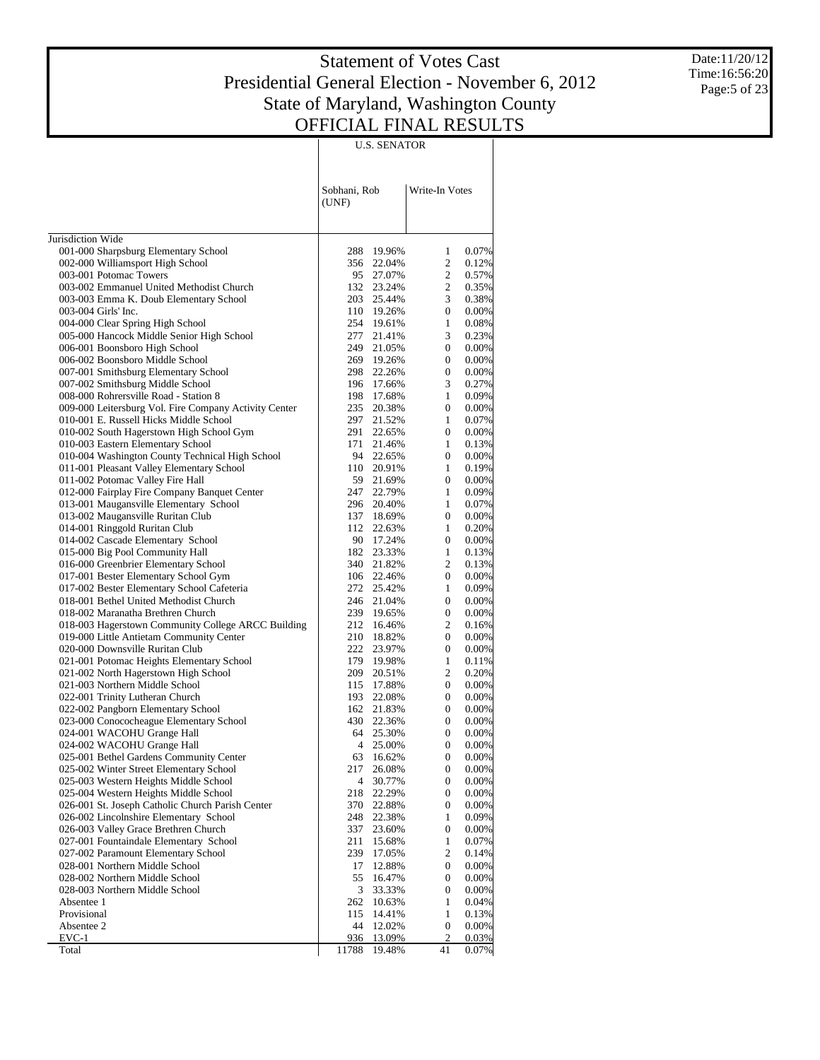Date:11/20/12 Time:16:56:20 Page:5 of 23

|                                                                                      |                       | <b>U.S. SENATOR</b>  |                              |                |
|--------------------------------------------------------------------------------------|-----------------------|----------------------|------------------------------|----------------|
|                                                                                      | Sobhani, Rob<br>(UNF) |                      | Write-In Votes               |                |
|                                                                                      |                       |                      |                              |                |
| Jurisdiction Wide                                                                    |                       |                      |                              |                |
| 001-000 Sharpsburg Elementary School<br>002-000 Williamsport High School             | 288                   | 19.96%<br>356 22.04% | 1<br>$\overline{c}$          | 0.07%<br>0.12% |
| 003-001 Potomac Towers                                                               |                       | 95 27.07%            | $\overline{2}$               | 0.57%          |
| 003-002 Emmanuel United Methodist Church                                             |                       | 132 23.24%           | $\overline{2}$               | 0.35%          |
| 003-003 Emma K. Doub Elementary School                                               |                       | 203 25.44%           | $\overline{3}$               | 0.38%          |
| 003-004 Girls' Inc.                                                                  |                       | 110 19.26%           | $\overline{0}$               | 0.00%          |
| 004-000 Clear Spring High School                                                     |                       | 254 19.61%           | $\mathbf{1}$                 | 0.08%          |
| 005-000 Hancock Middle Senior High School                                            | 277                   | 21.41%               | 3                            | 0.23%          |
| 006-001 Boonsboro High School                                                        |                       | 249 21.05%           | $\mathbf{0}$                 | 0.00%          |
| 006-002 Boonsboro Middle School                                                      | 269                   | 19.26%               | $\overline{0}$               | 0.00%          |
| 007-001 Smithsburg Elementary School                                                 |                       | 298 22.26%           | $\mathbf{0}$                 | 0.00%          |
| 007-002 Smithsburg Middle School                                                     | 196                   | 17.66%               | 3                            | 0.27%          |
| 008-000 Rohrersville Road - Station 8                                                | 198                   | 17.68%               | $\mathbf{1}$                 | 0.09%          |
| 009-000 Leitersburg Vol. Fire Company Activity Center                                | 235                   | 20.38%               | $\mathbf{0}$                 | 0.00%          |
| 010-001 E. Russell Hicks Middle School                                               | 297                   | 21.52%               | $\mathbf{1}$                 | 0.07%          |
| 010-002 South Hagerstown High School Gym                                             | 291<br>171            | 22.65%               | $\mathbf{0}$<br>$\mathbf{1}$ | $0.00\%$       |
| 010-003 Eastern Elementary School<br>010-004 Washington County Technical High School | 94                    | 21.46%<br>22.65%     | $\mathbf{0}$                 | 0.13%<br>0.00% |
| 011-001 Pleasant Valley Elementary School                                            |                       | 110 20.91%           | $\mathbf{1}$                 | 0.19%          |
| 011-002 Potomac Valley Fire Hall                                                     |                       | 59 21.69%            | $\mathbf{0}$                 | $0.00\%$       |
| 012-000 Fairplay Fire Company Banquet Center                                         | 247                   | 22.79%               | $\mathbf{1}$                 | 0.09%          |
| 013-001 Maugansville Elementary School                                               | 296                   | 20.40%               | $\mathbf{1}$                 | 0.07%          |
| 013-002 Maugansville Ruritan Club                                                    | 137                   | 18.69%               | $\mathbf{0}$                 | 0.00%          |
| 014-001 Ringgold Ruritan Club                                                        |                       | 112 22.63%           | $\mathbf{1}$                 | 0.20%          |
| 014-002 Cascade Elementary School                                                    |                       | 90 17.24%            | $\mathbf{0}$                 | 0.00%          |
| 015-000 Big Pool Community Hall                                                      |                       | 182 23.33%           | $\mathbf{1}$                 | 0.13%          |
| 016-000 Greenbrier Elementary School                                                 |                       | 340 21.82%           | $\overline{2}$               | 0.13%          |
| 017-001 Bester Elementary School Gym                                                 |                       | 106 22.46%           | $\overline{0}$               | $0.00\%$       |
| 017-002 Bester Elementary School Cafeteria                                           |                       | 272 25.42%           | $\mathbf{1}$                 | 0.09%          |
| 018-001 Bethel United Methodist Church                                               |                       | 246 21.04%           | $\overline{0}$               | 0.00%          |
| 018-002 Maranatha Brethren Church                                                    |                       | 239 19.65%           | $\overline{0}$               | 0.00%          |
| 018-003 Hagerstown Community College ARCC Building                                   | 212<br>210            | 16.46%               | 2<br>$\mathbf{0}$            | 0.16%          |
| 019-000 Little Antietam Community Center<br>020-000 Downsville Ruritan Club          | 222                   | 18.82%<br>23.97%     | $\overline{0}$               | 0.00%<br>0.00% |
| 021-001 Potomac Heights Elementary School                                            | 179                   | 19.98%               | $\mathbf{1}$                 | 0.11%          |
| 021-002 North Hagerstown High School                                                 | 209                   | 20.51%               | 2                            | 0.20%          |
| 021-003 Northern Middle School                                                       |                       | 115 17.88%           | $\overline{0}$               | 0.00%          |
| 022-001 Trinity Lutheran Church                                                      | 193                   | 22.08%               | $\overline{0}$               | $0.00\%$       |
| 022-002 Pangborn Elementary School                                                   |                       | 162 21.83%           | $\mathbf{0}$                 | $0.00\%$       |
| 023-000 Conococheague Elementary School                                              |                       | 430 22.36%           | $\mathbf{0}$                 | $0.00\%$       |
| 024-001 WACOHU Grange Hall                                                           | 64                    | 25.30%               | $\overline{0}$               | $0.00\%$       |
| 024-002 WACOHU Grange Hall                                                           | 4                     | 25.00%               | $\theta$                     | $0.00\%$       |
| 025-001 Bethel Gardens Community Center                                              | 63                    | 16.62%               | $\boldsymbol{0}$             | $0.00\%$       |
| 025-002 Winter Street Elementary School                                              | 217                   | 26.08%               | 0                            | $0.00\%$       |
| 025-003 Western Heights Middle School                                                | 4                     | 30.77%               | 0                            | 0.00%          |
| 025-004 Western Heights Middle School                                                | 218                   | 22.29%               | 0                            | $0.00\%$       |
| 026-001 St. Joseph Catholic Church Parish Center                                     | 370                   | 22.88%               | 0                            | 0.00%          |
| 026-002 Lincolnshire Elementary School                                               | 248                   | 22.38%               | $\mathbf{1}$                 | 0.09%          |
| 026-003 Valley Grace Brethren Church                                                 | 337                   | 23.60%               | 0                            | $0.00\%$       |
| 027-001 Fountaindale Elementary School<br>027-002 Paramount Elementary School        | 211<br>239            | 15.68%               | $\mathbf{1}$<br>2            | $0.07\%$       |
| 028-001 Northern Middle School                                                       | 17                    | 17.05%               | 0                            | 0.14%<br>0.00% |
| 028-002 Northern Middle School                                                       | 55                    | 12.88%<br>16.47%     | 0                            | 0.00%          |
| 028-003 Northern Middle School                                                       | 3                     | 33.33%               | 0                            | $0.00\%$       |
| Absentee 1                                                                           | 262                   | 10.63%               | $\mathbf{1}$                 | 0.04%          |
| Provisional                                                                          | 115                   | 14.41%               | $\mathbf{1}$                 | 0.13%          |
| Absentee 2                                                                           | 44                    | 12.02%               | 0                            | 0.00%          |
| $EVC-1$                                                                              | 936                   | 13.09%               | 2                            | 0.03%          |
| Total                                                                                | 11788                 | 19.48%               | 41                           | 0.07%          |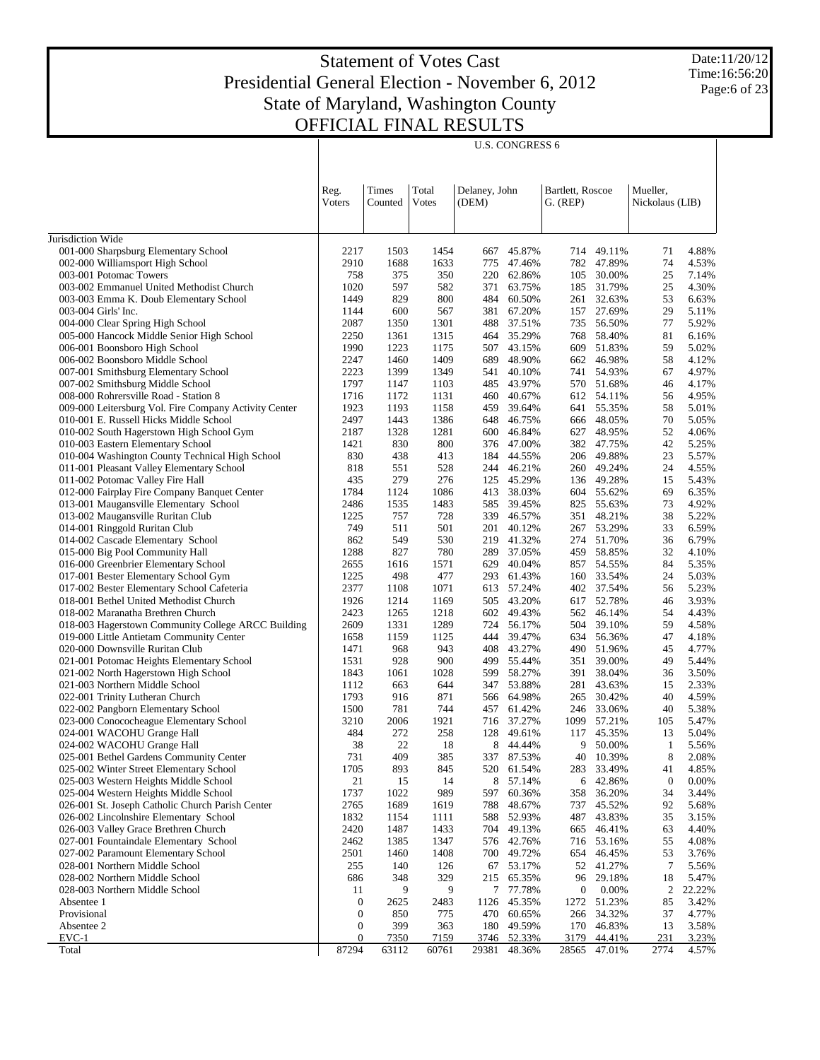$\overline{\phantom{a}}$ 

U.S. CONGRESS 6

Date:11/20/12 Time:16:56:20 Page:6 of 23

 $\overline{\phantom{a}}$ 

|                                                                                      | Reg.<br>Voters    | <b>Times</b><br>Counted | Total<br>Votes | Delaney, John<br>(DEM) |                          | Bartlett, Roscoe<br>$G.$ (REP) |                          | Mueller,<br>Nickolaus (LIB) |                |
|--------------------------------------------------------------------------------------|-------------------|-------------------------|----------------|------------------------|--------------------------|--------------------------------|--------------------------|-----------------------------|----------------|
|                                                                                      |                   |                         |                |                        |                          |                                |                          |                             |                |
| Jurisdiction Wide<br>001-000 Sharpsburg Elementary School                            | 2217              | 1503                    | 1454           | 667                    | 45.87%                   |                                | 714 49.11%               | 71                          | 4.88%          |
| 002-000 Williamsport High School                                                     | 2910              | 1688                    | 1633           | 775                    | 47.46%                   | 782                            | 47.89%                   | 74                          | 4.53%          |
| 003-001 Potomac Towers                                                               | 758               | 375                     | 350            | 220                    | 62.86%                   | 105                            | 30.00%                   | 25                          | 7.14%          |
| 003-002 Emmanuel United Methodist Church                                             | 1020              | 597                     | 582            | 371                    | 63.75%                   | 185                            | 31.79%                   | 25                          | 4.30%          |
| 003-003 Emma K. Doub Elementary School                                               | 1449              | 829                     | 800            | 484                    | 60.50%                   | 261                            | 32.63%                   | 53                          | 6.63%          |
| 003-004 Girls' Inc.                                                                  | 1144              | 600                     | 567            | 381                    | 67.20%                   | 157                            | 27.69%                   | 29                          | 5.11%          |
| 004-000 Clear Spring High School                                                     | 2087              | 1350                    | 1301           |                        | 488 37.51%               | 735                            | 56.50%                   | 77                          | 5.92%          |
| 005-000 Hancock Middle Senior High School                                            | 2250              | 1361                    | 1315           |                        | 464 35.29%               | 768                            | 58.40%                   | 81                          | 6.16%          |
| 006-001 Boonsboro High School                                                        | 1990              | 1223                    | 1175           |                        | 507 43.15%               | 609                            | 51.83%                   | 59                          | 5.02%          |
| 006-002 Boonsboro Middle School                                                      | 2247              | 1460                    | 1409           | 689                    | 48.90%                   | 662                            | 46.98%                   | 58                          | 4.12%          |
| 007-001 Smithsburg Elementary School                                                 | 2223              | 1399                    | 1349           | 541                    | 40.10%                   | 741                            | 54.93%                   | 67                          | 4.97%          |
| 007-002 Smithsburg Middle School                                                     | 1797              | 1147                    | 1103           | 485                    | 43.97%                   |                                | 570 51.68%               | 46                          | 4.17%          |
| 008-000 Rohrersville Road - Station 8                                                | 1716              | 1172                    | 1131           | 460                    | 40.67%                   | 612                            | 54.11%                   | 56                          | 4.95%          |
| 009-000 Leitersburg Vol. Fire Company Activity Center                                | 1923              | 1193                    | 1158           | 459                    | 39.64%                   | 641                            | 55.35%                   | 58                          | 5.01%          |
| 010-001 E. Russell Hicks Middle School                                               | 2497              | 1443                    | 1386           |                        | 648 46.75%               |                                | 666 48.05%               | 70                          | 5.05%          |
| 010-002 South Hagerstown High School Gym                                             | 2187              | 1328                    | 1281           |                        | 600 46.84%               | 627                            | 48.95%                   | 52                          | 4.06%          |
| 010-003 Eastern Elementary School<br>010-004 Washington County Technical High School | 1421              | 830                     | 800            |                        | 376 47.00%               | 382                            | 47.75%                   | 42                          | 5.25%          |
| 011-001 Pleasant Valley Elementary School                                            | 830<br>818        | 438<br>551              | 413<br>528     |                        | 184 44.55%<br>244 46.21% |                                | 206 49.88%<br>260 49.24% | 23<br>24                    | 5.57%<br>4.55% |
| 011-002 Potomac Valley Fire Hall                                                     | 435               | 279                     | 276            | 125                    | 45.29%                   |                                | 136 49.28%               | 15                          | 5.43%          |
| 012-000 Fairplay Fire Company Banquet Center                                         | 1784              | 1124                    | 1086           | 413                    | 38.03%                   | 604                            | 55.62%                   | 69                          | 6.35%          |
| 013-001 Maugansville Elementary School                                               | 2486              | 1535                    | 1483           | 585                    | 39.45%                   | 825                            | 55.63%                   | 73                          | 4.92%          |
| 013-002 Maugansville Ruritan Club                                                    | 1225              | 757                     | 728            | 339                    | 46.57%                   | 351                            | 48.21%                   | 38                          | 5.22%          |
| 014-001 Ringgold Ruritan Club                                                        | 749               | 511                     | 501            |                        | 201 40.12%               | 267                            | 53.29%                   | 33                          | 6.59%          |
| 014-002 Cascade Elementary School                                                    | 862               | 549                     | 530            | 219                    | 41.32%                   | 274                            | 51.70%                   | 36                          | 6.79%          |
| 015-000 Big Pool Community Hall                                                      | 1288              | 827                     | 780            | 289                    | 37.05%                   | 459                            | 58.85%                   | 32                          | 4.10%          |
| 016-000 Greenbrier Elementary School                                                 | 2655              | 1616                    | 1571           | 629                    | 40.04%                   | 857                            | 54.55%                   | 84                          | 5.35%          |
| 017-001 Bester Elementary School Gym                                                 | 1225              | 498                     | 477            |                        | 293 61.43%               | 160                            | 33.54%                   | 24                          | 5.03%          |
| 017-002 Bester Elementary School Cafeteria                                           | 2377              | 1108                    | 1071           |                        | 613 57.24%               | 402                            | 37.54%                   | 56                          | 5.23%          |
| 018-001 Bethel United Methodist Church                                               | 1926              | 1214                    | 1169           |                        | 505 43.20%               | 617                            | 52.78%                   | 46                          | 3.93%          |
| 018-002 Maranatha Brethren Church                                                    | 2423              | 1265                    | 1218           |                        | 602 49.43%               | 562                            | 46.14%                   | 54                          | 4.43%          |
| 018-003 Hagerstown Community College ARCC Building                                   | 2609              | 1331                    | 1289           |                        | 724 56.17%               | 504                            | 39.10%                   | 59                          | 4.58%          |
| 019-000 Little Antietam Community Center                                             | 1658              | 1159                    | 1125           | 444                    | 39.47%                   | 634                            | 56.36%                   | 47                          | 4.18%          |
| 020-000 Downsville Ruritan Club                                                      | 1471              | 968                     | 943            |                        | 408 43.27%               | 490                            | 51.96%                   | 45                          | 4.77%          |
| 021-001 Potomac Heights Elementary School                                            | 1531              | 928                     | 900            |                        | 499 55.44%               | 351                            | 39.00%                   | 49                          | 5.44%          |
| 021-002 North Hagerstown High School                                                 | 1843              | 1061                    | 1028           | 599                    | 58.27%                   | 391                            | 38.04%                   | 36                          | 3.50%          |
| 021-003 Northern Middle School                                                       | 1112<br>1793      | 663<br>916              | 644<br>871     |                        | 347 53.88%<br>566 64.98% | 281                            | 43.63%<br>30.42%         | 15<br>40                    | 2.33%<br>4.59% |
| 022-001 Trinity Lutheran Church<br>022-002 Pangborn Elementary School                | 1500              | 781                     | 744            |                        | 457 61.42%               | 265                            | 246 33.06%               | 40                          | 5.38%          |
| 023-000 Conococheague Elementary School                                              | 3210              | 2006                    | 1921           |                        | 716 37.27%               | 1099                           | 57.21%                   | 105                         | 5.47%          |
| 024-001 WACOHU Grange Hall                                                           | 484               | 272                     | 258            | 128                    | 49.61%                   | 117                            | 45.35%                   | 13                          | 5.04%          |
| 024-002 WACOHU Grange Hall                                                           | 38                | 22                      | 18             | 8                      | 44.44%                   |                                | 9 50.00%                 | 1                           | 5.56%          |
| 025-001 Bethel Gardens Community Center                                              | 731               | 409                     | 385            |                        | 337 87.53%               |                                | 40 10.39%                | 8                           | 2.08%          |
| 025-002 Winter Street Elementary School                                              | 1705              | 893                     | 845            | 520                    | 61.54%                   | 283                            | 33.49%                   | 41                          | 4.85%          |
| 025-003 Western Heights Middle School                                                | 21                | 15                      | 14             | 8                      | 57.14%                   | 6                              | 42.86%                   | $\boldsymbol{0}$            | 0.00%          |
| 025-004 Western Heights Middle School                                                | 1737              | 1022                    | 989            | 597                    | 60.36%                   | 358                            | 36.20%                   | 34                          | 3.44%          |
| 026-001 St. Joseph Catholic Church Parish Center                                     | 2765              | 1689                    | 1619           | 788                    | 48.67%                   | 737                            | 45.52%                   | 92                          | 5.68%          |
| 026-002 Lincolnshire Elementary School                                               | 1832              | 1154                    | 1111           | 588                    | 52.93%                   | 487                            | 43.83%                   | 35                          | 3.15%          |
| 026-003 Valley Grace Brethren Church                                                 | 2420              | 1487                    | 1433           | 704                    | 49.13%                   | 665                            | 46.41%                   | 63                          | 4.40%          |
| 027-001 Fountaindale Elementary School                                               | 2462              | 1385                    | 1347           |                        | 576 42.76%               | 716                            | 53.16%                   | 55                          | 4.08%          |
| 027-002 Paramount Elementary School                                                  | 2501              | 1460                    | 1408           | 700                    | 49.72%                   | 654                            | 46.45%                   | 53                          | 3.76%          |
| 028-001 Northern Middle School                                                       | 255               | 140                     | 126            | 67                     | 53.17%                   | 52                             | 41.27%                   | 7                           | 5.56%          |
| 028-002 Northern Middle School                                                       | 686               | 348                     | 329            | 215                    | 65.35%                   | 96                             | 29.18%                   | 18                          | 5.47%          |
| 028-003 Northern Middle School                                                       | 11                | 9                       | 9              |                        | 7 77.78%                 | $\boldsymbol{0}$               | 0.00%                    | 2                           | 22.22%         |
| Absentee 1                                                                           | $\boldsymbol{0}$  | 2625                    | 2483           | 1126                   | 45.35%                   | 1272                           | 51.23%                   | 85                          | 3.42%          |
| Provisional<br>Absentee 2                                                            | $\mathbf{0}$<br>0 | 850<br>399              | 775<br>363     | 470<br>180             | 60.65%<br>49.59%         | 266<br>170                     | 34.32%<br>46.83%         | 37<br>13                    | 4.77%<br>3.58% |
| EVC-1                                                                                | 0                 | 7350                    | 7159           |                        | 3746 52.33%              | 3179                           | 44.41%                   | 231                         | 3.23%          |
| Total                                                                                | 87294             | 63112                   | 60761          | 29381                  | 48.36%                   | 28565                          | 47.01%                   | 2774                        | 4.57%          |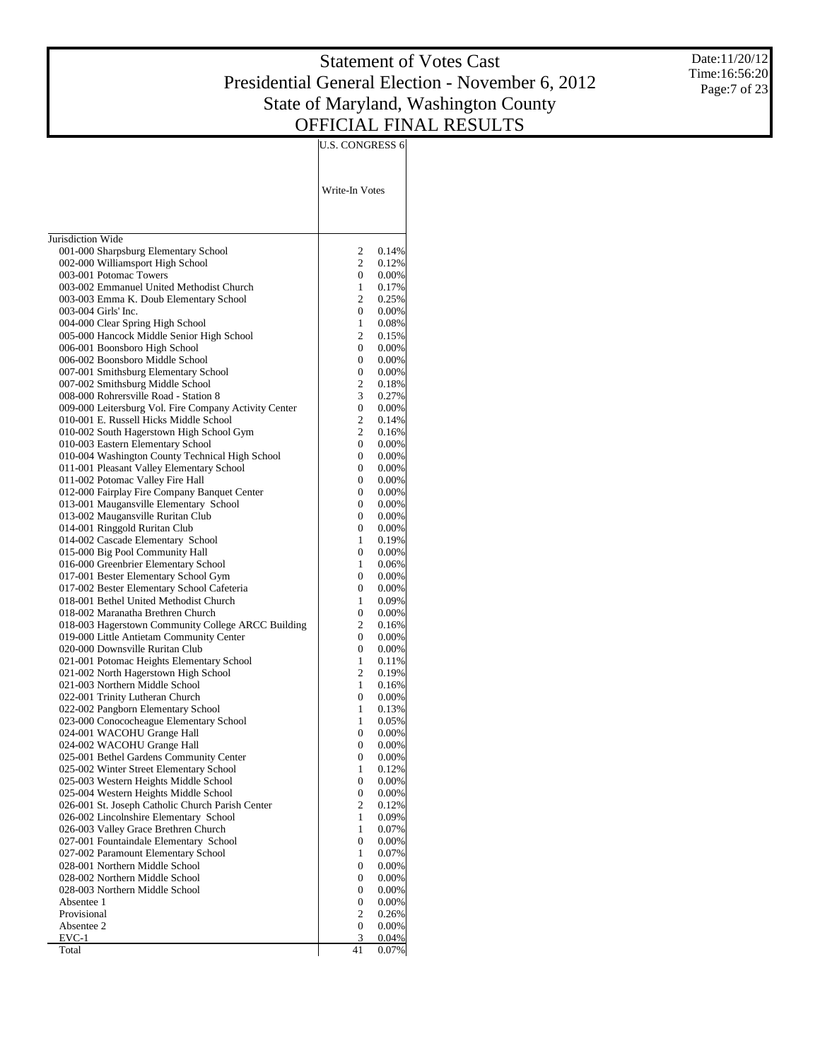U.S. CONGRESS 6

Date:11/20/12 Time:16:56:20 Page:7 of 23

|                                                                                   | Write-In Votes                   |                      |
|-----------------------------------------------------------------------------------|----------------------------------|----------------------|
| Jurisdiction Wide                                                                 |                                  |                      |
| 001-000 Sharpsburg Elementary School                                              | 2                                | 0.14%                |
| 002-000 Williamsport High School                                                  | $\overline{2}$                   | 0.12%                |
| 003-001 Potomac Towers                                                            | $\overline{0}$                   | $0.00\%$             |
| 003-002 Emmanuel United Methodist Church                                          | $\mathbf{1}$                     | 0.17%                |
| 003-003 Emma K. Doub Elementary School<br>003-004 Girls' Inc.                     | $\overline{2}$                   | 0.25%                |
| 004-000 Clear Spring High School                                                  | $\overline{0}$<br>$\mathbf{1}$   | $0.00\%$<br>$0.08\%$ |
| 005-000 Hancock Middle Senior High School                                         | $\overline{c}$                   | 0.15%                |
| 006-001 Boonsboro High School                                                     | 0                                | $0.00\%$             |
| 006-002 Boonsboro Middle School                                                   | $\overline{0}$                   | $0.00\%$             |
| 007-001 Smithsburg Elementary School                                              | $\overline{0}$                   | $0.00\%$             |
| 007-002 Smithsburg Middle School                                                  | $\overline{c}$                   | 0.18%                |
| 008-000 Rohrersville Road - Station 8                                             | 3                                | 0.27%                |
| 009-000 Leitersburg Vol. Fire Company Activity Center                             | $\overline{0}$                   | $0.00\%$             |
| 010-001 E. Russell Hicks Middle School                                            | $\overline{2}$                   | 0.14%                |
| 010-002 South Hagerstown High School Gym                                          | $\overline{c}$                   | 0.16%                |
| 010-003 Eastern Elementary School                                                 | $\overline{0}$                   | $0.00\%$             |
| 010-004 Washington County Technical High School                                   | $\overline{0}$                   | $0.00\%$             |
| 011-001 Pleasant Valley Elementary School                                         | 0                                | $0.00\%$             |
| 011-002 Potomac Valley Fire Hall<br>012-000 Fairplay Fire Company Banquet Center  | $\overline{0}$<br>$\overline{0}$ | $0.00\%$             |
| 013-001 Maugansville Elementary School                                            | $\overline{0}$                   | $0.00\%$<br>$0.00\%$ |
| 013-002 Maugansville Ruritan Club                                                 | 0                                | $0.00\%$             |
| 014-001 Ringgold Ruritan Club                                                     | $\overline{0}$                   | $0.00\%$             |
| 014-002 Cascade Elementary School                                                 | $\mathbf{1}$                     | 0.19%                |
| 015-000 Big Pool Community Hall                                                   | $\overline{0}$                   | $0.00\%$             |
| 016-000 Greenbrier Elementary School                                              | $\mathbf{1}$                     | $0.06\%$             |
| 017-001 Bester Elementary School Gym                                              | $\overline{0}$                   | $0.00\%$             |
| 017-002 Bester Elementary School Cafeteria                                        | $\overline{0}$                   | $0.00\%$             |
| 018-001 Bethel United Methodist Church                                            | $\mathbf{1}$                     | 0.09%                |
| 018-002 Maranatha Brethren Church                                                 | $\overline{0}$                   | $0.00\%$             |
| 018-003 Hagerstown Community College ARCC Building                                | $\overline{c}$                   | 0.16%                |
| 019-000 Little Antietam Community Center                                          | 0                                | $0.00\%$             |
| 020-000 Downsville Ruritan Club                                                   | $\overline{0}$                   | $0.00\%$             |
| 021-001 Potomac Heights Elementary School<br>021-002 North Hagerstown High School | $\mathbf{1}$<br>$\overline{2}$   | 0.11%<br>0.19%       |
| 021-003 Northern Middle School                                                    | $\mathbf{1}$                     | $0.16\%$             |
| 022-001 Trinity Lutheran Church                                                   | $\overline{0}$                   | $0.00\%$             |
| 022-002 Pangborn Elementary School                                                | $\mathbf{1}$                     | 0.13%                |
| 023-000 Conococheague Elementary School                                           | $\mathbf{1}$                     | $0.05\%$             |
| 024-001 WACOHU Grange Hall                                                        | 0                                | $0.00\%$             |
| 024-002 WACOHU Grange Hall                                                        | $\Omega$                         | $0.00\%$             |
| 025-001 Bethel Gardens Community Center                                           | $\theta$                         | $0.00\%$             |
| 025-002 Winter Street Elementary School                                           | $\mathbf{1}$                     | 0.12%                |
| 025-003 Western Heights Middle School                                             | 0                                | $0.00\%$             |
| 025-004 Western Heights Middle School                                             | 0                                | 0.00%                |
| 026-001 St. Joseph Catholic Church Parish Center                                  | 2                                | 0.12%                |
| 026-002 Lincolnshire Elementary School                                            | $\mathbf{1}$                     | 0.09%                |
| 026-003 Valley Grace Brethren Church<br>027-001 Fountaindale Elementary School    | $\mathbf{1}$<br>$\mathbf{0}$     | $0.07\%$<br>0.00%    |
| 027-002 Paramount Elementary School                                               | $\mathbf{1}$                     | $0.07\%$             |
| 028-001 Northern Middle School                                                    | 0                                | 0.00%                |
| 028-002 Northern Middle School                                                    | 0                                | $0.00\%$             |
| 028-003 Northern Middle School                                                    | 0                                | 0.00%                |
| Absentee 1                                                                        | 0                                | $0.00\%$             |
| Provisional                                                                       | $\overline{c}$                   | 0.26%                |
| Absentee 2                                                                        | 0                                | $0.00\%$             |
| $EVC-1$                                                                           | 3                                | 0.04%                |
| Total                                                                             | 41                               | $0.07\%$             |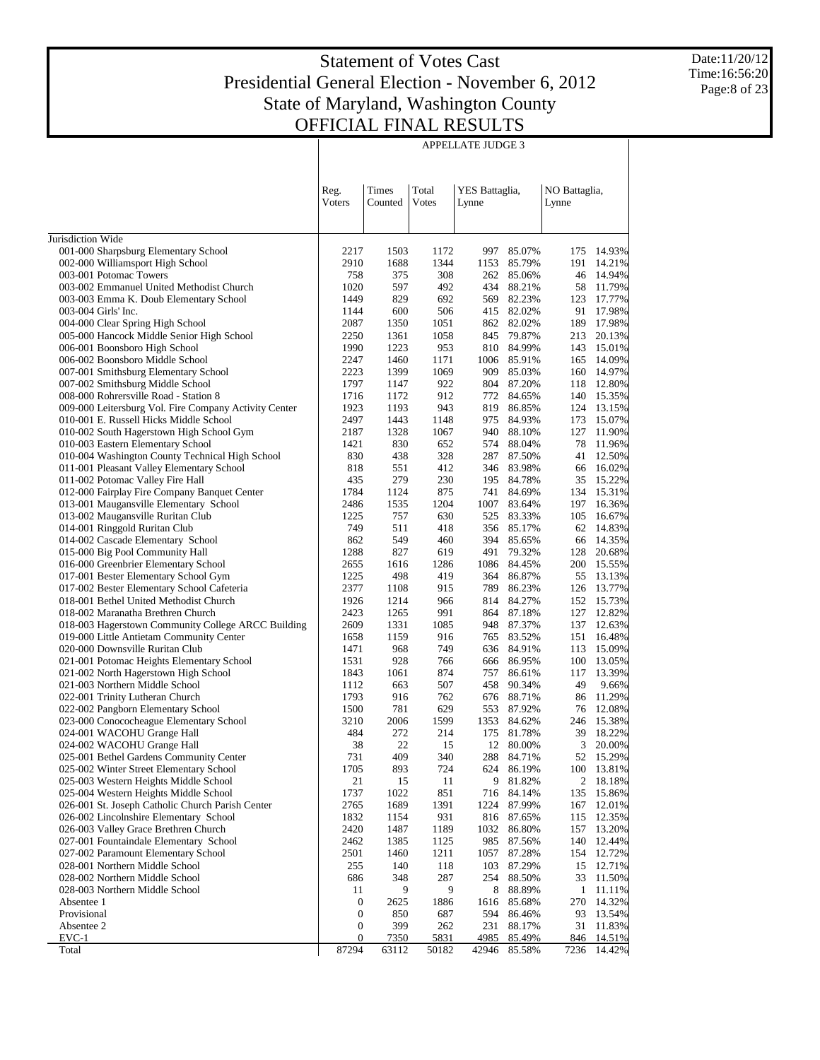APPELLATE JUDGE 3

Date:11/20/12 Time:16:56:20 Page:8 of 23

|                                                                                                |                  |                  |                | <b>APPELLATE JUDGE 3</b> |                       |                        |                     |
|------------------------------------------------------------------------------------------------|------------------|------------------|----------------|--------------------------|-----------------------|------------------------|---------------------|
|                                                                                                | Reg.<br>Voters   | Times<br>Counted | Total<br>Votes | YES Battaglia,<br>Lynne  |                       | NO Battaglia,<br>Lynne |                     |
| Jurisdiction Wide                                                                              |                  |                  |                |                          |                       |                        |                     |
| 001-000 Sharpsburg Elementary School                                                           | 2217             | 1503             | 1172           | 997                      | 85.07%                | 175                    | 14.93%              |
| 002-000 Williamsport High School                                                               | 2910             | 1688             | 1344           | 1153                     | 85.79%                | 191                    | 14.21%              |
| 003-001 Potomac Towers                                                                         | 758              | 375              | 308            |                          | 262 85.06%            | 46                     | 14.94%              |
| 003-002 Emmanuel United Methodist Church                                                       | 1020             | 597              | 492            | 434                      | 88.21%                | 58                     | 11.79%              |
| 003-003 Emma K. Doub Elementary School                                                         | 1449             | 829              | 692            | 569                      | 82.23%                | 123                    | 17.77%              |
| 003-004 Girls' Inc.                                                                            | 1144             | 600              | 506            | 415                      | 82.02%                | 91                     | 17.98%              |
| 004-000 Clear Spring High School                                                               | 2087             | 1350             | 1051           |                          | 862 82.02%            | 189                    | 17.98%              |
| 005-000 Hancock Middle Senior High School                                                      | 2250             | 1361             | 1058           | 845                      | 79.87%                | 213                    | 20.13%              |
| 006-001 Boonsboro High School                                                                  | 1990             | 1223<br>1460     | 953<br>1171    |                          | 810 84.99%            | 143                    | 15.01%              |
| 006-002 Boonsboro Middle School<br>007-001 Smithsburg Elementary School                        | 2247<br>2223     | 1399             | 1069           | 909                      | 1006 85.91%<br>85.03% | 165<br>160             | 14.09%<br>14.97%    |
| 007-002 Smithsburg Middle School                                                               | 1797             | 1147             | 922            | 804                      | 87.20%                | 118                    | 12.80%              |
| 008-000 Rohrersville Road - Station 8                                                          | 1716             | 1172             | 912            | 772                      | 84.65%                | 140                    | 15.35%              |
| 009-000 Leitersburg Vol. Fire Company Activity Center                                          | 1923             | 1193             | 943            | 819                      | 86.85%                | 124                    | 13.15%              |
| 010-001 E. Russell Hicks Middle School                                                         | 2497             | 1443             | 1148           | 975                      | 84.93%                | 173                    | 15.07%              |
| 010-002 South Hagerstown High School Gym                                                       | 2187             | 1328             | 1067           | 940                      | 88.10%                | 127                    | 11.90%              |
| 010-003 Eastern Elementary School                                                              | 1421             | 830              | 652            | 574                      | 88.04%                | 78                     | 11.96%              |
| 010-004 Washington County Technical High School                                                | 830              | 438              | 328            | 287                      | 87.50%                | 41                     | 12.50%              |
| 011-001 Pleasant Valley Elementary School                                                      | 818              | 551              | 412            | 346                      | 83.98%                | 66                     | 16.02%              |
| 011-002 Potomac Valley Fire Hall<br>012-000 Fairplay Fire Company Banquet Center               | 435<br>1784      | 279<br>1124      | 230<br>875     | 195<br>741               | 84.78%<br>84.69%      | 35<br>134              | 15.22%<br>15.31%    |
| 013-001 Maugansville Elementary School                                                         | 2486             | 1535             | 1204           | 1007                     | 83.64%                | 197                    | 16.36%              |
| 013-002 Maugansville Ruritan Club                                                              | 1225             | 757              | 630            | 525                      | 83.33%                | 105                    | 16.67%              |
| 014-001 Ringgold Ruritan Club                                                                  | 749              | 511              | 418            | 356                      | 85.17%                | 62                     | 14.83%              |
| 014-002 Cascade Elementary School                                                              | 862              | 549              | 460            | 394                      | 85.65%                | 66                     | 14.35%              |
| 015-000 Big Pool Community Hall                                                                | 1288             | 827              | 619            | 491                      | 79.32%                | 128                    | 20.68%              |
| 016-000 Greenbrier Elementary School                                                           | 2655             | 1616             | 1286           | 1086                     | 84.45%                | 200                    | 15.55%              |
| 017-001 Bester Elementary School Gym                                                           | 1225             | 498              | 419            | 364                      | 86.87%                | 55                     | 13.13%              |
| 017-002 Bester Elementary School Cafeteria                                                     | 2377             | 1108             | 915            | 789                      | 86.23%                | 126                    | 13.77%              |
| 018-001 Bethel United Methodist Church                                                         | 1926             | 1214             | 966            | 814                      | 84.27%                |                        | 152 15.73%          |
| 018-002 Maranatha Brethren Church                                                              | 2423             | 1265             | 991            |                          | 864 87.18%            | 127                    | 12.82%              |
| 018-003 Hagerstown Community College ARCC Building<br>019-000 Little Antietam Community Center | 2609<br>1658     | 1331<br>1159     | 1085<br>916    | 948<br>765               | 87.37%<br>83.52%      | 137<br>151             | 12.63%<br>16.48%    |
| 020-000 Downsville Ruritan Club                                                                | 1471             | 968              | 749            | 636                      | 84.91%                | 113                    | 15.09%              |
| 021-001 Potomac Heights Elementary School                                                      | 1531             | 928              | 766            | 666                      | 86.95%                | 100                    | 13.05%              |
| 021-002 North Hagerstown High School                                                           | 1843             | 1061             | 874            | 757                      | 86.61%                | 117                    | 13.39%              |
| 021-003 Northern Middle School                                                                 | 1112             | 663              | 507            | 458                      | 90.34%                | 49                     | 9.66%               |
| 022-001 Trinity Lutheran Church                                                                | 1793             | 916              | 762            | 676                      | 88.71%                | 86                     | 11.29%              |
| 022-002 Pangborn Elementary School                                                             | 1500             | 781              | 629            | 553                      | 87.92%                | 76                     | 12.08%              |
| 023-000 Conococheague Elementary School                                                        | 3210             | 2006             | 1599           | 1353                     | 84.62%                | 246                    | 15.38%              |
| 024-001 WACOHU Grange Hall                                                                     | 484              | 272              | 214            | 175                      | 81.78%                | 39                     | 18.22%              |
| 024-002 WACOHU Grange Hall<br>025-001 Bethel Gardens Community Center                          | 38               | 22<br>409        | 15             | 12                       | 80.00%                | 3                      | 20.00%              |
| 025-002 Winter Street Elementary School                                                        | 731<br>1705      | 893              | 340<br>724     | 288<br>624               | 84.71%<br>86.19%      | 100                    | 52 15.29%<br>13.81% |
| 025-003 Western Heights Middle School                                                          | 21               | 15               | 11             | 9                        | 81.82%                | 2                      | 18.18%              |
| 025-004 Western Heights Middle School                                                          | 1737             | 1022             | 851            |                          | 716 84.14%            | 135                    | 15.86%              |
| 026-001 St. Joseph Catholic Church Parish Center                                               | 2765             | 1689             | 1391           | 1224                     | 87.99%                | 167                    | 12.01%              |
| 026-002 Lincolnshire Elementary School                                                         | 1832             | 1154             | 931            | 816                      | 87.65%                | 115                    | 12.35%              |
| 026-003 Valley Grace Brethren Church                                                           | 2420             | 1487             | 1189           | 1032                     | 86.80%                | 157                    | 13.20%              |
| 027-001 Fountaindale Elementary School                                                         | 2462             | 1385             | 1125           | 985                      | 87.56%                | 140                    | 12.44%              |
| 027-002 Paramount Elementary School                                                            | 2501             | 1460             | 1211           | 1057                     | 87.28%                | 154                    | 12.72%              |
| 028-001 Northern Middle School                                                                 | 255              | 140              | 118            | 103                      | 87.29%                | 15                     | 12.71%              |
| 028-002 Northern Middle School                                                                 | 686              | 348              | 287            | 254                      | 88.50%                | 33                     | 11.50%              |
| 028-003 Northern Middle School<br>Absentee 1                                                   | 11<br>0          | 9<br>2625        | 9<br>1886      | 8<br>1616                | 88.89%                | 1<br>270               | 11.11%<br>14.32%    |
| Provisional                                                                                    | $\boldsymbol{0}$ | 850              | 687            | 594                      | 85.68%<br>86.46%      | 93                     | 13.54%              |
| Absentee 2                                                                                     | $\boldsymbol{0}$ | 399              | 262            | 231                      | 88.17%                | 31                     | 11.83%              |
| $EVC-1$                                                                                        | 0                | <u>7350</u>      | 5831           | 4985                     | 85.49%                | 846                    | 14.51%              |
| Total                                                                                          | 87294            | 63112            | 50182          | 42946                    | 85.58%                | 7236                   | 14.42%              |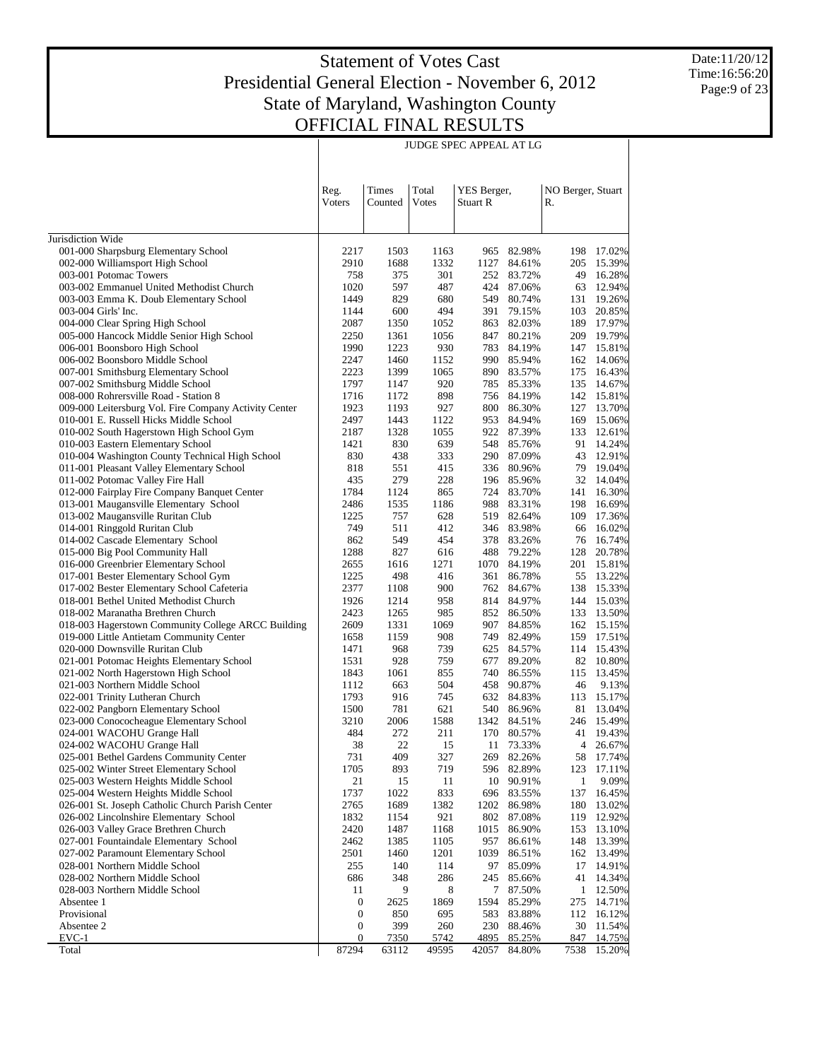JUDGE SPEC APPEAL AT LG

Date:11/20/12 Time:16:56:20 Page:9 of 23

|                                                                                      |                  |                  |                | <b>JUDGE SPEC APPEAL AT LG</b> |                          |                         |                  |
|--------------------------------------------------------------------------------------|------------------|------------------|----------------|--------------------------------|--------------------------|-------------------------|------------------|
|                                                                                      | Reg.<br>Voters   | Times<br>Counted | Total<br>Votes | YES Berger,<br>Stuart R        |                          | NO Berger, Stuart<br>R. |                  |
| Jurisdiction Wide                                                                    |                  |                  |                |                                |                          |                         |                  |
| 001-000 Sharpsburg Elementary School                                                 | 2217             | 1503             | 1163           | 965                            | 82.98%                   | 198                     | 17.02%           |
| 002-000 Williamsport High School                                                     | 2910             | 1688             | 1332           | 1127                           | 84.61%                   | 205                     | 15.39%           |
| 003-001 Potomac Towers                                                               | 758              | 375              | 301            |                                | 252 83.72%               | 49                      | 16.28%           |
| 003-002 Emmanuel United Methodist Church                                             | 1020             | 597              | 487            |                                | 424 87.06%               | 63                      | 12.94%           |
| 003-003 Emma K. Doub Elementary School                                               | 1449             | 829              | 680            | 549                            | 80.74%                   | 131                     | 19.26%           |
| 003-004 Girls' Inc.                                                                  | 1144             | 600              | 494            | 391                            | 79.15%                   | 103                     | 20.85%           |
| 004-000 Clear Spring High School                                                     | 2087             | 1350             | 1052           | 863                            | 82.03%                   | 189                     | 17.97%           |
| 005-000 Hancock Middle Senior High School                                            | 2250<br>1990     | 1361<br>1223     | 1056<br>930    | 847<br>783                     | 80.21%<br>84.19%         | 209<br>147              | 19.79%<br>15.81% |
| 006-001 Boonsboro High School<br>006-002 Boonsboro Middle School                     | 2247             | 1460             | 1152           | 990 -                          | 85.94%                   | 162                     | 14.06%           |
| 007-001 Smithsburg Elementary School                                                 | 2223             | 1399             | 1065           | 890                            | 83.57%                   | 175                     | 16.43%           |
| 007-002 Smithsburg Middle School                                                     | 1797             | 1147             | 920            | 785                            | 85.33%                   | 135                     | 14.67%           |
| 008-000 Rohrersville Road - Station 8                                                | 1716             | 1172             | 898            | 756                            | 84.19%                   | 142                     | 15.81%           |
| 009-000 Leitersburg Vol. Fire Company Activity Center                                | 1923             | 1193             | 927            | 800                            | 86.30%                   | 127                     | 13.70%           |
| 010-001 E. Russell Hicks Middle School                                               | 2497             | 1443             | 1122           | 953                            | 84.94%                   | 169                     | 15.06%           |
| 010-002 South Hagerstown High School Gym                                             | 2187             | 1328             | 1055           |                                | 922 87.39%               | 133                     | 12.61%           |
| 010-003 Eastern Elementary School                                                    | 1421             | 830              | 639            | 548                            | 85.76%                   | 91                      | 14.24%           |
| 010-004 Washington County Technical High School                                      | 830              | 438              | 333            | 290                            | 87.09%                   | 43                      | 12.91%           |
| 011-001 Pleasant Valley Elementary School                                            | 818<br>435       | 551<br>279       | 415<br>228     | 336                            | 80.96%<br>196 85.96%     | 79<br>32                | 19.04%<br>14.04% |
| 011-002 Potomac Valley Fire Hall<br>012-000 Fairplay Fire Company Banquet Center     | 1784             | 1124             | 865            | 724                            | 83.70%                   | 141                     | 16.30%           |
| 013-001 Maugansville Elementary School                                               | 2486             | 1535             | 1186           | 988                            | 83.31%                   | 198                     | 16.69%           |
| 013-002 Maugansville Ruritan Club                                                    | 1225             | 757              | 628            | 519                            | 82.64%                   | 109                     | 17.36%           |
| 014-001 Ringgold Ruritan Club                                                        | 749              | 511              | 412            |                                | 346 83.98%               | 66                      | 16.02%           |
| 014-002 Cascade Elementary School                                                    | 862              | 549              | 454            | 378                            | 83.26%                   | 76                      | 16.74%           |
| 015-000 Big Pool Community Hall                                                      | 1288             | 827              | 616            | 488                            | 79.22%                   | 128                     | 20.78%           |
| 016-000 Greenbrier Elementary School                                                 | 2655             | 1616             | 1271           | 1070                           | 84.19%                   | 201                     | 15.81%           |
| 017-001 Bester Elementary School Gym                                                 | 1225             | 498              | 416            | 361                            | 86.78%                   | 55                      | 13.22%           |
| 017-002 Bester Elementary School Cafeteria<br>018-001 Bethel United Methodist Church | 2377             | 1108             | 900            |                                | 762 84.67%               | 138                     | 15.33%           |
| 018-002 Maranatha Brethren Church                                                    | 1926<br>2423     | 1214<br>1265     | 958<br>985     |                                | 814 84.97%<br>852 86.50% | 144<br>133              | 15.03%<br>13.50% |
| 018-003 Hagerstown Community College ARCC Building                                   | 2609             | 1331             | 1069           | 907                            | 84.85%                   |                         | 162 15.15%       |
| 019-000 Little Antietam Community Center                                             | 1658             | 1159             | 908            | 749                            | 82.49%                   | 159                     | 17.51%           |
| 020-000 Downsville Ruritan Club                                                      | 1471             | 968              | 739            | 625                            | 84.57%                   | 114                     | 15.43%           |
| 021-001 Potomac Heights Elementary School                                            | 1531             | 928              | 759            | 677                            | 89.20%                   | 82                      | 10.80%           |
| 021-002 North Hagerstown High School                                                 | 1843             | 1061             | 855            | 740                            | 86.55%                   | 115                     | 13.45%           |
| 021-003 Northern Middle School                                                       | 1112             | 663              | 504            | 458                            | 90.87%                   | 46                      | 9.13%            |
| 022-001 Trinity Lutheran Church                                                      | 1793             | 916              | 745            | 632                            | 84.83%                   | 113                     | 15.17%           |
| 022-002 Pangborn Elementary School                                                   | 1500             | 781<br>2006      | 621            | 540                            | 86.96%                   | 81                      | 13.04%<br>15.49% |
| 023-000 Conococheague Elementary School<br>024-001 WACOHU Grange Hall                | 3210<br>484      | 272              | 1588<br>211    | 170                            | 1342 84.51%<br>80.57%    | 246<br>41               | 19.43%           |
| 024-002 WACOHU Grange Hall                                                           | 38               | 22               | 15             | 11                             | 73.33%                   | 4                       | 26.67%           |
| 025-001 Bethel Gardens Community Center                                              | 731              | 409              | 327            | 269                            | 82.26%                   | 58                      | 17.74%           |
| 025-002 Winter Street Elementary School                                              | 1705             | 893              | 719            | 596                            | 82.89%                   | 123                     | 17.11%           |
| 025-003 Western Heights Middle School                                                | 21               | 15               | 11             | 10                             | 90.91%                   | 1                       | 9.09%            |
| 025-004 Western Heights Middle School                                                | 1737             | 1022             | 833            |                                | 696 83.55%               | 137                     | 16.45%           |
| 026-001 St. Joseph Catholic Church Parish Center                                     | 2765             | 1689             | 1382           | 1202                           | 86.98%                   | 180                     | 13.02%           |
| 026-002 Lincolnshire Elementary School                                               | 1832             | 1154             | 921            | 802                            | 87.08%                   | 119                     | 12.92%           |
| 026-003 Valley Grace Brethren Church                                                 | 2420             | 1487             | 1168           | 1015                           | 86.90%                   | 153                     | 13.10%<br>13.39% |
| 027-001 Fountaindale Elementary School<br>027-002 Paramount Elementary School        | 2462<br>2501     | 1385<br>1460     | 1105<br>1201   | 957<br>1039                    | 86.61%<br>86.51%         | 148<br>162              | 13.49%           |
| 028-001 Northern Middle School                                                       | 255              | 140              | 114            | 97                             | 85.09%                   | 17                      | 14.91%           |
| 028-002 Northern Middle School                                                       | 686              | 348              | 286            | 245                            | 85.66%                   | 41                      | 14.34%           |
| 028-003 Northern Middle School                                                       | 11               | 9                | 8              |                                | 7 87.50%                 | 1                       | 12.50%           |
| Absentee 1                                                                           | 0                | 2625             | 1869           | 1594                           | 85.29%                   | 275                     | 14.71%           |
| Provisional                                                                          | $\boldsymbol{0}$ | 850              | 695            | 583                            | 83.88%                   | 112                     | 16.12%           |
| Absentee 2                                                                           | $\boldsymbol{0}$ | 399              | 260            | 230                            | 88.46%                   | 30                      | 11.54%           |
| $EVC-1$                                                                              | $\mathbf{0}$     | <u>7350</u>      | 5742           | 4895                           | 85.25%                   | 847                     | 14.75%           |
| Total                                                                                | 87294            | 63112            | 49595          | 42057                          | 84.80%                   | 7538                    | 15.20%           |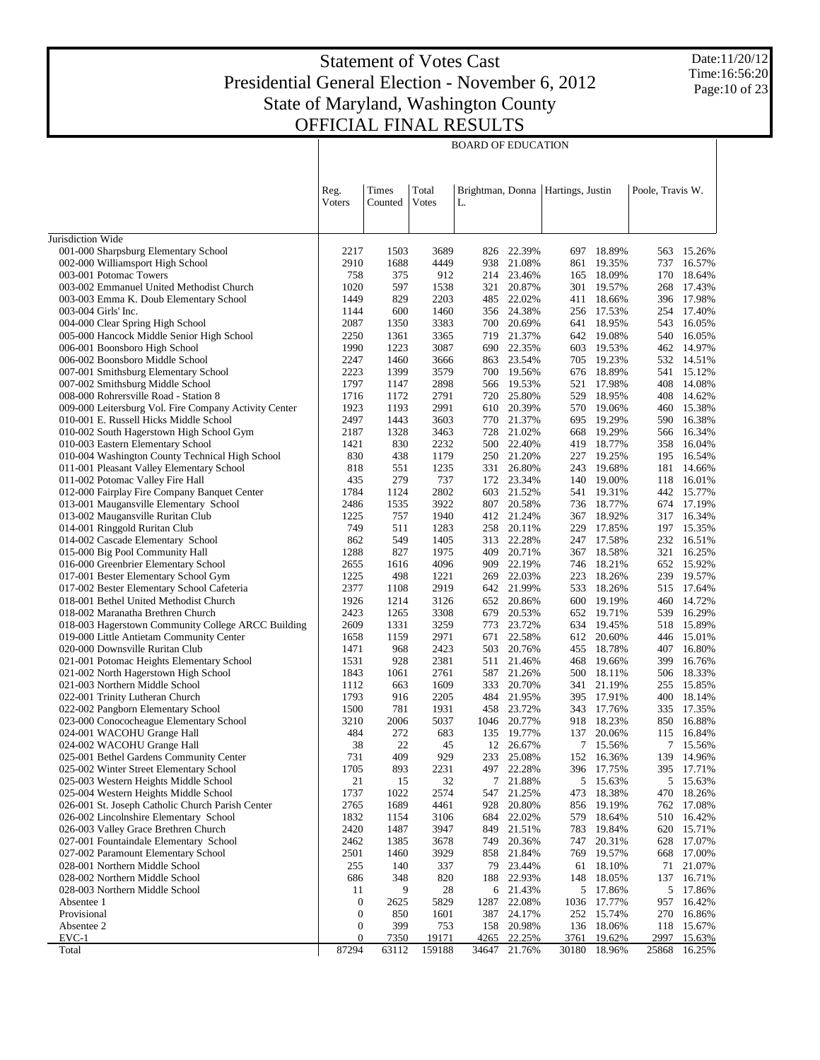BOARD OF EDUCATION

Date:11/20/12 Time:16:56:20 Page:10 of 23

| Times<br>Total<br>Poole, Travis W.<br>Reg.<br>Brightman, Donna   Hartings, Justin<br>Votes<br>Voters<br>Counted<br>L.<br>Jurisdiction Wide<br>001-000 Sharpsburg Elementary School<br>3689<br>22.39%<br>18.89%<br>2217<br>1503<br>826<br>697<br>563<br>002-000 Williamsport High School<br>2910<br>1688<br>4449<br>21.08%<br>19.35%<br>938<br>861<br>737<br>003-001 Potomac Towers<br>758<br>375<br>912<br>214 23.46%<br>18.09%<br>165<br>170<br>1020<br>597<br>1538<br>20.87%<br>19.57%<br>003-002 Emmanuel United Methodist Church<br>321<br>301<br>268<br>1449<br>829<br>2203<br>22.02%<br>18.66%<br>003-003 Emma K. Doub Elementary School<br>485<br>411<br>396<br>600<br>1460<br>356 24.38%<br>17.53%<br>254 17.40%<br>003-004 Girls' Inc.<br>1144<br>256<br>2087<br>1350<br>3383<br>20.69%<br>18.95%<br>543<br>004-000 Clear Spring High School<br>700<br>641<br>005-000 Hancock Middle Senior High School<br>2250<br>3365<br>719 21.37%<br>19.08%<br>16.05%<br>1361<br>642<br>540<br>1990<br>1223<br>3087<br>22.35%<br>603<br>19.53%<br>462 14.97%<br>006-001 Boonsboro High School<br>690<br>2247<br>1460<br>863 23.54%<br>19.23%<br>532 14.51%<br>006-002 Boonsboro Middle School<br>3666<br>705<br>18.89%<br>2223<br>1399<br>3579<br>19.56%<br>007-001 Smithsburg Elementary School<br>700<br>676<br>541<br>1797<br>1147<br>2898<br>566 19.53%<br>17.98%<br>408<br>007-002 Smithsburg Middle School<br>521<br>1716<br>1172<br>2791<br>25.80%<br>18.95%<br>408<br>008-000 Rohrersville Road - Station 8<br>720<br>529<br>1923<br>1193<br>2991<br>20.39%<br>19.06%<br>009-000 Leitersburg Vol. Fire Company Activity Center<br>610<br>570<br>460<br>2497<br>1443<br>3603<br>21.37%<br>19.29%<br>590 16.38%<br>010-001 E. Russell Hicks Middle School<br>770<br>695<br>2187<br>21.02%<br>19.29%<br>566 16.34%<br>010-002 South Hagerstown High School Gym<br>1328<br>3463<br>728<br>668<br>010-003 Eastern Elementary School<br>1421<br>830<br>2232<br>22.40%<br>18.77%<br>358<br>500<br>419<br>1179<br>010-004 Washington County Technical High School<br>830<br>438<br>250 21.20%<br>19.25%<br>195 16.54%<br>227<br>011-001 Pleasant Valley Elementary School<br>818<br>551<br>1235<br>26.80%<br>19.68%<br>331<br>243<br>181<br>737<br>011-002 Potomac Valley Fire Hall<br>435<br>279<br>172 23.34%<br>19.00%<br>118 16.01%<br>140<br>2802<br>012-000 Fairplay Fire Company Banquet Center<br>1784<br>1124<br>21.52%<br>19.31%<br>442 15.77%<br>603<br>541<br>013-001 Maugansville Elementary School<br>2486<br>1535<br>3922<br>20.58%<br>18.77%<br>674 17.19%<br>807<br>736<br>757<br>1225<br>1940<br>412 21.24%<br>18.92%<br>317<br>013-002 Maugansville Ruritan Club<br>367<br>749<br>511<br>1283<br>258 20.11%<br>229<br>17.85%<br>197 15.35%<br>014-001 Ringgold Ruritan Club<br>014-002 Cascade Elementary School<br>862<br>549<br>1405<br>22.28%<br>17.58%<br>232<br>313<br>247<br>827<br>1288<br>1975<br>20.71%<br>18.58%<br>321<br>015-000 Big Pool Community Hall<br>409<br>367<br>016-000 Greenbrier Elementary School<br>2655<br>1616<br>4096<br>22.19%<br>18.21%<br>652 15.92%<br>909<br>746<br>269 22.03%<br>1225<br>498<br>1221<br>18.26%<br>239 19.57%<br>017-001 Bester Elementary School Gym<br>223<br>2377<br>017-002 Bester Elementary School Cafeteria<br>2919<br>642 21.99%<br>18.26%<br>515 17.64%<br>1108<br>533<br>1926<br>1214<br>3126<br>652 20.86%<br>19.19%<br>018-001 Bethel United Methodist Church<br>600<br>460<br>2423<br>1265<br>3308<br>20.53%<br>19.71%<br>018-002 Maranatha Brethren Church<br>679<br>652<br>539<br>018-003 Hagerstown Community College ARCC Building<br>2609<br>1331<br>3259<br>23.72%<br>634<br>19.45%<br>518 15.89%<br>773<br>019-000 Little Antietam Community Center<br>1658<br>1159<br>2971<br>22.58%<br>612<br>20.60%<br>446 15.01%<br>671<br>2423<br>20.76%<br>18.78%<br>407<br>16.80%<br>020-000 Downsville Ruritan Club<br>1471<br>968<br>503<br>455<br>1531<br>928<br>2381<br>21.46%<br>468<br>19.66%<br>399<br>16.76%<br>021-001 Potomac Heights Elementary School<br>511<br>1843<br>1061<br>2761<br>587 21.26%<br>18.11%<br>506 18.33%<br>021-002 North Hagerstown High School<br>500<br>663<br>1609<br>20.70%<br>21.19%<br>021-003 Northern Middle School<br>1112<br>333<br>341<br>255<br>1793<br>916<br>2205<br>484 21.95%<br>17.91%<br>022-001 Trinity Lutheran Church<br>395<br>400<br>1500<br>781<br>1931<br>458 23.72%<br>17.76%<br>022-002 Pangborn Elementary School<br>343<br>335<br>3210<br>2006<br>5037<br>1046 20.77%<br>18.23%<br>023-000 Conococheague Elementary School<br>918<br>850<br>272<br>683<br>024-001 WACOHU Grange Hall<br>484<br>20.06%<br>115<br>135 19.77%<br>137<br>22<br>024-002 WACOHU Grange Hall<br>38<br>12<br>26.67%<br>7<br>15.56%<br>45<br>731<br>409<br>929<br>25.08%<br>025-001 Bethel Gardens Community Center<br>233<br>152<br>16.36%<br>139<br>893<br>497 22.28%<br>025-002 Winter Street Elementary School<br>1705<br>2231<br>396<br>17.75%<br>395<br>21<br>15<br>32<br>5<br>5<br>15.63%<br>025-003 Western Heights Middle School<br>7<br>21.88%<br>15.63%<br>1737<br>1022<br>2574<br>025-004 Western Heights Middle School<br>547<br>21.25%<br>473<br>18.38%<br>470<br>18.26%<br>2765<br>1689<br>026-001 St. Joseph Catholic Church Parish Center<br>4461<br>928<br>20.80%<br>856<br>19.19%<br>762<br>17.08%<br>22.02%<br>026-002 Lincolnshire Elementary School<br>1832<br>1154<br>3106<br>684<br>579<br>18.64%<br>510<br>16.42%<br>2420<br>1487<br>783<br>026-003 Valley Grace Brethren Church<br>3947<br>849<br>21.51%<br>19.84%<br>620<br>15.71%<br>20.31%<br>628 17.07%<br>027-001 Fountaindale Elementary School<br>2462<br>1385<br>3678<br>749<br>20.36%<br>747<br>027-002 Paramount Elementary School<br>2501<br>1460<br>3929<br>858<br>21.84%<br>769<br>19.57%<br>668<br>23.44%<br>028-001 Northern Middle School<br>255<br>140<br>337<br>79<br>18.10%<br>71 21.07%<br>61<br>028-002 Northern Middle School<br>348<br>820<br>22.93%<br>148<br>137<br>686<br>188<br>18.05%<br>5<br>028-003 Northern Middle School<br>11<br>9<br>28<br>6 21.43%<br>17.86%<br>Absentee 1<br>$\boldsymbol{0}$<br>2625<br>5829<br>1287<br>22.08%<br>1036<br>17.77%<br>957<br>$\boldsymbol{0}$<br>387 24.17% |             |     |      | <b>BOARD OF EDUCATION</b> |     |        |     |                  |
|--------------------------------------------------------------------------------------------------------------------------------------------------------------------------------------------------------------------------------------------------------------------------------------------------------------------------------------------------------------------------------------------------------------------------------------------------------------------------------------------------------------------------------------------------------------------------------------------------------------------------------------------------------------------------------------------------------------------------------------------------------------------------------------------------------------------------------------------------------------------------------------------------------------------------------------------------------------------------------------------------------------------------------------------------------------------------------------------------------------------------------------------------------------------------------------------------------------------------------------------------------------------------------------------------------------------------------------------------------------------------------------------------------------------------------------------------------------------------------------------------------------------------------------------------------------------------------------------------------------------------------------------------------------------------------------------------------------------------------------------------------------------------------------------------------------------------------------------------------------------------------------------------------------------------------------------------------------------------------------------------------------------------------------------------------------------------------------------------------------------------------------------------------------------------------------------------------------------------------------------------------------------------------------------------------------------------------------------------------------------------------------------------------------------------------------------------------------------------------------------------------------------------------------------------------------------------------------------------------------------------------------------------------------------------------------------------------------------------------------------------------------------------------------------------------------------------------------------------------------------------------------------------------------------------------------------------------------------------------------------------------------------------------------------------------------------------------------------------------------------------------------------------------------------------------------------------------------------------------------------------------------------------------------------------------------------------------------------------------------------------------------------------------------------------------------------------------------------------------------------------------------------------------------------------------------------------------------------------------------------------------------------------------------------------------------------------------------------------------------------------------------------------------------------------------------------------------------------------------------------------------------------------------------------------------------------------------------------------------------------------------------------------------------------------------------------------------------------------------------------------------------------------------------------------------------------------------------------------------------------------------------------------------------------------------------------------------------------------------------------------------------------------------------------------------------------------------------------------------------------------------------------------------------------------------------------------------------------------------------------------------------------------------------------------------------------------------------------------------------------------------------------------------------------------------------------------------------------------------------------------------------------------------------------------------------------------------------------------------------------------------------------------------------------------------------------------------------------------------------------------------------------------------------------------------------------------------------------------------------------------------------------------------------------------------------------------------------------------------------------------------------------------------------------------------------------------------------------------------------------------------------------------------------------------------------------------------------------------------------------------------------------------------------------------------------------------------------------------------------------------------------------------------------------------------------------------------------------------------------------------------------------------------------------------------------------------------------------------------------------------------------------------------------------------------------------------------------------------------------------------------------------------------------------------------------------------------------------------|-------------|-----|------|---------------------------|-----|--------|-----|------------------|
|                                                                                                                                                                                                                                                                                                                                                                                                                                                                                                                                                                                                                                                                                                                                                                                                                                                                                                                                                                                                                                                                                                                                                                                                                                                                                                                                                                                                                                                                                                                                                                                                                                                                                                                                                                                                                                                                                                                                                                                                                                                                                                                                                                                                                                                                                                                                                                                                                                                                                                                                                                                                                                                                                                                                                                                                                                                                                                                                                                                                                                                                                                                                                                                                                                                                                                                                                                                                                                                                                                                                                                                                                                                                                                                                                                                                                                                                                                                                                                                                                                                                                                                                                                                                                                                                                                                                                                                                                                                                                                                                                                                                                                                                                                                                                                                                                                                                                                                                                                                                                                                                                                                                                                                                                                                                                                                                                                                                                                                                                                                                                                                                                                                                                                                                                                                                                                                                                                                                                                                                                                                                                                                                                                                                                          |             |     |      |                           |     |        |     |                  |
|                                                                                                                                                                                                                                                                                                                                                                                                                                                                                                                                                                                                                                                                                                                                                                                                                                                                                                                                                                                                                                                                                                                                                                                                                                                                                                                                                                                                                                                                                                                                                                                                                                                                                                                                                                                                                                                                                                                                                                                                                                                                                                                                                                                                                                                                                                                                                                                                                                                                                                                                                                                                                                                                                                                                                                                                                                                                                                                                                                                                                                                                                                                                                                                                                                                                                                                                                                                                                                                                                                                                                                                                                                                                                                                                                                                                                                                                                                                                                                                                                                                                                                                                                                                                                                                                                                                                                                                                                                                                                                                                                                                                                                                                                                                                                                                                                                                                                                                                                                                                                                                                                                                                                                                                                                                                                                                                                                                                                                                                                                                                                                                                                                                                                                                                                                                                                                                                                                                                                                                                                                                                                                                                                                                                                          |             |     |      |                           |     |        |     |                  |
|                                                                                                                                                                                                                                                                                                                                                                                                                                                                                                                                                                                                                                                                                                                                                                                                                                                                                                                                                                                                                                                                                                                                                                                                                                                                                                                                                                                                                                                                                                                                                                                                                                                                                                                                                                                                                                                                                                                                                                                                                                                                                                                                                                                                                                                                                                                                                                                                                                                                                                                                                                                                                                                                                                                                                                                                                                                                                                                                                                                                                                                                                                                                                                                                                                                                                                                                                                                                                                                                                                                                                                                                                                                                                                                                                                                                                                                                                                                                                                                                                                                                                                                                                                                                                                                                                                                                                                                                                                                                                                                                                                                                                                                                                                                                                                                                                                                                                                                                                                                                                                                                                                                                                                                                                                                                                                                                                                                                                                                                                                                                                                                                                                                                                                                                                                                                                                                                                                                                                                                                                                                                                                                                                                                                                          |             |     |      |                           |     |        |     | 15.26%           |
|                                                                                                                                                                                                                                                                                                                                                                                                                                                                                                                                                                                                                                                                                                                                                                                                                                                                                                                                                                                                                                                                                                                                                                                                                                                                                                                                                                                                                                                                                                                                                                                                                                                                                                                                                                                                                                                                                                                                                                                                                                                                                                                                                                                                                                                                                                                                                                                                                                                                                                                                                                                                                                                                                                                                                                                                                                                                                                                                                                                                                                                                                                                                                                                                                                                                                                                                                                                                                                                                                                                                                                                                                                                                                                                                                                                                                                                                                                                                                                                                                                                                                                                                                                                                                                                                                                                                                                                                                                                                                                                                                                                                                                                                                                                                                                                                                                                                                                                                                                                                                                                                                                                                                                                                                                                                                                                                                                                                                                                                                                                                                                                                                                                                                                                                                                                                                                                                                                                                                                                                                                                                                                                                                                                                                          |             |     |      |                           |     |        |     | 16.57%           |
|                                                                                                                                                                                                                                                                                                                                                                                                                                                                                                                                                                                                                                                                                                                                                                                                                                                                                                                                                                                                                                                                                                                                                                                                                                                                                                                                                                                                                                                                                                                                                                                                                                                                                                                                                                                                                                                                                                                                                                                                                                                                                                                                                                                                                                                                                                                                                                                                                                                                                                                                                                                                                                                                                                                                                                                                                                                                                                                                                                                                                                                                                                                                                                                                                                                                                                                                                                                                                                                                                                                                                                                                                                                                                                                                                                                                                                                                                                                                                                                                                                                                                                                                                                                                                                                                                                                                                                                                                                                                                                                                                                                                                                                                                                                                                                                                                                                                                                                                                                                                                                                                                                                                                                                                                                                                                                                                                                                                                                                                                                                                                                                                                                                                                                                                                                                                                                                                                                                                                                                                                                                                                                                                                                                                                          |             |     |      |                           |     |        |     | 18.64%           |
|                                                                                                                                                                                                                                                                                                                                                                                                                                                                                                                                                                                                                                                                                                                                                                                                                                                                                                                                                                                                                                                                                                                                                                                                                                                                                                                                                                                                                                                                                                                                                                                                                                                                                                                                                                                                                                                                                                                                                                                                                                                                                                                                                                                                                                                                                                                                                                                                                                                                                                                                                                                                                                                                                                                                                                                                                                                                                                                                                                                                                                                                                                                                                                                                                                                                                                                                                                                                                                                                                                                                                                                                                                                                                                                                                                                                                                                                                                                                                                                                                                                                                                                                                                                                                                                                                                                                                                                                                                                                                                                                                                                                                                                                                                                                                                                                                                                                                                                                                                                                                                                                                                                                                                                                                                                                                                                                                                                                                                                                                                                                                                                                                                                                                                                                                                                                                                                                                                                                                                                                                                                                                                                                                                                                                          |             |     |      |                           |     |        |     | 17.43%           |
|                                                                                                                                                                                                                                                                                                                                                                                                                                                                                                                                                                                                                                                                                                                                                                                                                                                                                                                                                                                                                                                                                                                                                                                                                                                                                                                                                                                                                                                                                                                                                                                                                                                                                                                                                                                                                                                                                                                                                                                                                                                                                                                                                                                                                                                                                                                                                                                                                                                                                                                                                                                                                                                                                                                                                                                                                                                                                                                                                                                                                                                                                                                                                                                                                                                                                                                                                                                                                                                                                                                                                                                                                                                                                                                                                                                                                                                                                                                                                                                                                                                                                                                                                                                                                                                                                                                                                                                                                                                                                                                                                                                                                                                                                                                                                                                                                                                                                                                                                                                                                                                                                                                                                                                                                                                                                                                                                                                                                                                                                                                                                                                                                                                                                                                                                                                                                                                                                                                                                                                                                                                                                                                                                                                                                          |             |     |      |                           |     |        |     | 17.98%           |
|                                                                                                                                                                                                                                                                                                                                                                                                                                                                                                                                                                                                                                                                                                                                                                                                                                                                                                                                                                                                                                                                                                                                                                                                                                                                                                                                                                                                                                                                                                                                                                                                                                                                                                                                                                                                                                                                                                                                                                                                                                                                                                                                                                                                                                                                                                                                                                                                                                                                                                                                                                                                                                                                                                                                                                                                                                                                                                                                                                                                                                                                                                                                                                                                                                                                                                                                                                                                                                                                                                                                                                                                                                                                                                                                                                                                                                                                                                                                                                                                                                                                                                                                                                                                                                                                                                                                                                                                                                                                                                                                                                                                                                                                                                                                                                                                                                                                                                                                                                                                                                                                                                                                                                                                                                                                                                                                                                                                                                                                                                                                                                                                                                                                                                                                                                                                                                                                                                                                                                                                                                                                                                                                                                                                                          |             |     |      |                           |     |        |     |                  |
|                                                                                                                                                                                                                                                                                                                                                                                                                                                                                                                                                                                                                                                                                                                                                                                                                                                                                                                                                                                                                                                                                                                                                                                                                                                                                                                                                                                                                                                                                                                                                                                                                                                                                                                                                                                                                                                                                                                                                                                                                                                                                                                                                                                                                                                                                                                                                                                                                                                                                                                                                                                                                                                                                                                                                                                                                                                                                                                                                                                                                                                                                                                                                                                                                                                                                                                                                                                                                                                                                                                                                                                                                                                                                                                                                                                                                                                                                                                                                                                                                                                                                                                                                                                                                                                                                                                                                                                                                                                                                                                                                                                                                                                                                                                                                                                                                                                                                                                                                                                                                                                                                                                                                                                                                                                                                                                                                                                                                                                                                                                                                                                                                                                                                                                                                                                                                                                                                                                                                                                                                                                                                                                                                                                                                          |             |     |      |                           |     |        |     | 16.05%           |
|                                                                                                                                                                                                                                                                                                                                                                                                                                                                                                                                                                                                                                                                                                                                                                                                                                                                                                                                                                                                                                                                                                                                                                                                                                                                                                                                                                                                                                                                                                                                                                                                                                                                                                                                                                                                                                                                                                                                                                                                                                                                                                                                                                                                                                                                                                                                                                                                                                                                                                                                                                                                                                                                                                                                                                                                                                                                                                                                                                                                                                                                                                                                                                                                                                                                                                                                                                                                                                                                                                                                                                                                                                                                                                                                                                                                                                                                                                                                                                                                                                                                                                                                                                                                                                                                                                                                                                                                                                                                                                                                                                                                                                                                                                                                                                                                                                                                                                                                                                                                                                                                                                                                                                                                                                                                                                                                                                                                                                                                                                                                                                                                                                                                                                                                                                                                                                                                                                                                                                                                                                                                                                                                                                                                                          |             |     |      |                           |     |        |     |                  |
|                                                                                                                                                                                                                                                                                                                                                                                                                                                                                                                                                                                                                                                                                                                                                                                                                                                                                                                                                                                                                                                                                                                                                                                                                                                                                                                                                                                                                                                                                                                                                                                                                                                                                                                                                                                                                                                                                                                                                                                                                                                                                                                                                                                                                                                                                                                                                                                                                                                                                                                                                                                                                                                                                                                                                                                                                                                                                                                                                                                                                                                                                                                                                                                                                                                                                                                                                                                                                                                                                                                                                                                                                                                                                                                                                                                                                                                                                                                                                                                                                                                                                                                                                                                                                                                                                                                                                                                                                                                                                                                                                                                                                                                                                                                                                                                                                                                                                                                                                                                                                                                                                                                                                                                                                                                                                                                                                                                                                                                                                                                                                                                                                                                                                                                                                                                                                                                                                                                                                                                                                                                                                                                                                                                                                          |             |     |      |                           |     |        |     |                  |
|                                                                                                                                                                                                                                                                                                                                                                                                                                                                                                                                                                                                                                                                                                                                                                                                                                                                                                                                                                                                                                                                                                                                                                                                                                                                                                                                                                                                                                                                                                                                                                                                                                                                                                                                                                                                                                                                                                                                                                                                                                                                                                                                                                                                                                                                                                                                                                                                                                                                                                                                                                                                                                                                                                                                                                                                                                                                                                                                                                                                                                                                                                                                                                                                                                                                                                                                                                                                                                                                                                                                                                                                                                                                                                                                                                                                                                                                                                                                                                                                                                                                                                                                                                                                                                                                                                                                                                                                                                                                                                                                                                                                                                                                                                                                                                                                                                                                                                                                                                                                                                                                                                                                                                                                                                                                                                                                                                                                                                                                                                                                                                                                                                                                                                                                                                                                                                                                                                                                                                                                                                                                                                                                                                                                                          |             |     |      |                           |     |        |     | 15.12%           |
|                                                                                                                                                                                                                                                                                                                                                                                                                                                                                                                                                                                                                                                                                                                                                                                                                                                                                                                                                                                                                                                                                                                                                                                                                                                                                                                                                                                                                                                                                                                                                                                                                                                                                                                                                                                                                                                                                                                                                                                                                                                                                                                                                                                                                                                                                                                                                                                                                                                                                                                                                                                                                                                                                                                                                                                                                                                                                                                                                                                                                                                                                                                                                                                                                                                                                                                                                                                                                                                                                                                                                                                                                                                                                                                                                                                                                                                                                                                                                                                                                                                                                                                                                                                                                                                                                                                                                                                                                                                                                                                                                                                                                                                                                                                                                                                                                                                                                                                                                                                                                                                                                                                                                                                                                                                                                                                                                                                                                                                                                                                                                                                                                                                                                                                                                                                                                                                                                                                                                                                                                                                                                                                                                                                                                          |             |     |      |                           |     |        |     | 14.08%           |
|                                                                                                                                                                                                                                                                                                                                                                                                                                                                                                                                                                                                                                                                                                                                                                                                                                                                                                                                                                                                                                                                                                                                                                                                                                                                                                                                                                                                                                                                                                                                                                                                                                                                                                                                                                                                                                                                                                                                                                                                                                                                                                                                                                                                                                                                                                                                                                                                                                                                                                                                                                                                                                                                                                                                                                                                                                                                                                                                                                                                                                                                                                                                                                                                                                                                                                                                                                                                                                                                                                                                                                                                                                                                                                                                                                                                                                                                                                                                                                                                                                                                                                                                                                                                                                                                                                                                                                                                                                                                                                                                                                                                                                                                                                                                                                                                                                                                                                                                                                                                                                                                                                                                                                                                                                                                                                                                                                                                                                                                                                                                                                                                                                                                                                                                                                                                                                                                                                                                                                                                                                                                                                                                                                                                                          |             |     |      |                           |     |        |     | 14.62%           |
|                                                                                                                                                                                                                                                                                                                                                                                                                                                                                                                                                                                                                                                                                                                                                                                                                                                                                                                                                                                                                                                                                                                                                                                                                                                                                                                                                                                                                                                                                                                                                                                                                                                                                                                                                                                                                                                                                                                                                                                                                                                                                                                                                                                                                                                                                                                                                                                                                                                                                                                                                                                                                                                                                                                                                                                                                                                                                                                                                                                                                                                                                                                                                                                                                                                                                                                                                                                                                                                                                                                                                                                                                                                                                                                                                                                                                                                                                                                                                                                                                                                                                                                                                                                                                                                                                                                                                                                                                                                                                                                                                                                                                                                                                                                                                                                                                                                                                                                                                                                                                                                                                                                                                                                                                                                                                                                                                                                                                                                                                                                                                                                                                                                                                                                                                                                                                                                                                                                                                                                                                                                                                                                                                                                                                          |             |     |      |                           |     |        |     | 15.38%           |
|                                                                                                                                                                                                                                                                                                                                                                                                                                                                                                                                                                                                                                                                                                                                                                                                                                                                                                                                                                                                                                                                                                                                                                                                                                                                                                                                                                                                                                                                                                                                                                                                                                                                                                                                                                                                                                                                                                                                                                                                                                                                                                                                                                                                                                                                                                                                                                                                                                                                                                                                                                                                                                                                                                                                                                                                                                                                                                                                                                                                                                                                                                                                                                                                                                                                                                                                                                                                                                                                                                                                                                                                                                                                                                                                                                                                                                                                                                                                                                                                                                                                                                                                                                                                                                                                                                                                                                                                                                                                                                                                                                                                                                                                                                                                                                                                                                                                                                                                                                                                                                                                                                                                                                                                                                                                                                                                                                                                                                                                                                                                                                                                                                                                                                                                                                                                                                                                                                                                                                                                                                                                                                                                                                                                                          |             |     |      |                           |     |        |     |                  |
|                                                                                                                                                                                                                                                                                                                                                                                                                                                                                                                                                                                                                                                                                                                                                                                                                                                                                                                                                                                                                                                                                                                                                                                                                                                                                                                                                                                                                                                                                                                                                                                                                                                                                                                                                                                                                                                                                                                                                                                                                                                                                                                                                                                                                                                                                                                                                                                                                                                                                                                                                                                                                                                                                                                                                                                                                                                                                                                                                                                                                                                                                                                                                                                                                                                                                                                                                                                                                                                                                                                                                                                                                                                                                                                                                                                                                                                                                                                                                                                                                                                                                                                                                                                                                                                                                                                                                                                                                                                                                                                                                                                                                                                                                                                                                                                                                                                                                                                                                                                                                                                                                                                                                                                                                                                                                                                                                                                                                                                                                                                                                                                                                                                                                                                                                                                                                                                                                                                                                                                                                                                                                                                                                                                                                          |             |     |      |                           |     |        |     |                  |
|                                                                                                                                                                                                                                                                                                                                                                                                                                                                                                                                                                                                                                                                                                                                                                                                                                                                                                                                                                                                                                                                                                                                                                                                                                                                                                                                                                                                                                                                                                                                                                                                                                                                                                                                                                                                                                                                                                                                                                                                                                                                                                                                                                                                                                                                                                                                                                                                                                                                                                                                                                                                                                                                                                                                                                                                                                                                                                                                                                                                                                                                                                                                                                                                                                                                                                                                                                                                                                                                                                                                                                                                                                                                                                                                                                                                                                                                                                                                                                                                                                                                                                                                                                                                                                                                                                                                                                                                                                                                                                                                                                                                                                                                                                                                                                                                                                                                                                                                                                                                                                                                                                                                                                                                                                                                                                                                                                                                                                                                                                                                                                                                                                                                                                                                                                                                                                                                                                                                                                                                                                                                                                                                                                                                                          |             |     |      |                           |     |        |     | 16.04%           |
|                                                                                                                                                                                                                                                                                                                                                                                                                                                                                                                                                                                                                                                                                                                                                                                                                                                                                                                                                                                                                                                                                                                                                                                                                                                                                                                                                                                                                                                                                                                                                                                                                                                                                                                                                                                                                                                                                                                                                                                                                                                                                                                                                                                                                                                                                                                                                                                                                                                                                                                                                                                                                                                                                                                                                                                                                                                                                                                                                                                                                                                                                                                                                                                                                                                                                                                                                                                                                                                                                                                                                                                                                                                                                                                                                                                                                                                                                                                                                                                                                                                                                                                                                                                                                                                                                                                                                                                                                                                                                                                                                                                                                                                                                                                                                                                                                                                                                                                                                                                                                                                                                                                                                                                                                                                                                                                                                                                                                                                                                                                                                                                                                                                                                                                                                                                                                                                                                                                                                                                                                                                                                                                                                                                                                          |             |     |      |                           |     |        |     |                  |
|                                                                                                                                                                                                                                                                                                                                                                                                                                                                                                                                                                                                                                                                                                                                                                                                                                                                                                                                                                                                                                                                                                                                                                                                                                                                                                                                                                                                                                                                                                                                                                                                                                                                                                                                                                                                                                                                                                                                                                                                                                                                                                                                                                                                                                                                                                                                                                                                                                                                                                                                                                                                                                                                                                                                                                                                                                                                                                                                                                                                                                                                                                                                                                                                                                                                                                                                                                                                                                                                                                                                                                                                                                                                                                                                                                                                                                                                                                                                                                                                                                                                                                                                                                                                                                                                                                                                                                                                                                                                                                                                                                                                                                                                                                                                                                                                                                                                                                                                                                                                                                                                                                                                                                                                                                                                                                                                                                                                                                                                                                                                                                                                                                                                                                                                                                                                                                                                                                                                                                                                                                                                                                                                                                                                                          |             |     |      |                           |     |        |     | 14.66%           |
|                                                                                                                                                                                                                                                                                                                                                                                                                                                                                                                                                                                                                                                                                                                                                                                                                                                                                                                                                                                                                                                                                                                                                                                                                                                                                                                                                                                                                                                                                                                                                                                                                                                                                                                                                                                                                                                                                                                                                                                                                                                                                                                                                                                                                                                                                                                                                                                                                                                                                                                                                                                                                                                                                                                                                                                                                                                                                                                                                                                                                                                                                                                                                                                                                                                                                                                                                                                                                                                                                                                                                                                                                                                                                                                                                                                                                                                                                                                                                                                                                                                                                                                                                                                                                                                                                                                                                                                                                                                                                                                                                                                                                                                                                                                                                                                                                                                                                                                                                                                                                                                                                                                                                                                                                                                                                                                                                                                                                                                                                                                                                                                                                                                                                                                                                                                                                                                                                                                                                                                                                                                                                                                                                                                                                          |             |     |      |                           |     |        |     |                  |
|                                                                                                                                                                                                                                                                                                                                                                                                                                                                                                                                                                                                                                                                                                                                                                                                                                                                                                                                                                                                                                                                                                                                                                                                                                                                                                                                                                                                                                                                                                                                                                                                                                                                                                                                                                                                                                                                                                                                                                                                                                                                                                                                                                                                                                                                                                                                                                                                                                                                                                                                                                                                                                                                                                                                                                                                                                                                                                                                                                                                                                                                                                                                                                                                                                                                                                                                                                                                                                                                                                                                                                                                                                                                                                                                                                                                                                                                                                                                                                                                                                                                                                                                                                                                                                                                                                                                                                                                                                                                                                                                                                                                                                                                                                                                                                                                                                                                                                                                                                                                                                                                                                                                                                                                                                                                                                                                                                                                                                                                                                                                                                                                                                                                                                                                                                                                                                                                                                                                                                                                                                                                                                                                                                                                                          |             |     |      |                           |     |        |     |                  |
|                                                                                                                                                                                                                                                                                                                                                                                                                                                                                                                                                                                                                                                                                                                                                                                                                                                                                                                                                                                                                                                                                                                                                                                                                                                                                                                                                                                                                                                                                                                                                                                                                                                                                                                                                                                                                                                                                                                                                                                                                                                                                                                                                                                                                                                                                                                                                                                                                                                                                                                                                                                                                                                                                                                                                                                                                                                                                                                                                                                                                                                                                                                                                                                                                                                                                                                                                                                                                                                                                                                                                                                                                                                                                                                                                                                                                                                                                                                                                                                                                                                                                                                                                                                                                                                                                                                                                                                                                                                                                                                                                                                                                                                                                                                                                                                                                                                                                                                                                                                                                                                                                                                                                                                                                                                                                                                                                                                                                                                                                                                                                                                                                                                                                                                                                                                                                                                                                                                                                                                                                                                                                                                                                                                                                          |             |     |      |                           |     |        |     | 16.34%           |
|                                                                                                                                                                                                                                                                                                                                                                                                                                                                                                                                                                                                                                                                                                                                                                                                                                                                                                                                                                                                                                                                                                                                                                                                                                                                                                                                                                                                                                                                                                                                                                                                                                                                                                                                                                                                                                                                                                                                                                                                                                                                                                                                                                                                                                                                                                                                                                                                                                                                                                                                                                                                                                                                                                                                                                                                                                                                                                                                                                                                                                                                                                                                                                                                                                                                                                                                                                                                                                                                                                                                                                                                                                                                                                                                                                                                                                                                                                                                                                                                                                                                                                                                                                                                                                                                                                                                                                                                                                                                                                                                                                                                                                                                                                                                                                                                                                                                                                                                                                                                                                                                                                                                                                                                                                                                                                                                                                                                                                                                                                                                                                                                                                                                                                                                                                                                                                                                                                                                                                                                                                                                                                                                                                                                                          |             |     |      |                           |     |        |     |                  |
|                                                                                                                                                                                                                                                                                                                                                                                                                                                                                                                                                                                                                                                                                                                                                                                                                                                                                                                                                                                                                                                                                                                                                                                                                                                                                                                                                                                                                                                                                                                                                                                                                                                                                                                                                                                                                                                                                                                                                                                                                                                                                                                                                                                                                                                                                                                                                                                                                                                                                                                                                                                                                                                                                                                                                                                                                                                                                                                                                                                                                                                                                                                                                                                                                                                                                                                                                                                                                                                                                                                                                                                                                                                                                                                                                                                                                                                                                                                                                                                                                                                                                                                                                                                                                                                                                                                                                                                                                                                                                                                                                                                                                                                                                                                                                                                                                                                                                                                                                                                                                                                                                                                                                                                                                                                                                                                                                                                                                                                                                                                                                                                                                                                                                                                                                                                                                                                                                                                                                                                                                                                                                                                                                                                                                          |             |     |      |                           |     |        |     | 16.51%           |
|                                                                                                                                                                                                                                                                                                                                                                                                                                                                                                                                                                                                                                                                                                                                                                                                                                                                                                                                                                                                                                                                                                                                                                                                                                                                                                                                                                                                                                                                                                                                                                                                                                                                                                                                                                                                                                                                                                                                                                                                                                                                                                                                                                                                                                                                                                                                                                                                                                                                                                                                                                                                                                                                                                                                                                                                                                                                                                                                                                                                                                                                                                                                                                                                                                                                                                                                                                                                                                                                                                                                                                                                                                                                                                                                                                                                                                                                                                                                                                                                                                                                                                                                                                                                                                                                                                                                                                                                                                                                                                                                                                                                                                                                                                                                                                                                                                                                                                                                                                                                                                                                                                                                                                                                                                                                                                                                                                                                                                                                                                                                                                                                                                                                                                                                                                                                                                                                                                                                                                                                                                                                                                                                                                                                                          |             |     |      |                           |     |        |     | 16.25%           |
|                                                                                                                                                                                                                                                                                                                                                                                                                                                                                                                                                                                                                                                                                                                                                                                                                                                                                                                                                                                                                                                                                                                                                                                                                                                                                                                                                                                                                                                                                                                                                                                                                                                                                                                                                                                                                                                                                                                                                                                                                                                                                                                                                                                                                                                                                                                                                                                                                                                                                                                                                                                                                                                                                                                                                                                                                                                                                                                                                                                                                                                                                                                                                                                                                                                                                                                                                                                                                                                                                                                                                                                                                                                                                                                                                                                                                                                                                                                                                                                                                                                                                                                                                                                                                                                                                                                                                                                                                                                                                                                                                                                                                                                                                                                                                                                                                                                                                                                                                                                                                                                                                                                                                                                                                                                                                                                                                                                                                                                                                                                                                                                                                                                                                                                                                                                                                                                                                                                                                                                                                                                                                                                                                                                                                          |             |     |      |                           |     |        |     |                  |
|                                                                                                                                                                                                                                                                                                                                                                                                                                                                                                                                                                                                                                                                                                                                                                                                                                                                                                                                                                                                                                                                                                                                                                                                                                                                                                                                                                                                                                                                                                                                                                                                                                                                                                                                                                                                                                                                                                                                                                                                                                                                                                                                                                                                                                                                                                                                                                                                                                                                                                                                                                                                                                                                                                                                                                                                                                                                                                                                                                                                                                                                                                                                                                                                                                                                                                                                                                                                                                                                                                                                                                                                                                                                                                                                                                                                                                                                                                                                                                                                                                                                                                                                                                                                                                                                                                                                                                                                                                                                                                                                                                                                                                                                                                                                                                                                                                                                                                                                                                                                                                                                                                                                                                                                                                                                                                                                                                                                                                                                                                                                                                                                                                                                                                                                                                                                                                                                                                                                                                                                                                                                                                                                                                                                                          |             |     |      |                           |     |        |     |                  |
|                                                                                                                                                                                                                                                                                                                                                                                                                                                                                                                                                                                                                                                                                                                                                                                                                                                                                                                                                                                                                                                                                                                                                                                                                                                                                                                                                                                                                                                                                                                                                                                                                                                                                                                                                                                                                                                                                                                                                                                                                                                                                                                                                                                                                                                                                                                                                                                                                                                                                                                                                                                                                                                                                                                                                                                                                                                                                                                                                                                                                                                                                                                                                                                                                                                                                                                                                                                                                                                                                                                                                                                                                                                                                                                                                                                                                                                                                                                                                                                                                                                                                                                                                                                                                                                                                                                                                                                                                                                                                                                                                                                                                                                                                                                                                                                                                                                                                                                                                                                                                                                                                                                                                                                                                                                                                                                                                                                                                                                                                                                                                                                                                                                                                                                                                                                                                                                                                                                                                                                                                                                                                                                                                                                                                          |             |     |      |                           |     |        |     |                  |
|                                                                                                                                                                                                                                                                                                                                                                                                                                                                                                                                                                                                                                                                                                                                                                                                                                                                                                                                                                                                                                                                                                                                                                                                                                                                                                                                                                                                                                                                                                                                                                                                                                                                                                                                                                                                                                                                                                                                                                                                                                                                                                                                                                                                                                                                                                                                                                                                                                                                                                                                                                                                                                                                                                                                                                                                                                                                                                                                                                                                                                                                                                                                                                                                                                                                                                                                                                                                                                                                                                                                                                                                                                                                                                                                                                                                                                                                                                                                                                                                                                                                                                                                                                                                                                                                                                                                                                                                                                                                                                                                                                                                                                                                                                                                                                                                                                                                                                                                                                                                                                                                                                                                                                                                                                                                                                                                                                                                                                                                                                                                                                                                                                                                                                                                                                                                                                                                                                                                                                                                                                                                                                                                                                                                                          |             |     |      |                           |     |        |     | 14.72%           |
|                                                                                                                                                                                                                                                                                                                                                                                                                                                                                                                                                                                                                                                                                                                                                                                                                                                                                                                                                                                                                                                                                                                                                                                                                                                                                                                                                                                                                                                                                                                                                                                                                                                                                                                                                                                                                                                                                                                                                                                                                                                                                                                                                                                                                                                                                                                                                                                                                                                                                                                                                                                                                                                                                                                                                                                                                                                                                                                                                                                                                                                                                                                                                                                                                                                                                                                                                                                                                                                                                                                                                                                                                                                                                                                                                                                                                                                                                                                                                                                                                                                                                                                                                                                                                                                                                                                                                                                                                                                                                                                                                                                                                                                                                                                                                                                                                                                                                                                                                                                                                                                                                                                                                                                                                                                                                                                                                                                                                                                                                                                                                                                                                                                                                                                                                                                                                                                                                                                                                                                                                                                                                                                                                                                                                          |             |     |      |                           |     |        |     | 16.29%           |
|                                                                                                                                                                                                                                                                                                                                                                                                                                                                                                                                                                                                                                                                                                                                                                                                                                                                                                                                                                                                                                                                                                                                                                                                                                                                                                                                                                                                                                                                                                                                                                                                                                                                                                                                                                                                                                                                                                                                                                                                                                                                                                                                                                                                                                                                                                                                                                                                                                                                                                                                                                                                                                                                                                                                                                                                                                                                                                                                                                                                                                                                                                                                                                                                                                                                                                                                                                                                                                                                                                                                                                                                                                                                                                                                                                                                                                                                                                                                                                                                                                                                                                                                                                                                                                                                                                                                                                                                                                                                                                                                                                                                                                                                                                                                                                                                                                                                                                                                                                                                                                                                                                                                                                                                                                                                                                                                                                                                                                                                                                                                                                                                                                                                                                                                                                                                                                                                                                                                                                                                                                                                                                                                                                                                                          |             |     |      |                           |     |        |     |                  |
|                                                                                                                                                                                                                                                                                                                                                                                                                                                                                                                                                                                                                                                                                                                                                                                                                                                                                                                                                                                                                                                                                                                                                                                                                                                                                                                                                                                                                                                                                                                                                                                                                                                                                                                                                                                                                                                                                                                                                                                                                                                                                                                                                                                                                                                                                                                                                                                                                                                                                                                                                                                                                                                                                                                                                                                                                                                                                                                                                                                                                                                                                                                                                                                                                                                                                                                                                                                                                                                                                                                                                                                                                                                                                                                                                                                                                                                                                                                                                                                                                                                                                                                                                                                                                                                                                                                                                                                                                                                                                                                                                                                                                                                                                                                                                                                                                                                                                                                                                                                                                                                                                                                                                                                                                                                                                                                                                                                                                                                                                                                                                                                                                                                                                                                                                                                                                                                                                                                                                                                                                                                                                                                                                                                                                          |             |     |      |                           |     |        |     |                  |
|                                                                                                                                                                                                                                                                                                                                                                                                                                                                                                                                                                                                                                                                                                                                                                                                                                                                                                                                                                                                                                                                                                                                                                                                                                                                                                                                                                                                                                                                                                                                                                                                                                                                                                                                                                                                                                                                                                                                                                                                                                                                                                                                                                                                                                                                                                                                                                                                                                                                                                                                                                                                                                                                                                                                                                                                                                                                                                                                                                                                                                                                                                                                                                                                                                                                                                                                                                                                                                                                                                                                                                                                                                                                                                                                                                                                                                                                                                                                                                                                                                                                                                                                                                                                                                                                                                                                                                                                                                                                                                                                                                                                                                                                                                                                                                                                                                                                                                                                                                                                                                                                                                                                                                                                                                                                                                                                                                                                                                                                                                                                                                                                                                                                                                                                                                                                                                                                                                                                                                                                                                                                                                                                                                                                                          |             |     |      |                           |     |        |     |                  |
|                                                                                                                                                                                                                                                                                                                                                                                                                                                                                                                                                                                                                                                                                                                                                                                                                                                                                                                                                                                                                                                                                                                                                                                                                                                                                                                                                                                                                                                                                                                                                                                                                                                                                                                                                                                                                                                                                                                                                                                                                                                                                                                                                                                                                                                                                                                                                                                                                                                                                                                                                                                                                                                                                                                                                                                                                                                                                                                                                                                                                                                                                                                                                                                                                                                                                                                                                                                                                                                                                                                                                                                                                                                                                                                                                                                                                                                                                                                                                                                                                                                                                                                                                                                                                                                                                                                                                                                                                                                                                                                                                                                                                                                                                                                                                                                                                                                                                                                                                                                                                                                                                                                                                                                                                                                                                                                                                                                                                                                                                                                                                                                                                                                                                                                                                                                                                                                                                                                                                                                                                                                                                                                                                                                                                          |             |     |      |                           |     |        |     |                  |
|                                                                                                                                                                                                                                                                                                                                                                                                                                                                                                                                                                                                                                                                                                                                                                                                                                                                                                                                                                                                                                                                                                                                                                                                                                                                                                                                                                                                                                                                                                                                                                                                                                                                                                                                                                                                                                                                                                                                                                                                                                                                                                                                                                                                                                                                                                                                                                                                                                                                                                                                                                                                                                                                                                                                                                                                                                                                                                                                                                                                                                                                                                                                                                                                                                                                                                                                                                                                                                                                                                                                                                                                                                                                                                                                                                                                                                                                                                                                                                                                                                                                                                                                                                                                                                                                                                                                                                                                                                                                                                                                                                                                                                                                                                                                                                                                                                                                                                                                                                                                                                                                                                                                                                                                                                                                                                                                                                                                                                                                                                                                                                                                                                                                                                                                                                                                                                                                                                                                                                                                                                                                                                                                                                                                                          |             |     |      |                           |     |        |     | 15.85%           |
|                                                                                                                                                                                                                                                                                                                                                                                                                                                                                                                                                                                                                                                                                                                                                                                                                                                                                                                                                                                                                                                                                                                                                                                                                                                                                                                                                                                                                                                                                                                                                                                                                                                                                                                                                                                                                                                                                                                                                                                                                                                                                                                                                                                                                                                                                                                                                                                                                                                                                                                                                                                                                                                                                                                                                                                                                                                                                                                                                                                                                                                                                                                                                                                                                                                                                                                                                                                                                                                                                                                                                                                                                                                                                                                                                                                                                                                                                                                                                                                                                                                                                                                                                                                                                                                                                                                                                                                                                                                                                                                                                                                                                                                                                                                                                                                                                                                                                                                                                                                                                                                                                                                                                                                                                                                                                                                                                                                                                                                                                                                                                                                                                                                                                                                                                                                                                                                                                                                                                                                                                                                                                                                                                                                                                          |             |     |      |                           |     |        |     | 18.14%           |
|                                                                                                                                                                                                                                                                                                                                                                                                                                                                                                                                                                                                                                                                                                                                                                                                                                                                                                                                                                                                                                                                                                                                                                                                                                                                                                                                                                                                                                                                                                                                                                                                                                                                                                                                                                                                                                                                                                                                                                                                                                                                                                                                                                                                                                                                                                                                                                                                                                                                                                                                                                                                                                                                                                                                                                                                                                                                                                                                                                                                                                                                                                                                                                                                                                                                                                                                                                                                                                                                                                                                                                                                                                                                                                                                                                                                                                                                                                                                                                                                                                                                                                                                                                                                                                                                                                                                                                                                                                                                                                                                                                                                                                                                                                                                                                                                                                                                                                                                                                                                                                                                                                                                                                                                                                                                                                                                                                                                                                                                                                                                                                                                                                                                                                                                                                                                                                                                                                                                                                                                                                                                                                                                                                                                                          |             |     |      |                           |     |        |     | 17.35%           |
|                                                                                                                                                                                                                                                                                                                                                                                                                                                                                                                                                                                                                                                                                                                                                                                                                                                                                                                                                                                                                                                                                                                                                                                                                                                                                                                                                                                                                                                                                                                                                                                                                                                                                                                                                                                                                                                                                                                                                                                                                                                                                                                                                                                                                                                                                                                                                                                                                                                                                                                                                                                                                                                                                                                                                                                                                                                                                                                                                                                                                                                                                                                                                                                                                                                                                                                                                                                                                                                                                                                                                                                                                                                                                                                                                                                                                                                                                                                                                                                                                                                                                                                                                                                                                                                                                                                                                                                                                                                                                                                                                                                                                                                                                                                                                                                                                                                                                                                                                                                                                                                                                                                                                                                                                                                                                                                                                                                                                                                                                                                                                                                                                                                                                                                                                                                                                                                                                                                                                                                                                                                                                                                                                                                                                          |             |     |      |                           |     |        |     | 16.88%           |
|                                                                                                                                                                                                                                                                                                                                                                                                                                                                                                                                                                                                                                                                                                                                                                                                                                                                                                                                                                                                                                                                                                                                                                                                                                                                                                                                                                                                                                                                                                                                                                                                                                                                                                                                                                                                                                                                                                                                                                                                                                                                                                                                                                                                                                                                                                                                                                                                                                                                                                                                                                                                                                                                                                                                                                                                                                                                                                                                                                                                                                                                                                                                                                                                                                                                                                                                                                                                                                                                                                                                                                                                                                                                                                                                                                                                                                                                                                                                                                                                                                                                                                                                                                                                                                                                                                                                                                                                                                                                                                                                                                                                                                                                                                                                                                                                                                                                                                                                                                                                                                                                                                                                                                                                                                                                                                                                                                                                                                                                                                                                                                                                                                                                                                                                                                                                                                                                                                                                                                                                                                                                                                                                                                                                                          |             |     |      |                           |     |        |     | 16.84%           |
|                                                                                                                                                                                                                                                                                                                                                                                                                                                                                                                                                                                                                                                                                                                                                                                                                                                                                                                                                                                                                                                                                                                                                                                                                                                                                                                                                                                                                                                                                                                                                                                                                                                                                                                                                                                                                                                                                                                                                                                                                                                                                                                                                                                                                                                                                                                                                                                                                                                                                                                                                                                                                                                                                                                                                                                                                                                                                                                                                                                                                                                                                                                                                                                                                                                                                                                                                                                                                                                                                                                                                                                                                                                                                                                                                                                                                                                                                                                                                                                                                                                                                                                                                                                                                                                                                                                                                                                                                                                                                                                                                                                                                                                                                                                                                                                                                                                                                                                                                                                                                                                                                                                                                                                                                                                                                                                                                                                                                                                                                                                                                                                                                                                                                                                                                                                                                                                                                                                                                                                                                                                                                                                                                                                                                          |             |     |      |                           |     |        |     | 7 15.56%         |
|                                                                                                                                                                                                                                                                                                                                                                                                                                                                                                                                                                                                                                                                                                                                                                                                                                                                                                                                                                                                                                                                                                                                                                                                                                                                                                                                                                                                                                                                                                                                                                                                                                                                                                                                                                                                                                                                                                                                                                                                                                                                                                                                                                                                                                                                                                                                                                                                                                                                                                                                                                                                                                                                                                                                                                                                                                                                                                                                                                                                                                                                                                                                                                                                                                                                                                                                                                                                                                                                                                                                                                                                                                                                                                                                                                                                                                                                                                                                                                                                                                                                                                                                                                                                                                                                                                                                                                                                                                                                                                                                                                                                                                                                                                                                                                                                                                                                                                                                                                                                                                                                                                                                                                                                                                                                                                                                                                                                                                                                                                                                                                                                                                                                                                                                                                                                                                                                                                                                                                                                                                                                                                                                                                                                                          |             |     |      |                           |     |        |     | 14.96%           |
|                                                                                                                                                                                                                                                                                                                                                                                                                                                                                                                                                                                                                                                                                                                                                                                                                                                                                                                                                                                                                                                                                                                                                                                                                                                                                                                                                                                                                                                                                                                                                                                                                                                                                                                                                                                                                                                                                                                                                                                                                                                                                                                                                                                                                                                                                                                                                                                                                                                                                                                                                                                                                                                                                                                                                                                                                                                                                                                                                                                                                                                                                                                                                                                                                                                                                                                                                                                                                                                                                                                                                                                                                                                                                                                                                                                                                                                                                                                                                                                                                                                                                                                                                                                                                                                                                                                                                                                                                                                                                                                                                                                                                                                                                                                                                                                                                                                                                                                                                                                                                                                                                                                                                                                                                                                                                                                                                                                                                                                                                                                                                                                                                                                                                                                                                                                                                                                                                                                                                                                                                                                                                                                                                                                                                          |             |     |      |                           |     |        |     | 17.71%           |
|                                                                                                                                                                                                                                                                                                                                                                                                                                                                                                                                                                                                                                                                                                                                                                                                                                                                                                                                                                                                                                                                                                                                                                                                                                                                                                                                                                                                                                                                                                                                                                                                                                                                                                                                                                                                                                                                                                                                                                                                                                                                                                                                                                                                                                                                                                                                                                                                                                                                                                                                                                                                                                                                                                                                                                                                                                                                                                                                                                                                                                                                                                                                                                                                                                                                                                                                                                                                                                                                                                                                                                                                                                                                                                                                                                                                                                                                                                                                                                                                                                                                                                                                                                                                                                                                                                                                                                                                                                                                                                                                                                                                                                                                                                                                                                                                                                                                                                                                                                                                                                                                                                                                                                                                                                                                                                                                                                                                                                                                                                                                                                                                                                                                                                                                                                                                                                                                                                                                                                                                                                                                                                                                                                                                                          |             |     |      |                           |     |        |     |                  |
|                                                                                                                                                                                                                                                                                                                                                                                                                                                                                                                                                                                                                                                                                                                                                                                                                                                                                                                                                                                                                                                                                                                                                                                                                                                                                                                                                                                                                                                                                                                                                                                                                                                                                                                                                                                                                                                                                                                                                                                                                                                                                                                                                                                                                                                                                                                                                                                                                                                                                                                                                                                                                                                                                                                                                                                                                                                                                                                                                                                                                                                                                                                                                                                                                                                                                                                                                                                                                                                                                                                                                                                                                                                                                                                                                                                                                                                                                                                                                                                                                                                                                                                                                                                                                                                                                                                                                                                                                                                                                                                                                                                                                                                                                                                                                                                                                                                                                                                                                                                                                                                                                                                                                                                                                                                                                                                                                                                                                                                                                                                                                                                                                                                                                                                                                                                                                                                                                                                                                                                                                                                                                                                                                                                                                          |             |     |      |                           |     |        |     |                  |
|                                                                                                                                                                                                                                                                                                                                                                                                                                                                                                                                                                                                                                                                                                                                                                                                                                                                                                                                                                                                                                                                                                                                                                                                                                                                                                                                                                                                                                                                                                                                                                                                                                                                                                                                                                                                                                                                                                                                                                                                                                                                                                                                                                                                                                                                                                                                                                                                                                                                                                                                                                                                                                                                                                                                                                                                                                                                                                                                                                                                                                                                                                                                                                                                                                                                                                                                                                                                                                                                                                                                                                                                                                                                                                                                                                                                                                                                                                                                                                                                                                                                                                                                                                                                                                                                                                                                                                                                                                                                                                                                                                                                                                                                                                                                                                                                                                                                                                                                                                                                                                                                                                                                                                                                                                                                                                                                                                                                                                                                                                                                                                                                                                                                                                                                                                                                                                                                                                                                                                                                                                                                                                                                                                                                                          |             |     |      |                           |     |        |     |                  |
|                                                                                                                                                                                                                                                                                                                                                                                                                                                                                                                                                                                                                                                                                                                                                                                                                                                                                                                                                                                                                                                                                                                                                                                                                                                                                                                                                                                                                                                                                                                                                                                                                                                                                                                                                                                                                                                                                                                                                                                                                                                                                                                                                                                                                                                                                                                                                                                                                                                                                                                                                                                                                                                                                                                                                                                                                                                                                                                                                                                                                                                                                                                                                                                                                                                                                                                                                                                                                                                                                                                                                                                                                                                                                                                                                                                                                                                                                                                                                                                                                                                                                                                                                                                                                                                                                                                                                                                                                                                                                                                                                                                                                                                                                                                                                                                                                                                                                                                                                                                                                                                                                                                                                                                                                                                                                                                                                                                                                                                                                                                                                                                                                                                                                                                                                                                                                                                                                                                                                                                                                                                                                                                                                                                                                          |             |     |      |                           |     |        |     |                  |
|                                                                                                                                                                                                                                                                                                                                                                                                                                                                                                                                                                                                                                                                                                                                                                                                                                                                                                                                                                                                                                                                                                                                                                                                                                                                                                                                                                                                                                                                                                                                                                                                                                                                                                                                                                                                                                                                                                                                                                                                                                                                                                                                                                                                                                                                                                                                                                                                                                                                                                                                                                                                                                                                                                                                                                                                                                                                                                                                                                                                                                                                                                                                                                                                                                                                                                                                                                                                                                                                                                                                                                                                                                                                                                                                                                                                                                                                                                                                                                                                                                                                                                                                                                                                                                                                                                                                                                                                                                                                                                                                                                                                                                                                                                                                                                                                                                                                                                                                                                                                                                                                                                                                                                                                                                                                                                                                                                                                                                                                                                                                                                                                                                                                                                                                                                                                                                                                                                                                                                                                                                                                                                                                                                                                                          |             |     |      |                           |     |        |     |                  |
|                                                                                                                                                                                                                                                                                                                                                                                                                                                                                                                                                                                                                                                                                                                                                                                                                                                                                                                                                                                                                                                                                                                                                                                                                                                                                                                                                                                                                                                                                                                                                                                                                                                                                                                                                                                                                                                                                                                                                                                                                                                                                                                                                                                                                                                                                                                                                                                                                                                                                                                                                                                                                                                                                                                                                                                                                                                                                                                                                                                                                                                                                                                                                                                                                                                                                                                                                                                                                                                                                                                                                                                                                                                                                                                                                                                                                                                                                                                                                                                                                                                                                                                                                                                                                                                                                                                                                                                                                                                                                                                                                                                                                                                                                                                                                                                                                                                                                                                                                                                                                                                                                                                                                                                                                                                                                                                                                                                                                                                                                                                                                                                                                                                                                                                                                                                                                                                                                                                                                                                                                                                                                                                                                                                                                          |             |     |      |                           |     |        |     | 17.00%           |
|                                                                                                                                                                                                                                                                                                                                                                                                                                                                                                                                                                                                                                                                                                                                                                                                                                                                                                                                                                                                                                                                                                                                                                                                                                                                                                                                                                                                                                                                                                                                                                                                                                                                                                                                                                                                                                                                                                                                                                                                                                                                                                                                                                                                                                                                                                                                                                                                                                                                                                                                                                                                                                                                                                                                                                                                                                                                                                                                                                                                                                                                                                                                                                                                                                                                                                                                                                                                                                                                                                                                                                                                                                                                                                                                                                                                                                                                                                                                                                                                                                                                                                                                                                                                                                                                                                                                                                                                                                                                                                                                                                                                                                                                                                                                                                                                                                                                                                                                                                                                                                                                                                                                                                                                                                                                                                                                                                                                                                                                                                                                                                                                                                                                                                                                                                                                                                                                                                                                                                                                                                                                                                                                                                                                                          |             |     |      |                           |     |        |     |                  |
|                                                                                                                                                                                                                                                                                                                                                                                                                                                                                                                                                                                                                                                                                                                                                                                                                                                                                                                                                                                                                                                                                                                                                                                                                                                                                                                                                                                                                                                                                                                                                                                                                                                                                                                                                                                                                                                                                                                                                                                                                                                                                                                                                                                                                                                                                                                                                                                                                                                                                                                                                                                                                                                                                                                                                                                                                                                                                                                                                                                                                                                                                                                                                                                                                                                                                                                                                                                                                                                                                                                                                                                                                                                                                                                                                                                                                                                                                                                                                                                                                                                                                                                                                                                                                                                                                                                                                                                                                                                                                                                                                                                                                                                                                                                                                                                                                                                                                                                                                                                                                                                                                                                                                                                                                                                                                                                                                                                                                                                                                                                                                                                                                                                                                                                                                                                                                                                                                                                                                                                                                                                                                                                                                                                                                          |             |     |      |                           |     |        |     | 16.71%           |
|                                                                                                                                                                                                                                                                                                                                                                                                                                                                                                                                                                                                                                                                                                                                                                                                                                                                                                                                                                                                                                                                                                                                                                                                                                                                                                                                                                                                                                                                                                                                                                                                                                                                                                                                                                                                                                                                                                                                                                                                                                                                                                                                                                                                                                                                                                                                                                                                                                                                                                                                                                                                                                                                                                                                                                                                                                                                                                                                                                                                                                                                                                                                                                                                                                                                                                                                                                                                                                                                                                                                                                                                                                                                                                                                                                                                                                                                                                                                                                                                                                                                                                                                                                                                                                                                                                                                                                                                                                                                                                                                                                                                                                                                                                                                                                                                                                                                                                                                                                                                                                                                                                                                                                                                                                                                                                                                                                                                                                                                                                                                                                                                                                                                                                                                                                                                                                                                                                                                                                                                                                                                                                                                                                                                                          |             |     |      |                           |     |        |     | 5 17.86%         |
|                                                                                                                                                                                                                                                                                                                                                                                                                                                                                                                                                                                                                                                                                                                                                                                                                                                                                                                                                                                                                                                                                                                                                                                                                                                                                                                                                                                                                                                                                                                                                                                                                                                                                                                                                                                                                                                                                                                                                                                                                                                                                                                                                                                                                                                                                                                                                                                                                                                                                                                                                                                                                                                                                                                                                                                                                                                                                                                                                                                                                                                                                                                                                                                                                                                                                                                                                                                                                                                                                                                                                                                                                                                                                                                                                                                                                                                                                                                                                                                                                                                                                                                                                                                                                                                                                                                                                                                                                                                                                                                                                                                                                                                                                                                                                                                                                                                                                                                                                                                                                                                                                                                                                                                                                                                                                                                                                                                                                                                                                                                                                                                                                                                                                                                                                                                                                                                                                                                                                                                                                                                                                                                                                                                                                          |             |     |      |                           |     |        |     | 16.42%           |
|                                                                                                                                                                                                                                                                                                                                                                                                                                                                                                                                                                                                                                                                                                                                                                                                                                                                                                                                                                                                                                                                                                                                                                                                                                                                                                                                                                                                                                                                                                                                                                                                                                                                                                                                                                                                                                                                                                                                                                                                                                                                                                                                                                                                                                                                                                                                                                                                                                                                                                                                                                                                                                                                                                                                                                                                                                                                                                                                                                                                                                                                                                                                                                                                                                                                                                                                                                                                                                                                                                                                                                                                                                                                                                                                                                                                                                                                                                                                                                                                                                                                                                                                                                                                                                                                                                                                                                                                                                                                                                                                                                                                                                                                                                                                                                                                                                                                                                                                                                                                                                                                                                                                                                                                                                                                                                                                                                                                                                                                                                                                                                                                                                                                                                                                                                                                                                                                                                                                                                                                                                                                                                                                                                                                                          | Provisional | 850 | 1601 |                           | 252 | 15.74% | 270 | 16.86%           |
| Absentee 2<br>$\boldsymbol{0}$<br>399<br>753<br>18.06%<br>158<br>20.98%<br>136<br>118                                                                                                                                                                                                                                                                                                                                                                                                                                                                                                                                                                                                                                                                                                                                                                                                                                                                                                                                                                                                                                                                                                                                                                                                                                                                                                                                                                                                                                                                                                                                                                                                                                                                                                                                                                                                                                                                                                                                                                                                                                                                                                                                                                                                                                                                                                                                                                                                                                                                                                                                                                                                                                                                                                                                                                                                                                                                                                                                                                                                                                                                                                                                                                                                                                                                                                                                                                                                                                                                                                                                                                                                                                                                                                                                                                                                                                                                                                                                                                                                                                                                                                                                                                                                                                                                                                                                                                                                                                                                                                                                                                                                                                                                                                                                                                                                                                                                                                                                                                                                                                                                                                                                                                                                                                                                                                                                                                                                                                                                                                                                                                                                                                                                                                                                                                                                                                                                                                                                                                                                                                                                                                                                    |             |     |      |                           |     |        |     | 15.67%           |
| $EVC-1$<br>7350<br>19171<br>22.25%<br>3761<br>2997<br>$\boldsymbol{0}$<br>4265<br>19.62%<br>87294<br>63112<br>159188<br>34647<br>30180<br>18.96%<br>25868<br>Total<br>21.76%                                                                                                                                                                                                                                                                                                                                                                                                                                                                                                                                                                                                                                                                                                                                                                                                                                                                                                                                                                                                                                                                                                                                                                                                                                                                                                                                                                                                                                                                                                                                                                                                                                                                                                                                                                                                                                                                                                                                                                                                                                                                                                                                                                                                                                                                                                                                                                                                                                                                                                                                                                                                                                                                                                                                                                                                                                                                                                                                                                                                                                                                                                                                                                                                                                                                                                                                                                                                                                                                                                                                                                                                                                                                                                                                                                                                                                                                                                                                                                                                                                                                                                                                                                                                                                                                                                                                                                                                                                                                                                                                                                                                                                                                                                                                                                                                                                                                                                                                                                                                                                                                                                                                                                                                                                                                                                                                                                                                                                                                                                                                                                                                                                                                                                                                                                                                                                                                                                                                                                                                                                             |             |     |      |                           |     |        |     | 15.63%<br>16.25% |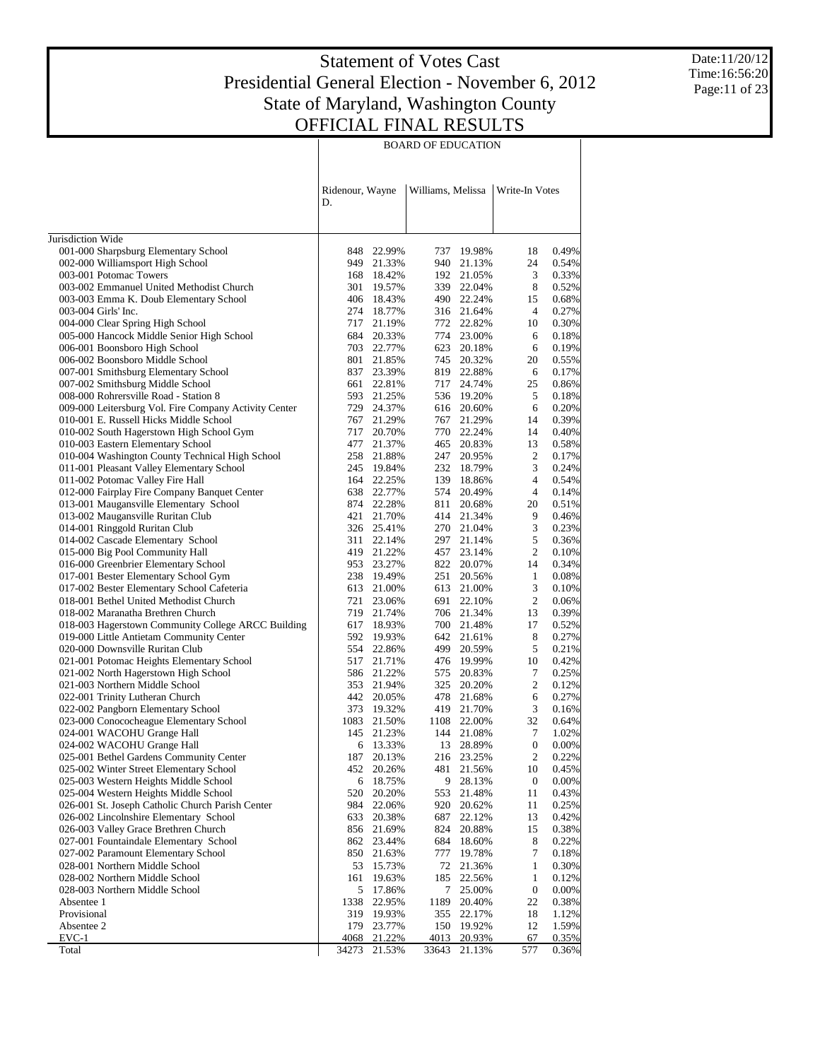Date:11/20/12 Time:16:56:20 Page:11 of 23

|                                                                                    | Ridenour, Wayne<br>D. |                          | Williams, Melissa |                          | Write-In Votes   |                |
|------------------------------------------------------------------------------------|-----------------------|--------------------------|-------------------|--------------------------|------------------|----------------|
| Jurisdiction Wide                                                                  |                       |                          |                   |                          |                  |                |
| 001-000 Sharpsburg Elementary School                                               | 848                   | 22.99%                   |                   | 737 19.98%               | 18               | 0.49%          |
| 002-000 Williamsport High School                                                   |                       | 949 21.33%               |                   | 940 21.13%               | 24               | 0.54%          |
| 003-001 Potomac Towers                                                             |                       | 168 18.42%               |                   | 192 21.05%               | 3                | 0.33%          |
| 003-002 Emmanuel United Methodist Church                                           | 301                   | 19.57%                   |                   | 339 22.04%               | 8                | 0.52%          |
| 003-003 Emma K. Doub Elementary School                                             |                       | 406 18.43%               |                   | 490 22.24%               | 15               | 0.68%          |
| 003-004 Girls' Inc.                                                                |                       | 274 18.77%               |                   | 316 21.64%               | 4                | 0.27%          |
| 004-000 Clear Spring High School                                                   |                       | 717 21.19%               |                   | 772 22.82%               | 10               | 0.30%          |
| 005-000 Hancock Middle Senior High School                                          |                       | 684 20.33%               |                   | 774 23.00%               | 6                | 0.18%          |
| 006-001 Boonsboro High School                                                      |                       | 703 22.77%               |                   | 623 20.18%               | 6                | 0.19%          |
| 006-002 Boonsboro Middle School                                                    | 801                   | 21.85%                   |                   | 745 20.32%               | 20               | 0.55%          |
| 007-001 Smithsburg Elementary School                                               |                       | 837 23.39%               |                   | 819 22.88%               | 6                | 0.17%          |
| 007-002 Smithsburg Middle School                                                   | 661                   | 22.81%                   |                   | 717 24.74%               | 25               | 0.86%          |
| 008-000 Rohrersville Road - Station 8                                              |                       | 593 21.25%               |                   | 536 19.20%               | 5                | 0.18%          |
| 009-000 Leitersburg Vol. Fire Company Activity Center                              |                       | 729 24.37%               |                   | 616 20.60%               | 6                | 0.20%          |
| 010-001 E. Russell Hicks Middle School                                             | 767                   | 21.29%                   |                   | 767 21.29%               | 14               | 0.39%          |
| 010-002 South Hagerstown High School Gym                                           | 717                   | 20.70%                   |                   | 770 22.24%               | 14               | 0.40%          |
| 010-003 Eastern Elementary School                                                  |                       | 477 21.37%               |                   | 465 20.83%               | 13               | 0.58%          |
| 010-004 Washington County Technical High School                                    |                       | 258 21.88%               |                   | 247 20.95%               | 2<br>3           | 0.17%          |
| 011-001 Pleasant Valley Elementary School<br>011-002 Potomac Valley Fire Hall      |                       | 245 19.84%<br>164 22.25% |                   | 232 18.79%               | 4                | 0.24%<br>0.54% |
| 012-000 Fairplay Fire Company Banquet Center                                       |                       | 638 22.77%               |                   | 139 18.86%<br>574 20.49% | $\overline{4}$   | 0.14%          |
| 013-001 Maugansville Elementary School                                             |                       | 874 22.28%               |                   | 811 20.68%               | 20               | 0.51%          |
| 013-002 Maugansville Ruritan Club                                                  | 421                   | 21.70%                   |                   | 414 21.34%               | 9                | 0.46%          |
| 014-001 Ringgold Ruritan Club                                                      |                       | 326 25.41%               |                   | 270 21.04%               | 3                | 0.23%          |
| 014-002 Cascade Elementary School                                                  | 311                   | 22.14%                   |                   | 297 21.14%               | 5                | 0.36%          |
| 015-000 Big Pool Community Hall                                                    |                       | 419 21.22%               |                   | 457 23.14%               | 2                | 0.10%          |
| 016-000 Greenbrier Elementary School                                               |                       | 953 23.27%               |                   | 822 20.07%               | 14               | 0.34%          |
| 017-001 Bester Elementary School Gym                                               |                       | 238 19.49%               |                   | 251 20.56%               | $\mathbf{1}$     | 0.08%          |
| 017-002 Bester Elementary School Cafeteria                                         |                       | 613 21.00%               |                   | 613 21.00%               | 3                | 0.10%          |
| 018-001 Bethel United Methodist Church                                             | 721                   | 23.06%                   |                   | 691 22.10%               | 2                | 0.06%          |
| 018-002 Maranatha Brethren Church                                                  |                       | 719 21.74%               |                   | 706 21.34%               | 13               | 0.39%          |
| 018-003 Hagerstown Community College ARCC Building                                 |                       | 617 18.93%               |                   | 700 21.48%               | 17               | 0.52%          |
| 019-000 Little Antietam Community Center                                           |                       | 592 19.93%               |                   | 642 21.61%               | 8                | 0.27%          |
| 020-000 Downsville Ruritan Club                                                    |                       | 554 22.86%               |                   | 499 20.59%               | 5                | 0.21%          |
| 021-001 Potomac Heights Elementary School                                          | 517                   | 21.71%                   |                   | 476 19.99%               | 10               | 0.42%          |
| 021-002 North Hagerstown High School                                               |                       | 586 21.22%               |                   | 575 20.83%               | 7                | 0.25%          |
| 021-003 Northern Middle School                                                     |                       | 353 21.94%               |                   | 325 20.20%               | 2                | 0.12%          |
| 022-001 Trinity Lutheran Church                                                    |                       | 442 20.05%               |                   | 478 21.68%               | 6                | 0.27%          |
| 022-002 Pangborn Elementary School                                                 |                       | 373 19.32%               |                   | 419 21.70%               | 3                | 0.16%          |
| 023-000 Conococheague Elementary School                                            |                       | 1083 21.50%              |                   | 1108 22.00%              | 32               | 0.64%          |
| 024-001 WACOHU Grange Hall                                                         |                       | 145 21.23%               |                   | 144 21.08%               | 7                | 1.02%          |
| 024-002 WACOHU Grange Hall                                                         | 6                     | 13.33%                   |                   | 13 28.89%                | $\mathbf{0}$     | 0.00%          |
| 025-001 Bethel Gardens Community Center<br>025-002 Winter Street Elementary School |                       | 187 20.13%               |                   | 216 23.25%               | 2                | 0.22%          |
| 025-003 Western Heights Middle School                                              |                       | 452 20.26%               |                   | 481 21.56%<br>28.13%     | 10<br>0          | 0.45%<br>0.00% |
| 025-004 Western Heights Middle School                                              | 6<br>520              | 18.75%                   | 9<br>553          |                          | 11               | 0.43%          |
| 026-001 St. Joseph Catholic Church Parish Center                                   | 984                   | 20.20%<br>22.06%         | 920               | 21.48%<br>20.62%         | 11               | 0.25%          |
| 026-002 Lincolnshire Elementary School                                             | 633                   | 20.38%                   | 687               | 22.12%                   | 13               | 0.42%          |
| 026-003 Valley Grace Brethren Church                                               | 856                   | 21.69%                   | 824               | 20.88%                   | 15               | 0.38%          |
| 027-001 Fountaindale Elementary School                                             |                       | 862 23.44%               | 684               | 18.60%                   | 8                | 0.22%          |
| 027-002 Paramount Elementary School                                                | 850                   | 21.63%                   | 777               | 19.78%                   | 7                | 0.18%          |
| 028-001 Northern Middle School                                                     | 53                    | 15.73%                   | 72                | 21.36%                   | 1                | 0.30%          |
| 028-002 Northern Middle School                                                     | 161                   | 19.63%                   | 185               | 22.56%                   | $\mathbf{1}$     | 0.12%          |
| 028-003 Northern Middle School                                                     | 5                     | 17.86%                   |                   | 7 25.00%                 | $\boldsymbol{0}$ | 0.00%          |
| Absentee 1                                                                         | 1338                  | 22.95%                   | 1189              | 20.40%                   | 22               | 0.38%          |
| Provisional                                                                        | 319                   | 19.93%                   | 355               | 22.17%                   | 18               | 1.12%          |
| Absentee 2                                                                         | 179                   | 23.77%                   | 150               | 19.92%                   | 12               | 1.59%          |
| $EVC-1$                                                                            | 4068                  | 21.22%                   | 4013              | 20.93%                   | 67               | 0.35%          |
| Total                                                                              | 34273                 | 21.53%                   | 33643             | 21.13%                   | 577              | 0.36%          |

 $\overline{\phantom{a}}$ 

#### BOARD OF EDUCATION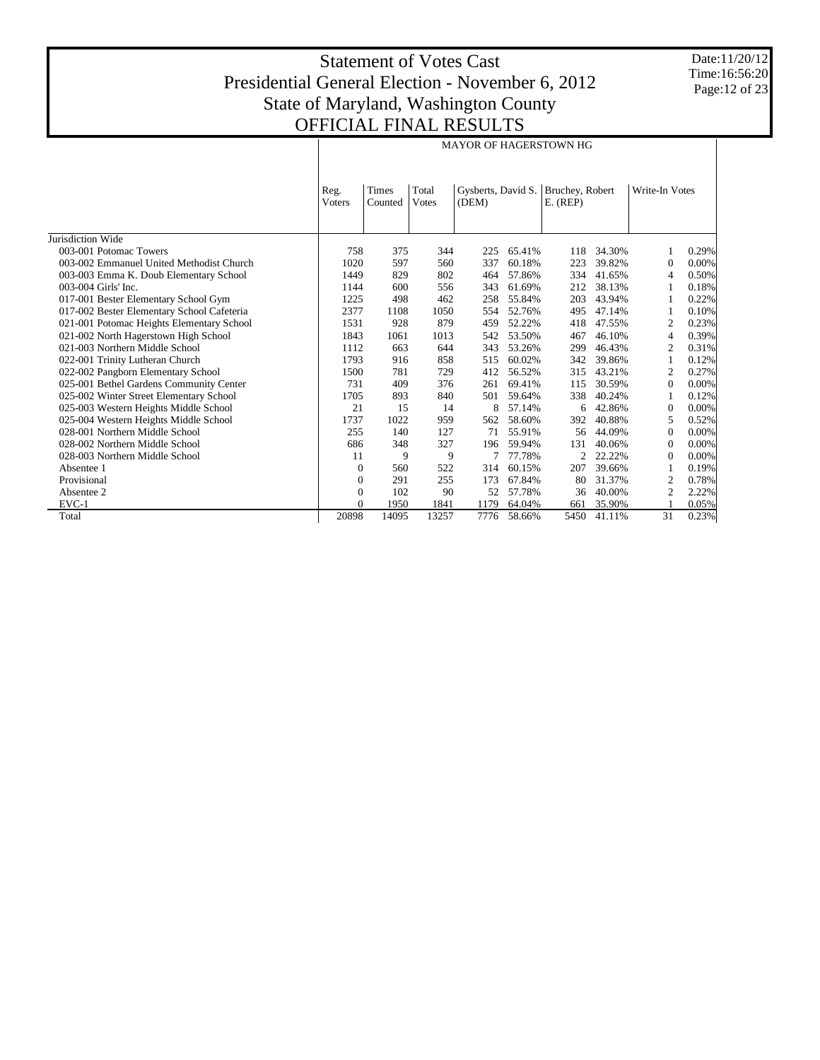Date:11/20/12 Time:16:56:20 Page:12 of 23

|                                            |                        |                  |                |                             |        | <b>MAYOR OF HAGERSTOWN HG</b> |        |                |       |
|--------------------------------------------|------------------------|------------------|----------------|-----------------------------|--------|-------------------------------|--------|----------------|-------|
|                                            | Reg.<br><b>V</b> oters | Times<br>Counted | Total<br>Votes | Gysberts, David S.<br>(DEM) |        | Bruchey, Robert<br>$E.$ (REP) |        | Write-In Votes |       |
| Jurisdiction Wide                          |                        |                  |                |                             |        |                               |        |                |       |
| 003-001 Potomac Towers                     | 758                    | 375              | 344            | 225                         | 65.41% | 118                           | 34.30% |                | 0.29% |
| 003-002 Emmanuel United Methodist Church   | 1020                   | 597              | 560            | 337                         | 60.18% | 223                           | 39.82% | $\Omega$       | 0.00% |
| 003-003 Emma K. Doub Elementary School     | 1449                   | 829              | 802            | 464                         | 57.86% | 334                           | 41.65% | $\overline{4}$ | 0.50% |
| 003-004 Girls' Inc.                        | 1144                   | 600              | 556            | 343                         | 61.69% | 212                           | 38.13% |                | 0.18% |
| 017-001 Bester Elementary School Gym       | 1225                   | 498              | 462            | 258                         | 55.84% | 203                           | 43.94% |                | 0.22% |
| 017-002 Bester Elementary School Cafeteria | 2377                   | 1108             | 1050           | 554                         | 52.76% | 495                           | 47.14% |                | 0.10% |
| 021-001 Potomac Heights Elementary School  | 1531                   | 928              | 879            | 459                         | 52.22% | 418                           | 47.55% | 2              | 0.23% |
| 021-002 North Hagerstown High School       | 1843                   | 1061             | 1013           | 542                         | 53.50% | 467                           | 46.10% | $\overline{4}$ | 0.39% |
| 021-003 Northern Middle School             | 1112                   | 663              | 644            | 343                         | 53.26% | 299                           | 46.43% | $\overline{c}$ | 0.31% |
| 022-001 Trinity Lutheran Church            | 1793                   | 916              | 858            | 515                         | 60.02% | 342                           | 39.86% | -1             | 0.12% |
| 022-002 Pangborn Elementary School         | 1500                   | 781              | 729            | 412                         | 56.52% | 315                           | 43.21% | $\overline{2}$ | 0.27% |
| 025-001 Bethel Gardens Community Center    | 731                    | 409              | 376            | 261                         | 69.41% | 115                           | 30.59% | $\Omega$       | 0.00% |
| 025-002 Winter Street Elementary School    | 1705                   | 893              | 840            | 501                         | 59.64% | 338                           | 40.24% |                | 0.12% |
| 025-003 Western Heights Middle School      | 21                     | 15               | 14             | 8                           | 57.14% | 6                             | 42.86% | $\Omega$       | 0.00% |
| 025-004 Western Heights Middle School      | 1737                   | 1022             | 959            | 562                         | 58.60% | 392                           | 40.88% | 5              | 0.52% |
| 028-001 Northern Middle School             | 255                    | 140              | 127            | 71                          | 55.91% | 56                            | 44.09% | $\Omega$       | 0.00% |
| 028-002 Northern Middle School             | 686                    | 348              | 327            | 196                         | 59.94% | 131                           | 40.06% | $\Omega$       | 0.00% |
| 028-003 Northern Middle School             | 11                     | 9                | 9              |                             | 77.78% | $\overline{c}$                | 22.22% | $\Omega$       | 0.00% |
| Absentee 1                                 | $\mathbf{0}$           | 560              | 522            | 314                         | 60.15% | 207                           | 39.66% |                | 0.19% |
| Provisional                                | $\mathbf{0}$           | 291              | 255            | 173                         | 67.84% | 80                            | 31.37% | 2              | 0.78% |
| Absentee 2                                 | $\mathbf{0}$           | 102              | 90             | 52                          | 57.78% | 36                            | 40.00% | $\overline{c}$ | 2.22% |
| $EVC-1$                                    | $\Omega$               | 1950             | 1841           | 1179                        | 64.04% | 661                           | 35.90% |                | 0.05% |
| Total                                      | 20898                  | 14095            | 13257          | 7776                        | 58.66% | 5450                          | 41.11% | 31             | 0.23% |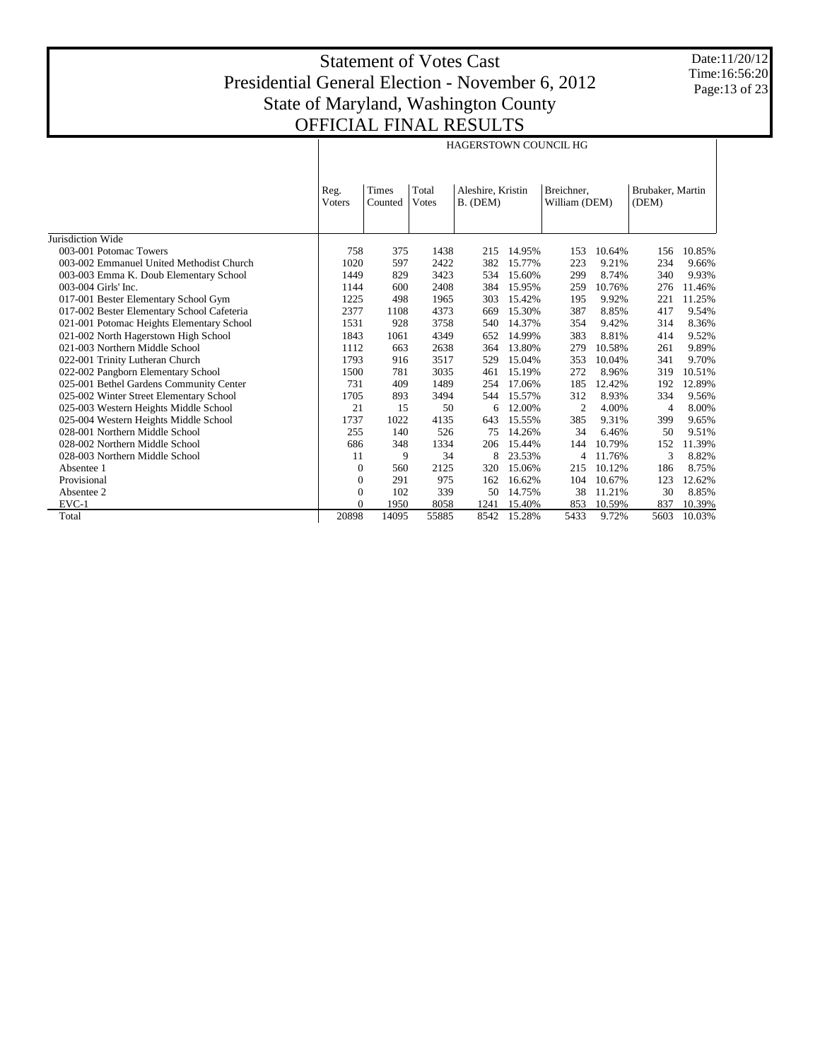Date:11/20/12 Time:16:56:20 Page:13 of 23

|                                            |                |                  |                                                                                       | <b>HAGERSTOWN COUNCIL HG</b> |        |                |                           |      |        |
|--------------------------------------------|----------------|------------------|---------------------------------------------------------------------------------------|------------------------------|--------|----------------|---------------------------|------|--------|
|                                            | Reg.<br>Voters | Times<br>Counted | Total<br>Aleshire, Kristin<br>Breichner.<br><b>Votes</b><br>B. (DEM)<br>William (DEM) |                              |        |                | Brubaker, Martin<br>(DEM) |      |        |
| Jurisdiction Wide                          |                |                  |                                                                                       |                              |        |                |                           |      |        |
| 003-001 Potomac Towers                     | 758            | 375              | 1438                                                                                  | 215                          | 14.95% | 153            | 10.64%                    | 156  | 10.85% |
| 003-002 Emmanuel United Methodist Church   | 1020           | 597              | 2422                                                                                  | 382                          | 15.77% | 223            | 9.21%                     | 234  | 9.66%  |
| 003-003 Emma K. Doub Elementary School     | 1449           | 829              | 3423                                                                                  | 534                          | 15.60% | 299            | 8.74%                     | 340  | 9.93%  |
| 003-004 Girls' Inc.                        | 1144           | 600              | 2408                                                                                  | 384                          | 15.95% | 259            | 10.76%                    | 276  | 11.46% |
| 017-001 Bester Elementary School Gym       | 1225           | 498              | 1965                                                                                  | 303                          | 15.42% | 195            | 9.92%                     | 221  | 11.25% |
| 017-002 Bester Elementary School Cafeteria | 2377           | 1108             | 4373                                                                                  | 669                          | 15.30% | 387            | 8.85%                     | 417  | 9.54%  |
| 021-001 Potomac Heights Elementary School  | 1531           | 928              | 3758                                                                                  | 540                          | 14.37% | 354            | 9.42%                     | 314  | 8.36%  |
| 021-002 North Hagerstown High School       | 1843           | 1061             | 4349                                                                                  | 652                          | 14.99% | 383            | 8.81%                     | 414  | 9.52%  |
| 021-003 Northern Middle School             | 1112           | 663              | 2638                                                                                  | 364                          | 13.80% | 279            | 10.58%                    | 261  | 9.89%  |
| 022-001 Trinity Lutheran Church            | 1793           | 916              | 3517                                                                                  | 529                          | 15.04% | 353            | 10.04%                    | 341  | 9.70%  |
| 022-002 Pangborn Elementary School         | 1500           | 781              | 3035                                                                                  | 461                          | 15.19% | 272            | 8.96%                     | 319  | 10.51% |
| 025-001 Bethel Gardens Community Center    | 731            | 409              | 1489                                                                                  | 254                          | 17.06% | 185            | 12.42%                    | 192  | 12.89% |
| 025-002 Winter Street Elementary School    | 1705           | 893              | 3494                                                                                  | 544                          | 15.57% | 312            | 8.93%                     | 334  | 9.56%  |
| 025-003 Western Heights Middle School      | 21             | 15               | 50                                                                                    | 6                            | 12.00% | $\overline{c}$ | 4.00%                     | 4    | 8.00%  |
| 025-004 Western Heights Middle School      | 1737           | 1022             | 4135                                                                                  | 643                          | 15.55% | 385            | 9.31%                     | 399  | 9.65%  |
| 028-001 Northern Middle School             | 255            | 140              | 526                                                                                   | 75                           | 14.26% | 34             | 6.46%                     | 50   | 9.51%  |
| 028-002 Northern Middle School             | 686            | 348              | 1334                                                                                  | 206                          | 15.44% | 144            | 10.79%                    | 152  | 11.39% |
| 028-003 Northern Middle School             | 11             | 9                | 34                                                                                    | 8                            | 23.53% | 4              | 11.76%                    | 3    | 8.82%  |
| Absentee 1                                 | $\mathbf{0}$   | 560              | 2125                                                                                  | 320                          | 15.06% | 215            | 10.12%                    | 186  | 8.75%  |
| Provisional                                | $\mathbf{0}$   | 291              | 975                                                                                   | 162                          | 16.62% | 104            | 10.67%                    | 123  | 12.62% |
| Absentee 2                                 | $\Omega$       | 102              | 339                                                                                   | 50                           | 14.75% | 38             | 11.21%                    | 30   | 8.85%  |
| $EVC-1$                                    | $\Omega$       | 1950             | 8058                                                                                  | 1241                         | 15.40% | 853            | 10.59%                    | 837  | 10.39% |
| Total                                      | 20898          | 14095            | 55885                                                                                 | 8542                         | 15.28% | 5433           | 9.72%                     | 5603 | 10.03% |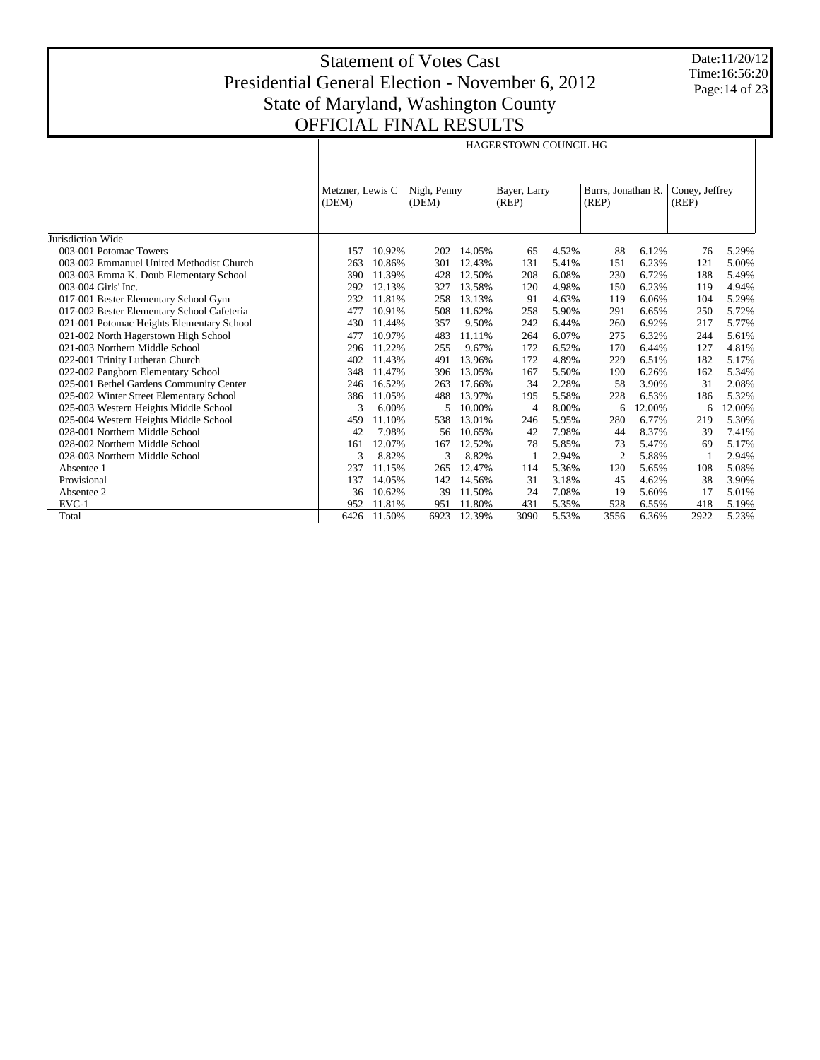Date:11/20/12 Time:16:56:20 Page:14 of 23

|                                            |                           |        |                      |        | <b>HAGERSTOWN COUNCIL HG</b> |       |                             |        |                         |        |
|--------------------------------------------|---------------------------|--------|----------------------|--------|------------------------------|-------|-----------------------------|--------|-------------------------|--------|
|                                            | Metzner, Lewis C<br>(DEM) |        | Nigh, Penny<br>(DEM) |        | Bayer, Larry<br>(REP)        |       | Burrs, Jonathan R.<br>(REP) |        | Coney, Jeffrey<br>(REP) |        |
| Jurisdiction Wide                          |                           |        |                      |        |                              |       |                             |        |                         |        |
| 003-001 Potomac Towers                     | 157                       | 10.92% | 202                  | 14.05% | 65                           | 4.52% | 88                          | 6.12%  | 76                      | 5.29%  |
| 003-002 Emmanuel United Methodist Church   | 263                       | 10.86% | 301                  | 12.43% | 131                          | 5.41% | 151                         | 6.23%  | 121                     | 5.00%  |
| 003-003 Emma K. Doub Elementary School     | 390                       | 11.39% | 428                  | 12.50% | 208                          | 6.08% | 230                         | 6.72%  | 188                     | 5.49%  |
| 003-004 Girls' Inc.                        | 292                       | 12.13% | 327                  | 13.58% | 120                          | 4.98% | 150                         | 6.23%  | 119                     | 4.94%  |
| 017-001 Bester Elementary School Gym       | 232                       | 11.81% | 258                  | 13.13% | 91                           | 4.63% | 119                         | 6.06%  | 104                     | 5.29%  |
| 017-002 Bester Elementary School Cafeteria | 477                       | 10.91% | 508                  | 11.62% | 258                          | 5.90% | 291                         | 6.65%  | 250                     | 5.72%  |
| 021-001 Potomac Heights Elementary School  | 430                       | 11.44% | 357                  | 9.50%  | 242                          | 6.44% | 260                         | 6.92%  | 217                     | 5.77%  |
| 021-002 North Hagerstown High School       | 477                       | 10.97% | 483                  | 11.11% | 264                          | 6.07% | 275                         | 6.32%  | 244                     | 5.61%  |
| 021-003 Northern Middle School             | 296                       | 11.22% | 255                  | 9.67%  | 172                          | 6.52% | 170                         | 6.44%  | 127                     | 4.81%  |
| 022-001 Trinity Lutheran Church            | 402                       | 11.43% | 491                  | 13.96% | 172                          | 4.89% | 229                         | 6.51%  | 182                     | 5.17%  |
| 022-002 Pangborn Elementary School         | 348                       | 11.47% | 396                  | 13.05% | 167                          | 5.50% | 190                         | 6.26%  | 162                     | 5.34%  |
| 025-001 Bethel Gardens Community Center    | 246                       | 16.52% | 263                  | 17.66% | 34                           | 2.28% | 58                          | 3.90%  | 31                      | 2.08%  |
| 025-002 Winter Street Elementary School    | 386                       | 11.05% | 488                  | 13.97% | 195                          | 5.58% | 228                         | 6.53%  | 186                     | 5.32%  |
| 025-003 Western Heights Middle School      | 3                         | 6.00%  | 5                    | 10.00% | $\overline{4}$               | 8.00% | 6                           | 12.00% | 6                       | 12.00% |
| 025-004 Western Heights Middle School      | 459                       | 11.10% | 538                  | 13.01% | 246                          | 5.95% | 280                         | 6.77%  | 219                     | 5.30%  |
| 028-001 Northern Middle School             | 42                        | 7.98%  | 56                   | 10.65% | 42                           | 7.98% | 44                          | 8.37%  | 39                      | 7.41%  |
| 028-002 Northern Middle School             | 161                       | 12.07% | 167                  | 12.52% | 78                           | 5.85% | 73                          | 5.47%  | 69                      | 5.17%  |
| 028-003 Northern Middle School             | 3                         | 8.82%  | 3                    | 8.82%  | -1                           | 2.94% | $\overline{2}$              | 5.88%  |                         | 2.94%  |
| Absentee 1                                 | 237                       | 11.15% | 265                  | 12.47% | 114                          | 5.36% | 120                         | 5.65%  | 108                     | 5.08%  |
| Provisional                                | 137                       | 14.05% | 142                  | 14.56% | 31                           | 3.18% | 45                          | 4.62%  | 38                      | 3.90%  |
| Absentee 2                                 | 36                        | 10.62% | 39                   | 11.50% | 24                           | 7.08% | 19                          | 5.60%  | 17                      | 5.01%  |
| $EVC-1$                                    | 952                       | 11.81% | 951                  | 11.80% | 431                          | 5.35% | 528                         | 6.55%  | 418                     | 5.19%  |
| Total                                      | 6426                      | 11.50% | 6923                 | 12.39% | 3090                         | 5.53% | 3556                        | 6.36%  | 2922                    | 5.23%  |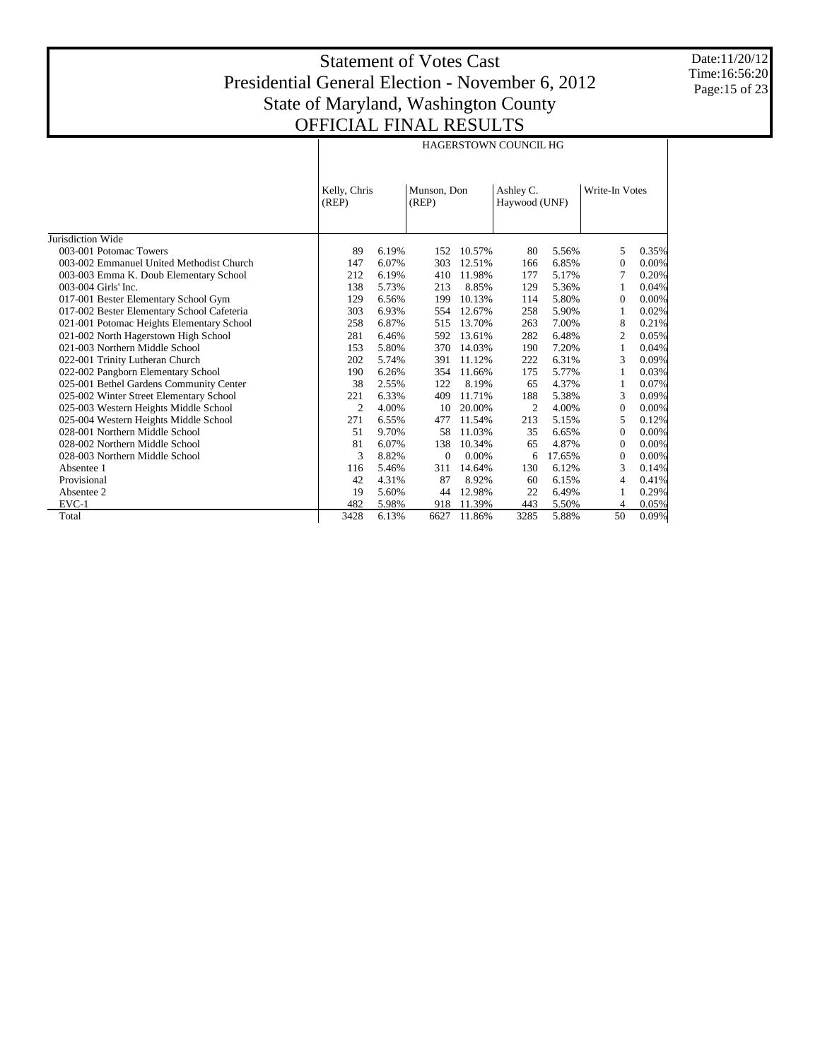Date:11/20/12 Time:16:56:20 Page:15 of 23

|                                            |                       |       |                      |          | HAGERSTOWN COUNCIL HG      |        |                |       |
|--------------------------------------------|-----------------------|-------|----------------------|----------|----------------------------|--------|----------------|-------|
|                                            | Kelly, Chris<br>(REP) |       | Munson, Don<br>(REP) |          | Ashley C.<br>Haywood (UNF) |        | Write-In Votes |       |
| Jurisdiction Wide                          |                       |       |                      |          |                            |        |                |       |
| 003-001 Potomac Towers                     | 89                    | 6.19% | 152                  | 10.57%   | 80                         | 5.56%  | 5              | 0.35% |
| 003-002 Emmanuel United Methodist Church   | 147                   | 6.07% | 303                  | 12.51%   | 166                        | 6.85%  | $\mathbf{0}$   | 0.00% |
| 003-003 Emma K. Doub Elementary School     | 212                   | 6.19% | 410                  | 11.98%   | 177                        | 5.17%  |                | 0.20% |
| 003-004 Girls' Inc.                        | 138                   | 5.73% | 213                  | 8.85%    | 129                        | 5.36%  | 1              | 0.04% |
| 017-001 Bester Elementary School Gym       | 129                   | 6.56% | 199                  | 10.13%   | 114                        | 5.80%  | $\mathbf{0}$   | 0.00% |
| 017-002 Bester Elementary School Cafeteria | 303                   | 6.93% | 554                  | 12.67%   | 258                        | 5.90%  | 1              | 0.02% |
| 021-001 Potomac Heights Elementary School  | 258                   | 6.87% | 515                  | 13.70%   | 263                        | 7.00%  | 8              | 0.21% |
| 021-002 North Hagerstown High School       | 281                   | 6.46% | 592                  | 13.61%   | 282                        | 6.48%  | $\overline{2}$ | 0.05% |
| 021-003 Northern Middle School             | 153                   | 5.80% | 370                  | 14.03%   | 190                        | 7.20%  | 1              | 0.04% |
| 022-001 Trinity Lutheran Church            | 202                   | 5.74% | 391                  | 11.12%   | 222                        | 6.31%  | 3              | 0.09% |
| 022-002 Pangborn Elementary School         | 190                   | 6.26% | 354                  | 11.66%   | 175                        | 5.77%  | 1              | 0.03% |
| 025-001 Bethel Gardens Community Center    | 38                    | 2.55% | 122                  | 8.19%    | 65                         | 4.37%  | 1              | 0.07% |
| 025-002 Winter Street Elementary School    | 221                   | 6.33% | 409                  | 11.71%   | 188                        | 5.38%  | 3              | 0.09% |
| 025-003 Western Heights Middle School      | $\mathfrak{2}$        | 4.00% | 10                   | 20.00%   | 2                          | 4.00%  | $\mathbf{0}$   | 0.00% |
| 025-004 Western Heights Middle School      | 271                   | 6.55% | 477                  | 11.54%   | 213                        | 5.15%  | 5              | 0.12% |
| 028-001 Northern Middle School             | 51                    | 9.70% | 58                   | 11.03%   | 35                         | 6.65%  | $\mathbf{0}$   | 0.00% |
| 028-002 Northern Middle School             | 81                    | 6.07% | 138                  | 10.34%   | 65                         | 4.87%  | $\mathbf{0}$   | 0.00% |
| 028-003 Northern Middle School             | 3                     | 8.82% | $\mathbf{0}$         | $0.00\%$ | 6                          | 17.65% | $\overline{0}$ | 0.00% |
| Absentee 1                                 | 116                   | 5.46% | 311                  | 14.64%   | 130                        | 6.12%  | 3              | 0.14% |
| Provisional                                | 42                    | 4.31% | 87                   | 8.92%    | 60                         | 6.15%  | 4              | 0.41% |
| Absentee 2                                 | 19                    | 5.60% | 44                   | 12.98%   | 22                         | 6.49%  | 1              | 0.29% |
| $EVC-1$                                    | 482                   | 5.98% | 918                  | 11.39%   | 443                        | 5.50%  | 4              | 0.05% |
| Total                                      | 3428                  | 6.13% | 6627                 | 11.86%   | 3285                       | 5.88%  | 50             | 0.09% |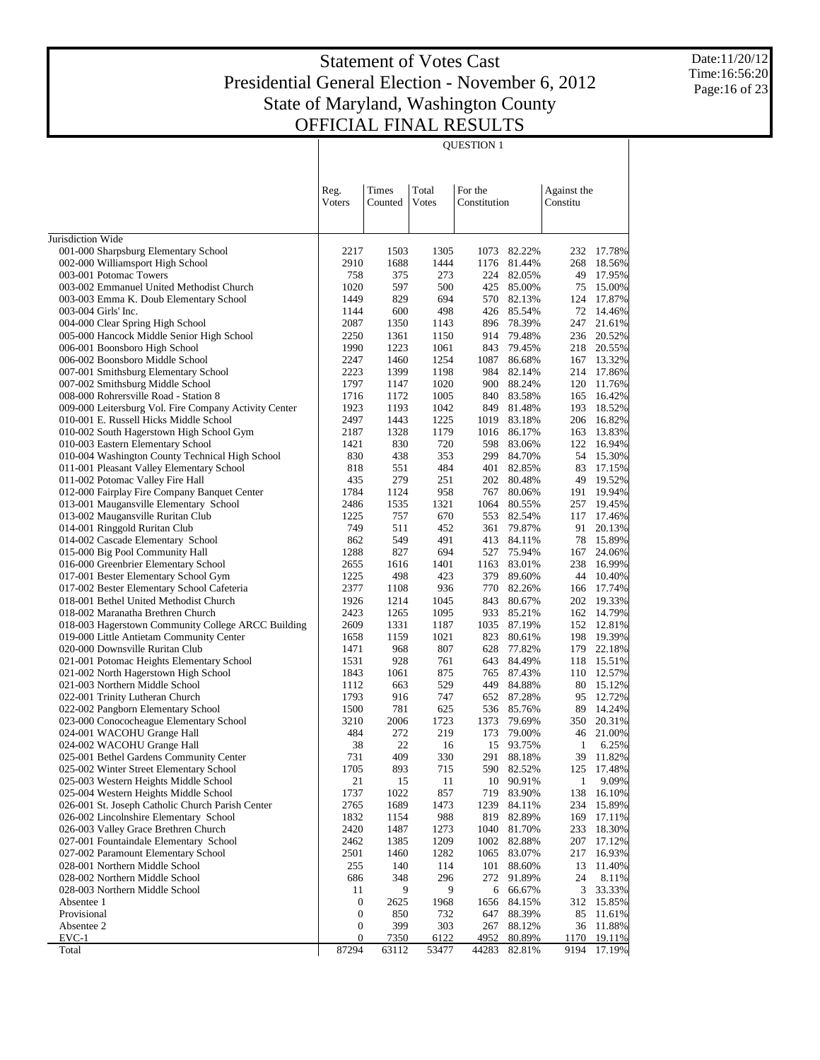QUESTION 1

Date:11/20/12 Time:16:56:20 Page:16 of 23

| Total<br>For the<br>Reg.<br>Times<br>Against the<br>Voters<br>Constitution<br>Constitu<br>Counted<br>Votes<br>001-000 Sharpsburg Elementary School<br>1305<br>82.22%<br>17.78%<br>2217<br>1503<br>1073<br>232<br>002-000 Williamsport High School<br>2910<br>1688<br>1444<br>1176 81.44%<br>18.56%<br>268<br>758<br>273<br>224 82.05%<br>49<br>17.95%<br>003-001 Potomac Towers<br>375<br>1020<br>597<br>85.00%<br>15.00%<br>003-002 Emmanuel United Methodist Church<br>500<br>425<br>75<br>1449<br>829<br>694<br>570 82.13%<br>17.87%<br>003-003 Emma K. Doub Elementary School<br>124<br>498<br>426 85.54%<br>72<br>14.46%<br>003-004 Girls' Inc.<br>1144<br>600<br>896 78.39%<br>247<br>21.61%<br>004-000 Clear Spring High School<br>2087<br>1350<br>1143<br>2250<br>914 79.48%<br>236<br>20.52%<br>005-000 Hancock Middle Senior High School<br>1361<br>1150<br>1990<br>1223<br>1061<br>79.45%<br>20.55%<br>006-001 Boonsboro High School<br>843<br>218<br>2247<br>1460<br>1254<br>1087<br>86.68%<br>13.32%<br>006-002 Boonsboro Middle School<br>167<br>2223<br>1399<br>1198<br>984<br>17.86%<br>007-001 Smithsburg Elementary School<br>82.14%<br>214<br>1797<br>1020<br>900<br>88.24%<br>11.76%<br>007-002 Smithsburg Middle School<br>1147<br>120<br>1716<br>1005<br>83.58%<br>16.42%<br>008-000 Rohrersville Road - Station 8<br>1172<br>840<br>165<br>1923<br>1193<br>1042<br>81.48%<br>193<br>18.52%<br>009-000 Leitersburg Vol. Fire Company Activity Center<br>849<br>2497<br>1443<br>1225<br>83.18%<br>16.82%<br>010-001 E. Russell Hicks Middle School<br>1019<br>206<br>1328<br>1179<br>13.83%<br>010-002 South Hagerstown High School Gym<br>2187<br>1016<br>86.17%<br>163<br>1421<br>830<br>720<br>598<br>122<br>16.94%<br>010-003 Eastern Elementary School<br>83.06%<br>830<br>438<br>353<br>299<br>84.70%<br>15.30%<br>010-004 Washington County Technical High School<br>54<br>011-001 Pleasant Valley Elementary School<br>818<br>484<br>83<br>17.15%<br>551<br>401<br>82.85%<br>435<br>279<br>251<br>202 80.48%<br>19.52%<br>011-002 Potomac Valley Fire Hall<br>49<br>012-000 Fairplay Fire Company Banquet Center<br>1784<br>1124<br>958<br>80.06%<br>19.94%<br>767<br>191<br>013-001 Maugansville Elementary School<br>2486<br>1535<br>1321<br>19.45%<br>1064<br>80.55%<br>257<br>1225<br>757<br>670<br>82.54%<br>17.46%<br>013-002 Maugansville Ruritan Club<br>553<br>117<br>749<br>452<br>79.87%<br>20.13%<br>014-001 Ringgold Ruritan Club<br>511<br>361<br>91<br>862<br>549<br>491<br>78<br>15.89%<br>014-002 Cascade Elementary School<br>413 84.11%<br>1288<br>827<br>694<br>75.94%<br>24.06%<br>015-000 Big Pool Community Hall<br>527<br>167<br>2655<br>83.01%<br>238<br>16.99%<br>016-000 Greenbrier Elementary School<br>1616<br>1401<br>1163<br>1225<br>498<br>423<br>89.60%<br>10.40%<br>017-001 Bester Elementary School Gym<br>379<br>44<br>2377<br>936<br>17.74%<br>017-002 Bester Elementary School Cafeteria<br>1108<br>770 82.26%<br>166<br>018-001 Bethel United Methodist Church<br>1926<br>1214<br>1045<br>19.33%<br>843<br>80.67%<br>202<br>2423<br>1095<br>14.79%<br>018-002 Maranatha Brethren Church<br>1265<br>933<br>85.21%<br>162<br>2609<br>1187<br>87.19%<br>12.81%<br>018-003 Hagerstown Community College ARCC Building<br>1331<br>1035<br>152<br>1658<br>1159<br>1021<br>823<br>198<br>19.39%<br>019-000 Little Antietam Community Center<br>80.61%<br>1471<br>968<br>807<br>179<br>22.18%<br>020-000 Downsville Ruritan Club<br>628<br>77.82%<br>928<br>761<br>84.49%<br>15.51%<br>021-001 Potomac Heights Elementary School<br>1531<br>643<br>118<br>875<br>87.43%<br>12.57%<br>021-002 North Hagerstown High School<br>1843<br>1061<br>765<br>110<br>529<br>449<br>84.88%<br>15.12%<br>021-003 Northern Middle School<br>1112<br>663<br>80<br>1793<br>916<br>747<br>652 87.28%<br>12.72%<br>022-001 Trinity Lutheran Church<br>95<br>781<br>625<br>89<br>14.24%<br>022-002 Pangborn Elementary School<br>1500<br>536 85.76%<br>2006<br>1723<br>20.31%<br>023-000 Conococheague Elementary School<br>3210<br>1373<br>79.69%<br>350<br>484<br>272<br>219<br>21.00%<br>024-001 WACOHU Grange Hall<br>173<br>79.00%<br>46<br>38<br>22<br>6.25%<br>024-002 WACOHU Grange Hall<br>16<br>15<br>93.75%<br>1<br>731<br>409<br>330<br>291<br>39<br>11.82%<br>025-001 Bethel Gardens Community Center<br>88.18%<br>025-002 Winter Street Elementary School<br>1705<br>893<br>715<br>17.48%<br>590<br>82.52%<br>125<br>025-003 Western Heights Middle School<br>21<br>15<br>10<br>90.91%<br>$\mathbf{1}$<br>9.09%<br>11<br>025-004 Western Heights Middle School<br>1737<br>1022<br>857<br>719<br>83.90%<br>138<br>16.10%<br>026-001 St. Joseph Catholic Church Parish Center<br>2765<br>1689<br>1473<br>1239<br>234<br>15.89%<br>84.11%<br>026-002 Lincolnshire Elementary School<br>1832<br>988<br>819<br>82.89%<br>169<br>17.11%<br>1154<br>026-003 Valley Grace Brethren Church<br>1487<br>1273<br>1040<br>81.70%<br>233<br>18.30%<br>2420<br>1209<br>1002<br>207<br>17.12%<br>027-001 Fountaindale Elementary School<br>2462<br>1385<br>82.88%<br>2501<br>1460<br>1282<br>1065<br>217<br>16.93%<br>027-002 Paramount Elementary School<br>83.07%<br>028-001 Northern Middle School<br>255<br>140<br>114<br>101<br>13<br>11.40%<br>88.60%<br>028-002 Northern Middle School<br>686<br>272<br>24<br>8.11%<br>348<br>296<br>91.89%<br>9<br>3<br>33.33%<br>028-003 Northern Middle School<br>11<br>9<br>66.67%<br>6<br>Absentee 1<br>1656<br>15.85%<br>$\boldsymbol{0}$<br>2625<br>1968<br>84.15%<br>312<br>Provisional<br>732<br>647<br>88.39%<br>11.61%<br>0<br>850<br>85<br>Absentee 2<br>$\boldsymbol{0}$<br>399<br>303<br>267<br>11.88%<br>88.12%<br>36<br>$EVC-1$<br>6122<br>4952<br>80.89%<br>1170<br>19.11%<br>0<br><u>7350</u><br>Total<br>87294<br>63112<br>53477<br>44283<br>82.81%<br>9194<br>17.19% |                   |  |  |  |  |
|-------------------------------------------------------------------------------------------------------------------------------------------------------------------------------------------------------------------------------------------------------------------------------------------------------------------------------------------------------------------------------------------------------------------------------------------------------------------------------------------------------------------------------------------------------------------------------------------------------------------------------------------------------------------------------------------------------------------------------------------------------------------------------------------------------------------------------------------------------------------------------------------------------------------------------------------------------------------------------------------------------------------------------------------------------------------------------------------------------------------------------------------------------------------------------------------------------------------------------------------------------------------------------------------------------------------------------------------------------------------------------------------------------------------------------------------------------------------------------------------------------------------------------------------------------------------------------------------------------------------------------------------------------------------------------------------------------------------------------------------------------------------------------------------------------------------------------------------------------------------------------------------------------------------------------------------------------------------------------------------------------------------------------------------------------------------------------------------------------------------------------------------------------------------------------------------------------------------------------------------------------------------------------------------------------------------------------------------------------------------------------------------------------------------------------------------------------------------------------------------------------------------------------------------------------------------------------------------------------------------------------------------------------------------------------------------------------------------------------------------------------------------------------------------------------------------------------------------------------------------------------------------------------------------------------------------------------------------------------------------------------------------------------------------------------------------------------------------------------------------------------------------------------------------------------------------------------------------------------------------------------------------------------------------------------------------------------------------------------------------------------------------------------------------------------------------------------------------------------------------------------------------------------------------------------------------------------------------------------------------------------------------------------------------------------------------------------------------------------------------------------------------------------------------------------------------------------------------------------------------------------------------------------------------------------------------------------------------------------------------------------------------------------------------------------------------------------------------------------------------------------------------------------------------------------------------------------------------------------------------------------------------------------------------------------------------------------------------------------------------------------------------------------------------------------------------------------------------------------------------------------------------------------------------------------------------------------------------------------------------------------------------------------------------------------------------------------------------------------------------------------------------------------------------------------------------------------------------------------------------------------------------------------------------------------------------------------------------------------------------------------------------------------------------------------------------------------------------------------------------------------------------------------------------------------------------------------------------------------------------------------------------------------------------------------------------------------------------------------------------------------------------------------------------------------------------------------------------------------------------------------------------------------------------------------------------------------------------------------------------------------------------------------------------------------------------------------------------------------------------------------------------------------------------------------------------------------------------------------------------------|-------------------|--|--|--|--|
|                                                                                                                                                                                                                                                                                                                                                                                                                                                                                                                                                                                                                                                                                                                                                                                                                                                                                                                                                                                                                                                                                                                                                                                                                                                                                                                                                                                                                                                                                                                                                                                                                                                                                                                                                                                                                                                                                                                                                                                                                                                                                                                                                                                                                                                                                                                                                                                                                                                                                                                                                                                                                                                                                                                                                                                                                                                                                                                                                                                                                                                                                                                                                                                                                                                                                                                                                                                                                                                                                                                                                                                                                                                                                                                                                                                                                                                                                                                                                                                                                                                                                                                                                                                                                                                                                                                                                                                                                                                                                                                                                                                                                                                                                                                                                                                                                                                                                                                                                                                                                                                                                                                                                                                                                                                                                                                                                                                                                                                                                                                                                                                                                                                                                                                                                                                                                                                                         |                   |  |  |  |  |
|                                                                                                                                                                                                                                                                                                                                                                                                                                                                                                                                                                                                                                                                                                                                                                                                                                                                                                                                                                                                                                                                                                                                                                                                                                                                                                                                                                                                                                                                                                                                                                                                                                                                                                                                                                                                                                                                                                                                                                                                                                                                                                                                                                                                                                                                                                                                                                                                                                                                                                                                                                                                                                                                                                                                                                                                                                                                                                                                                                                                                                                                                                                                                                                                                                                                                                                                                                                                                                                                                                                                                                                                                                                                                                                                                                                                                                                                                                                                                                                                                                                                                                                                                                                                                                                                                                                                                                                                                                                                                                                                                                                                                                                                                                                                                                                                                                                                                                                                                                                                                                                                                                                                                                                                                                                                                                                                                                                                                                                                                                                                                                                                                                                                                                                                                                                                                                                                         |                   |  |  |  |  |
|                                                                                                                                                                                                                                                                                                                                                                                                                                                                                                                                                                                                                                                                                                                                                                                                                                                                                                                                                                                                                                                                                                                                                                                                                                                                                                                                                                                                                                                                                                                                                                                                                                                                                                                                                                                                                                                                                                                                                                                                                                                                                                                                                                                                                                                                                                                                                                                                                                                                                                                                                                                                                                                                                                                                                                                                                                                                                                                                                                                                                                                                                                                                                                                                                                                                                                                                                                                                                                                                                                                                                                                                                                                                                                                                                                                                                                                                                                                                                                                                                                                                                                                                                                                                                                                                                                                                                                                                                                                                                                                                                                                                                                                                                                                                                                                                                                                                                                                                                                                                                                                                                                                                                                                                                                                                                                                                                                                                                                                                                                                                                                                                                                                                                                                                                                                                                                                                         |                   |  |  |  |  |
|                                                                                                                                                                                                                                                                                                                                                                                                                                                                                                                                                                                                                                                                                                                                                                                                                                                                                                                                                                                                                                                                                                                                                                                                                                                                                                                                                                                                                                                                                                                                                                                                                                                                                                                                                                                                                                                                                                                                                                                                                                                                                                                                                                                                                                                                                                                                                                                                                                                                                                                                                                                                                                                                                                                                                                                                                                                                                                                                                                                                                                                                                                                                                                                                                                                                                                                                                                                                                                                                                                                                                                                                                                                                                                                                                                                                                                                                                                                                                                                                                                                                                                                                                                                                                                                                                                                                                                                                                                                                                                                                                                                                                                                                                                                                                                                                                                                                                                                                                                                                                                                                                                                                                                                                                                                                                                                                                                                                                                                                                                                                                                                                                                                                                                                                                                                                                                                                         | Jurisdiction Wide |  |  |  |  |
|                                                                                                                                                                                                                                                                                                                                                                                                                                                                                                                                                                                                                                                                                                                                                                                                                                                                                                                                                                                                                                                                                                                                                                                                                                                                                                                                                                                                                                                                                                                                                                                                                                                                                                                                                                                                                                                                                                                                                                                                                                                                                                                                                                                                                                                                                                                                                                                                                                                                                                                                                                                                                                                                                                                                                                                                                                                                                                                                                                                                                                                                                                                                                                                                                                                                                                                                                                                                                                                                                                                                                                                                                                                                                                                                                                                                                                                                                                                                                                                                                                                                                                                                                                                                                                                                                                                                                                                                                                                                                                                                                                                                                                                                                                                                                                                                                                                                                                                                                                                                                                                                                                                                                                                                                                                                                                                                                                                                                                                                                                                                                                                                                                                                                                                                                                                                                                                                         |                   |  |  |  |  |
|                                                                                                                                                                                                                                                                                                                                                                                                                                                                                                                                                                                                                                                                                                                                                                                                                                                                                                                                                                                                                                                                                                                                                                                                                                                                                                                                                                                                                                                                                                                                                                                                                                                                                                                                                                                                                                                                                                                                                                                                                                                                                                                                                                                                                                                                                                                                                                                                                                                                                                                                                                                                                                                                                                                                                                                                                                                                                                                                                                                                                                                                                                                                                                                                                                                                                                                                                                                                                                                                                                                                                                                                                                                                                                                                                                                                                                                                                                                                                                                                                                                                                                                                                                                                                                                                                                                                                                                                                                                                                                                                                                                                                                                                                                                                                                                                                                                                                                                                                                                                                                                                                                                                                                                                                                                                                                                                                                                                                                                                                                                                                                                                                                                                                                                                                                                                                                                                         |                   |  |  |  |  |
|                                                                                                                                                                                                                                                                                                                                                                                                                                                                                                                                                                                                                                                                                                                                                                                                                                                                                                                                                                                                                                                                                                                                                                                                                                                                                                                                                                                                                                                                                                                                                                                                                                                                                                                                                                                                                                                                                                                                                                                                                                                                                                                                                                                                                                                                                                                                                                                                                                                                                                                                                                                                                                                                                                                                                                                                                                                                                                                                                                                                                                                                                                                                                                                                                                                                                                                                                                                                                                                                                                                                                                                                                                                                                                                                                                                                                                                                                                                                                                                                                                                                                                                                                                                                                                                                                                                                                                                                                                                                                                                                                                                                                                                                                                                                                                                                                                                                                                                                                                                                                                                                                                                                                                                                                                                                                                                                                                                                                                                                                                                                                                                                                                                                                                                                                                                                                                                                         |                   |  |  |  |  |
|                                                                                                                                                                                                                                                                                                                                                                                                                                                                                                                                                                                                                                                                                                                                                                                                                                                                                                                                                                                                                                                                                                                                                                                                                                                                                                                                                                                                                                                                                                                                                                                                                                                                                                                                                                                                                                                                                                                                                                                                                                                                                                                                                                                                                                                                                                                                                                                                                                                                                                                                                                                                                                                                                                                                                                                                                                                                                                                                                                                                                                                                                                                                                                                                                                                                                                                                                                                                                                                                                                                                                                                                                                                                                                                                                                                                                                                                                                                                                                                                                                                                                                                                                                                                                                                                                                                                                                                                                                                                                                                                                                                                                                                                                                                                                                                                                                                                                                                                                                                                                                                                                                                                                                                                                                                                                                                                                                                                                                                                                                                                                                                                                                                                                                                                                                                                                                                                         |                   |  |  |  |  |
|                                                                                                                                                                                                                                                                                                                                                                                                                                                                                                                                                                                                                                                                                                                                                                                                                                                                                                                                                                                                                                                                                                                                                                                                                                                                                                                                                                                                                                                                                                                                                                                                                                                                                                                                                                                                                                                                                                                                                                                                                                                                                                                                                                                                                                                                                                                                                                                                                                                                                                                                                                                                                                                                                                                                                                                                                                                                                                                                                                                                                                                                                                                                                                                                                                                                                                                                                                                                                                                                                                                                                                                                                                                                                                                                                                                                                                                                                                                                                                                                                                                                                                                                                                                                                                                                                                                                                                                                                                                                                                                                                                                                                                                                                                                                                                                                                                                                                                                                                                                                                                                                                                                                                                                                                                                                                                                                                                                                                                                                                                                                                                                                                                                                                                                                                                                                                                                                         |                   |  |  |  |  |
|                                                                                                                                                                                                                                                                                                                                                                                                                                                                                                                                                                                                                                                                                                                                                                                                                                                                                                                                                                                                                                                                                                                                                                                                                                                                                                                                                                                                                                                                                                                                                                                                                                                                                                                                                                                                                                                                                                                                                                                                                                                                                                                                                                                                                                                                                                                                                                                                                                                                                                                                                                                                                                                                                                                                                                                                                                                                                                                                                                                                                                                                                                                                                                                                                                                                                                                                                                                                                                                                                                                                                                                                                                                                                                                                                                                                                                                                                                                                                                                                                                                                                                                                                                                                                                                                                                                                                                                                                                                                                                                                                                                                                                                                                                                                                                                                                                                                                                                                                                                                                                                                                                                                                                                                                                                                                                                                                                                                                                                                                                                                                                                                                                                                                                                                                                                                                                                                         |                   |  |  |  |  |
|                                                                                                                                                                                                                                                                                                                                                                                                                                                                                                                                                                                                                                                                                                                                                                                                                                                                                                                                                                                                                                                                                                                                                                                                                                                                                                                                                                                                                                                                                                                                                                                                                                                                                                                                                                                                                                                                                                                                                                                                                                                                                                                                                                                                                                                                                                                                                                                                                                                                                                                                                                                                                                                                                                                                                                                                                                                                                                                                                                                                                                                                                                                                                                                                                                                                                                                                                                                                                                                                                                                                                                                                                                                                                                                                                                                                                                                                                                                                                                                                                                                                                                                                                                                                                                                                                                                                                                                                                                                                                                                                                                                                                                                                                                                                                                                                                                                                                                                                                                                                                                                                                                                                                                                                                                                                                                                                                                                                                                                                                                                                                                                                                                                                                                                                                                                                                                                                         |                   |  |  |  |  |
|                                                                                                                                                                                                                                                                                                                                                                                                                                                                                                                                                                                                                                                                                                                                                                                                                                                                                                                                                                                                                                                                                                                                                                                                                                                                                                                                                                                                                                                                                                                                                                                                                                                                                                                                                                                                                                                                                                                                                                                                                                                                                                                                                                                                                                                                                                                                                                                                                                                                                                                                                                                                                                                                                                                                                                                                                                                                                                                                                                                                                                                                                                                                                                                                                                                                                                                                                                                                                                                                                                                                                                                                                                                                                                                                                                                                                                                                                                                                                                                                                                                                                                                                                                                                                                                                                                                                                                                                                                                                                                                                                                                                                                                                                                                                                                                                                                                                                                                                                                                                                                                                                                                                                                                                                                                                                                                                                                                                                                                                                                                                                                                                                                                                                                                                                                                                                                                                         |                   |  |  |  |  |
|                                                                                                                                                                                                                                                                                                                                                                                                                                                                                                                                                                                                                                                                                                                                                                                                                                                                                                                                                                                                                                                                                                                                                                                                                                                                                                                                                                                                                                                                                                                                                                                                                                                                                                                                                                                                                                                                                                                                                                                                                                                                                                                                                                                                                                                                                                                                                                                                                                                                                                                                                                                                                                                                                                                                                                                                                                                                                                                                                                                                                                                                                                                                                                                                                                                                                                                                                                                                                                                                                                                                                                                                                                                                                                                                                                                                                                                                                                                                                                                                                                                                                                                                                                                                                                                                                                                                                                                                                                                                                                                                                                                                                                                                                                                                                                                                                                                                                                                                                                                                                                                                                                                                                                                                                                                                                                                                                                                                                                                                                                                                                                                                                                                                                                                                                                                                                                                                         |                   |  |  |  |  |
|                                                                                                                                                                                                                                                                                                                                                                                                                                                                                                                                                                                                                                                                                                                                                                                                                                                                                                                                                                                                                                                                                                                                                                                                                                                                                                                                                                                                                                                                                                                                                                                                                                                                                                                                                                                                                                                                                                                                                                                                                                                                                                                                                                                                                                                                                                                                                                                                                                                                                                                                                                                                                                                                                                                                                                                                                                                                                                                                                                                                                                                                                                                                                                                                                                                                                                                                                                                                                                                                                                                                                                                                                                                                                                                                                                                                                                                                                                                                                                                                                                                                                                                                                                                                                                                                                                                                                                                                                                                                                                                                                                                                                                                                                                                                                                                                                                                                                                                                                                                                                                                                                                                                                                                                                                                                                                                                                                                                                                                                                                                                                                                                                                                                                                                                                                                                                                                                         |                   |  |  |  |  |
|                                                                                                                                                                                                                                                                                                                                                                                                                                                                                                                                                                                                                                                                                                                                                                                                                                                                                                                                                                                                                                                                                                                                                                                                                                                                                                                                                                                                                                                                                                                                                                                                                                                                                                                                                                                                                                                                                                                                                                                                                                                                                                                                                                                                                                                                                                                                                                                                                                                                                                                                                                                                                                                                                                                                                                                                                                                                                                                                                                                                                                                                                                                                                                                                                                                                                                                                                                                                                                                                                                                                                                                                                                                                                                                                                                                                                                                                                                                                                                                                                                                                                                                                                                                                                                                                                                                                                                                                                                                                                                                                                                                                                                                                                                                                                                                                                                                                                                                                                                                                                                                                                                                                                                                                                                                                                                                                                                                                                                                                                                                                                                                                                                                                                                                                                                                                                                                                         |                   |  |  |  |  |
|                                                                                                                                                                                                                                                                                                                                                                                                                                                                                                                                                                                                                                                                                                                                                                                                                                                                                                                                                                                                                                                                                                                                                                                                                                                                                                                                                                                                                                                                                                                                                                                                                                                                                                                                                                                                                                                                                                                                                                                                                                                                                                                                                                                                                                                                                                                                                                                                                                                                                                                                                                                                                                                                                                                                                                                                                                                                                                                                                                                                                                                                                                                                                                                                                                                                                                                                                                                                                                                                                                                                                                                                                                                                                                                                                                                                                                                                                                                                                                                                                                                                                                                                                                                                                                                                                                                                                                                                                                                                                                                                                                                                                                                                                                                                                                                                                                                                                                                                                                                                                                                                                                                                                                                                                                                                                                                                                                                                                                                                                                                                                                                                                                                                                                                                                                                                                                                                         |                   |  |  |  |  |
|                                                                                                                                                                                                                                                                                                                                                                                                                                                                                                                                                                                                                                                                                                                                                                                                                                                                                                                                                                                                                                                                                                                                                                                                                                                                                                                                                                                                                                                                                                                                                                                                                                                                                                                                                                                                                                                                                                                                                                                                                                                                                                                                                                                                                                                                                                                                                                                                                                                                                                                                                                                                                                                                                                                                                                                                                                                                                                                                                                                                                                                                                                                                                                                                                                                                                                                                                                                                                                                                                                                                                                                                                                                                                                                                                                                                                                                                                                                                                                                                                                                                                                                                                                                                                                                                                                                                                                                                                                                                                                                                                                                                                                                                                                                                                                                                                                                                                                                                                                                                                                                                                                                                                                                                                                                                                                                                                                                                                                                                                                                                                                                                                                                                                                                                                                                                                                                                         |                   |  |  |  |  |
|                                                                                                                                                                                                                                                                                                                                                                                                                                                                                                                                                                                                                                                                                                                                                                                                                                                                                                                                                                                                                                                                                                                                                                                                                                                                                                                                                                                                                                                                                                                                                                                                                                                                                                                                                                                                                                                                                                                                                                                                                                                                                                                                                                                                                                                                                                                                                                                                                                                                                                                                                                                                                                                                                                                                                                                                                                                                                                                                                                                                                                                                                                                                                                                                                                                                                                                                                                                                                                                                                                                                                                                                                                                                                                                                                                                                                                                                                                                                                                                                                                                                                                                                                                                                                                                                                                                                                                                                                                                                                                                                                                                                                                                                                                                                                                                                                                                                                                                                                                                                                                                                                                                                                                                                                                                                                                                                                                                                                                                                                                                                                                                                                                                                                                                                                                                                                                                                         |                   |  |  |  |  |
|                                                                                                                                                                                                                                                                                                                                                                                                                                                                                                                                                                                                                                                                                                                                                                                                                                                                                                                                                                                                                                                                                                                                                                                                                                                                                                                                                                                                                                                                                                                                                                                                                                                                                                                                                                                                                                                                                                                                                                                                                                                                                                                                                                                                                                                                                                                                                                                                                                                                                                                                                                                                                                                                                                                                                                                                                                                                                                                                                                                                                                                                                                                                                                                                                                                                                                                                                                                                                                                                                                                                                                                                                                                                                                                                                                                                                                                                                                                                                                                                                                                                                                                                                                                                                                                                                                                                                                                                                                                                                                                                                                                                                                                                                                                                                                                                                                                                                                                                                                                                                                                                                                                                                                                                                                                                                                                                                                                                                                                                                                                                                                                                                                                                                                                                                                                                                                                                         |                   |  |  |  |  |
|                                                                                                                                                                                                                                                                                                                                                                                                                                                                                                                                                                                                                                                                                                                                                                                                                                                                                                                                                                                                                                                                                                                                                                                                                                                                                                                                                                                                                                                                                                                                                                                                                                                                                                                                                                                                                                                                                                                                                                                                                                                                                                                                                                                                                                                                                                                                                                                                                                                                                                                                                                                                                                                                                                                                                                                                                                                                                                                                                                                                                                                                                                                                                                                                                                                                                                                                                                                                                                                                                                                                                                                                                                                                                                                                                                                                                                                                                                                                                                                                                                                                                                                                                                                                                                                                                                                                                                                                                                                                                                                                                                                                                                                                                                                                                                                                                                                                                                                                                                                                                                                                                                                                                                                                                                                                                                                                                                                                                                                                                                                                                                                                                                                                                                                                                                                                                                                                         |                   |  |  |  |  |
|                                                                                                                                                                                                                                                                                                                                                                                                                                                                                                                                                                                                                                                                                                                                                                                                                                                                                                                                                                                                                                                                                                                                                                                                                                                                                                                                                                                                                                                                                                                                                                                                                                                                                                                                                                                                                                                                                                                                                                                                                                                                                                                                                                                                                                                                                                                                                                                                                                                                                                                                                                                                                                                                                                                                                                                                                                                                                                                                                                                                                                                                                                                                                                                                                                                                                                                                                                                                                                                                                                                                                                                                                                                                                                                                                                                                                                                                                                                                                                                                                                                                                                                                                                                                                                                                                                                                                                                                                                                                                                                                                                                                                                                                                                                                                                                                                                                                                                                                                                                                                                                                                                                                                                                                                                                                                                                                                                                                                                                                                                                                                                                                                                                                                                                                                                                                                                                                         |                   |  |  |  |  |
|                                                                                                                                                                                                                                                                                                                                                                                                                                                                                                                                                                                                                                                                                                                                                                                                                                                                                                                                                                                                                                                                                                                                                                                                                                                                                                                                                                                                                                                                                                                                                                                                                                                                                                                                                                                                                                                                                                                                                                                                                                                                                                                                                                                                                                                                                                                                                                                                                                                                                                                                                                                                                                                                                                                                                                                                                                                                                                                                                                                                                                                                                                                                                                                                                                                                                                                                                                                                                                                                                                                                                                                                                                                                                                                                                                                                                                                                                                                                                                                                                                                                                                                                                                                                                                                                                                                                                                                                                                                                                                                                                                                                                                                                                                                                                                                                                                                                                                                                                                                                                                                                                                                                                                                                                                                                                                                                                                                                                                                                                                                                                                                                                                                                                                                                                                                                                                                                         |                   |  |  |  |  |
|                                                                                                                                                                                                                                                                                                                                                                                                                                                                                                                                                                                                                                                                                                                                                                                                                                                                                                                                                                                                                                                                                                                                                                                                                                                                                                                                                                                                                                                                                                                                                                                                                                                                                                                                                                                                                                                                                                                                                                                                                                                                                                                                                                                                                                                                                                                                                                                                                                                                                                                                                                                                                                                                                                                                                                                                                                                                                                                                                                                                                                                                                                                                                                                                                                                                                                                                                                                                                                                                                                                                                                                                                                                                                                                                                                                                                                                                                                                                                                                                                                                                                                                                                                                                                                                                                                                                                                                                                                                                                                                                                                                                                                                                                                                                                                                                                                                                                                                                                                                                                                                                                                                                                                                                                                                                                                                                                                                                                                                                                                                                                                                                                                                                                                                                                                                                                                                                         |                   |  |  |  |  |
|                                                                                                                                                                                                                                                                                                                                                                                                                                                                                                                                                                                                                                                                                                                                                                                                                                                                                                                                                                                                                                                                                                                                                                                                                                                                                                                                                                                                                                                                                                                                                                                                                                                                                                                                                                                                                                                                                                                                                                                                                                                                                                                                                                                                                                                                                                                                                                                                                                                                                                                                                                                                                                                                                                                                                                                                                                                                                                                                                                                                                                                                                                                                                                                                                                                                                                                                                                                                                                                                                                                                                                                                                                                                                                                                                                                                                                                                                                                                                                                                                                                                                                                                                                                                                                                                                                                                                                                                                                                                                                                                                                                                                                                                                                                                                                                                                                                                                                                                                                                                                                                                                                                                                                                                                                                                                                                                                                                                                                                                                                                                                                                                                                                                                                                                                                                                                                                                         |                   |  |  |  |  |
|                                                                                                                                                                                                                                                                                                                                                                                                                                                                                                                                                                                                                                                                                                                                                                                                                                                                                                                                                                                                                                                                                                                                                                                                                                                                                                                                                                                                                                                                                                                                                                                                                                                                                                                                                                                                                                                                                                                                                                                                                                                                                                                                                                                                                                                                                                                                                                                                                                                                                                                                                                                                                                                                                                                                                                                                                                                                                                                                                                                                                                                                                                                                                                                                                                                                                                                                                                                                                                                                                                                                                                                                                                                                                                                                                                                                                                                                                                                                                                                                                                                                                                                                                                                                                                                                                                                                                                                                                                                                                                                                                                                                                                                                                                                                                                                                                                                                                                                                                                                                                                                                                                                                                                                                                                                                                                                                                                                                                                                                                                                                                                                                                                                                                                                                                                                                                                                                         |                   |  |  |  |  |
|                                                                                                                                                                                                                                                                                                                                                                                                                                                                                                                                                                                                                                                                                                                                                                                                                                                                                                                                                                                                                                                                                                                                                                                                                                                                                                                                                                                                                                                                                                                                                                                                                                                                                                                                                                                                                                                                                                                                                                                                                                                                                                                                                                                                                                                                                                                                                                                                                                                                                                                                                                                                                                                                                                                                                                                                                                                                                                                                                                                                                                                                                                                                                                                                                                                                                                                                                                                                                                                                                                                                                                                                                                                                                                                                                                                                                                                                                                                                                                                                                                                                                                                                                                                                                                                                                                                                                                                                                                                                                                                                                                                                                                                                                                                                                                                                                                                                                                                                                                                                                                                                                                                                                                                                                                                                                                                                                                                                                                                                                                                                                                                                                                                                                                                                                                                                                                                                         |                   |  |  |  |  |
|                                                                                                                                                                                                                                                                                                                                                                                                                                                                                                                                                                                                                                                                                                                                                                                                                                                                                                                                                                                                                                                                                                                                                                                                                                                                                                                                                                                                                                                                                                                                                                                                                                                                                                                                                                                                                                                                                                                                                                                                                                                                                                                                                                                                                                                                                                                                                                                                                                                                                                                                                                                                                                                                                                                                                                                                                                                                                                                                                                                                                                                                                                                                                                                                                                                                                                                                                                                                                                                                                                                                                                                                                                                                                                                                                                                                                                                                                                                                                                                                                                                                                                                                                                                                                                                                                                                                                                                                                                                                                                                                                                                                                                                                                                                                                                                                                                                                                                                                                                                                                                                                                                                                                                                                                                                                                                                                                                                                                                                                                                                                                                                                                                                                                                                                                                                                                                                                         |                   |  |  |  |  |
|                                                                                                                                                                                                                                                                                                                                                                                                                                                                                                                                                                                                                                                                                                                                                                                                                                                                                                                                                                                                                                                                                                                                                                                                                                                                                                                                                                                                                                                                                                                                                                                                                                                                                                                                                                                                                                                                                                                                                                                                                                                                                                                                                                                                                                                                                                                                                                                                                                                                                                                                                                                                                                                                                                                                                                                                                                                                                                                                                                                                                                                                                                                                                                                                                                                                                                                                                                                                                                                                                                                                                                                                                                                                                                                                                                                                                                                                                                                                                                                                                                                                                                                                                                                                                                                                                                                                                                                                                                                                                                                                                                                                                                                                                                                                                                                                                                                                                                                                                                                                                                                                                                                                                                                                                                                                                                                                                                                                                                                                                                                                                                                                                                                                                                                                                                                                                                                                         |                   |  |  |  |  |
|                                                                                                                                                                                                                                                                                                                                                                                                                                                                                                                                                                                                                                                                                                                                                                                                                                                                                                                                                                                                                                                                                                                                                                                                                                                                                                                                                                                                                                                                                                                                                                                                                                                                                                                                                                                                                                                                                                                                                                                                                                                                                                                                                                                                                                                                                                                                                                                                                                                                                                                                                                                                                                                                                                                                                                                                                                                                                                                                                                                                                                                                                                                                                                                                                                                                                                                                                                                                                                                                                                                                                                                                                                                                                                                                                                                                                                                                                                                                                                                                                                                                                                                                                                                                                                                                                                                                                                                                                                                                                                                                                                                                                                                                                                                                                                                                                                                                                                                                                                                                                                                                                                                                                                                                                                                                                                                                                                                                                                                                                                                                                                                                                                                                                                                                                                                                                                                                         |                   |  |  |  |  |
|                                                                                                                                                                                                                                                                                                                                                                                                                                                                                                                                                                                                                                                                                                                                                                                                                                                                                                                                                                                                                                                                                                                                                                                                                                                                                                                                                                                                                                                                                                                                                                                                                                                                                                                                                                                                                                                                                                                                                                                                                                                                                                                                                                                                                                                                                                                                                                                                                                                                                                                                                                                                                                                                                                                                                                                                                                                                                                                                                                                                                                                                                                                                                                                                                                                                                                                                                                                                                                                                                                                                                                                                                                                                                                                                                                                                                                                                                                                                                                                                                                                                                                                                                                                                                                                                                                                                                                                                                                                                                                                                                                                                                                                                                                                                                                                                                                                                                                                                                                                                                                                                                                                                                                                                                                                                                                                                                                                                                                                                                                                                                                                                                                                                                                                                                                                                                                                                         |                   |  |  |  |  |
|                                                                                                                                                                                                                                                                                                                                                                                                                                                                                                                                                                                                                                                                                                                                                                                                                                                                                                                                                                                                                                                                                                                                                                                                                                                                                                                                                                                                                                                                                                                                                                                                                                                                                                                                                                                                                                                                                                                                                                                                                                                                                                                                                                                                                                                                                                                                                                                                                                                                                                                                                                                                                                                                                                                                                                                                                                                                                                                                                                                                                                                                                                                                                                                                                                                                                                                                                                                                                                                                                                                                                                                                                                                                                                                                                                                                                                                                                                                                                                                                                                                                                                                                                                                                                                                                                                                                                                                                                                                                                                                                                                                                                                                                                                                                                                                                                                                                                                                                                                                                                                                                                                                                                                                                                                                                                                                                                                                                                                                                                                                                                                                                                                                                                                                                                                                                                                                                         |                   |  |  |  |  |
|                                                                                                                                                                                                                                                                                                                                                                                                                                                                                                                                                                                                                                                                                                                                                                                                                                                                                                                                                                                                                                                                                                                                                                                                                                                                                                                                                                                                                                                                                                                                                                                                                                                                                                                                                                                                                                                                                                                                                                                                                                                                                                                                                                                                                                                                                                                                                                                                                                                                                                                                                                                                                                                                                                                                                                                                                                                                                                                                                                                                                                                                                                                                                                                                                                                                                                                                                                                                                                                                                                                                                                                                                                                                                                                                                                                                                                                                                                                                                                                                                                                                                                                                                                                                                                                                                                                                                                                                                                                                                                                                                                                                                                                                                                                                                                                                                                                                                                                                                                                                                                                                                                                                                                                                                                                                                                                                                                                                                                                                                                                                                                                                                                                                                                                                                                                                                                                                         |                   |  |  |  |  |
|                                                                                                                                                                                                                                                                                                                                                                                                                                                                                                                                                                                                                                                                                                                                                                                                                                                                                                                                                                                                                                                                                                                                                                                                                                                                                                                                                                                                                                                                                                                                                                                                                                                                                                                                                                                                                                                                                                                                                                                                                                                                                                                                                                                                                                                                                                                                                                                                                                                                                                                                                                                                                                                                                                                                                                                                                                                                                                                                                                                                                                                                                                                                                                                                                                                                                                                                                                                                                                                                                                                                                                                                                                                                                                                                                                                                                                                                                                                                                                                                                                                                                                                                                                                                                                                                                                                                                                                                                                                                                                                                                                                                                                                                                                                                                                                                                                                                                                                                                                                                                                                                                                                                                                                                                                                                                                                                                                                                                                                                                                                                                                                                                                                                                                                                                                                                                                                                         |                   |  |  |  |  |
|                                                                                                                                                                                                                                                                                                                                                                                                                                                                                                                                                                                                                                                                                                                                                                                                                                                                                                                                                                                                                                                                                                                                                                                                                                                                                                                                                                                                                                                                                                                                                                                                                                                                                                                                                                                                                                                                                                                                                                                                                                                                                                                                                                                                                                                                                                                                                                                                                                                                                                                                                                                                                                                                                                                                                                                                                                                                                                                                                                                                                                                                                                                                                                                                                                                                                                                                                                                                                                                                                                                                                                                                                                                                                                                                                                                                                                                                                                                                                                                                                                                                                                                                                                                                                                                                                                                                                                                                                                                                                                                                                                                                                                                                                                                                                                                                                                                                                                                                                                                                                                                                                                                                                                                                                                                                                                                                                                                                                                                                                                                                                                                                                                                                                                                                                                                                                                                                         |                   |  |  |  |  |
|                                                                                                                                                                                                                                                                                                                                                                                                                                                                                                                                                                                                                                                                                                                                                                                                                                                                                                                                                                                                                                                                                                                                                                                                                                                                                                                                                                                                                                                                                                                                                                                                                                                                                                                                                                                                                                                                                                                                                                                                                                                                                                                                                                                                                                                                                                                                                                                                                                                                                                                                                                                                                                                                                                                                                                                                                                                                                                                                                                                                                                                                                                                                                                                                                                                                                                                                                                                                                                                                                                                                                                                                                                                                                                                                                                                                                                                                                                                                                                                                                                                                                                                                                                                                                                                                                                                                                                                                                                                                                                                                                                                                                                                                                                                                                                                                                                                                                                                                                                                                                                                                                                                                                                                                                                                                                                                                                                                                                                                                                                                                                                                                                                                                                                                                                                                                                                                                         |                   |  |  |  |  |
|                                                                                                                                                                                                                                                                                                                                                                                                                                                                                                                                                                                                                                                                                                                                                                                                                                                                                                                                                                                                                                                                                                                                                                                                                                                                                                                                                                                                                                                                                                                                                                                                                                                                                                                                                                                                                                                                                                                                                                                                                                                                                                                                                                                                                                                                                                                                                                                                                                                                                                                                                                                                                                                                                                                                                                                                                                                                                                                                                                                                                                                                                                                                                                                                                                                                                                                                                                                                                                                                                                                                                                                                                                                                                                                                                                                                                                                                                                                                                                                                                                                                                                                                                                                                                                                                                                                                                                                                                                                                                                                                                                                                                                                                                                                                                                                                                                                                                                                                                                                                                                                                                                                                                                                                                                                                                                                                                                                                                                                                                                                                                                                                                                                                                                                                                                                                                                                                         |                   |  |  |  |  |
|                                                                                                                                                                                                                                                                                                                                                                                                                                                                                                                                                                                                                                                                                                                                                                                                                                                                                                                                                                                                                                                                                                                                                                                                                                                                                                                                                                                                                                                                                                                                                                                                                                                                                                                                                                                                                                                                                                                                                                                                                                                                                                                                                                                                                                                                                                                                                                                                                                                                                                                                                                                                                                                                                                                                                                                                                                                                                                                                                                                                                                                                                                                                                                                                                                                                                                                                                                                                                                                                                                                                                                                                                                                                                                                                                                                                                                                                                                                                                                                                                                                                                                                                                                                                                                                                                                                                                                                                                                                                                                                                                                                                                                                                                                                                                                                                                                                                                                                                                                                                                                                                                                                                                                                                                                                                                                                                                                                                                                                                                                                                                                                                                                                                                                                                                                                                                                                                         |                   |  |  |  |  |
|                                                                                                                                                                                                                                                                                                                                                                                                                                                                                                                                                                                                                                                                                                                                                                                                                                                                                                                                                                                                                                                                                                                                                                                                                                                                                                                                                                                                                                                                                                                                                                                                                                                                                                                                                                                                                                                                                                                                                                                                                                                                                                                                                                                                                                                                                                                                                                                                                                                                                                                                                                                                                                                                                                                                                                                                                                                                                                                                                                                                                                                                                                                                                                                                                                                                                                                                                                                                                                                                                                                                                                                                                                                                                                                                                                                                                                                                                                                                                                                                                                                                                                                                                                                                                                                                                                                                                                                                                                                                                                                                                                                                                                                                                                                                                                                                                                                                                                                                                                                                                                                                                                                                                                                                                                                                                                                                                                                                                                                                                                                                                                                                                                                                                                                                                                                                                                                                         |                   |  |  |  |  |
|                                                                                                                                                                                                                                                                                                                                                                                                                                                                                                                                                                                                                                                                                                                                                                                                                                                                                                                                                                                                                                                                                                                                                                                                                                                                                                                                                                                                                                                                                                                                                                                                                                                                                                                                                                                                                                                                                                                                                                                                                                                                                                                                                                                                                                                                                                                                                                                                                                                                                                                                                                                                                                                                                                                                                                                                                                                                                                                                                                                                                                                                                                                                                                                                                                                                                                                                                                                                                                                                                                                                                                                                                                                                                                                                                                                                                                                                                                                                                                                                                                                                                                                                                                                                                                                                                                                                                                                                                                                                                                                                                                                                                                                                                                                                                                                                                                                                                                                                                                                                                                                                                                                                                                                                                                                                                                                                                                                                                                                                                                                                                                                                                                                                                                                                                                                                                                                                         |                   |  |  |  |  |
|                                                                                                                                                                                                                                                                                                                                                                                                                                                                                                                                                                                                                                                                                                                                                                                                                                                                                                                                                                                                                                                                                                                                                                                                                                                                                                                                                                                                                                                                                                                                                                                                                                                                                                                                                                                                                                                                                                                                                                                                                                                                                                                                                                                                                                                                                                                                                                                                                                                                                                                                                                                                                                                                                                                                                                                                                                                                                                                                                                                                                                                                                                                                                                                                                                                                                                                                                                                                                                                                                                                                                                                                                                                                                                                                                                                                                                                                                                                                                                                                                                                                                                                                                                                                                                                                                                                                                                                                                                                                                                                                                                                                                                                                                                                                                                                                                                                                                                                                                                                                                                                                                                                                                                                                                                                                                                                                                                                                                                                                                                                                                                                                                                                                                                                                                                                                                                                                         |                   |  |  |  |  |
|                                                                                                                                                                                                                                                                                                                                                                                                                                                                                                                                                                                                                                                                                                                                                                                                                                                                                                                                                                                                                                                                                                                                                                                                                                                                                                                                                                                                                                                                                                                                                                                                                                                                                                                                                                                                                                                                                                                                                                                                                                                                                                                                                                                                                                                                                                                                                                                                                                                                                                                                                                                                                                                                                                                                                                                                                                                                                                                                                                                                                                                                                                                                                                                                                                                                                                                                                                                                                                                                                                                                                                                                                                                                                                                                                                                                                                                                                                                                                                                                                                                                                                                                                                                                                                                                                                                                                                                                                                                                                                                                                                                                                                                                                                                                                                                                                                                                                                                                                                                                                                                                                                                                                                                                                                                                                                                                                                                                                                                                                                                                                                                                                                                                                                                                                                                                                                                                         |                   |  |  |  |  |
|                                                                                                                                                                                                                                                                                                                                                                                                                                                                                                                                                                                                                                                                                                                                                                                                                                                                                                                                                                                                                                                                                                                                                                                                                                                                                                                                                                                                                                                                                                                                                                                                                                                                                                                                                                                                                                                                                                                                                                                                                                                                                                                                                                                                                                                                                                                                                                                                                                                                                                                                                                                                                                                                                                                                                                                                                                                                                                                                                                                                                                                                                                                                                                                                                                                                                                                                                                                                                                                                                                                                                                                                                                                                                                                                                                                                                                                                                                                                                                                                                                                                                                                                                                                                                                                                                                                                                                                                                                                                                                                                                                                                                                                                                                                                                                                                                                                                                                                                                                                                                                                                                                                                                                                                                                                                                                                                                                                                                                                                                                                                                                                                                                                                                                                                                                                                                                                                         |                   |  |  |  |  |
|                                                                                                                                                                                                                                                                                                                                                                                                                                                                                                                                                                                                                                                                                                                                                                                                                                                                                                                                                                                                                                                                                                                                                                                                                                                                                                                                                                                                                                                                                                                                                                                                                                                                                                                                                                                                                                                                                                                                                                                                                                                                                                                                                                                                                                                                                                                                                                                                                                                                                                                                                                                                                                                                                                                                                                                                                                                                                                                                                                                                                                                                                                                                                                                                                                                                                                                                                                                                                                                                                                                                                                                                                                                                                                                                                                                                                                                                                                                                                                                                                                                                                                                                                                                                                                                                                                                                                                                                                                                                                                                                                                                                                                                                                                                                                                                                                                                                                                                                                                                                                                                                                                                                                                                                                                                                                                                                                                                                                                                                                                                                                                                                                                                                                                                                                                                                                                                                         |                   |  |  |  |  |
|                                                                                                                                                                                                                                                                                                                                                                                                                                                                                                                                                                                                                                                                                                                                                                                                                                                                                                                                                                                                                                                                                                                                                                                                                                                                                                                                                                                                                                                                                                                                                                                                                                                                                                                                                                                                                                                                                                                                                                                                                                                                                                                                                                                                                                                                                                                                                                                                                                                                                                                                                                                                                                                                                                                                                                                                                                                                                                                                                                                                                                                                                                                                                                                                                                                                                                                                                                                                                                                                                                                                                                                                                                                                                                                                                                                                                                                                                                                                                                                                                                                                                                                                                                                                                                                                                                                                                                                                                                                                                                                                                                                                                                                                                                                                                                                                                                                                                                                                                                                                                                                                                                                                                                                                                                                                                                                                                                                                                                                                                                                                                                                                                                                                                                                                                                                                                                                                         |                   |  |  |  |  |
|                                                                                                                                                                                                                                                                                                                                                                                                                                                                                                                                                                                                                                                                                                                                                                                                                                                                                                                                                                                                                                                                                                                                                                                                                                                                                                                                                                                                                                                                                                                                                                                                                                                                                                                                                                                                                                                                                                                                                                                                                                                                                                                                                                                                                                                                                                                                                                                                                                                                                                                                                                                                                                                                                                                                                                                                                                                                                                                                                                                                                                                                                                                                                                                                                                                                                                                                                                                                                                                                                                                                                                                                                                                                                                                                                                                                                                                                                                                                                                                                                                                                                                                                                                                                                                                                                                                                                                                                                                                                                                                                                                                                                                                                                                                                                                                                                                                                                                                                                                                                                                                                                                                                                                                                                                                                                                                                                                                                                                                                                                                                                                                                                                                                                                                                                                                                                                                                         |                   |  |  |  |  |
|                                                                                                                                                                                                                                                                                                                                                                                                                                                                                                                                                                                                                                                                                                                                                                                                                                                                                                                                                                                                                                                                                                                                                                                                                                                                                                                                                                                                                                                                                                                                                                                                                                                                                                                                                                                                                                                                                                                                                                                                                                                                                                                                                                                                                                                                                                                                                                                                                                                                                                                                                                                                                                                                                                                                                                                                                                                                                                                                                                                                                                                                                                                                                                                                                                                                                                                                                                                                                                                                                                                                                                                                                                                                                                                                                                                                                                                                                                                                                                                                                                                                                                                                                                                                                                                                                                                                                                                                                                                                                                                                                                                                                                                                                                                                                                                                                                                                                                                                                                                                                                                                                                                                                                                                                                                                                                                                                                                                                                                                                                                                                                                                                                                                                                                                                                                                                                                                         |                   |  |  |  |  |
|                                                                                                                                                                                                                                                                                                                                                                                                                                                                                                                                                                                                                                                                                                                                                                                                                                                                                                                                                                                                                                                                                                                                                                                                                                                                                                                                                                                                                                                                                                                                                                                                                                                                                                                                                                                                                                                                                                                                                                                                                                                                                                                                                                                                                                                                                                                                                                                                                                                                                                                                                                                                                                                                                                                                                                                                                                                                                                                                                                                                                                                                                                                                                                                                                                                                                                                                                                                                                                                                                                                                                                                                                                                                                                                                                                                                                                                                                                                                                                                                                                                                                                                                                                                                                                                                                                                                                                                                                                                                                                                                                                                                                                                                                                                                                                                                                                                                                                                                                                                                                                                                                                                                                                                                                                                                                                                                                                                                                                                                                                                                                                                                                                                                                                                                                                                                                                                                         |                   |  |  |  |  |
|                                                                                                                                                                                                                                                                                                                                                                                                                                                                                                                                                                                                                                                                                                                                                                                                                                                                                                                                                                                                                                                                                                                                                                                                                                                                                                                                                                                                                                                                                                                                                                                                                                                                                                                                                                                                                                                                                                                                                                                                                                                                                                                                                                                                                                                                                                                                                                                                                                                                                                                                                                                                                                                                                                                                                                                                                                                                                                                                                                                                                                                                                                                                                                                                                                                                                                                                                                                                                                                                                                                                                                                                                                                                                                                                                                                                                                                                                                                                                                                                                                                                                                                                                                                                                                                                                                                                                                                                                                                                                                                                                                                                                                                                                                                                                                                                                                                                                                                                                                                                                                                                                                                                                                                                                                                                                                                                                                                                                                                                                                                                                                                                                                                                                                                                                                                                                                                                         |                   |  |  |  |  |
|                                                                                                                                                                                                                                                                                                                                                                                                                                                                                                                                                                                                                                                                                                                                                                                                                                                                                                                                                                                                                                                                                                                                                                                                                                                                                                                                                                                                                                                                                                                                                                                                                                                                                                                                                                                                                                                                                                                                                                                                                                                                                                                                                                                                                                                                                                                                                                                                                                                                                                                                                                                                                                                                                                                                                                                                                                                                                                                                                                                                                                                                                                                                                                                                                                                                                                                                                                                                                                                                                                                                                                                                                                                                                                                                                                                                                                                                                                                                                                                                                                                                                                                                                                                                                                                                                                                                                                                                                                                                                                                                                                                                                                                                                                                                                                                                                                                                                                                                                                                                                                                                                                                                                                                                                                                                                                                                                                                                                                                                                                                                                                                                                                                                                                                                                                                                                                                                         |                   |  |  |  |  |
|                                                                                                                                                                                                                                                                                                                                                                                                                                                                                                                                                                                                                                                                                                                                                                                                                                                                                                                                                                                                                                                                                                                                                                                                                                                                                                                                                                                                                                                                                                                                                                                                                                                                                                                                                                                                                                                                                                                                                                                                                                                                                                                                                                                                                                                                                                                                                                                                                                                                                                                                                                                                                                                                                                                                                                                                                                                                                                                                                                                                                                                                                                                                                                                                                                                                                                                                                                                                                                                                                                                                                                                                                                                                                                                                                                                                                                                                                                                                                                                                                                                                                                                                                                                                                                                                                                                                                                                                                                                                                                                                                                                                                                                                                                                                                                                                                                                                                                                                                                                                                                                                                                                                                                                                                                                                                                                                                                                                                                                                                                                                                                                                                                                                                                                                                                                                                                                                         |                   |  |  |  |  |
|                                                                                                                                                                                                                                                                                                                                                                                                                                                                                                                                                                                                                                                                                                                                                                                                                                                                                                                                                                                                                                                                                                                                                                                                                                                                                                                                                                                                                                                                                                                                                                                                                                                                                                                                                                                                                                                                                                                                                                                                                                                                                                                                                                                                                                                                                                                                                                                                                                                                                                                                                                                                                                                                                                                                                                                                                                                                                                                                                                                                                                                                                                                                                                                                                                                                                                                                                                                                                                                                                                                                                                                                                                                                                                                                                                                                                                                                                                                                                                                                                                                                                                                                                                                                                                                                                                                                                                                                                                                                                                                                                                                                                                                                                                                                                                                                                                                                                                                                                                                                                                                                                                                                                                                                                                                                                                                                                                                                                                                                                                                                                                                                                                                                                                                                                                                                                                                                         |                   |  |  |  |  |
|                                                                                                                                                                                                                                                                                                                                                                                                                                                                                                                                                                                                                                                                                                                                                                                                                                                                                                                                                                                                                                                                                                                                                                                                                                                                                                                                                                                                                                                                                                                                                                                                                                                                                                                                                                                                                                                                                                                                                                                                                                                                                                                                                                                                                                                                                                                                                                                                                                                                                                                                                                                                                                                                                                                                                                                                                                                                                                                                                                                                                                                                                                                                                                                                                                                                                                                                                                                                                                                                                                                                                                                                                                                                                                                                                                                                                                                                                                                                                                                                                                                                                                                                                                                                                                                                                                                                                                                                                                                                                                                                                                                                                                                                                                                                                                                                                                                                                                                                                                                                                                                                                                                                                                                                                                                                                                                                                                                                                                                                                                                                                                                                                                                                                                                                                                                                                                                                         |                   |  |  |  |  |
|                                                                                                                                                                                                                                                                                                                                                                                                                                                                                                                                                                                                                                                                                                                                                                                                                                                                                                                                                                                                                                                                                                                                                                                                                                                                                                                                                                                                                                                                                                                                                                                                                                                                                                                                                                                                                                                                                                                                                                                                                                                                                                                                                                                                                                                                                                                                                                                                                                                                                                                                                                                                                                                                                                                                                                                                                                                                                                                                                                                                                                                                                                                                                                                                                                                                                                                                                                                                                                                                                                                                                                                                                                                                                                                                                                                                                                                                                                                                                                                                                                                                                                                                                                                                                                                                                                                                                                                                                                                                                                                                                                                                                                                                                                                                                                                                                                                                                                                                                                                                                                                                                                                                                                                                                                                                                                                                                                                                                                                                                                                                                                                                                                                                                                                                                                                                                                                                         |                   |  |  |  |  |
|                                                                                                                                                                                                                                                                                                                                                                                                                                                                                                                                                                                                                                                                                                                                                                                                                                                                                                                                                                                                                                                                                                                                                                                                                                                                                                                                                                                                                                                                                                                                                                                                                                                                                                                                                                                                                                                                                                                                                                                                                                                                                                                                                                                                                                                                                                                                                                                                                                                                                                                                                                                                                                                                                                                                                                                                                                                                                                                                                                                                                                                                                                                                                                                                                                                                                                                                                                                                                                                                                                                                                                                                                                                                                                                                                                                                                                                                                                                                                                                                                                                                                                                                                                                                                                                                                                                                                                                                                                                                                                                                                                                                                                                                                                                                                                                                                                                                                                                                                                                                                                                                                                                                                                                                                                                                                                                                                                                                                                                                                                                                                                                                                                                                                                                                                                                                                                                                         |                   |  |  |  |  |
|                                                                                                                                                                                                                                                                                                                                                                                                                                                                                                                                                                                                                                                                                                                                                                                                                                                                                                                                                                                                                                                                                                                                                                                                                                                                                                                                                                                                                                                                                                                                                                                                                                                                                                                                                                                                                                                                                                                                                                                                                                                                                                                                                                                                                                                                                                                                                                                                                                                                                                                                                                                                                                                                                                                                                                                                                                                                                                                                                                                                                                                                                                                                                                                                                                                                                                                                                                                                                                                                                                                                                                                                                                                                                                                                                                                                                                                                                                                                                                                                                                                                                                                                                                                                                                                                                                                                                                                                                                                                                                                                                                                                                                                                                                                                                                                                                                                                                                                                                                                                                                                                                                                                                                                                                                                                                                                                                                                                                                                                                                                                                                                                                                                                                                                                                                                                                                                                         |                   |  |  |  |  |
|                                                                                                                                                                                                                                                                                                                                                                                                                                                                                                                                                                                                                                                                                                                                                                                                                                                                                                                                                                                                                                                                                                                                                                                                                                                                                                                                                                                                                                                                                                                                                                                                                                                                                                                                                                                                                                                                                                                                                                                                                                                                                                                                                                                                                                                                                                                                                                                                                                                                                                                                                                                                                                                                                                                                                                                                                                                                                                                                                                                                                                                                                                                                                                                                                                                                                                                                                                                                                                                                                                                                                                                                                                                                                                                                                                                                                                                                                                                                                                                                                                                                                                                                                                                                                                                                                                                                                                                                                                                                                                                                                                                                                                                                                                                                                                                                                                                                                                                                                                                                                                                                                                                                                                                                                                                                                                                                                                                                                                                                                                                                                                                                                                                                                                                                                                                                                                                                         |                   |  |  |  |  |
|                                                                                                                                                                                                                                                                                                                                                                                                                                                                                                                                                                                                                                                                                                                                                                                                                                                                                                                                                                                                                                                                                                                                                                                                                                                                                                                                                                                                                                                                                                                                                                                                                                                                                                                                                                                                                                                                                                                                                                                                                                                                                                                                                                                                                                                                                                                                                                                                                                                                                                                                                                                                                                                                                                                                                                                                                                                                                                                                                                                                                                                                                                                                                                                                                                                                                                                                                                                                                                                                                                                                                                                                                                                                                                                                                                                                                                                                                                                                                                                                                                                                                                                                                                                                                                                                                                                                                                                                                                                                                                                                                                                                                                                                                                                                                                                                                                                                                                                                                                                                                                                                                                                                                                                                                                                                                                                                                                                                                                                                                                                                                                                                                                                                                                                                                                                                                                                                         |                   |  |  |  |  |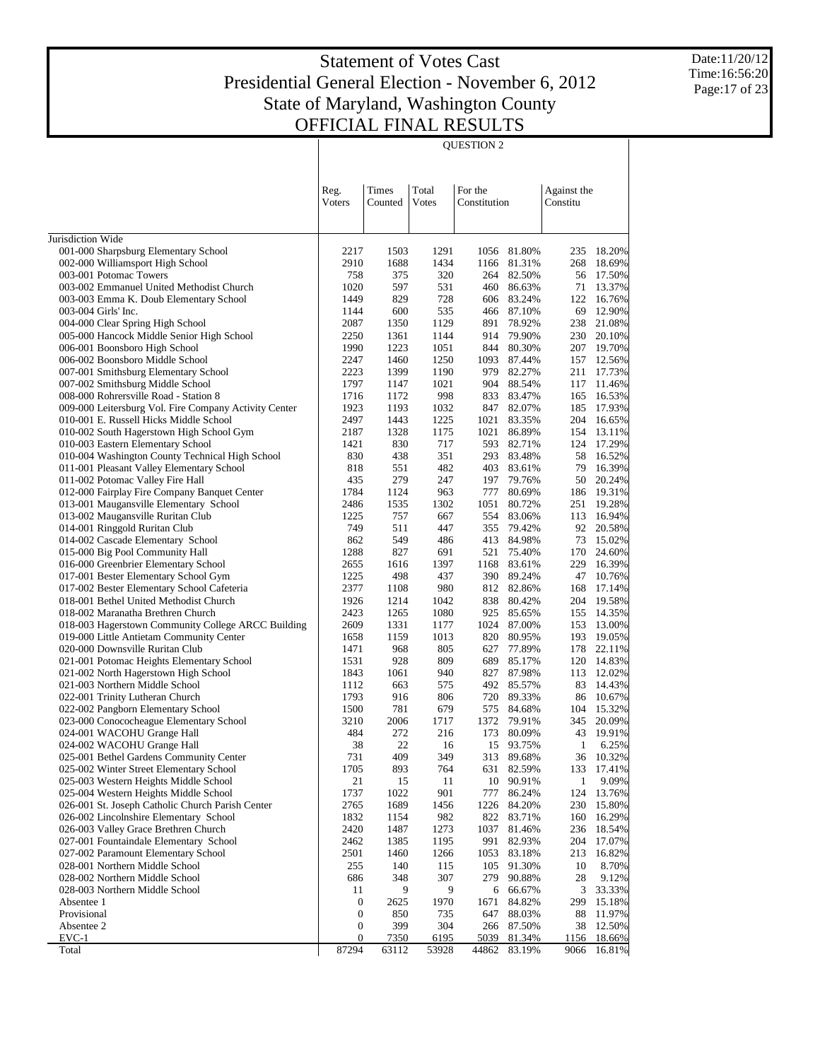QUESTION 2

Date:11/20/12 Time:16:56:20 Page:17 of 23

|                                                                                            | Reg.             | Times        | Total        | For the      |                          | Against the  |                  |
|--------------------------------------------------------------------------------------------|------------------|--------------|--------------|--------------|--------------------------|--------------|------------------|
|                                                                                            | Voters           | Counted      | Votes        | Constitution |                          | Constitu     |                  |
|                                                                                            |                  |              |              |              |                          |              |                  |
| Jurisdiction Wide                                                                          |                  |              |              |              |                          |              |                  |
| 001-000 Sharpsburg Elementary School                                                       | 2217             | 1503         | 1291         |              | 1056 81.80%              | 235          | 18.20%           |
| 002-000 Williamsport High School                                                           | 2910             | 1688         | 1434         |              | 1166 81.31%              | 268          | 18.69%           |
| 003-001 Potomac Towers                                                                     | 758              | 375          | 320          |              | 264 82.50%               | 56           | 17.50%           |
| 003-002 Emmanuel United Methodist Church                                                   | 1020             | 597          | 531          |              | 460 86.63%               | 71           | 13.37%           |
| 003-003 Emma K. Doub Elementary School                                                     | 1449             | 829          | 728          |              | 606 83.24%               | 122          | 16.76%           |
| 003-004 Girls' Inc.                                                                        | 1144             | 600          | 535          |              | 466 87.10%               | 69           | 12.90%           |
| 004-000 Clear Spring High School                                                           | 2087             | 1350         | 1129         | 891          | 78.92%                   | 238          | 21.08%           |
| 005-000 Hancock Middle Senior High School                                                  | 2250             | 1361<br>1223 | 1144         |              | 914 79.90%               | 230          | 20.10%           |
| 006-001 Boonsboro High School<br>006-002 Boonsboro Middle School                           | 1990<br>2247     | 1460         | 1051<br>1250 | 1093         | 844 80.30%<br>87.44%     | 207<br>157   | 19.70%<br>12.56% |
| 007-001 Smithsburg Elementary School                                                       | 2223             | 1399         | 1190         | 979          | 82.27%                   | 211          | 17.73%           |
| 007-002 Smithsburg Middle School                                                           | 1797             | 1147         | 1021         |              | 904 88.54%               | 117          | 11.46%           |
| 008-000 Rohrersville Road - Station 8                                                      | 1716             | 1172         | 998          | 833          | 83.47%                   | 165          | 16.53%           |
| 009-000 Leitersburg Vol. Fire Company Activity Center                                      | 1923             | 1193         | 1032         | 847          | 82.07%                   | 185          | 17.93%           |
| 010-001 E. Russell Hicks Middle School                                                     | 2497             | 1443         | 1225         | 1021         | 83.35%                   | 204          | 16.65%           |
| 010-002 South Hagerstown High School Gym                                                   | 2187             | 1328         | 1175         | 1021         | 86.89%                   | 154          | 13.11%           |
| 010-003 Eastern Elementary School                                                          | 1421             | 830          | 717          | 593          | 82.71%                   | 124          | 17.29%           |
| 010-004 Washington County Technical High School                                            | 830              | 438          | 351          | 293          | 83.48%                   | 58           | 16.52%           |
| 011-001 Pleasant Valley Elementary School                                                  | 818              | 551          | 482          | 403          | 83.61%                   | 79           | 16.39%           |
| 011-002 Potomac Valley Fire Hall                                                           | 435              | 279          | 247          | 197          | 79.76%                   | 50           | 20.24%           |
| 012-000 Fairplay Fire Company Banquet Center                                               | 1784             | 1124         | 963          | 777          | 80.69%                   | 186          | 19.31%           |
| 013-001 Maugansville Elementary School                                                     | 2486             | 1535         | 1302         | 1051         | 80.72%                   | 251          | 19.28%           |
| 013-002 Maugansville Ruritan Club                                                          | 1225             | 757          | 667          | 554          | 83.06%                   | 113          | 16.94%           |
| 014-001 Ringgold Ruritan Club                                                              | 749              | 511          | 447          | 355          | 79.42%                   | 92           | 20.58%           |
| 014-002 Cascade Elementary School                                                          | 862              | 549          | 486          |              | 413 84.98%               | 73           | 15.02%           |
| 015-000 Big Pool Community Hall                                                            | 1288             | 827          | 691          | 521          | 75.40%                   | 170          | 24.60%           |
| 016-000 Greenbrier Elementary School                                                       | 2655             | 1616         | 1397         | 1168         | 83.61%                   | 229          | 16.39%           |
| 017-001 Bester Elementary School Gym                                                       | 1225             | 498          | 437          |              | 390 89.24%               | 47           | 10.76%           |
| 017-002 Bester Elementary School Cafeteria<br>018-001 Bethel United Methodist Church       | 2377<br>1926     | 1108<br>1214 | 980<br>1042  |              | 812 82.86%<br>838 80.42% | 168<br>204   | 17.14%<br>19.58% |
| 018-002 Maranatha Brethren Church                                                          | 2423             | 1265         | 1080         | 925          | 85.65%                   | 155          | 14.35%           |
| 018-003 Hagerstown Community College ARCC Building                                         | 2609             | 1331         | 1177         | 1024         | 87.00%                   | 153          | 13.00%           |
| 019-000 Little Antietam Community Center                                                   | 1658             | 1159         | 1013         | 820          | 80.95%                   | 193          | 19.05%           |
| 020-000 Downsville Ruritan Club                                                            | 1471             | 968          | 805          | 627          | 77.89%                   | 178          | 22.11%           |
| 021-001 Potomac Heights Elementary School                                                  | 1531             | 928          | 809          | 689          | 85.17%                   | 120          | 14.83%           |
| 021-002 North Hagerstown High School                                                       | 1843             | 1061         | 940          | 827          | 87.98%                   | 113          | 12.02%           |
| 021-003 Northern Middle School                                                             | 1112             | 663          | 575          |              | 492 85.57%               | 83           | 14.43%           |
| 022-001 Trinity Lutheran Church                                                            | 1793             | 916          | 806          |              | 720 89.33%               | 86           | 10.67%           |
| 022-002 Pangborn Elementary School                                                         | 1500             | 781          | 679          |              | 575 84.68%               | 104          | 15.32%           |
| 023-000 Conococheague Elementary School                                                    | 3210             | 2006         | 1717         |              | 1372 79.91%              | 345          | 20.09%           |
| 024-001 WACOHU Grange Hall                                                                 | 484              | 272          | 216          | 173          | 80.09%                   | 43           | 19.91%           |
| 024-002 WACOHU Grange Hall                                                                 | 38               | 22           | 16           | 15           | 93.75%                   | 1            | 6.25%            |
| 025-001 Bethel Gardens Community Center                                                    | 731              | 409          | 349          | 313          | 89.68%                   | 36           | 10.32%           |
| 025-002 Winter Street Elementary School                                                    | 1705             | 893          | 764          |              | 631 82.59%               | 133          | 17.41%           |
| 025-003 Western Heights Middle School                                                      | 21               | 15           | 11           | 10           | 90.91%                   | $\mathbf{1}$ | 9.09%            |
| 025-004 Western Heights Middle School                                                      | 1737             | 1022         | 901          | 777          | 86.24%                   | 124          | 13.76%           |
| 026-001 St. Joseph Catholic Church Parish Center<br>026-002 Lincolnshire Elementary School | 2765             | 1689         | 1456         | 1226         | 84.20%                   | 230          | 15.80%           |
| 026-003 Valley Grace Brethren Church                                                       | 1832<br>2420     | 1154<br>1487 | 982<br>1273  | 1037         | 822 83.71%<br>81.46%     | 160<br>236   | 16.29%<br>18.54% |
| 027-001 Fountaindale Elementary School                                                     | 2462             | 1385         | 1195         | 991          | 82.93%                   | 204          | 17.07%           |
| 027-002 Paramount Elementary School                                                        | 2501             | 1460         | 1266         | 1053         | 83.18%                   | 213          | 16.82%           |
| 028-001 Northern Middle School                                                             | 255              | 140          | 115          | 105          | 91.30%                   | 10           | 8.70%            |
| 028-002 Northern Middle School                                                             | 686              | 348          | 307          | 279          | 90.88%                   | 28           | 9.12%            |
| 028-003 Northern Middle School                                                             | 11               | 9            | 9            | 6            | 66.67%                   | 3            | 33.33%           |
| Absentee 1                                                                                 | $\boldsymbol{0}$ | 2625         | 1970         | 1671         | 84.82%                   | 299          | 15.18%           |
| Provisional                                                                                | $\boldsymbol{0}$ | 850          | 735          | 647          | 88.03%                   | 88           | 11.97%           |
| Absentee 2                                                                                 | $\boldsymbol{0}$ | 399          | 304          | 266          | 87.50%                   | 38           | 12.50%           |
| $EVC-1$                                                                                    | 0                | <u>7350</u>  | 6195         | 5039         | 81.34%                   | 1156         | 18.66%           |
| Total                                                                                      | 87294            | 63112        | 53928        | 44862        | 83.19%                   | 9066         | 16.81%           |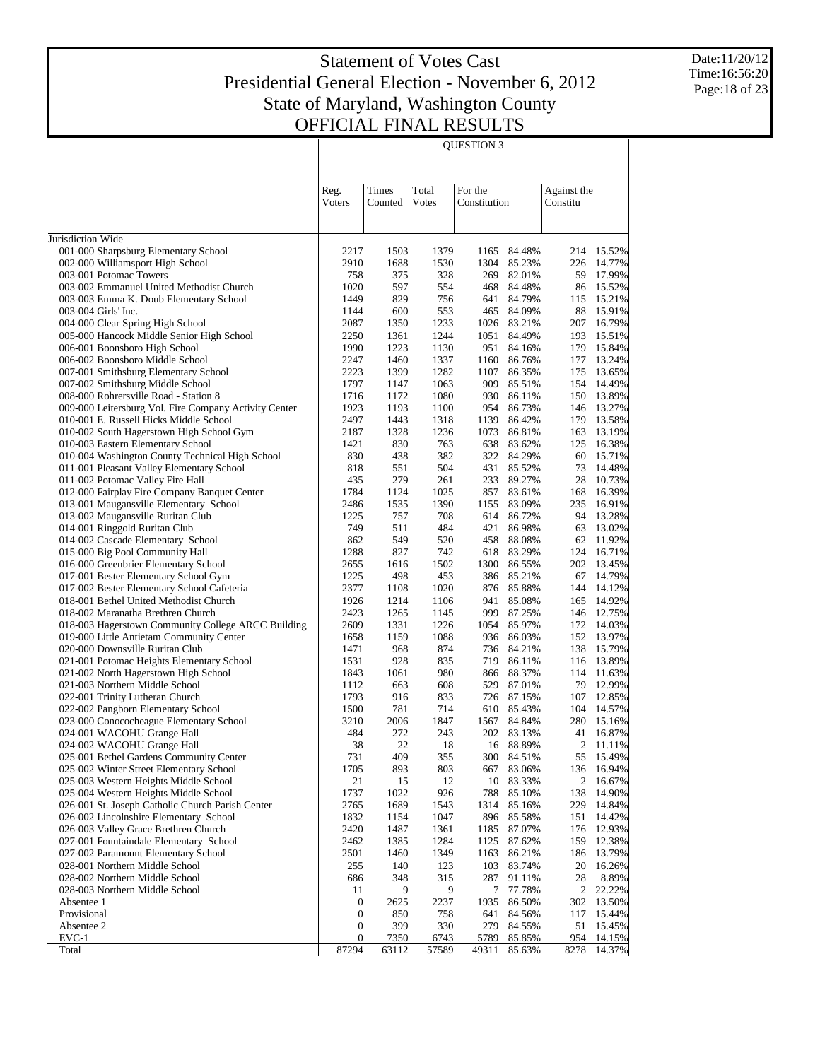QUESTION 3

Date:11/20/12 Time:16:56:20 Page:18 of 23

|                                                                                      | Reg.             | Times        | Total        | For the      |                           | Against the    |                  |
|--------------------------------------------------------------------------------------|------------------|--------------|--------------|--------------|---------------------------|----------------|------------------|
|                                                                                      | Voters           | Counted      | Votes        | Constitution |                           | Constitu       |                  |
|                                                                                      |                  |              |              |              |                           |                |                  |
| Jurisdiction Wide                                                                    |                  |              |              |              |                           |                |                  |
| 001-000 Sharpsburg Elementary School                                                 | 2217             | 1503         | 1379         | 1165         | 84.48%                    |                | 214 15.52%       |
| 002-000 Williamsport High School                                                     | 2910             | 1688         | 1530         | 1304         | 85.23%                    | 226            | 14.77%           |
| 003-001 Potomac Towers                                                               | 758              | 375          | 328          | 269          | 82.01%                    | 59             | 17.99%           |
| 003-002 Emmanuel United Methodist Church                                             | 1020             | 597          | 554          |              | 468 84.48%                | 86             | 15.52%           |
| 003-003 Emma K. Doub Elementary School                                               | 1449             | 829          | 756          | 641          | 84.79%                    | 115            | 15.21%           |
| 003-004 Girls' Inc.                                                                  | 1144             | 600          | 553          |              | 465 84.09%                | 88             | 15.91%           |
| 004-000 Clear Spring High School                                                     | 2087             | 1350         | 1233         |              | 1026 83.21%               | 207            | 16.79%           |
| 005-000 Hancock Middle Senior High School<br>006-001 Boonsboro High School           | 2250<br>1990     | 1361<br>1223 | 1244<br>1130 |              | 1051 84.49%<br>951 84.16% | 193<br>179     | 15.51%<br>15.84% |
| 006-002 Boonsboro Middle School                                                      | 2247             | 1460         | 1337         | 1160         | 86.76%                    | 177            | 13.24%           |
| 007-001 Smithsburg Elementary School                                                 | 2223             | 1399         | 1282         | 1107         | 86.35%                    | 175            | 13.65%           |
| 007-002 Smithsburg Middle School                                                     | 1797             | 1147         | 1063         | 909          | 85.51%                    | 154            | 14.49%           |
| 008-000 Rohrersville Road - Station 8                                                | 1716             | 1172         | 1080         | 930          | 86.11%                    | 150            | 13.89%           |
| 009-000 Leitersburg Vol. Fire Company Activity Center                                | 1923             | 1193         | 1100         | 954          | 86.73%                    | 146            | 13.27%           |
| 010-001 E. Russell Hicks Middle School                                               | 2497             | 1443         | 1318         | 1139         | 86.42%                    | 179            | 13.58%           |
| 010-002 South Hagerstown High School Gym                                             | 2187             | 1328         | 1236         | 1073         | 86.81%                    | 163            | 13.19%           |
| 010-003 Eastern Elementary School                                                    | 1421             | 830          | 763          | 638          | 83.62%                    | 125            | 16.38%           |
| 010-004 Washington County Technical High School                                      | 830              | 438          | 382          |              | 322 84.29%                | 60             | 15.71%           |
| 011-001 Pleasant Valley Elementary School<br>011-002 Potomac Valley Fire Hall        | 818<br>435       | 551<br>279   | 504<br>261   |              | 431 85.52%<br>233 89.27%  | 73<br>28       | 14.48%<br>10.73% |
| 012-000 Fairplay Fire Company Banquet Center                                         | 1784             | 1124         | 1025         | 857          | 83.61%                    | 168            | 16.39%           |
| 013-001 Maugansville Elementary School                                               | 2486             | 1535         | 1390         | 1155         | 83.09%                    | 235            | 16.91%           |
| 013-002 Maugansville Ruritan Club                                                    | 1225             | 757          | 708          |              | 614 86.72%                | 94             | 13.28%           |
| 014-001 Ringgold Ruritan Club                                                        | 749              | 511          | 484          |              | 421 86.98%                | 63             | 13.02%           |
| 014-002 Cascade Elementary School                                                    | 862              | 549          | 520          | 458          | 88.08%                    | 62             | 11.92%           |
| 015-000 Big Pool Community Hall                                                      | 1288             | 827          | 742          |              | 618 83.29%                | 124            | 16.71%           |
| 016-000 Greenbrier Elementary School                                                 | 2655             | 1616         | 1502         | 1300         | 86.55%                    | 202            | 13.45%           |
| 017-001 Bester Elementary School Gym                                                 | 1225             | 498          | 453          |              | 386 85.21%                | 67             | 14.79%           |
| 017-002 Bester Elementary School Cafeteria<br>018-001 Bethel United Methodist Church | 2377<br>1926     | 1108<br>1214 | 1020<br>1106 |              | 876 85.88%<br>941 85.08%  | 144<br>165     | 14.12%<br>14.92% |
| 018-002 Maranatha Brethren Church                                                    | 2423             | 1265         | 1145         | 999          | 87.25%                    |                | 146 12.75%       |
| 018-003 Hagerstown Community College ARCC Building                                   | 2609             | 1331         | 1226         |              | 1054 85.97%               |                | 172 14.03%       |
| 019-000 Little Antietam Community Center                                             | 1658             | 1159         | 1088         |              | 936 86.03%                | 152            | 13.97%           |
| 020-000 Downsville Ruritan Club                                                      | 1471             | 968          | 874          |              | 736 84.21%                | 138            | 15.79%           |
| 021-001 Potomac Heights Elementary School                                            | 1531             | 928          | 835          | 719          | 86.11%                    | 116            | 13.89%           |
| 021-002 North Hagerstown High School                                                 | 1843             | 1061         | 980          | 866          | 88.37%                    | 114            | 11.63%           |
| 021-003 Northern Middle School                                                       | 1112             | 663          | 608          | 529          | 87.01%                    | 79             | 12.99%           |
| 022-001 Trinity Lutheran Church                                                      | 1793             | 916          | 833          |              | 726 87.15%                | 107            | 12.85%           |
| 022-002 Pangborn Elementary School                                                   | 1500<br>3210     | 781          | 714<br>1847  |              | 610 85.43%                | 104<br>280     | 14.57%           |
| 023-000 Conococheague Elementary School<br>024-001 WACOHU Grange Hall                | 484              | 2006<br>272  | 243          | 1567         | 84.84%<br>202 83.13%      | 41             | 15.16%<br>16.87% |
| 024-002 WACOHU Grange Hall                                                           | 38               | 22           | 18           |              | 16 88.89%                 | 2              | 11.11%           |
| 025-001 Bethel Gardens Community Center                                              | 731              | 409          | 355          | 300          | 84.51%                    | 55             | 15.49%           |
| 025-002 Winter Street Elementary School                                              | 1705             | 893          | 803          | 667          | 83.06%                    |                | 136 16.94%       |
| 025-003 Western Heights Middle School                                                | 21               | 15           | 12           | 10           | 83.33%                    | $\overline{c}$ | 16.67%           |
| 025-004 Western Heights Middle School                                                | 1737             | 1022         | 926          | 788          | 85.10%                    | 138            | 14.90%           |
| 026-001 St. Joseph Catholic Church Parish Center                                     | 2765             | 1689         | 1543         |              | 1314 85.16%               | 229            | 14.84%           |
| 026-002 Lincolnshire Elementary School                                               | 1832             | 1154         | 1047         |              | 896 85.58%                | 151            | 14.42%           |
| 026-003 Valley Grace Brethren Church                                                 | 2420             | 1487         | 1361         | 1185         | 87.07%                    | 176            | 12.93%           |
| 027-001 Fountaindale Elementary School<br>027-002 Paramount Elementary School        | 2462<br>2501     | 1385<br>1460 | 1284<br>1349 | 1125<br>1163 | 87.62%<br>86.21%          | 159<br>186     | 12.38%<br>13.79% |
| 028-001 Northern Middle School                                                       | 255              | 140          | 123          | 103          | 83.74%                    | 20             | 16.26%           |
| 028-002 Northern Middle School                                                       | 686              | 348          | 315          | 287          | 91.11%                    | 28             | 8.89%            |
| 028-003 Northern Middle School                                                       | 11               | 9            | 9            | 7            | 77.78%                    | $\overline{2}$ | 22.22%           |
| Absentee 1                                                                           | 0                | 2625         | 2237         | 1935         | 86.50%                    | 302            | 13.50%           |
| Provisional                                                                          | $\boldsymbol{0}$ | 850          | 758          | 641          | 84.56%                    | 117            | 15.44%           |
| Absentee 2                                                                           | $\boldsymbol{0}$ | 399          | 330          | 279          | 84.55%                    | 51             | 15.45%           |
| $EVC-1$                                                                              | $\mathbf{0}$     | 7350         | 6743         | 5789         | 85.85%                    | 954            | 14.15%           |
| Total                                                                                | 87294            | 63112        | 57589        | 49311        | 85.63%                    | 8278           | 14.37%           |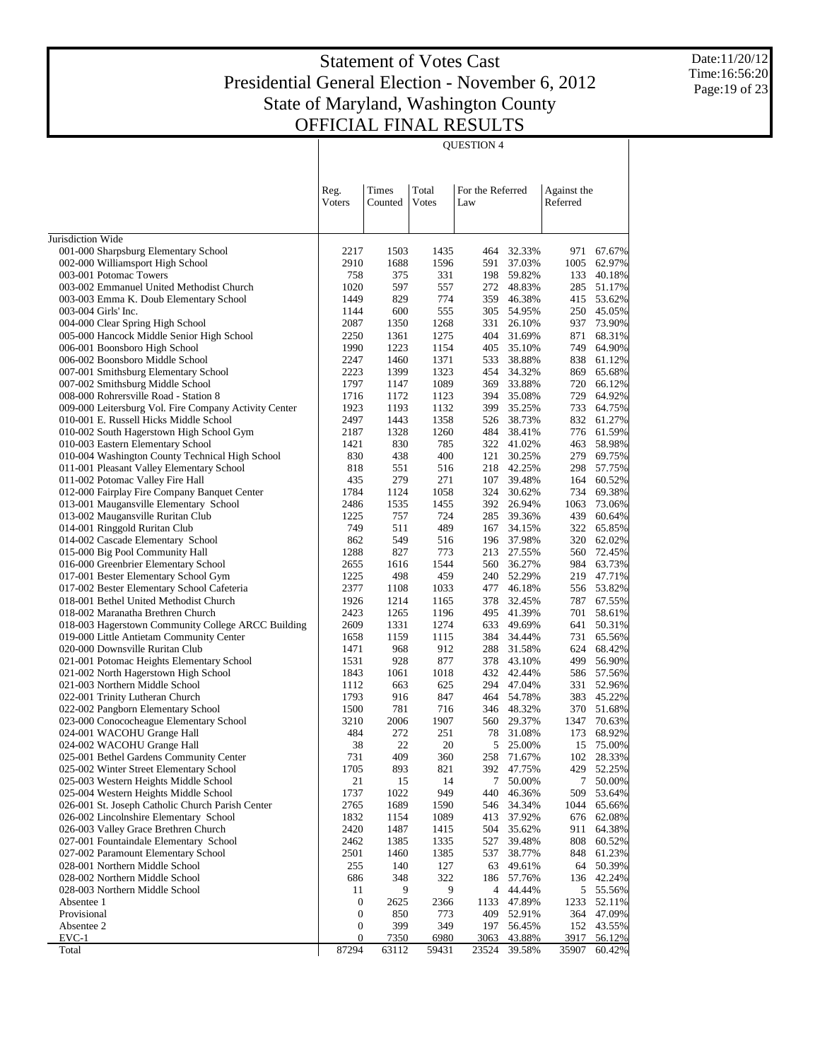QUESTION 4

Date:11/20/12 Time:16:56:20 Page:19 of 23

|                                                                               | Reg.             | Times        | Total        | For the Referred |                          | Against the |                  |
|-------------------------------------------------------------------------------|------------------|--------------|--------------|------------------|--------------------------|-------------|------------------|
|                                                                               | Voters           | Counted      | Votes        | Law              |                          | Referred    |                  |
|                                                                               |                  |              |              |                  |                          |             |                  |
| Jurisdiction Wide                                                             |                  |              |              |                  |                          |             |                  |
| 001-000 Sharpsburg Elementary School                                          | 2217             | 1503         | 1435         | 464              | 32.33%                   | 971         | 67.67%           |
| 002-000 Williamsport High School                                              | 2910             | 1688         | 1596         |                  | 591 37.03%               | 1005        | 62.97%           |
| 003-001 Potomac Towers                                                        | 758              | 375          | 331          |                  | 198 59.82%               | 133         | 40.18%           |
| 003-002 Emmanuel United Methodist Church                                      | 1020             | 597          | 557          |                  | 272 48.83%               | 285         | 51.17%           |
| 003-003 Emma K. Doub Elementary School                                        | 1449             | 829          | 774          | 359              | 46.38%                   | 415         | 53.62%           |
| 003-004 Girls' Inc.                                                           | 1144             | 600          | 555          | 305              | 54.95%                   | 250         | 45.05%           |
| 004-000 Clear Spring High School                                              | 2087             | 1350         | 1268         | 331              | 26.10%                   | 937         | 73.90%           |
| 005-000 Hancock Middle Senior High School<br>006-001 Boonsboro High School    | 2250<br>1990     | 1361<br>1223 | 1275<br>1154 | 404<br>405       | 31.69%<br>35.10%         | 871<br>749  | 68.31%<br>64.90% |
| 006-002 Boonsboro Middle School                                               | 2247             | 1460         | 1371         | 533              | 38.88%                   | 838         | 61.12%           |
| 007-001 Smithsburg Elementary School                                          | 2223             | 1399         | 1323         | 454              | 34.32%                   | 869         | 65.68%           |
| 007-002 Smithsburg Middle School                                              | 1797             | 1147         | 1089         | 369              | 33.88%                   | 720         | 66.12%           |
| 008-000 Rohrersville Road - Station 8                                         | 1716             | 1172         | 1123         |                  | 394 35.08%               | 729         | 64.92%           |
| 009-000 Leitersburg Vol. Fire Company Activity Center                         | 1923             | 1193         | 1132         | 399              | 35.25%                   | 733         | 64.75%           |
| 010-001 E. Russell Hicks Middle School                                        | 2497             | 1443         | 1358         | 526              | 38.73%                   | 832         | 61.27%           |
| 010-002 South Hagerstown High School Gym                                      | 2187             | 1328         | 1260         |                  | 484 38.41%               | 776         | 61.59%           |
| 010-003 Eastern Elementary School                                             | 1421             | 830          | 785          |                  | 322 41.02%               | 463         | 58.98%           |
| 010-004 Washington County Technical High School                               | 830              | 438          | 400          | 121              | 30.25%                   | 279         | 69.75%           |
| 011-001 Pleasant Valley Elementary School                                     | 818              | 551          | 516          |                  | 218 42.25%               | 298         | 57.75%           |
| 011-002 Potomac Valley Fire Hall                                              | 435              | 279          | 271          | 107              | 39.48%                   | 164         | 60.52%           |
| 012-000 Fairplay Fire Company Banquet Center                                  | 1784             | 1124         | 1058         | 324              | 30.62%                   | 734         | 69.38%           |
| 013-001 Maugansville Elementary School                                        | 2486             | 1535         | 1455         |                  | 392 26.94%               | 1063        | 73.06%           |
| 013-002 Maugansville Ruritan Club                                             | 1225             | 757          | 724          | 285              | 39.36%                   | 439         | 60.64%           |
| 014-001 Ringgold Ruritan Club                                                 | 749<br>862       | 511<br>549   | 489<br>516   | 167<br>196       | 34.15%<br>37.98%         | 322<br>320  | 65.85%<br>62.02% |
| 014-002 Cascade Elementary School<br>015-000 Big Pool Community Hall          | 1288             | 827          | 773          |                  | 213 27.55%               | 560         | 72.45%           |
| 016-000 Greenbrier Elementary School                                          | 2655             | 1616         | 1544         | 560              | 36.27%                   | 984         | 63.73%           |
| 017-001 Bester Elementary School Gym                                          | 1225             | 498          | 459          |                  | 240 52.29%               | 219         | 47.71%           |
| 017-002 Bester Elementary School Cafeteria                                    | 2377             | 1108         | 1033         | 477              | 46.18%                   | 556         | 53.82%           |
| 018-001 Bethel United Methodist Church                                        | 1926             | 1214         | 1165         | 378              | 32.45%                   | 787         | 67.55%           |
| 018-002 Maranatha Brethren Church                                             | 2423             | 1265         | 1196         |                  | 495 41.39%               | 701         | 58.61%           |
| 018-003 Hagerstown Community College ARCC Building                            | 2609             | 1331         | 1274         | 633              | 49.69%                   | 641         | 50.31%           |
| 019-000 Little Antietam Community Center                                      | 1658             | 1159         | 1115         | 384              | 34.44%                   | 731         | 65.56%           |
| 020-000 Downsville Ruritan Club                                               | 1471             | 968          | 912          | 288              | 31.58%                   | 624         | 68.42%           |
| 021-001 Potomac Heights Elementary School                                     | 1531             | 928          | 877          |                  | 378 43.10%               | 499         | 56.90%           |
| 021-002 North Hagerstown High School                                          | 1843             | 1061         | 1018         |                  | 432 42.44%               | 586         | 57.56%           |
| 021-003 Northern Middle School                                                | 1112             | 663          | 625          |                  | 294 47.04%               | 331         | 52.96%           |
| 022-001 Trinity Lutheran Church                                               | 1793<br>1500     | 916<br>781   | 847<br>716   |                  | 464 54.78%<br>346 48.32% | 383<br>370  | 45.22%<br>51.68% |
| 022-002 Pangborn Elementary School<br>023-000 Conococheague Elementary School | 3210             | 2006         | 1907         |                  | 560 29.37%               | 1347        | 70.63%           |
| 024-001 WACOHU Grange Hall                                                    | 484              | 272          | 251          | 78               | 31.08%                   | 173         | 68.92%           |
| 024-002 WACOHU Grange Hall                                                    | 38               | 22           | 20           | 5                | 25.00%                   | 15          | 75.00%           |
| 025-001 Bethel Gardens Community Center                                       | 731              | 409          | 360          | 258              | 71.67%                   | 102         | 28.33%           |
| 025-002 Winter Street Elementary School                                       | 1705             | 893          | 821          |                  | 392 47.75%               | 429         | 52.25%           |
| 025-003 Western Heights Middle School                                         | 21               | 15           | 14           | 7                | 50.00%                   | 7           | 50.00%           |
| 025-004 Western Heights Middle School                                         | 1737             | 1022         | 949          | 440              | 46.36%                   | 509         | 53.64%           |
| 026-001 St. Joseph Catholic Church Parish Center                              | 2765             | 1689         | 1590         | 546              | 34.34%                   | 1044        | 65.66%           |
| 026-002 Lincolnshire Elementary School                                        | 1832             | 1154         | 1089         | 413              | 37.92%                   | 676         | 62.08%           |
| 026-003 Valley Grace Brethren Church                                          | 2420             | 1487         | 1415         | 504              | 35.62%                   | 911         | 64.38%           |
| 027-001 Fountaindale Elementary School                                        | 2462             | 1385         | 1335         | 527              | 39.48%                   | 808         | 60.52%           |
| 027-002 Paramount Elementary School                                           | 2501             | 1460         | 1385         | 537              | 38.77%                   | 848         | 61.23%           |
| 028-001 Northern Middle School<br>028-002 Northern Middle School              | 255<br>686       | 140          | 127<br>322   |                  | 63 49.61%<br>57.76%      | 64          | 50.39%<br>42.24% |
| 028-003 Northern Middle School                                                | 11               | 348<br>9     | 9            | 186              | 4 44.44%                 | 136         | 5 55.56%         |
| Absentee 1                                                                    | 0                | 2625         | 2366         |                  | 1133 47.89%              | 1233        | 52.11%           |
| Provisional                                                                   | $\boldsymbol{0}$ | 850          | 773          | 409              | 52.91%                   | 364         | 47.09%           |
| Absentee 2                                                                    | $\boldsymbol{0}$ | 399          | 349          | 197              | 56.45%                   | 152         | 43.55%           |
| $EVC-1$                                                                       | 0                | <u>7350</u>  | 6980         | 3063             | 43.88%                   | 3917        | 56.12%           |
| Total                                                                         | 87294            | 63112        | 59431        | 23524            | 39.58%                   | 35907       | 60.42%           |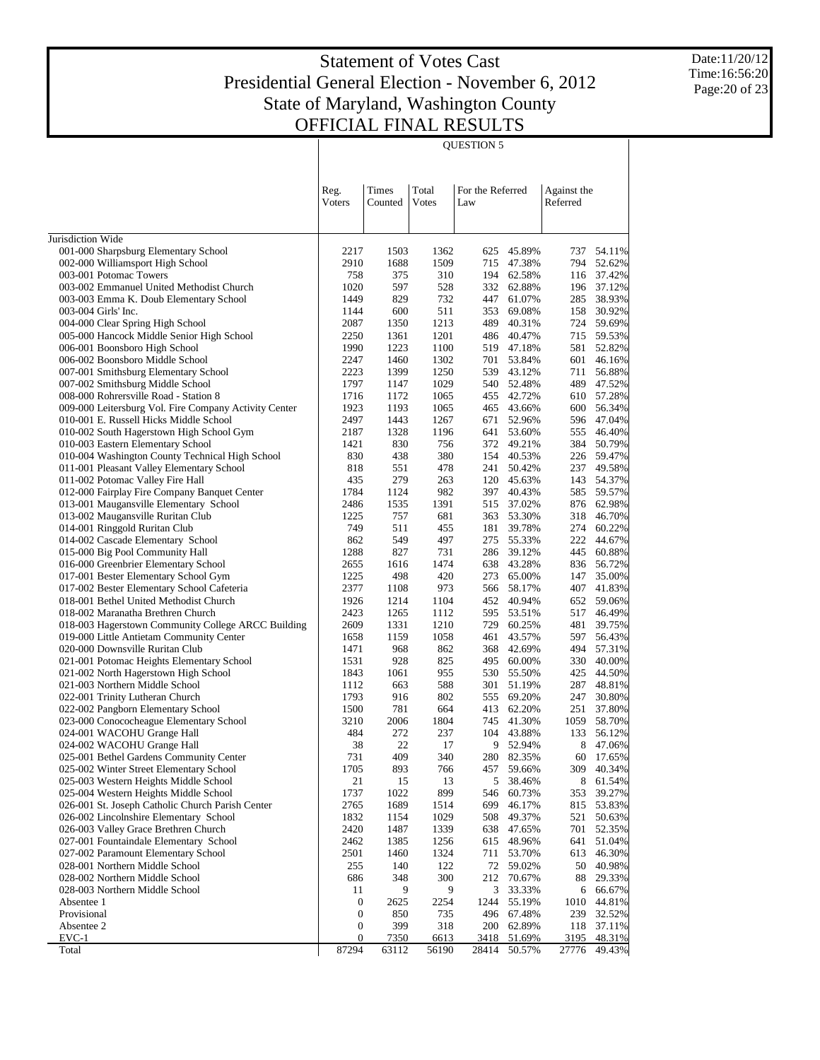QUESTION 5

Date:11/20/12 Time:16:56:20 Page:20 of 23

|                                                                                                 | Reg.<br>Voters   | Times<br>Counted | Total<br><b>V</b> otes | For the Referred<br>Law |                          | Against the<br>Referred |                  |
|-------------------------------------------------------------------------------------------------|------------------|------------------|------------------------|-------------------------|--------------------------|-------------------------|------------------|
| Jurisdiction Wide                                                                               |                  |                  |                        |                         |                          |                         |                  |
| 001-000 Sharpsburg Elementary School                                                            | 2217             | 1503             | 1362                   | 625                     | 45.89%                   | 737                     | 54.11%           |
| 002-000 Williamsport High School                                                                | 2910             | 1688             | 1509                   |                         | 715 47.38%               | 794                     | 52.62%           |
| 003-001 Potomac Towers                                                                          | 758              | 375              | 310                    |                         | 194 62.58%               | 116                     | 37.42%           |
| 003-002 Emmanuel United Methodist Church                                                        | 1020             | 597              | 528                    |                         | 332 62.88%               |                         | 196 37.12%       |
| 003-003 Emma K. Doub Elementary School                                                          | 1449             | 829              | 732                    | 447                     | 61.07%                   | 285                     | 38.93%           |
| 003-004 Girls' Inc.                                                                             | 1144             | 600              | 511                    | 353                     | 69.08%                   | 158                     | 30.92%           |
| 004-000 Clear Spring High School                                                                | 2087             | 1350             | 1213                   | 489                     | 40.31%                   | 724                     | 59.69%           |
| 005-000 Hancock Middle Senior High School                                                       | 2250             | 1361             | 1201                   |                         | 486 40.47%               | 715                     | 59.53%           |
| 006-001 Boonsboro High School                                                                   | 1990             | 1223             | 1100                   |                         | 519 47.18%               | 581                     | 52.82%           |
| 006-002 Boonsboro Middle School                                                                 | 2247             | 1460             | 1302                   |                         | 701 53.84%               | 601                     | 46.16%           |
| 007-001 Smithsburg Elementary School                                                            | 2223             | 1399             | 1250                   |                         | 539 43.12%               | 711                     | 56.88%           |
| 007-002 Smithsburg Middle School                                                                | 1797             | 1147             | 1029                   |                         | 540 52.48%               | 489                     | 47.52%           |
| 008-000 Rohrersville Road - Station 8                                                           | 1716             | 1172             | 1065                   |                         | 455 42.72%               | 610                     | 57.28%           |
| 009-000 Leitersburg Vol. Fire Company Activity Center<br>010-001 E. Russell Hicks Middle School | 1923<br>2497     | 1193<br>1443     | 1065<br>1267           |                         | 465 43.66%<br>671 52.96% | 600<br>596              | 56.34%<br>47.04% |
|                                                                                                 | 2187             | 1328             | 1196                   |                         | 641 53.60%               | 555                     | 46.40%           |
| 010-002 South Hagerstown High School Gym<br>010-003 Eastern Elementary School                   | 1421             | 830              | 756                    |                         | 372 49.21%               | 384                     | 50.79%           |
| 010-004 Washington County Technical High School                                                 | 830              | 438              | 380                    |                         | 154 40.53%               | 226                     | 59.47%           |
| 011-001 Pleasant Valley Elementary School                                                       | 818              | 551              | 478                    | 241                     | 50.42%                   | 237                     | 49.58%           |
| 011-002 Potomac Valley Fire Hall                                                                | 435              | 279              | 263                    |                         | 120 45.63%               | 143                     | 54.37%           |
| 012-000 Fairplay Fire Company Banquet Center                                                    | 1784             | 1124             | 982                    | 397                     | 40.43%                   | 585                     | 59.57%           |
| 013-001 Maugansville Elementary School                                                          | 2486             | 1535             | 1391                   |                         | 515 37.02%               | 876                     | 62.98%           |
| 013-002 Maugansville Ruritan Club                                                               | 1225             | 757              | 681                    |                         | 363 53.30%               | 318                     | 46.70%           |
| 014-001 Ringgold Ruritan Club                                                                   | 749              | 511              | 455                    |                         | 181 39.78%               | 274                     | 60.22%           |
| 014-002 Cascade Elementary School                                                               | 862              | 549              | 497                    |                         | 275 55.33%               | 222                     | 44.67%           |
| 015-000 Big Pool Community Hall                                                                 | 1288             | 827              | 731                    |                         | 286 39.12%               | 445                     | 60.88%           |
| 016-000 Greenbrier Elementary School                                                            | 2655             | 1616             | 1474                   |                         | 638 43.28%               | 836                     | 56.72%           |
| 017-001 Bester Elementary School Gym                                                            | 1225             | 498              | 420                    |                         | 273 65.00%               | 147                     | 35.00%           |
| 017-002 Bester Elementary School Cafeteria                                                      | 2377             | 1108             | 973                    |                         | 566 58.17%               | 407                     | 41.83%           |
| 018-001 Bethel United Methodist Church                                                          | 1926             | 1214             | 1104                   |                         | 452 40.94%               | 652                     | 59.06%           |
| 018-002 Maranatha Brethren Church                                                               | 2423             | 1265             | 1112                   | 595                     | 53.51%                   | 517                     | 46.49%           |
| 018-003 Hagerstown Community College ARCC Building                                              | 2609             | 1331             | 1210                   | 729                     | 60.25%                   | 481                     | 39.75%           |
| 019-000 Little Antietam Community Center                                                        | 1658             | 1159             | 1058                   | 461                     | 43.57%                   | 597                     | 56.43%           |
| 020-000 Downsville Ruritan Club                                                                 | 1471             | 968              | 862                    |                         | 368 42.69%               | 494                     | 57.31%           |
| 021-001 Potomac Heights Elementary School                                                       | 1531             | 928              | 825                    |                         | 495 60.00%               | 330                     | 40.00%           |
| 021-002 North Hagerstown High School                                                            | 1843             | 1061             | 955                    |                         | 530 55.50%               | 425                     | 44.50%           |
| 021-003 Northern Middle School                                                                  | 1112             | 663              | 588                    | 301                     | 51.19%                   | 287                     | 48.81%           |
| 022-001 Trinity Lutheran Church                                                                 | 1793             | 916              | 802                    |                         | 555 69.20%               | 247                     | 30.80%           |
| 022-002 Pangborn Elementary School                                                              | 1500             | 781              | 664                    | 413                     | 62.20%                   | 251                     | 37.80%           |
| 023-000 Conococheague Elementary School                                                         | 3210             | 2006             | 1804                   | 745                     | 41.30%                   | 1059                    | 58.70%           |
| 024-001 WACOHU Grange Hall                                                                      | 484<br>38        | 272<br>22        | 237<br>17              | 104<br>9                | 43.88%                   | 133<br>8                | 56.12%<br>47.06% |
| 024-002 WACOHU Grange Hall<br>025-001 Bethel Gardens Community Center                           | 731              | 409              | 340                    |                         | 52.94%<br>280 82.35%     | 60                      | 17.65%           |
| 025-002 Winter Street Elementary School                                                         | 1705             | 893              | 766                    |                         | 457 59.66%               | 309                     | 40.34%           |
| 025-003 Western Heights Middle School                                                           | 21               | 15               | 13                     |                         | 5 38.46%                 | 8                       | 61.54%           |
| 025-004 Western Heights Middle School                                                           | 1737             | 1022             | 899                    | 546                     | 60.73%                   | 353                     | 39.27%           |
| 026-001 St. Joseph Catholic Church Parish Center                                                | 2765             | 1689             | 1514                   | 699                     | 46.17%                   | 815                     | 53.83%           |
| 026-002 Lincolnshire Elementary School                                                          | 1832             | 1154             | 1029                   | 508                     | 49.37%                   | 521                     | 50.63%           |
| 026-003 Valley Grace Brethren Church                                                            | 2420             | 1487             | 1339                   |                         | 638 47.65%               | 701                     | 52.35%           |
| 027-001 Fountaindale Elementary School                                                          | 2462             | 1385             | 1256                   |                         | 615 48.96%               | 641                     | 51.04%           |
| 027-002 Paramount Elementary School                                                             | 2501             | 1460             | 1324                   |                         | 711 53.70%               | 613                     | 46.30%           |
| 028-001 Northern Middle School                                                                  | 255              | 140              | 122                    |                         | 72 59.02%                | 50                      | 40.98%           |
| 028-002 Northern Middle School                                                                  | 686              | 348              | 300                    | 212                     | 70.67%                   | 88                      | 29.33%           |
| 028-003 Northern Middle School                                                                  | 11               | 9                | 9                      |                         | 3 33.33%                 | 6                       | 66.67%           |
| Absentee 1                                                                                      | $\boldsymbol{0}$ | 2625             | 2254                   | 1244                    | 55.19%                   | 1010                    | 44.81%           |
| Provisional                                                                                     | $\boldsymbol{0}$ | 850              | 735                    |                         | 496 67.48%               | 239                     | 32.52%           |
| Absentee 2                                                                                      | $\boldsymbol{0}$ | 399              | 318                    | 200                     | 62.89%                   | 118                     | 37.11%           |
| $EVC-1$                                                                                         | $\boldsymbol{0}$ | <u>7350</u>      | 6613                   | 3418                    | 51.69%                   | 3195                    | 48.31%           |
| Total                                                                                           | 87294            | 63112            | 56190                  | 28414                   | 50.57%                   | 27776                   | 49.43%           |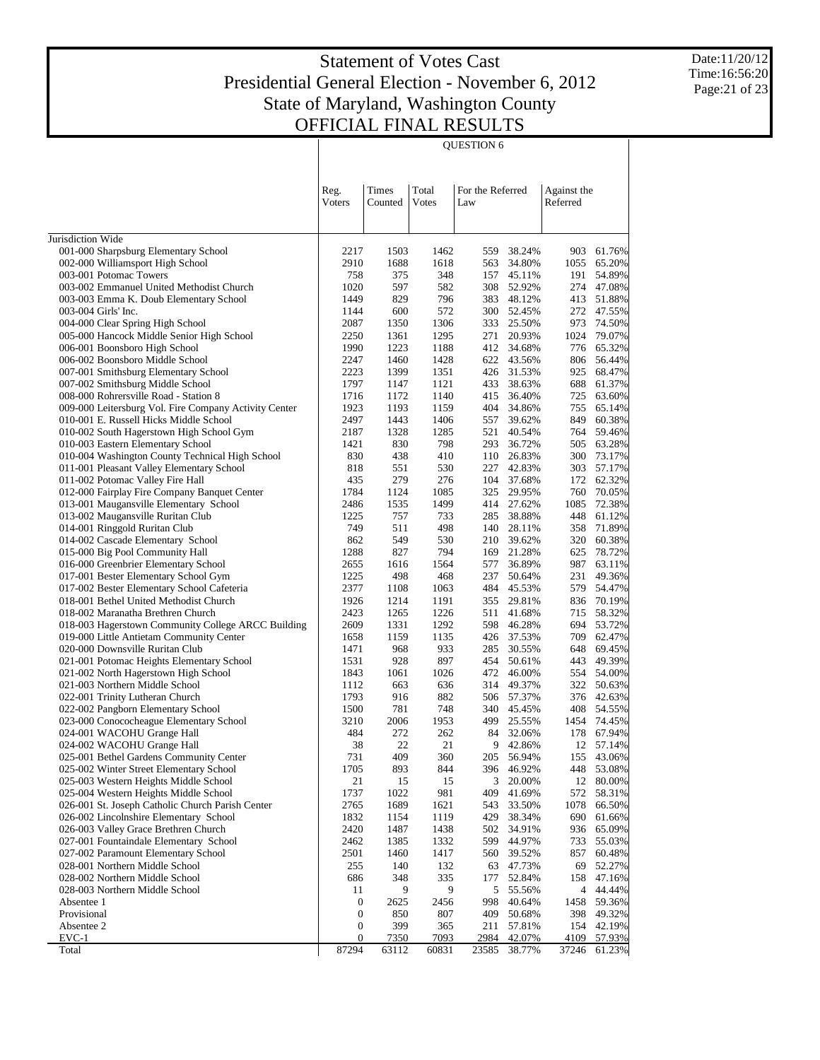QUESTION 6

Date:11/20/12 Time:16:56:20 Page:21 of 23

| Total<br>For the Referred<br>Times<br>Against the<br>Reg.<br>Voters<br>Counted<br>Votes<br>Referred<br>Law<br>Jurisdiction Wide<br>001-000 Sharpsburg Elementary School<br>2217<br>1503<br>1462<br>559<br>38.24%<br>903<br>61.76%<br>002-000 Williamsport High School<br>1618<br>65.20%<br>2910<br>1688<br>563<br>34.80%<br>1055<br>758<br>375<br>348<br>54.89%<br>003-001 Potomac Towers<br>157<br>45.11%<br>191<br>597<br>582<br>52.92%<br>47.08%<br>003-002 Emmanuel United Methodist Church<br>1020<br>308<br>274<br>796<br>48.12%<br>003-003 Emma K. Doub Elementary School<br>1449<br>829<br>383<br>413<br>51.88%<br>572<br>272 47.55%<br>003-004 Girls' Inc.<br>1144<br>600<br>300 52.45%<br>004-000 Clear Spring High School<br>1350<br>1306<br>973<br>74.50%<br>2087<br>333<br>25.50%<br>005-000 Hancock Middle Senior High School<br>1295<br>1024<br>79.07%<br>2250<br>1361<br>271<br>20.93%<br>1990<br>1223<br>1188<br>776<br>65.32%<br>006-001 Boonsboro High School<br>412<br>34.68%<br>1460<br>1428<br>806<br>56.44%<br>006-002 Boonsboro Middle School<br>2247<br>622 43.56%<br>2223<br>1399<br>1351<br>68.47%<br>007-001 Smithsburg Elementary School<br>426<br>31.53%<br>925<br>1797<br>688<br>61.37%<br>007-002 Smithsburg Middle School<br>1147<br>1121<br>433<br>38.63%<br>1716<br>1172<br>1140<br>63.60%<br>008-000 Rohrersville Road - Station 8<br>415<br>36.40%<br>725<br>1193<br>34.86%<br>755<br>65.14%<br>009-000 Leitersburg Vol. Fire Company Activity Center<br>1923<br>1159<br>404<br>1443<br>1406<br>60.38%<br>010-001 E. Russell Hicks Middle School<br>2497<br>557<br>39.62%<br>849<br>59.46%<br>010-002 South Hagerstown High School Gym<br>2187<br>1328<br>1285<br>521<br>40.54%<br>764<br>830<br>798<br>63.28%<br>010-003 Eastern Elementary School<br>1421<br>293<br>36.72%<br>505<br>010-004 Washington County Technical High School<br>830<br>26.83%<br>300<br>73.17%<br>438<br>410<br>110<br>011-001 Pleasant Valley Elementary School<br>530<br>57.17%<br>818<br>551<br>227<br>42.83%<br>303<br>011-002 Potomac Valley Fire Hall<br>279<br>276<br>37.68%<br>62.32%<br>435<br>104<br>172<br>012-000 Fairplay Fire Company Banquet Center<br>1784<br>1085<br>70.05%<br>1124<br>325<br>29.95%<br>760<br>013-001 Maugansville Elementary School<br>1535<br>1499<br>27.62%<br>1085<br>72.38%<br>2486<br>414<br>013-002 Maugansville Ruritan Club<br>757<br>733<br>1225<br>285<br>38.88%<br>448<br>61.12%<br>511<br>358<br>71.89%<br>014-001 Ringgold Ruritan Club<br>749<br>498<br>140<br>28.11%<br>862<br>549<br>530<br>60.38%<br>014-002 Cascade Elementary School<br>210<br>39.62%<br>320<br>1288<br>827<br>78.72%<br>015-000 Big Pool Community Hall<br>794<br>169<br>21.28%<br>625<br>2655<br>1564<br>987<br>63.11%<br>016-000 Greenbrier Elementary School<br>1616<br>577<br>36.89%<br>49.36%<br>017-001 Bester Elementary School Gym<br>1225<br>498<br>468<br>237<br>50.64%<br>231<br>2377<br>484<br>579<br>54.47%<br>017-002 Bester Elementary School Cafeteria<br>1108<br>1063<br>45.53%<br>1214<br>70.19%<br>018-001 Bethel United Methodist Church<br>1926<br>1191<br>355<br>29.81%<br>836<br>1265<br>1226<br>58.32%<br>018-002 Maranatha Brethren Church<br>2423<br>511<br>41.68%<br>715<br>1292<br>53.72%<br>018-003 Hagerstown Community College ARCC Building<br>2609<br>1331<br>598<br>46.28%<br>694<br>1159<br>1135<br>62.47%<br>019-000 Little Antietam Community Center<br>1658<br>426<br>37.53%<br>709<br>020-000 Downsville Ruritan Club<br>933<br>69.45%<br>1471<br>968<br>285<br>30.55%<br>648<br>021-001 Potomac Heights Elementary School<br>897<br>49.39%<br>1531<br>928<br>454<br>50.61%<br>443<br>1026<br>54.00%<br>021-002 North Hagerstown High School<br>1843<br>1061<br>472<br>46.00%<br>554<br>021-003 Northern Middle School<br>663<br>636<br>50.63%<br>1112<br>314<br>49.37%<br>322<br>1793<br>916<br>882<br>022-001 Trinity Lutheran Church<br>506 57.37%<br>376<br>42.63%<br>1500<br>781<br>748<br>022-002 Pangborn Elementary School<br>340<br>45.45%<br>408<br>54.55%<br>2006<br>1953<br>25.55%<br>023-000 Conococheague Elementary School<br>3210<br>499<br>1454<br>74.45%<br>484<br>272<br>262<br>67.94%<br>024-001 WACOHU Grange Hall<br>84<br>32.06%<br>178<br>22<br>21<br>024-002 WACOHU Grange Hall<br>38<br>9<br>42.86%<br>12 57.14%<br>731<br>360<br>155<br>43.06%<br>025-001 Bethel Gardens Community Center<br>409<br>205<br>56.94%<br>844<br>1705<br>893<br>025-002 Winter Street Elementary School<br>396<br>46.92%<br>448<br>53.08%<br>025-003 Western Heights Middle School<br>21<br>15<br>3<br>12 80.00%<br>15<br>20.00%<br>025-004 Western Heights Middle School<br>1737<br>1022<br>981<br>41.69%<br>572<br>58.31%<br>409<br>026-001 St. Joseph Catholic Church Parish Center<br>2765<br>1689<br>1621<br>1078<br>66.50%<br>543<br>33.50%<br>026-002 Lincolnshire Elementary School<br>1119<br>429<br>38.34%<br>690<br>1832<br>1154<br>61.66%<br>026-003 Valley Grace Brethren Church<br>1438<br>936<br>65.09%<br>2420<br>1487<br>502<br>34.91%<br>44.97%<br>027-001 Fountaindale Elementary School<br>2462<br>1385<br>1332<br>599<br>733<br>55.03%<br>1460<br>1417<br>857<br>60.48%<br>027-002 Paramount Elementary School<br>2501<br>560<br>39.52%<br>028-001 Northern Middle School<br>255<br>140<br>132<br>69<br>63 47.73%<br>52.27%<br>028-002 Northern Middle School<br>686<br>335<br>47.16%<br>348<br>177<br>52.84%<br>158<br>5 55.56% |                                |    |   |   |  |   |        |
|------------------------------------------------------------------------------------------------------------------------------------------------------------------------------------------------------------------------------------------------------------------------------------------------------------------------------------------------------------------------------------------------------------------------------------------------------------------------------------------------------------------------------------------------------------------------------------------------------------------------------------------------------------------------------------------------------------------------------------------------------------------------------------------------------------------------------------------------------------------------------------------------------------------------------------------------------------------------------------------------------------------------------------------------------------------------------------------------------------------------------------------------------------------------------------------------------------------------------------------------------------------------------------------------------------------------------------------------------------------------------------------------------------------------------------------------------------------------------------------------------------------------------------------------------------------------------------------------------------------------------------------------------------------------------------------------------------------------------------------------------------------------------------------------------------------------------------------------------------------------------------------------------------------------------------------------------------------------------------------------------------------------------------------------------------------------------------------------------------------------------------------------------------------------------------------------------------------------------------------------------------------------------------------------------------------------------------------------------------------------------------------------------------------------------------------------------------------------------------------------------------------------------------------------------------------------------------------------------------------------------------------------------------------------------------------------------------------------------------------------------------------------------------------------------------------------------------------------------------------------------------------------------------------------------------------------------------------------------------------------------------------------------------------------------------------------------------------------------------------------------------------------------------------------------------------------------------------------------------------------------------------------------------------------------------------------------------------------------------------------------------------------------------------------------------------------------------------------------------------------------------------------------------------------------------------------------------------------------------------------------------------------------------------------------------------------------------------------------------------------------------------------------------------------------------------------------------------------------------------------------------------------------------------------------------------------------------------------------------------------------------------------------------------------------------------------------------------------------------------------------------------------------------------------------------------------------------------------------------------------------------------------------------------------------------------------------------------------------------------------------------------------------------------------------------------------------------------------------------------------------------------------------------------------------------------------------------------------------------------------------------------------------------------------------------------------------------------------------------------------------------------------------------------------------------------------------------------------------------------------------------------------------------------------------------------------------------------------------------------------------------------------------------------------------------------------------------------------------------------------------------------------------------------------------------------------------------------------------------------------------------------------------------------------------------------------------------------------------------------------------------------------------------------------------------------|--------------------------------|----|---|---|--|---|--------|
|                                                                                                                                                                                                                                                                                                                                                                                                                                                                                                                                                                                                                                                                                                                                                                                                                                                                                                                                                                                                                                                                                                                                                                                                                                                                                                                                                                                                                                                                                                                                                                                                                                                                                                                                                                                                                                                                                                                                                                                                                                                                                                                                                                                                                                                                                                                                                                                                                                                                                                                                                                                                                                                                                                                                                                                                                                                                                                                                                                                                                                                                                                                                                                                                                                                                                                                                                                                                                                                                                                                                                                                                                                                                                                                                                                                                                                                                                                                                                                                                                                                                                                                                                                                                                                                                                                                                                                                                                                                                                                                                                                                                                                                                                                                                                                                                                                                                                                                                                                                                                                                                                                                                                                                                                                                                                                                                                                                                                                          |                                |    |   |   |  |   |        |
|                                                                                                                                                                                                                                                                                                                                                                                                                                                                                                                                                                                                                                                                                                                                                                                                                                                                                                                                                                                                                                                                                                                                                                                                                                                                                                                                                                                                                                                                                                                                                                                                                                                                                                                                                                                                                                                                                                                                                                                                                                                                                                                                                                                                                                                                                                                                                                                                                                                                                                                                                                                                                                                                                                                                                                                                                                                                                                                                                                                                                                                                                                                                                                                                                                                                                                                                                                                                                                                                                                                                                                                                                                                                                                                                                                                                                                                                                                                                                                                                                                                                                                                                                                                                                                                                                                                                                                                                                                                                                                                                                                                                                                                                                                                                                                                                                                                                                                                                                                                                                                                                                                                                                                                                                                                                                                                                                                                                                                          |                                |    |   |   |  |   |        |
|                                                                                                                                                                                                                                                                                                                                                                                                                                                                                                                                                                                                                                                                                                                                                                                                                                                                                                                                                                                                                                                                                                                                                                                                                                                                                                                                                                                                                                                                                                                                                                                                                                                                                                                                                                                                                                                                                                                                                                                                                                                                                                                                                                                                                                                                                                                                                                                                                                                                                                                                                                                                                                                                                                                                                                                                                                                                                                                                                                                                                                                                                                                                                                                                                                                                                                                                                                                                                                                                                                                                                                                                                                                                                                                                                                                                                                                                                                                                                                                                                                                                                                                                                                                                                                                                                                                                                                                                                                                                                                                                                                                                                                                                                                                                                                                                                                                                                                                                                                                                                                                                                                                                                                                                                                                                                                                                                                                                                                          |                                |    |   |   |  |   |        |
|                                                                                                                                                                                                                                                                                                                                                                                                                                                                                                                                                                                                                                                                                                                                                                                                                                                                                                                                                                                                                                                                                                                                                                                                                                                                                                                                                                                                                                                                                                                                                                                                                                                                                                                                                                                                                                                                                                                                                                                                                                                                                                                                                                                                                                                                                                                                                                                                                                                                                                                                                                                                                                                                                                                                                                                                                                                                                                                                                                                                                                                                                                                                                                                                                                                                                                                                                                                                                                                                                                                                                                                                                                                                                                                                                                                                                                                                                                                                                                                                                                                                                                                                                                                                                                                                                                                                                                                                                                                                                                                                                                                                                                                                                                                                                                                                                                                                                                                                                                                                                                                                                                                                                                                                                                                                                                                                                                                                                                          |                                |    |   |   |  |   |        |
|                                                                                                                                                                                                                                                                                                                                                                                                                                                                                                                                                                                                                                                                                                                                                                                                                                                                                                                                                                                                                                                                                                                                                                                                                                                                                                                                                                                                                                                                                                                                                                                                                                                                                                                                                                                                                                                                                                                                                                                                                                                                                                                                                                                                                                                                                                                                                                                                                                                                                                                                                                                                                                                                                                                                                                                                                                                                                                                                                                                                                                                                                                                                                                                                                                                                                                                                                                                                                                                                                                                                                                                                                                                                                                                                                                                                                                                                                                                                                                                                                                                                                                                                                                                                                                                                                                                                                                                                                                                                                                                                                                                                                                                                                                                                                                                                                                                                                                                                                                                                                                                                                                                                                                                                                                                                                                                                                                                                                                          |                                |    |   |   |  |   |        |
|                                                                                                                                                                                                                                                                                                                                                                                                                                                                                                                                                                                                                                                                                                                                                                                                                                                                                                                                                                                                                                                                                                                                                                                                                                                                                                                                                                                                                                                                                                                                                                                                                                                                                                                                                                                                                                                                                                                                                                                                                                                                                                                                                                                                                                                                                                                                                                                                                                                                                                                                                                                                                                                                                                                                                                                                                                                                                                                                                                                                                                                                                                                                                                                                                                                                                                                                                                                                                                                                                                                                                                                                                                                                                                                                                                                                                                                                                                                                                                                                                                                                                                                                                                                                                                                                                                                                                                                                                                                                                                                                                                                                                                                                                                                                                                                                                                                                                                                                                                                                                                                                                                                                                                                                                                                                                                                                                                                                                                          |                                |    |   |   |  |   |        |
|                                                                                                                                                                                                                                                                                                                                                                                                                                                                                                                                                                                                                                                                                                                                                                                                                                                                                                                                                                                                                                                                                                                                                                                                                                                                                                                                                                                                                                                                                                                                                                                                                                                                                                                                                                                                                                                                                                                                                                                                                                                                                                                                                                                                                                                                                                                                                                                                                                                                                                                                                                                                                                                                                                                                                                                                                                                                                                                                                                                                                                                                                                                                                                                                                                                                                                                                                                                                                                                                                                                                                                                                                                                                                                                                                                                                                                                                                                                                                                                                                                                                                                                                                                                                                                                                                                                                                                                                                                                                                                                                                                                                                                                                                                                                                                                                                                                                                                                                                                                                                                                                                                                                                                                                                                                                                                                                                                                                                                          |                                |    |   |   |  |   |        |
|                                                                                                                                                                                                                                                                                                                                                                                                                                                                                                                                                                                                                                                                                                                                                                                                                                                                                                                                                                                                                                                                                                                                                                                                                                                                                                                                                                                                                                                                                                                                                                                                                                                                                                                                                                                                                                                                                                                                                                                                                                                                                                                                                                                                                                                                                                                                                                                                                                                                                                                                                                                                                                                                                                                                                                                                                                                                                                                                                                                                                                                                                                                                                                                                                                                                                                                                                                                                                                                                                                                                                                                                                                                                                                                                                                                                                                                                                                                                                                                                                                                                                                                                                                                                                                                                                                                                                                                                                                                                                                                                                                                                                                                                                                                                                                                                                                                                                                                                                                                                                                                                                                                                                                                                                                                                                                                                                                                                                                          |                                |    |   |   |  |   |        |
|                                                                                                                                                                                                                                                                                                                                                                                                                                                                                                                                                                                                                                                                                                                                                                                                                                                                                                                                                                                                                                                                                                                                                                                                                                                                                                                                                                                                                                                                                                                                                                                                                                                                                                                                                                                                                                                                                                                                                                                                                                                                                                                                                                                                                                                                                                                                                                                                                                                                                                                                                                                                                                                                                                                                                                                                                                                                                                                                                                                                                                                                                                                                                                                                                                                                                                                                                                                                                                                                                                                                                                                                                                                                                                                                                                                                                                                                                                                                                                                                                                                                                                                                                                                                                                                                                                                                                                                                                                                                                                                                                                                                                                                                                                                                                                                                                                                                                                                                                                                                                                                                                                                                                                                                                                                                                                                                                                                                                                          |                                |    |   |   |  |   |        |
|                                                                                                                                                                                                                                                                                                                                                                                                                                                                                                                                                                                                                                                                                                                                                                                                                                                                                                                                                                                                                                                                                                                                                                                                                                                                                                                                                                                                                                                                                                                                                                                                                                                                                                                                                                                                                                                                                                                                                                                                                                                                                                                                                                                                                                                                                                                                                                                                                                                                                                                                                                                                                                                                                                                                                                                                                                                                                                                                                                                                                                                                                                                                                                                                                                                                                                                                                                                                                                                                                                                                                                                                                                                                                                                                                                                                                                                                                                                                                                                                                                                                                                                                                                                                                                                                                                                                                                                                                                                                                                                                                                                                                                                                                                                                                                                                                                                                                                                                                                                                                                                                                                                                                                                                                                                                                                                                                                                                                                          |                                |    |   |   |  |   |        |
|                                                                                                                                                                                                                                                                                                                                                                                                                                                                                                                                                                                                                                                                                                                                                                                                                                                                                                                                                                                                                                                                                                                                                                                                                                                                                                                                                                                                                                                                                                                                                                                                                                                                                                                                                                                                                                                                                                                                                                                                                                                                                                                                                                                                                                                                                                                                                                                                                                                                                                                                                                                                                                                                                                                                                                                                                                                                                                                                                                                                                                                                                                                                                                                                                                                                                                                                                                                                                                                                                                                                                                                                                                                                                                                                                                                                                                                                                                                                                                                                                                                                                                                                                                                                                                                                                                                                                                                                                                                                                                                                                                                                                                                                                                                                                                                                                                                                                                                                                                                                                                                                                                                                                                                                                                                                                                                                                                                                                                          |                                |    |   |   |  |   |        |
|                                                                                                                                                                                                                                                                                                                                                                                                                                                                                                                                                                                                                                                                                                                                                                                                                                                                                                                                                                                                                                                                                                                                                                                                                                                                                                                                                                                                                                                                                                                                                                                                                                                                                                                                                                                                                                                                                                                                                                                                                                                                                                                                                                                                                                                                                                                                                                                                                                                                                                                                                                                                                                                                                                                                                                                                                                                                                                                                                                                                                                                                                                                                                                                                                                                                                                                                                                                                                                                                                                                                                                                                                                                                                                                                                                                                                                                                                                                                                                                                                                                                                                                                                                                                                                                                                                                                                                                                                                                                                                                                                                                                                                                                                                                                                                                                                                                                                                                                                                                                                                                                                                                                                                                                                                                                                                                                                                                                                                          |                                |    |   |   |  |   |        |
|                                                                                                                                                                                                                                                                                                                                                                                                                                                                                                                                                                                                                                                                                                                                                                                                                                                                                                                                                                                                                                                                                                                                                                                                                                                                                                                                                                                                                                                                                                                                                                                                                                                                                                                                                                                                                                                                                                                                                                                                                                                                                                                                                                                                                                                                                                                                                                                                                                                                                                                                                                                                                                                                                                                                                                                                                                                                                                                                                                                                                                                                                                                                                                                                                                                                                                                                                                                                                                                                                                                                                                                                                                                                                                                                                                                                                                                                                                                                                                                                                                                                                                                                                                                                                                                                                                                                                                                                                                                                                                                                                                                                                                                                                                                                                                                                                                                                                                                                                                                                                                                                                                                                                                                                                                                                                                                                                                                                                                          |                                |    |   |   |  |   |        |
|                                                                                                                                                                                                                                                                                                                                                                                                                                                                                                                                                                                                                                                                                                                                                                                                                                                                                                                                                                                                                                                                                                                                                                                                                                                                                                                                                                                                                                                                                                                                                                                                                                                                                                                                                                                                                                                                                                                                                                                                                                                                                                                                                                                                                                                                                                                                                                                                                                                                                                                                                                                                                                                                                                                                                                                                                                                                                                                                                                                                                                                                                                                                                                                                                                                                                                                                                                                                                                                                                                                                                                                                                                                                                                                                                                                                                                                                                                                                                                                                                                                                                                                                                                                                                                                                                                                                                                                                                                                                                                                                                                                                                                                                                                                                                                                                                                                                                                                                                                                                                                                                                                                                                                                                                                                                                                                                                                                                                                          |                                |    |   |   |  |   |        |
|                                                                                                                                                                                                                                                                                                                                                                                                                                                                                                                                                                                                                                                                                                                                                                                                                                                                                                                                                                                                                                                                                                                                                                                                                                                                                                                                                                                                                                                                                                                                                                                                                                                                                                                                                                                                                                                                                                                                                                                                                                                                                                                                                                                                                                                                                                                                                                                                                                                                                                                                                                                                                                                                                                                                                                                                                                                                                                                                                                                                                                                                                                                                                                                                                                                                                                                                                                                                                                                                                                                                                                                                                                                                                                                                                                                                                                                                                                                                                                                                                                                                                                                                                                                                                                                                                                                                                                                                                                                                                                                                                                                                                                                                                                                                                                                                                                                                                                                                                                                                                                                                                                                                                                                                                                                                                                                                                                                                                                          |                                |    |   |   |  |   |        |
|                                                                                                                                                                                                                                                                                                                                                                                                                                                                                                                                                                                                                                                                                                                                                                                                                                                                                                                                                                                                                                                                                                                                                                                                                                                                                                                                                                                                                                                                                                                                                                                                                                                                                                                                                                                                                                                                                                                                                                                                                                                                                                                                                                                                                                                                                                                                                                                                                                                                                                                                                                                                                                                                                                                                                                                                                                                                                                                                                                                                                                                                                                                                                                                                                                                                                                                                                                                                                                                                                                                                                                                                                                                                                                                                                                                                                                                                                                                                                                                                                                                                                                                                                                                                                                                                                                                                                                                                                                                                                                                                                                                                                                                                                                                                                                                                                                                                                                                                                                                                                                                                                                                                                                                                                                                                                                                                                                                                                                          |                                |    |   |   |  |   |        |
|                                                                                                                                                                                                                                                                                                                                                                                                                                                                                                                                                                                                                                                                                                                                                                                                                                                                                                                                                                                                                                                                                                                                                                                                                                                                                                                                                                                                                                                                                                                                                                                                                                                                                                                                                                                                                                                                                                                                                                                                                                                                                                                                                                                                                                                                                                                                                                                                                                                                                                                                                                                                                                                                                                                                                                                                                                                                                                                                                                                                                                                                                                                                                                                                                                                                                                                                                                                                                                                                                                                                                                                                                                                                                                                                                                                                                                                                                                                                                                                                                                                                                                                                                                                                                                                                                                                                                                                                                                                                                                                                                                                                                                                                                                                                                                                                                                                                                                                                                                                                                                                                                                                                                                                                                                                                                                                                                                                                                                          |                                |    |   |   |  |   |        |
|                                                                                                                                                                                                                                                                                                                                                                                                                                                                                                                                                                                                                                                                                                                                                                                                                                                                                                                                                                                                                                                                                                                                                                                                                                                                                                                                                                                                                                                                                                                                                                                                                                                                                                                                                                                                                                                                                                                                                                                                                                                                                                                                                                                                                                                                                                                                                                                                                                                                                                                                                                                                                                                                                                                                                                                                                                                                                                                                                                                                                                                                                                                                                                                                                                                                                                                                                                                                                                                                                                                                                                                                                                                                                                                                                                                                                                                                                                                                                                                                                                                                                                                                                                                                                                                                                                                                                                                                                                                                                                                                                                                                                                                                                                                                                                                                                                                                                                                                                                                                                                                                                                                                                                                                                                                                                                                                                                                                                                          |                                |    |   |   |  |   |        |
|                                                                                                                                                                                                                                                                                                                                                                                                                                                                                                                                                                                                                                                                                                                                                                                                                                                                                                                                                                                                                                                                                                                                                                                                                                                                                                                                                                                                                                                                                                                                                                                                                                                                                                                                                                                                                                                                                                                                                                                                                                                                                                                                                                                                                                                                                                                                                                                                                                                                                                                                                                                                                                                                                                                                                                                                                                                                                                                                                                                                                                                                                                                                                                                                                                                                                                                                                                                                                                                                                                                                                                                                                                                                                                                                                                                                                                                                                                                                                                                                                                                                                                                                                                                                                                                                                                                                                                                                                                                                                                                                                                                                                                                                                                                                                                                                                                                                                                                                                                                                                                                                                                                                                                                                                                                                                                                                                                                                                                          |                                |    |   |   |  |   |        |
|                                                                                                                                                                                                                                                                                                                                                                                                                                                                                                                                                                                                                                                                                                                                                                                                                                                                                                                                                                                                                                                                                                                                                                                                                                                                                                                                                                                                                                                                                                                                                                                                                                                                                                                                                                                                                                                                                                                                                                                                                                                                                                                                                                                                                                                                                                                                                                                                                                                                                                                                                                                                                                                                                                                                                                                                                                                                                                                                                                                                                                                                                                                                                                                                                                                                                                                                                                                                                                                                                                                                                                                                                                                                                                                                                                                                                                                                                                                                                                                                                                                                                                                                                                                                                                                                                                                                                                                                                                                                                                                                                                                                                                                                                                                                                                                                                                                                                                                                                                                                                                                                                                                                                                                                                                                                                                                                                                                                                                          |                                |    |   |   |  |   |        |
|                                                                                                                                                                                                                                                                                                                                                                                                                                                                                                                                                                                                                                                                                                                                                                                                                                                                                                                                                                                                                                                                                                                                                                                                                                                                                                                                                                                                                                                                                                                                                                                                                                                                                                                                                                                                                                                                                                                                                                                                                                                                                                                                                                                                                                                                                                                                                                                                                                                                                                                                                                                                                                                                                                                                                                                                                                                                                                                                                                                                                                                                                                                                                                                                                                                                                                                                                                                                                                                                                                                                                                                                                                                                                                                                                                                                                                                                                                                                                                                                                                                                                                                                                                                                                                                                                                                                                                                                                                                                                                                                                                                                                                                                                                                                                                                                                                                                                                                                                                                                                                                                                                                                                                                                                                                                                                                                                                                                                                          |                                |    |   |   |  |   |        |
|                                                                                                                                                                                                                                                                                                                                                                                                                                                                                                                                                                                                                                                                                                                                                                                                                                                                                                                                                                                                                                                                                                                                                                                                                                                                                                                                                                                                                                                                                                                                                                                                                                                                                                                                                                                                                                                                                                                                                                                                                                                                                                                                                                                                                                                                                                                                                                                                                                                                                                                                                                                                                                                                                                                                                                                                                                                                                                                                                                                                                                                                                                                                                                                                                                                                                                                                                                                                                                                                                                                                                                                                                                                                                                                                                                                                                                                                                                                                                                                                                                                                                                                                                                                                                                                                                                                                                                                                                                                                                                                                                                                                                                                                                                                                                                                                                                                                                                                                                                                                                                                                                                                                                                                                                                                                                                                                                                                                                                          |                                |    |   |   |  |   |        |
|                                                                                                                                                                                                                                                                                                                                                                                                                                                                                                                                                                                                                                                                                                                                                                                                                                                                                                                                                                                                                                                                                                                                                                                                                                                                                                                                                                                                                                                                                                                                                                                                                                                                                                                                                                                                                                                                                                                                                                                                                                                                                                                                                                                                                                                                                                                                                                                                                                                                                                                                                                                                                                                                                                                                                                                                                                                                                                                                                                                                                                                                                                                                                                                                                                                                                                                                                                                                                                                                                                                                                                                                                                                                                                                                                                                                                                                                                                                                                                                                                                                                                                                                                                                                                                                                                                                                                                                                                                                                                                                                                                                                                                                                                                                                                                                                                                                                                                                                                                                                                                                                                                                                                                                                                                                                                                                                                                                                                                          |                                |    |   |   |  |   |        |
|                                                                                                                                                                                                                                                                                                                                                                                                                                                                                                                                                                                                                                                                                                                                                                                                                                                                                                                                                                                                                                                                                                                                                                                                                                                                                                                                                                                                                                                                                                                                                                                                                                                                                                                                                                                                                                                                                                                                                                                                                                                                                                                                                                                                                                                                                                                                                                                                                                                                                                                                                                                                                                                                                                                                                                                                                                                                                                                                                                                                                                                                                                                                                                                                                                                                                                                                                                                                                                                                                                                                                                                                                                                                                                                                                                                                                                                                                                                                                                                                                                                                                                                                                                                                                                                                                                                                                                                                                                                                                                                                                                                                                                                                                                                                                                                                                                                                                                                                                                                                                                                                                                                                                                                                                                                                                                                                                                                                                                          |                                |    |   |   |  |   |        |
|                                                                                                                                                                                                                                                                                                                                                                                                                                                                                                                                                                                                                                                                                                                                                                                                                                                                                                                                                                                                                                                                                                                                                                                                                                                                                                                                                                                                                                                                                                                                                                                                                                                                                                                                                                                                                                                                                                                                                                                                                                                                                                                                                                                                                                                                                                                                                                                                                                                                                                                                                                                                                                                                                                                                                                                                                                                                                                                                                                                                                                                                                                                                                                                                                                                                                                                                                                                                                                                                                                                                                                                                                                                                                                                                                                                                                                                                                                                                                                                                                                                                                                                                                                                                                                                                                                                                                                                                                                                                                                                                                                                                                                                                                                                                                                                                                                                                                                                                                                                                                                                                                                                                                                                                                                                                                                                                                                                                                                          |                                |    |   |   |  |   |        |
|                                                                                                                                                                                                                                                                                                                                                                                                                                                                                                                                                                                                                                                                                                                                                                                                                                                                                                                                                                                                                                                                                                                                                                                                                                                                                                                                                                                                                                                                                                                                                                                                                                                                                                                                                                                                                                                                                                                                                                                                                                                                                                                                                                                                                                                                                                                                                                                                                                                                                                                                                                                                                                                                                                                                                                                                                                                                                                                                                                                                                                                                                                                                                                                                                                                                                                                                                                                                                                                                                                                                                                                                                                                                                                                                                                                                                                                                                                                                                                                                                                                                                                                                                                                                                                                                                                                                                                                                                                                                                                                                                                                                                                                                                                                                                                                                                                                                                                                                                                                                                                                                                                                                                                                                                                                                                                                                                                                                                                          |                                |    |   |   |  |   |        |
|                                                                                                                                                                                                                                                                                                                                                                                                                                                                                                                                                                                                                                                                                                                                                                                                                                                                                                                                                                                                                                                                                                                                                                                                                                                                                                                                                                                                                                                                                                                                                                                                                                                                                                                                                                                                                                                                                                                                                                                                                                                                                                                                                                                                                                                                                                                                                                                                                                                                                                                                                                                                                                                                                                                                                                                                                                                                                                                                                                                                                                                                                                                                                                                                                                                                                                                                                                                                                                                                                                                                                                                                                                                                                                                                                                                                                                                                                                                                                                                                                                                                                                                                                                                                                                                                                                                                                                                                                                                                                                                                                                                                                                                                                                                                                                                                                                                                                                                                                                                                                                                                                                                                                                                                                                                                                                                                                                                                                                          |                                |    |   |   |  |   |        |
|                                                                                                                                                                                                                                                                                                                                                                                                                                                                                                                                                                                                                                                                                                                                                                                                                                                                                                                                                                                                                                                                                                                                                                                                                                                                                                                                                                                                                                                                                                                                                                                                                                                                                                                                                                                                                                                                                                                                                                                                                                                                                                                                                                                                                                                                                                                                                                                                                                                                                                                                                                                                                                                                                                                                                                                                                                                                                                                                                                                                                                                                                                                                                                                                                                                                                                                                                                                                                                                                                                                                                                                                                                                                                                                                                                                                                                                                                                                                                                                                                                                                                                                                                                                                                                                                                                                                                                                                                                                                                                                                                                                                                                                                                                                                                                                                                                                                                                                                                                                                                                                                                                                                                                                                                                                                                                                                                                                                                                          |                                |    |   |   |  |   |        |
|                                                                                                                                                                                                                                                                                                                                                                                                                                                                                                                                                                                                                                                                                                                                                                                                                                                                                                                                                                                                                                                                                                                                                                                                                                                                                                                                                                                                                                                                                                                                                                                                                                                                                                                                                                                                                                                                                                                                                                                                                                                                                                                                                                                                                                                                                                                                                                                                                                                                                                                                                                                                                                                                                                                                                                                                                                                                                                                                                                                                                                                                                                                                                                                                                                                                                                                                                                                                                                                                                                                                                                                                                                                                                                                                                                                                                                                                                                                                                                                                                                                                                                                                                                                                                                                                                                                                                                                                                                                                                                                                                                                                                                                                                                                                                                                                                                                                                                                                                                                                                                                                                                                                                                                                                                                                                                                                                                                                                                          |                                |    |   |   |  |   |        |
|                                                                                                                                                                                                                                                                                                                                                                                                                                                                                                                                                                                                                                                                                                                                                                                                                                                                                                                                                                                                                                                                                                                                                                                                                                                                                                                                                                                                                                                                                                                                                                                                                                                                                                                                                                                                                                                                                                                                                                                                                                                                                                                                                                                                                                                                                                                                                                                                                                                                                                                                                                                                                                                                                                                                                                                                                                                                                                                                                                                                                                                                                                                                                                                                                                                                                                                                                                                                                                                                                                                                                                                                                                                                                                                                                                                                                                                                                                                                                                                                                                                                                                                                                                                                                                                                                                                                                                                                                                                                                                                                                                                                                                                                                                                                                                                                                                                                                                                                                                                                                                                                                                                                                                                                                                                                                                                                                                                                                                          |                                |    |   |   |  |   |        |
|                                                                                                                                                                                                                                                                                                                                                                                                                                                                                                                                                                                                                                                                                                                                                                                                                                                                                                                                                                                                                                                                                                                                                                                                                                                                                                                                                                                                                                                                                                                                                                                                                                                                                                                                                                                                                                                                                                                                                                                                                                                                                                                                                                                                                                                                                                                                                                                                                                                                                                                                                                                                                                                                                                                                                                                                                                                                                                                                                                                                                                                                                                                                                                                                                                                                                                                                                                                                                                                                                                                                                                                                                                                                                                                                                                                                                                                                                                                                                                                                                                                                                                                                                                                                                                                                                                                                                                                                                                                                                                                                                                                                                                                                                                                                                                                                                                                                                                                                                                                                                                                                                                                                                                                                                                                                                                                                                                                                                                          |                                |    |   |   |  |   |        |
|                                                                                                                                                                                                                                                                                                                                                                                                                                                                                                                                                                                                                                                                                                                                                                                                                                                                                                                                                                                                                                                                                                                                                                                                                                                                                                                                                                                                                                                                                                                                                                                                                                                                                                                                                                                                                                                                                                                                                                                                                                                                                                                                                                                                                                                                                                                                                                                                                                                                                                                                                                                                                                                                                                                                                                                                                                                                                                                                                                                                                                                                                                                                                                                                                                                                                                                                                                                                                                                                                                                                                                                                                                                                                                                                                                                                                                                                                                                                                                                                                                                                                                                                                                                                                                                                                                                                                                                                                                                                                                                                                                                                                                                                                                                                                                                                                                                                                                                                                                                                                                                                                                                                                                                                                                                                                                                                                                                                                                          |                                |    |   |   |  |   |        |
|                                                                                                                                                                                                                                                                                                                                                                                                                                                                                                                                                                                                                                                                                                                                                                                                                                                                                                                                                                                                                                                                                                                                                                                                                                                                                                                                                                                                                                                                                                                                                                                                                                                                                                                                                                                                                                                                                                                                                                                                                                                                                                                                                                                                                                                                                                                                                                                                                                                                                                                                                                                                                                                                                                                                                                                                                                                                                                                                                                                                                                                                                                                                                                                                                                                                                                                                                                                                                                                                                                                                                                                                                                                                                                                                                                                                                                                                                                                                                                                                                                                                                                                                                                                                                                                                                                                                                                                                                                                                                                                                                                                                                                                                                                                                                                                                                                                                                                                                                                                                                                                                                                                                                                                                                                                                                                                                                                                                                                          |                                |    |   |   |  |   |        |
|                                                                                                                                                                                                                                                                                                                                                                                                                                                                                                                                                                                                                                                                                                                                                                                                                                                                                                                                                                                                                                                                                                                                                                                                                                                                                                                                                                                                                                                                                                                                                                                                                                                                                                                                                                                                                                                                                                                                                                                                                                                                                                                                                                                                                                                                                                                                                                                                                                                                                                                                                                                                                                                                                                                                                                                                                                                                                                                                                                                                                                                                                                                                                                                                                                                                                                                                                                                                                                                                                                                                                                                                                                                                                                                                                                                                                                                                                                                                                                                                                                                                                                                                                                                                                                                                                                                                                                                                                                                                                                                                                                                                                                                                                                                                                                                                                                                                                                                                                                                                                                                                                                                                                                                                                                                                                                                                                                                                                                          |                                |    |   |   |  |   |        |
|                                                                                                                                                                                                                                                                                                                                                                                                                                                                                                                                                                                                                                                                                                                                                                                                                                                                                                                                                                                                                                                                                                                                                                                                                                                                                                                                                                                                                                                                                                                                                                                                                                                                                                                                                                                                                                                                                                                                                                                                                                                                                                                                                                                                                                                                                                                                                                                                                                                                                                                                                                                                                                                                                                                                                                                                                                                                                                                                                                                                                                                                                                                                                                                                                                                                                                                                                                                                                                                                                                                                                                                                                                                                                                                                                                                                                                                                                                                                                                                                                                                                                                                                                                                                                                                                                                                                                                                                                                                                                                                                                                                                                                                                                                                                                                                                                                                                                                                                                                                                                                                                                                                                                                                                                                                                                                                                                                                                                                          |                                |    |   |   |  |   |        |
|                                                                                                                                                                                                                                                                                                                                                                                                                                                                                                                                                                                                                                                                                                                                                                                                                                                                                                                                                                                                                                                                                                                                                                                                                                                                                                                                                                                                                                                                                                                                                                                                                                                                                                                                                                                                                                                                                                                                                                                                                                                                                                                                                                                                                                                                                                                                                                                                                                                                                                                                                                                                                                                                                                                                                                                                                                                                                                                                                                                                                                                                                                                                                                                                                                                                                                                                                                                                                                                                                                                                                                                                                                                                                                                                                                                                                                                                                                                                                                                                                                                                                                                                                                                                                                                                                                                                                                                                                                                                                                                                                                                                                                                                                                                                                                                                                                                                                                                                                                                                                                                                                                                                                                                                                                                                                                                                                                                                                                          |                                |    |   |   |  |   |        |
|                                                                                                                                                                                                                                                                                                                                                                                                                                                                                                                                                                                                                                                                                                                                                                                                                                                                                                                                                                                                                                                                                                                                                                                                                                                                                                                                                                                                                                                                                                                                                                                                                                                                                                                                                                                                                                                                                                                                                                                                                                                                                                                                                                                                                                                                                                                                                                                                                                                                                                                                                                                                                                                                                                                                                                                                                                                                                                                                                                                                                                                                                                                                                                                                                                                                                                                                                                                                                                                                                                                                                                                                                                                                                                                                                                                                                                                                                                                                                                                                                                                                                                                                                                                                                                                                                                                                                                                                                                                                                                                                                                                                                                                                                                                                                                                                                                                                                                                                                                                                                                                                                                                                                                                                                                                                                                                                                                                                                                          |                                |    |   |   |  |   |        |
|                                                                                                                                                                                                                                                                                                                                                                                                                                                                                                                                                                                                                                                                                                                                                                                                                                                                                                                                                                                                                                                                                                                                                                                                                                                                                                                                                                                                                                                                                                                                                                                                                                                                                                                                                                                                                                                                                                                                                                                                                                                                                                                                                                                                                                                                                                                                                                                                                                                                                                                                                                                                                                                                                                                                                                                                                                                                                                                                                                                                                                                                                                                                                                                                                                                                                                                                                                                                                                                                                                                                                                                                                                                                                                                                                                                                                                                                                                                                                                                                                                                                                                                                                                                                                                                                                                                                                                                                                                                                                                                                                                                                                                                                                                                                                                                                                                                                                                                                                                                                                                                                                                                                                                                                                                                                                                                                                                                                                                          |                                |    |   |   |  |   |        |
|                                                                                                                                                                                                                                                                                                                                                                                                                                                                                                                                                                                                                                                                                                                                                                                                                                                                                                                                                                                                                                                                                                                                                                                                                                                                                                                                                                                                                                                                                                                                                                                                                                                                                                                                                                                                                                                                                                                                                                                                                                                                                                                                                                                                                                                                                                                                                                                                                                                                                                                                                                                                                                                                                                                                                                                                                                                                                                                                                                                                                                                                                                                                                                                                                                                                                                                                                                                                                                                                                                                                                                                                                                                                                                                                                                                                                                                                                                                                                                                                                                                                                                                                                                                                                                                                                                                                                                                                                                                                                                                                                                                                                                                                                                                                                                                                                                                                                                                                                                                                                                                                                                                                                                                                                                                                                                                                                                                                                                          |                                |    |   |   |  |   |        |
|                                                                                                                                                                                                                                                                                                                                                                                                                                                                                                                                                                                                                                                                                                                                                                                                                                                                                                                                                                                                                                                                                                                                                                                                                                                                                                                                                                                                                                                                                                                                                                                                                                                                                                                                                                                                                                                                                                                                                                                                                                                                                                                                                                                                                                                                                                                                                                                                                                                                                                                                                                                                                                                                                                                                                                                                                                                                                                                                                                                                                                                                                                                                                                                                                                                                                                                                                                                                                                                                                                                                                                                                                                                                                                                                                                                                                                                                                                                                                                                                                                                                                                                                                                                                                                                                                                                                                                                                                                                                                                                                                                                                                                                                                                                                                                                                                                                                                                                                                                                                                                                                                                                                                                                                                                                                                                                                                                                                                                          |                                |    |   |   |  |   |        |
|                                                                                                                                                                                                                                                                                                                                                                                                                                                                                                                                                                                                                                                                                                                                                                                                                                                                                                                                                                                                                                                                                                                                                                                                                                                                                                                                                                                                                                                                                                                                                                                                                                                                                                                                                                                                                                                                                                                                                                                                                                                                                                                                                                                                                                                                                                                                                                                                                                                                                                                                                                                                                                                                                                                                                                                                                                                                                                                                                                                                                                                                                                                                                                                                                                                                                                                                                                                                                                                                                                                                                                                                                                                                                                                                                                                                                                                                                                                                                                                                                                                                                                                                                                                                                                                                                                                                                                                                                                                                                                                                                                                                                                                                                                                                                                                                                                                                                                                                                                                                                                                                                                                                                                                                                                                                                                                                                                                                                                          |                                |    |   |   |  |   |        |
|                                                                                                                                                                                                                                                                                                                                                                                                                                                                                                                                                                                                                                                                                                                                                                                                                                                                                                                                                                                                                                                                                                                                                                                                                                                                                                                                                                                                                                                                                                                                                                                                                                                                                                                                                                                                                                                                                                                                                                                                                                                                                                                                                                                                                                                                                                                                                                                                                                                                                                                                                                                                                                                                                                                                                                                                                                                                                                                                                                                                                                                                                                                                                                                                                                                                                                                                                                                                                                                                                                                                                                                                                                                                                                                                                                                                                                                                                                                                                                                                                                                                                                                                                                                                                                                                                                                                                                                                                                                                                                                                                                                                                                                                                                                                                                                                                                                                                                                                                                                                                                                                                                                                                                                                                                                                                                                                                                                                                                          |                                |    |   |   |  |   |        |
|                                                                                                                                                                                                                                                                                                                                                                                                                                                                                                                                                                                                                                                                                                                                                                                                                                                                                                                                                                                                                                                                                                                                                                                                                                                                                                                                                                                                                                                                                                                                                                                                                                                                                                                                                                                                                                                                                                                                                                                                                                                                                                                                                                                                                                                                                                                                                                                                                                                                                                                                                                                                                                                                                                                                                                                                                                                                                                                                                                                                                                                                                                                                                                                                                                                                                                                                                                                                                                                                                                                                                                                                                                                                                                                                                                                                                                                                                                                                                                                                                                                                                                                                                                                                                                                                                                                                                                                                                                                                                                                                                                                                                                                                                                                                                                                                                                                                                                                                                                                                                                                                                                                                                                                                                                                                                                                                                                                                                                          |                                |    |   |   |  |   |        |
|                                                                                                                                                                                                                                                                                                                                                                                                                                                                                                                                                                                                                                                                                                                                                                                                                                                                                                                                                                                                                                                                                                                                                                                                                                                                                                                                                                                                                                                                                                                                                                                                                                                                                                                                                                                                                                                                                                                                                                                                                                                                                                                                                                                                                                                                                                                                                                                                                                                                                                                                                                                                                                                                                                                                                                                                                                                                                                                                                                                                                                                                                                                                                                                                                                                                                                                                                                                                                                                                                                                                                                                                                                                                                                                                                                                                                                                                                                                                                                                                                                                                                                                                                                                                                                                                                                                                                                                                                                                                                                                                                                                                                                                                                                                                                                                                                                                                                                                                                                                                                                                                                                                                                                                                                                                                                                                                                                                                                                          |                                |    |   |   |  |   |        |
|                                                                                                                                                                                                                                                                                                                                                                                                                                                                                                                                                                                                                                                                                                                                                                                                                                                                                                                                                                                                                                                                                                                                                                                                                                                                                                                                                                                                                                                                                                                                                                                                                                                                                                                                                                                                                                                                                                                                                                                                                                                                                                                                                                                                                                                                                                                                                                                                                                                                                                                                                                                                                                                                                                                                                                                                                                                                                                                                                                                                                                                                                                                                                                                                                                                                                                                                                                                                                                                                                                                                                                                                                                                                                                                                                                                                                                                                                                                                                                                                                                                                                                                                                                                                                                                                                                                                                                                                                                                                                                                                                                                                                                                                                                                                                                                                                                                                                                                                                                                                                                                                                                                                                                                                                                                                                                                                                                                                                                          |                                |    |   |   |  |   |        |
|                                                                                                                                                                                                                                                                                                                                                                                                                                                                                                                                                                                                                                                                                                                                                                                                                                                                                                                                                                                                                                                                                                                                                                                                                                                                                                                                                                                                                                                                                                                                                                                                                                                                                                                                                                                                                                                                                                                                                                                                                                                                                                                                                                                                                                                                                                                                                                                                                                                                                                                                                                                                                                                                                                                                                                                                                                                                                                                                                                                                                                                                                                                                                                                                                                                                                                                                                                                                                                                                                                                                                                                                                                                                                                                                                                                                                                                                                                                                                                                                                                                                                                                                                                                                                                                                                                                                                                                                                                                                                                                                                                                                                                                                                                                                                                                                                                                                                                                                                                                                                                                                                                                                                                                                                                                                                                                                                                                                                                          |                                |    |   |   |  |   |        |
|                                                                                                                                                                                                                                                                                                                                                                                                                                                                                                                                                                                                                                                                                                                                                                                                                                                                                                                                                                                                                                                                                                                                                                                                                                                                                                                                                                                                                                                                                                                                                                                                                                                                                                                                                                                                                                                                                                                                                                                                                                                                                                                                                                                                                                                                                                                                                                                                                                                                                                                                                                                                                                                                                                                                                                                                                                                                                                                                                                                                                                                                                                                                                                                                                                                                                                                                                                                                                                                                                                                                                                                                                                                                                                                                                                                                                                                                                                                                                                                                                                                                                                                                                                                                                                                                                                                                                                                                                                                                                                                                                                                                                                                                                                                                                                                                                                                                                                                                                                                                                                                                                                                                                                                                                                                                                                                                                                                                                                          |                                |    |   |   |  |   |        |
|                                                                                                                                                                                                                                                                                                                                                                                                                                                                                                                                                                                                                                                                                                                                                                                                                                                                                                                                                                                                                                                                                                                                                                                                                                                                                                                                                                                                                                                                                                                                                                                                                                                                                                                                                                                                                                                                                                                                                                                                                                                                                                                                                                                                                                                                                                                                                                                                                                                                                                                                                                                                                                                                                                                                                                                                                                                                                                                                                                                                                                                                                                                                                                                                                                                                                                                                                                                                                                                                                                                                                                                                                                                                                                                                                                                                                                                                                                                                                                                                                                                                                                                                                                                                                                                                                                                                                                                                                                                                                                                                                                                                                                                                                                                                                                                                                                                                                                                                                                                                                                                                                                                                                                                                                                                                                                                                                                                                                                          |                                |    |   |   |  |   |        |
|                                                                                                                                                                                                                                                                                                                                                                                                                                                                                                                                                                                                                                                                                                                                                                                                                                                                                                                                                                                                                                                                                                                                                                                                                                                                                                                                                                                                                                                                                                                                                                                                                                                                                                                                                                                                                                                                                                                                                                                                                                                                                                                                                                                                                                                                                                                                                                                                                                                                                                                                                                                                                                                                                                                                                                                                                                                                                                                                                                                                                                                                                                                                                                                                                                                                                                                                                                                                                                                                                                                                                                                                                                                                                                                                                                                                                                                                                                                                                                                                                                                                                                                                                                                                                                                                                                                                                                                                                                                                                                                                                                                                                                                                                                                                                                                                                                                                                                                                                                                                                                                                                                                                                                                                                                                                                                                                                                                                                                          |                                |    |   |   |  |   |        |
|                                                                                                                                                                                                                                                                                                                                                                                                                                                                                                                                                                                                                                                                                                                                                                                                                                                                                                                                                                                                                                                                                                                                                                                                                                                                                                                                                                                                                                                                                                                                                                                                                                                                                                                                                                                                                                                                                                                                                                                                                                                                                                                                                                                                                                                                                                                                                                                                                                                                                                                                                                                                                                                                                                                                                                                                                                                                                                                                                                                                                                                                                                                                                                                                                                                                                                                                                                                                                                                                                                                                                                                                                                                                                                                                                                                                                                                                                                                                                                                                                                                                                                                                                                                                                                                                                                                                                                                                                                                                                                                                                                                                                                                                                                                                                                                                                                                                                                                                                                                                                                                                                                                                                                                                                                                                                                                                                                                                                                          |                                |    |   |   |  |   |        |
|                                                                                                                                                                                                                                                                                                                                                                                                                                                                                                                                                                                                                                                                                                                                                                                                                                                                                                                                                                                                                                                                                                                                                                                                                                                                                                                                                                                                                                                                                                                                                                                                                                                                                                                                                                                                                                                                                                                                                                                                                                                                                                                                                                                                                                                                                                                                                                                                                                                                                                                                                                                                                                                                                                                                                                                                                                                                                                                                                                                                                                                                                                                                                                                                                                                                                                                                                                                                                                                                                                                                                                                                                                                                                                                                                                                                                                                                                                                                                                                                                                                                                                                                                                                                                                                                                                                                                                                                                                                                                                                                                                                                                                                                                                                                                                                                                                                                                                                                                                                                                                                                                                                                                                                                                                                                                                                                                                                                                                          |                                |    |   |   |  |   |        |
|                                                                                                                                                                                                                                                                                                                                                                                                                                                                                                                                                                                                                                                                                                                                                                                                                                                                                                                                                                                                                                                                                                                                                                                                                                                                                                                                                                                                                                                                                                                                                                                                                                                                                                                                                                                                                                                                                                                                                                                                                                                                                                                                                                                                                                                                                                                                                                                                                                                                                                                                                                                                                                                                                                                                                                                                                                                                                                                                                                                                                                                                                                                                                                                                                                                                                                                                                                                                                                                                                                                                                                                                                                                                                                                                                                                                                                                                                                                                                                                                                                                                                                                                                                                                                                                                                                                                                                                                                                                                                                                                                                                                                                                                                                                                                                                                                                                                                                                                                                                                                                                                                                                                                                                                                                                                                                                                                                                                                                          |                                |    |   |   |  |   |        |
|                                                                                                                                                                                                                                                                                                                                                                                                                                                                                                                                                                                                                                                                                                                                                                                                                                                                                                                                                                                                                                                                                                                                                                                                                                                                                                                                                                                                                                                                                                                                                                                                                                                                                                                                                                                                                                                                                                                                                                                                                                                                                                                                                                                                                                                                                                                                                                                                                                                                                                                                                                                                                                                                                                                                                                                                                                                                                                                                                                                                                                                                                                                                                                                                                                                                                                                                                                                                                                                                                                                                                                                                                                                                                                                                                                                                                                                                                                                                                                                                                                                                                                                                                                                                                                                                                                                                                                                                                                                                                                                                                                                                                                                                                                                                                                                                                                                                                                                                                                                                                                                                                                                                                                                                                                                                                                                                                                                                                                          |                                |    |   |   |  |   |        |
|                                                                                                                                                                                                                                                                                                                                                                                                                                                                                                                                                                                                                                                                                                                                                                                                                                                                                                                                                                                                                                                                                                                                                                                                                                                                                                                                                                                                                                                                                                                                                                                                                                                                                                                                                                                                                                                                                                                                                                                                                                                                                                                                                                                                                                                                                                                                                                                                                                                                                                                                                                                                                                                                                                                                                                                                                                                                                                                                                                                                                                                                                                                                                                                                                                                                                                                                                                                                                                                                                                                                                                                                                                                                                                                                                                                                                                                                                                                                                                                                                                                                                                                                                                                                                                                                                                                                                                                                                                                                                                                                                                                                                                                                                                                                                                                                                                                                                                                                                                                                                                                                                                                                                                                                                                                                                                                                                                                                                                          |                                |    |   |   |  |   |        |
|                                                                                                                                                                                                                                                                                                                                                                                                                                                                                                                                                                                                                                                                                                                                                                                                                                                                                                                                                                                                                                                                                                                                                                                                                                                                                                                                                                                                                                                                                                                                                                                                                                                                                                                                                                                                                                                                                                                                                                                                                                                                                                                                                                                                                                                                                                                                                                                                                                                                                                                                                                                                                                                                                                                                                                                                                                                                                                                                                                                                                                                                                                                                                                                                                                                                                                                                                                                                                                                                                                                                                                                                                                                                                                                                                                                                                                                                                                                                                                                                                                                                                                                                                                                                                                                                                                                                                                                                                                                                                                                                                                                                                                                                                                                                                                                                                                                                                                                                                                                                                                                                                                                                                                                                                                                                                                                                                                                                                                          |                                |    |   |   |  |   |        |
|                                                                                                                                                                                                                                                                                                                                                                                                                                                                                                                                                                                                                                                                                                                                                                                                                                                                                                                                                                                                                                                                                                                                                                                                                                                                                                                                                                                                                                                                                                                                                                                                                                                                                                                                                                                                                                                                                                                                                                                                                                                                                                                                                                                                                                                                                                                                                                                                                                                                                                                                                                                                                                                                                                                                                                                                                                                                                                                                                                                                                                                                                                                                                                                                                                                                                                                                                                                                                                                                                                                                                                                                                                                                                                                                                                                                                                                                                                                                                                                                                                                                                                                                                                                                                                                                                                                                                                                                                                                                                                                                                                                                                                                                                                                                                                                                                                                                                                                                                                                                                                                                                                                                                                                                                                                                                                                                                                                                                                          |                                |    |   |   |  |   |        |
|                                                                                                                                                                                                                                                                                                                                                                                                                                                                                                                                                                                                                                                                                                                                                                                                                                                                                                                                                                                                                                                                                                                                                                                                                                                                                                                                                                                                                                                                                                                                                                                                                                                                                                                                                                                                                                                                                                                                                                                                                                                                                                                                                                                                                                                                                                                                                                                                                                                                                                                                                                                                                                                                                                                                                                                                                                                                                                                                                                                                                                                                                                                                                                                                                                                                                                                                                                                                                                                                                                                                                                                                                                                                                                                                                                                                                                                                                                                                                                                                                                                                                                                                                                                                                                                                                                                                                                                                                                                                                                                                                                                                                                                                                                                                                                                                                                                                                                                                                                                                                                                                                                                                                                                                                                                                                                                                                                                                                                          | 028-003 Northern Middle School | 11 | 9 | 9 |  | 4 | 44.44% |
| Absentee 1<br>59.36%<br>0<br>2625<br>2456<br>998<br>40.64%<br>1458<br>Provisional<br>$\boldsymbol{0}$<br>49.32%<br>50.68%                                                                                                                                                                                                                                                                                                                                                                                                                                                                                                                                                                                                                                                                                                                                                                                                                                                                                                                                                                                                                                                                                                                                                                                                                                                                                                                                                                                                                                                                                                                                                                                                                                                                                                                                                                                                                                                                                                                                                                                                                                                                                                                                                                                                                                                                                                                                                                                                                                                                                                                                                                                                                                                                                                                                                                                                                                                                                                                                                                                                                                                                                                                                                                                                                                                                                                                                                                                                                                                                                                                                                                                                                                                                                                                                                                                                                                                                                                                                                                                                                                                                                                                                                                                                                                                                                                                                                                                                                                                                                                                                                                                                                                                                                                                                                                                                                                                                                                                                                                                                                                                                                                                                                                                                                                                                                                                |                                |    |   |   |  |   |        |
| 850<br>807<br>409<br>398<br>Absentee 2<br>$\boldsymbol{0}$<br>399<br>211<br>57.81%<br>154<br>42.19%<br>365                                                                                                                                                                                                                                                                                                                                                                                                                                                                                                                                                                                                                                                                                                                                                                                                                                                                                                                                                                                                                                                                                                                                                                                                                                                                                                                                                                                                                                                                                                                                                                                                                                                                                                                                                                                                                                                                                                                                                                                                                                                                                                                                                                                                                                                                                                                                                                                                                                                                                                                                                                                                                                                                                                                                                                                                                                                                                                                                                                                                                                                                                                                                                                                                                                                                                                                                                                                                                                                                                                                                                                                                                                                                                                                                                                                                                                                                                                                                                                                                                                                                                                                                                                                                                                                                                                                                                                                                                                                                                                                                                                                                                                                                                                                                                                                                                                                                                                                                                                                                                                                                                                                                                                                                                                                                                                                               |                                |    |   |   |  |   |        |
| EVC-1<br>2984<br>4109<br>57.93%<br>0<br><u>7350</u><br>7093<br>42.07%                                                                                                                                                                                                                                                                                                                                                                                                                                                                                                                                                                                                                                                                                                                                                                                                                                                                                                                                                                                                                                                                                                                                                                                                                                                                                                                                                                                                                                                                                                                                                                                                                                                                                                                                                                                                                                                                                                                                                                                                                                                                                                                                                                                                                                                                                                                                                                                                                                                                                                                                                                                                                                                                                                                                                                                                                                                                                                                                                                                                                                                                                                                                                                                                                                                                                                                                                                                                                                                                                                                                                                                                                                                                                                                                                                                                                                                                                                                                                                                                                                                                                                                                                                                                                                                                                                                                                                                                                                                                                                                                                                                                                                                                                                                                                                                                                                                                                                                                                                                                                                                                                                                                                                                                                                                                                                                                                                    |                                |    |   |   |  |   |        |
| 87294<br>63112<br>Total<br>60831<br>23585<br>38.77%<br>37246<br>61.23%                                                                                                                                                                                                                                                                                                                                                                                                                                                                                                                                                                                                                                                                                                                                                                                                                                                                                                                                                                                                                                                                                                                                                                                                                                                                                                                                                                                                                                                                                                                                                                                                                                                                                                                                                                                                                                                                                                                                                                                                                                                                                                                                                                                                                                                                                                                                                                                                                                                                                                                                                                                                                                                                                                                                                                                                                                                                                                                                                                                                                                                                                                                                                                                                                                                                                                                                                                                                                                                                                                                                                                                                                                                                                                                                                                                                                                                                                                                                                                                                                                                                                                                                                                                                                                                                                                                                                                                                                                                                                                                                                                                                                                                                                                                                                                                                                                                                                                                                                                                                                                                                                                                                                                                                                                                                                                                                                                   |                                |    |   |   |  |   |        |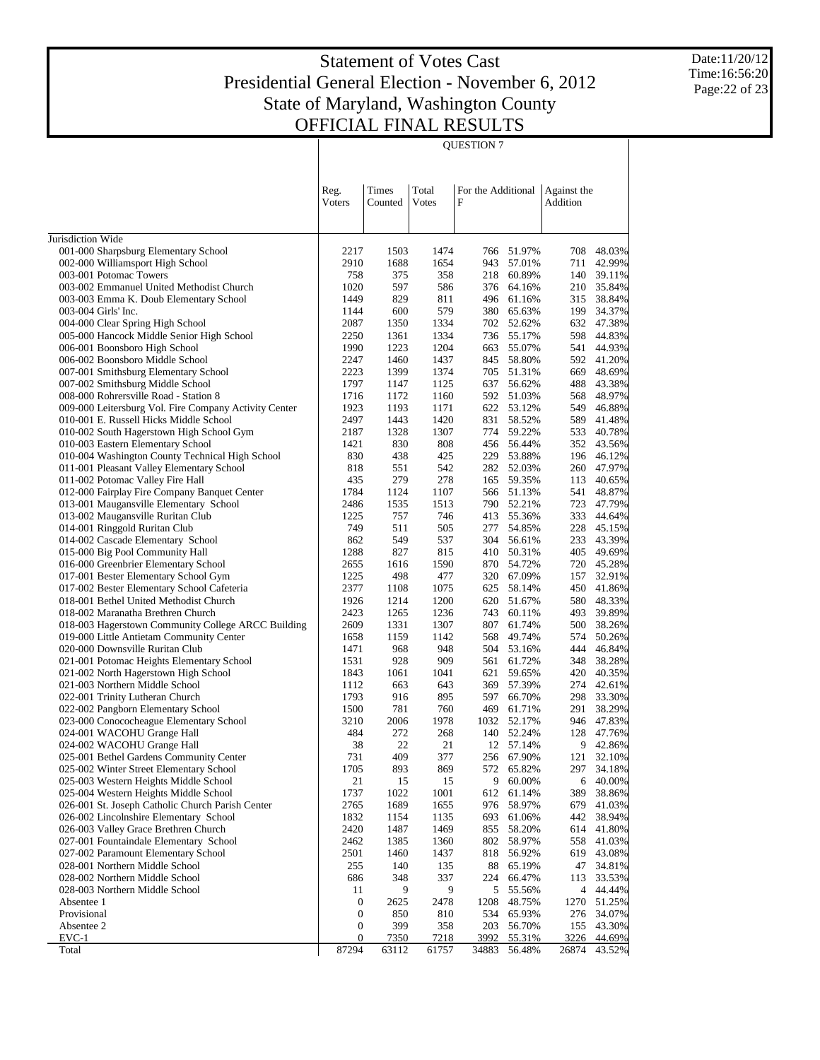QUESTION 7

Date:11/20/12 Time:16:56:20 Page:22 of 23

| Jurisdiction Wide                                                                                                                            | 51.97%<br>57.01%<br>218 60.89%<br>376 64.16%<br>496 61.16% | 708<br>711<br>140 | 48.03%           |
|----------------------------------------------------------------------------------------------------------------------------------------------|------------------------------------------------------------|-------------------|------------------|
|                                                                                                                                              |                                                            |                   |                  |
| 001-000 Sharpsburg Elementary School<br>2217<br>1474<br>1503<br>766                                                                          |                                                            |                   |                  |
| 002-000 Williamsport High School<br>2910<br>1654<br>1688<br>943                                                                              |                                                            |                   | 42.99%           |
| 375<br>003-001 Potomac Towers<br>758<br>358                                                                                                  |                                                            |                   | 39.11%           |
| 597<br>003-002 Emmanuel United Methodist Church<br>1020<br>586<br>003-003 Emma K. Doub Elementary School<br>1449<br>829<br>811               |                                                            | 210<br>315        | 35.84%<br>38.84% |
| 579<br>003-004 Girls' Inc.<br>1144<br>600<br>380                                                                                             | 65.63%                                                     | 199               | 34.37%           |
| 1334<br>004-000 Clear Spring High School<br>2087<br>1350<br>702                                                                              | 52.62%                                                     | 632               | 47.38%           |
| 005-000 Hancock Middle Senior High School<br>1334<br>2250<br>1361<br>736                                                                     | 55.17%                                                     | 598               | 44.83%           |
| 1990<br>1204<br>006-001 Boonsboro High School<br>1223<br>663                                                                                 | 55.07%                                                     | 541               | 44.93%           |
| 006-002 Boonsboro Middle School<br>2247<br>1460<br>1437<br>845                                                                               | 58.80%                                                     | 592               | 41.20%           |
| 2223<br>007-001 Smithsburg Elementary School<br>1399<br>1374<br>705                                                                          | 51.31%                                                     | 669               | 48.69%           |
| 1797<br>007-002 Smithsburg Middle School<br>1147<br>1125<br>637                                                                              | 56.62%                                                     | 488               | 43.38%           |
| 008-000 Rohrersville Road - Station 8<br>1716<br>1172<br>1160<br>592                                                                         | 51.03%                                                     | 568               | 48.97%           |
| 009-000 Leitersburg Vol. Fire Company Activity Center<br>1923<br>1193<br>1171<br>2497                                                        | 622 53.12%                                                 | 549<br>589        | 46.88%           |
| 1420<br>010-001 E. Russell Hicks Middle School<br>1443<br>831<br>010-002 South Hagerstown High School Gym<br>1307<br>2187<br>1328<br>774     | 58.52%<br>59.22%                                           | 533               | 41.48%<br>40.78% |
| 830<br>808<br>010-003 Eastern Elementary School<br>1421<br>456                                                                               | 56.44%                                                     | 352               | 43.56%           |
| 010-004 Washington County Technical High School<br>830<br>438<br>425<br>229                                                                  | 53.88%                                                     | 196               | 46.12%           |
| 011-001 Pleasant Valley Elementary School<br>542<br>818<br>551<br>282                                                                        | 52.03%                                                     | 260               | 47.97%           |
| 011-002 Potomac Valley Fire Hall<br>435<br>279<br>278                                                                                        | 165 59.35%                                                 | 113               | 40.65%           |
| 012-000 Fairplay Fire Company Banquet Center<br>1784<br>1124<br>1107                                                                         | 566 51.13%                                                 | 541               | 48.87%           |
| 013-001 Maugansville Elementary School<br>2486<br>1535<br>1513                                                                               | 790 52.21%                                                 | 723               | 47.79%           |
| 013-002 Maugansville Ruritan Club<br>757<br>746<br>1225<br>413                                                                               | 55.36%                                                     | 333               | 44.64%           |
| 014-001 Ringgold Ruritan Club<br>749<br>511<br>505<br>277                                                                                    | 54.85%                                                     | 228               | 45.15%           |
| 862<br>549<br>014-002 Cascade Elementary School<br>537<br>304                                                                                | 56.61%                                                     | 233               | 43.39%           |
| 1288<br>827<br>015-000 Big Pool Community Hall<br>815<br>410                                                                                 | 50.31%                                                     | 405               | 49.69%           |
| 016-000 Greenbrier Elementary School<br>2655<br>1616<br>1590<br>870<br>1225<br>498<br>477<br>017-001 Bester Elementary School Gym<br>320     | 54.72%<br>67.09%                                           | 720<br>157        | 45.28%<br>32.91% |
| 017-002 Bester Elementary School Cafeteria<br>2377<br>1108<br>1075<br>625                                                                    | 58.14%                                                     | 450               | 41.86%           |
| 1200<br>018-001 Bethel United Methodist Church<br>1926<br>1214<br>620                                                                        | 51.67%                                                     | 580               | 48.33%           |
| 2423<br>1236<br>018-002 Maranatha Brethren Church<br>1265<br>743                                                                             | 60.11%                                                     | 493               | 39.89%           |
| 2609<br>1307<br>018-003 Hagerstown Community College ARCC Building<br>1331<br>807                                                            | 61.74%                                                     | 500               | 38.26%           |
| 019-000 Little Antietam Community Center<br>1658<br>1159<br>1142<br>568                                                                      | 49.74%                                                     | 574               | 50.26%           |
| 968<br>948<br>020-000 Downsville Ruritan Club<br>1471<br>504                                                                                 | 53.16%                                                     | 444               | 46.84%           |
| 909<br>021-001 Potomac Heights Elementary School<br>1531<br>928<br>561                                                                       | 61.72%                                                     | 348               | 38.28%           |
| 021-002 North Hagerstown High School<br>1843<br>1061<br>1041<br>621                                                                          | 59.65%                                                     | 420               | 40.35%           |
| 643<br>021-003 Northern Middle School<br>1112<br>663<br>369                                                                                  | 57.39%                                                     | 274               | 42.61%           |
| 895<br>022-001 Trinity Lutheran Church<br>1793<br>916<br>597<br>022-002 Pangborn Elementary School<br>1500<br>781<br>760<br>469              | 66.70%<br>61.71%                                           | 298<br>291        | 33.30%<br>38.29% |
| 1978<br>023-000 Conococheague Elementary School<br>3210<br>2006<br>1032                                                                      | 52.17%                                                     | 946               | 47.83%           |
| 272<br>024-001 WACOHU Grange Hall<br>484<br>268<br>140                                                                                       | 52.24%                                                     | 128               | 47.76%           |
| 22<br>21<br>024-002 WACOHU Grange Hall<br>38                                                                                                 | 12 57.14%                                                  | 9                 | 42.86%           |
| 409<br>025-001 Bethel Gardens Community Center<br>731<br>377                                                                                 | 256 67.90%                                                 | 121               | 32.10%           |
| 025-002 Winter Street Elementary School<br>1705<br>893<br>869<br>572                                                                         | 65.82%                                                     | 297               | 34.18%           |
| 025-003 Western Heights Middle School<br>21<br>15<br>15                                                                                      | 9<br>60.00%                                                | 6                 | 40.00%           |
| 025-004 Western Heights Middle School<br>1737<br>1022<br>1001<br>612                                                                         | 61.14%                                                     | 389               | 38.86%           |
| 026-001 St. Joseph Catholic Church Parish Center<br>2765<br>1689<br>1655<br>976                                                              | 58.97%                                                     | 679               | 41.03%           |
| 026-002 Lincolnshire Elementary School<br>1832<br>1154<br>1135<br>693                                                                        | 61.06%                                                     | 442               | 38.94%           |
| 026-003 Valley Grace Brethren Church<br>2420<br>1469<br>1487<br>855<br>027-001 Fountaindale Elementary School<br>2462<br>1385<br>1360<br>802 | 58.20%                                                     | 614<br>558        | 41.80%<br>41.03% |
| 027-002 Paramount Elementary School<br>2501<br>1437<br>1460<br>818                                                                           | 58.97%<br>56.92%                                           | 619               | 43.08%           |
| 028-001 Northern Middle School<br>255<br>140<br>135                                                                                          | 88 65.19%                                                  | 47                | 34.81%           |
| 028-002 Northern Middle School<br>686<br>348<br>337<br>224                                                                                   | 66.47%                                                     | 113               | 33.53%           |
| 028-003 Northern Middle School<br>11<br>9<br>9                                                                                               | 5<br>55.56%                                                |                   | 4 44.44%         |
| Absentee 1<br>2478<br>0<br>2625<br>1208                                                                                                      | 48.75%                                                     | 1270              | 51.25%           |
| Provisional<br>$\mathbf 0$<br>850<br>810<br>534                                                                                              | 65.93%                                                     | 276               | 34.07%           |
| Absentee 2<br>$\boldsymbol{0}$<br>399<br>203<br>358                                                                                          | 56.70%                                                     | 155               | 43.30%           |
| $EVC-1$<br>$\boldsymbol{0}$<br><u>7350</u><br>7218<br>3992<br>87294<br>Total<br>63112<br>61757<br>34883                                      | 55.31%<br>56.48%                                           | 3226<br>26874     | 44.69%<br>43.52% |